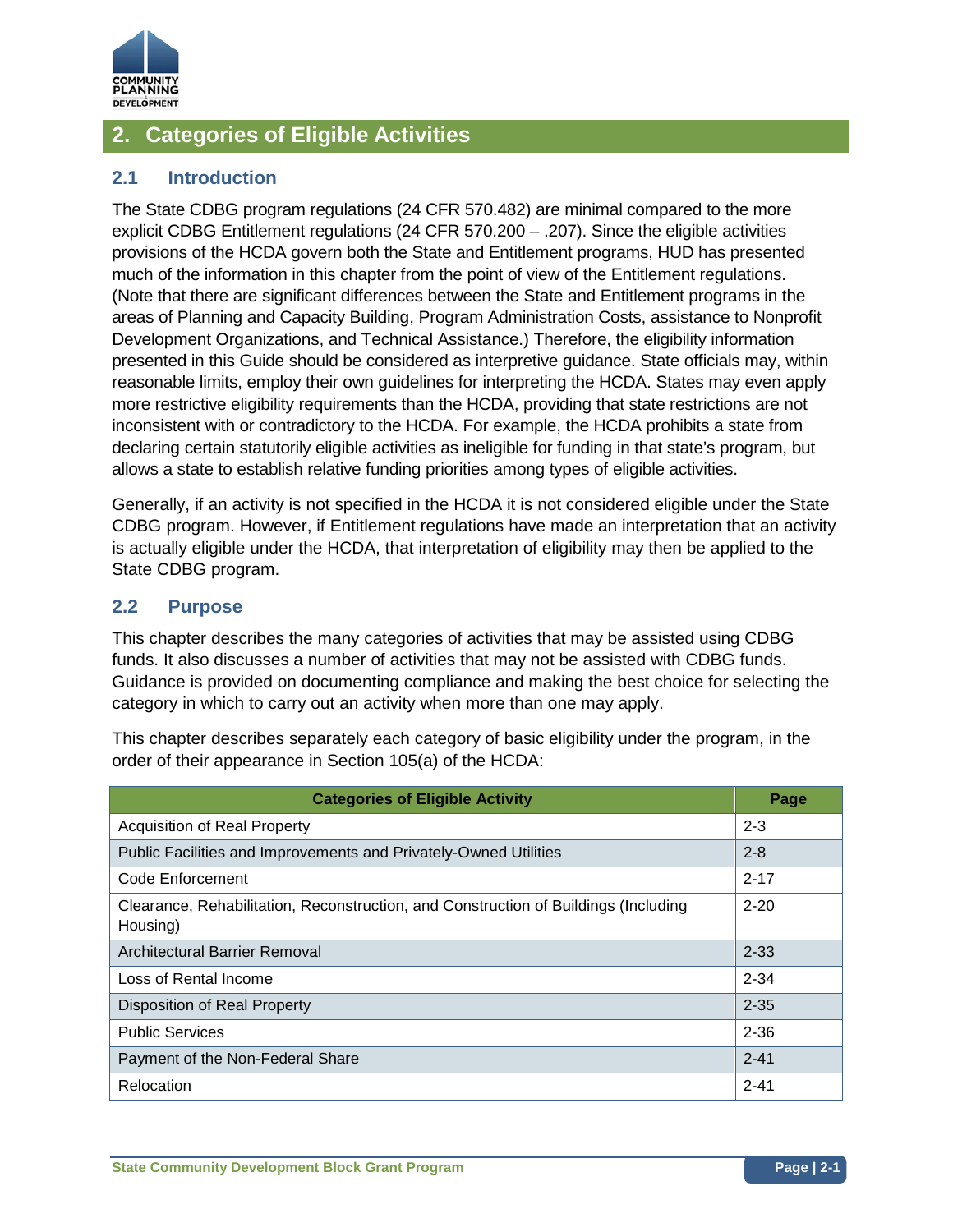

# **2. Categories of Eligible Activities**

## **2.1 Introduction**

The State CDBG program regulations (24 CFR 570.482) are minimal compared to the more explicit CDBG Entitlement regulations (24 CFR 570.200 – .207). Since the eligible activities provisions of the HCDA govern both the State and Entitlement programs, HUD has presented much of the information in this chapter from the point of view of the Entitlement regulations. (Note that there are significant differences between the State and Entitlement programs in the areas of Planning and Capacity Building, Program Administration Costs, assistance to Nonprofit Development Organizations, and Technical Assistance.) Therefore, the eligibility information presented in this Guide should be considered as interpretive guidance. State officials may, within reasonable limits, employ their own guidelines for interpreting the HCDA. States may even apply more restrictive eligibility requirements than the HCDA, providing that state restrictions are not inconsistent with or contradictory to the HCDA. For example, the HCDA prohibits a state from declaring certain statutorily eligible activities as ineligible for funding in that state's program, but allows a state to establish relative funding priorities among types of eligible activities.

Generally, if an activity is not specified in the HCDA it is not considered eligible under the State CDBG program. However, if Entitlement regulations have made an interpretation that an activity is actually eligible under the HCDA, that interpretation of eligibility may then be applied to the State CDBG program.

## **2.2 Purpose**

This chapter describes the many categories of activities that may be assisted using CDBG funds. It also discusses a number of activities that may not be assisted with CDBG funds. Guidance is provided on documenting compliance and making the best choice for selecting the category in which to carry out an activity when more than one may apply.

This chapter describes separately each category of basic eligibility under the program, in the order of their appearance in Section 105(a) of the HCDA:

| <b>Categories of Eligible Activity</b>                                                          | <b>Page</b> |
|-------------------------------------------------------------------------------------------------|-------------|
| <b>Acquisition of Real Property</b>                                                             | $2 - 3$     |
| Public Facilities and Improvements and Privately-Owned Utilities                                | $2 - 8$     |
| Code Enforcement                                                                                | $2 - 17$    |
| Clearance, Rehabilitation, Reconstruction, and Construction of Buildings (Including<br>Housing) | $2 - 20$    |
| Architectural Barrier Removal                                                                   | $2 - 33$    |
| Loss of Rental Income                                                                           | $2 - 34$    |
| <b>Disposition of Real Property</b>                                                             | $2 - 35$    |
| <b>Public Services</b>                                                                          | $2 - 36$    |
| Payment of the Non-Federal Share                                                                | $2 - 41$    |
| Relocation                                                                                      | $2 - 41$    |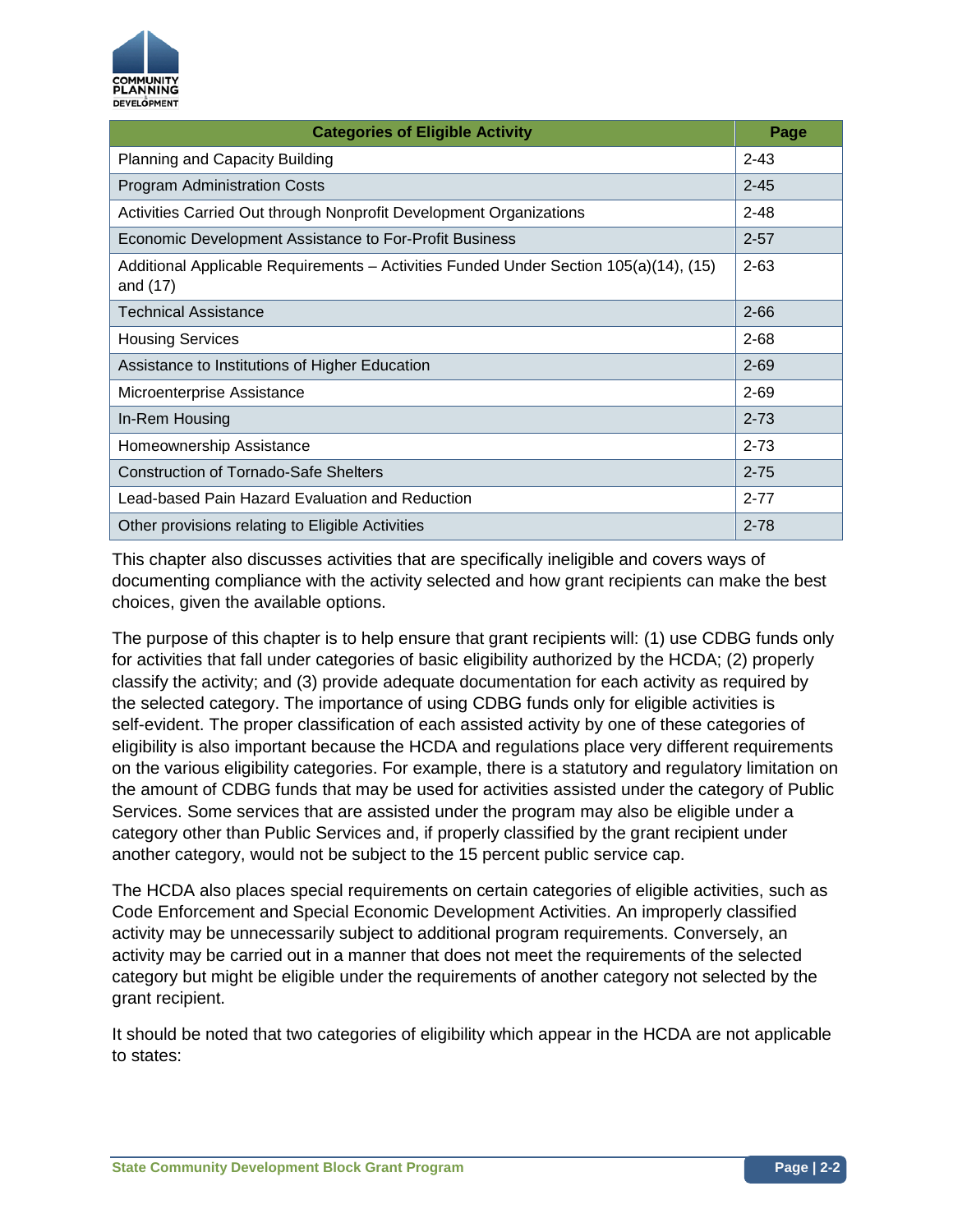

| <b>Categories of Eligible Activity</b>                                                            | Page     |
|---------------------------------------------------------------------------------------------------|----------|
| Planning and Capacity Building                                                                    | $2 - 43$ |
| <b>Program Administration Costs</b>                                                               | $2 - 45$ |
| Activities Carried Out through Nonprofit Development Organizations                                | $2 - 48$ |
| Economic Development Assistance to For-Profit Business                                            | $2 - 57$ |
| Additional Applicable Requirements – Activities Funded Under Section 105(a)(14), (15)<br>and (17) | $2 - 63$ |
| Technical Assistance                                                                              | $2 - 66$ |
| <b>Housing Services</b>                                                                           | $2 - 68$ |
| Assistance to Institutions of Higher Education                                                    | $2 - 69$ |
| Microenterprise Assistance                                                                        | $2 - 69$ |
| In-Rem Housing                                                                                    | $2 - 73$ |
| Homeownership Assistance                                                                          | $2 - 73$ |
| <b>Construction of Tornado-Safe Shelters</b>                                                      | $2 - 75$ |
| Lead-based Pain Hazard Evaluation and Reduction                                                   | $2 - 77$ |
| Other provisions relating to Eligible Activities                                                  | $2 - 78$ |

This chapter also discusses activities that are specifically ineligible and covers ways of documenting compliance with the activity selected and how grant recipients can make the best choices, given the available options.

The purpose of this chapter is to help ensure that grant recipients will: (1) use CDBG funds only for activities that fall under categories of basic eligibility authorized by the HCDA; (2) properly classify the activity; and (3) provide adequate documentation for each activity as required by the selected category. The importance of using CDBG funds only for eligible activities is self-evident. The proper classification of each assisted activity by one of these categories of eligibility is also important because the HCDA and regulations place very different requirements on the various eligibility categories. For example, there is a statutory and regulatory limitation on the amount of CDBG funds that may be used for activities assisted under the category of Public Services. Some services that are assisted under the program may also be eligible under a category other than Public Services and, if properly classified by the grant recipient under another category, would not be subject to the 15 percent public service cap.

The HCDA also places special requirements on certain categories of eligible activities, such as Code Enforcement and Special Economic Development Activities. An improperly classified activity may be unnecessarily subject to additional program requirements. Conversely, an activity may be carried out in a manner that does not meet the requirements of the selected category but might be eligible under the requirements of another category not selected by the grant recipient.

It should be noted that two categories of eligibility which appear in the HCDA are not applicable to states: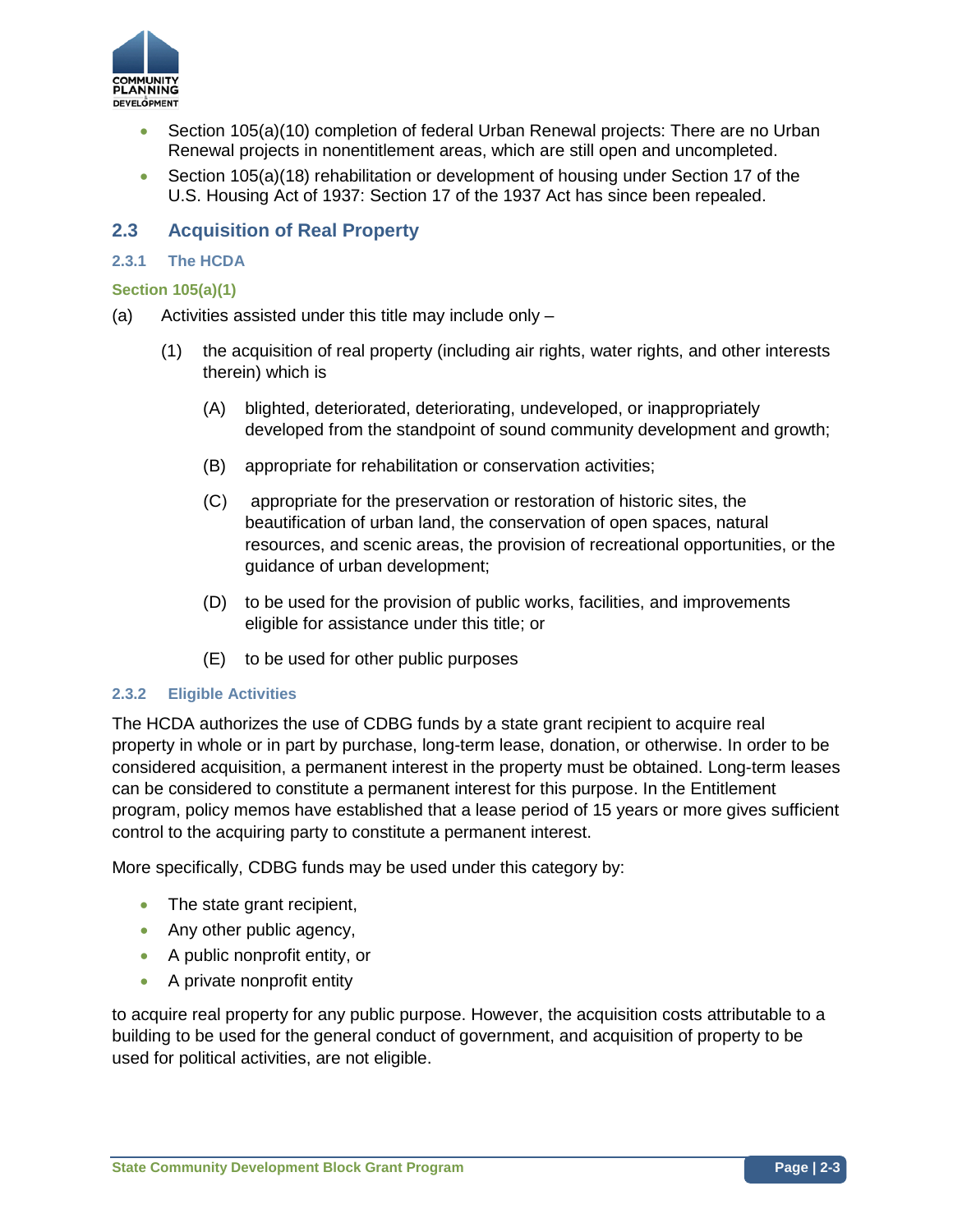

- Section 105(a)(10) completion of federal Urban Renewal projects: There are no Urban Renewal projects in nonentitlement areas, which are still open and uncompleted.
- Section 105(a)(18) rehabilitation or development of housing under Section 17 of the U.S. Housing Act of 1937: Section 17 of the 1937 Act has since been repealed.

## **2.3 Acquisition of Real Property**

### **2.3.1 The HCDA**

#### **Section 105(a)(1)**

- (a) Activities assisted under this title may include only
	- (1) the acquisition of real property (including air rights, water rights, and other interests therein) which is
		- (A) blighted, deteriorated, deteriorating, undeveloped, or inappropriately developed from the standpoint of sound community development and growth;
		- (B) appropriate for rehabilitation or conservation activities;
		- (C) appropriate for the preservation or restoration of historic sites, the beautification of urban land, the conservation of open spaces, natural resources, and scenic areas, the provision of recreational opportunities, or the guidance of urban development;
		- (D) to be used for the provision of public works, facilities, and improvements eligible for assistance under this title; or
		- (E) to be used for other public purposes

#### **2.3.2 Eligible Activities**

The HCDA authorizes the use of CDBG funds by a state grant recipient to acquire real property in whole or in part by purchase, long-term lease, donation, or otherwise. In order to be considered acquisition, a permanent interest in the property must be obtained. Long-term leases can be considered to constitute a permanent interest for this purpose. In the Entitlement program, policy memos have established that a lease period of 15 years or more gives sufficient control to the acquiring party to constitute a permanent interest.

More specifically, CDBG funds may be used under this category by:

- The state grant recipient,
- Any other public agency,
- A public nonprofit entity, or
- A private nonprofit entity

to acquire real property for any public purpose. However, the acquisition costs attributable to a building to be used for the general conduct of government, and acquisition of property to be used for political activities, are not eligible.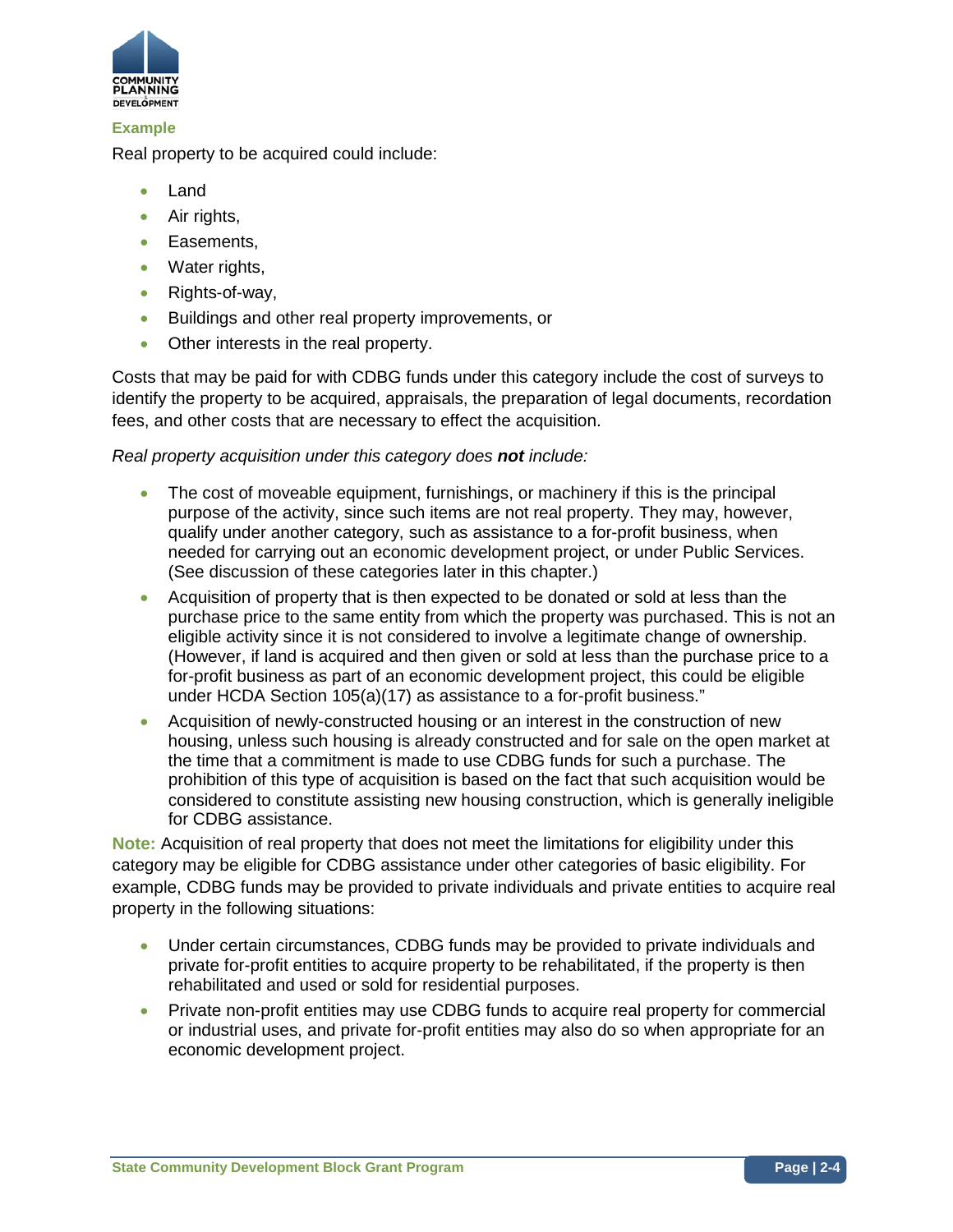

### **Example**

Real property to be acquired could include:

- Land
- Air rights,
- Easements,
- Water rights.
- Rights-of-way,
- Buildings and other real property improvements, or
- Other interests in the real property.

Costs that may be paid for with CDBG funds under this category include the cost of surveys to identify the property to be acquired, appraisals, the preparation of legal documents, recordation fees, and other costs that are necessary to effect the acquisition.

### *Real property acquisition under this category does not include:*

- The cost of moveable equipment, furnishings, or machinery if this is the principal purpose of the activity, since such items are not real property. They may, however, qualify under another category, such as assistance to a for-profit business, when needed for carrying out an economic development project, or under Public Services. (See discussion of these categories later in this chapter.)
- Acquisition of property that is then expected to be donated or sold at less than the purchase price to the same entity from which the property was purchased. This is not an eligible activity since it is not considered to involve a legitimate change of ownership. (However, if land is acquired and then given or sold at less than the purchase price to a for-profit business as part of an economic development project, this could be eligible under HCDA Section 105(a)(17) as assistance to a for-profit business."
- Acquisition of newly-constructed housing or an interest in the construction of new housing, unless such housing is already constructed and for sale on the open market at the time that a commitment is made to use CDBG funds for such a purchase. The prohibition of this type of acquisition is based on the fact that such acquisition would be considered to constitute assisting new housing construction, which is generally ineligible for CDBG assistance.

**Note:** Acquisition of real property that does not meet the limitations for eligibility under this category may be eligible for CDBG assistance under other categories of basic eligibility. For example, CDBG funds may be provided to private individuals and private entities to acquire real property in the following situations:

- Under certain circumstances, CDBG funds may be provided to private individuals and private for-profit entities to acquire property to be rehabilitated, if the property is then rehabilitated and used or sold for residential purposes.
- Private non-profit entities may use CDBG funds to acquire real property for commercial or industrial uses, and private for-profit entities may also do so when appropriate for an economic development project.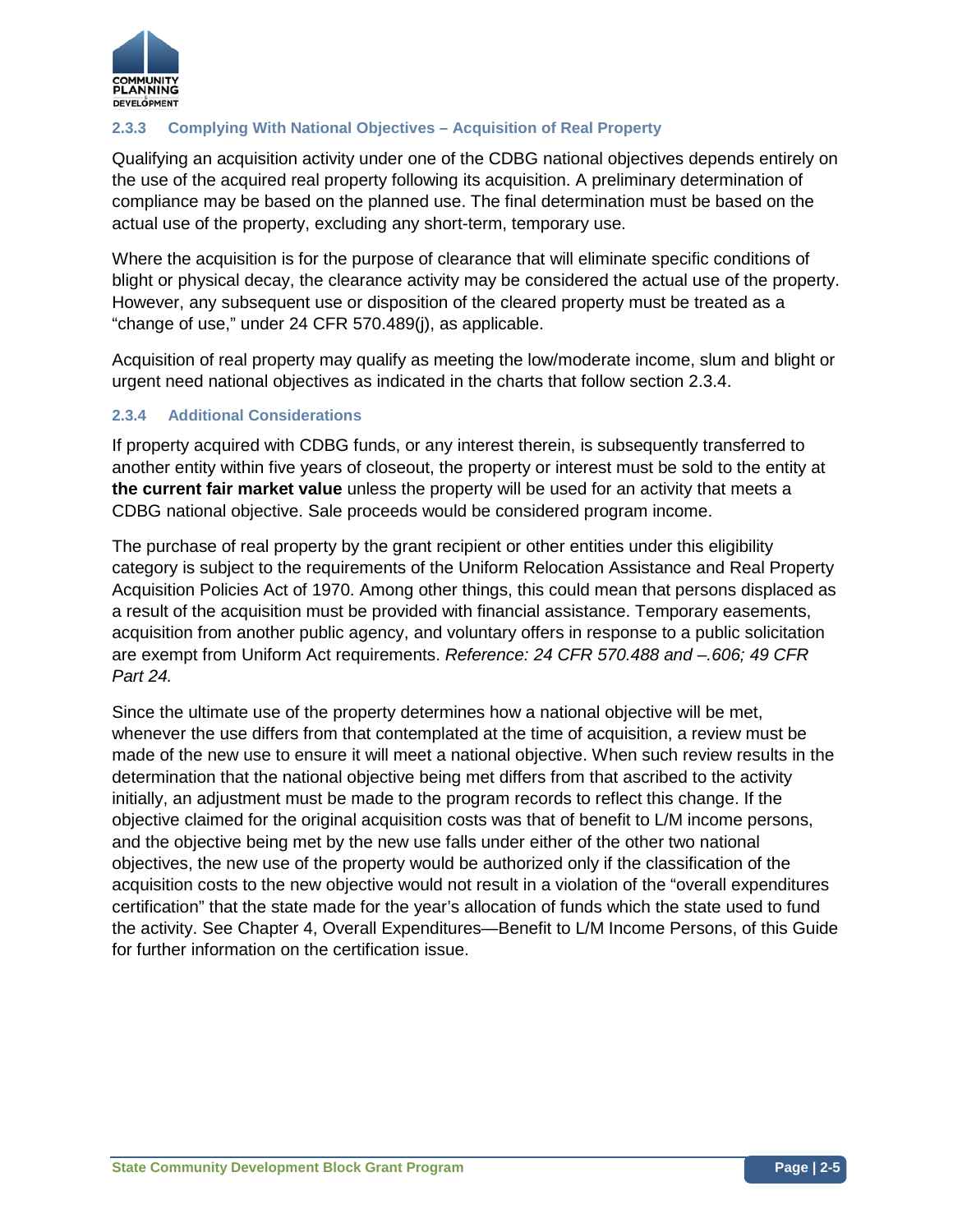

## **2.3.3 Complying With National Objectives – Acquisition of Real Property**

Qualifying an acquisition activity under one of the CDBG national objectives depends entirely on the use of the acquired real property following its acquisition. A preliminary determination of compliance may be based on the planned use. The final determination must be based on the actual use of the property, excluding any short-term, temporary use.

Where the acquisition is for the purpose of clearance that will eliminate specific conditions of blight or physical decay, the clearance activity may be considered the actual use of the property. However, any subsequent use or disposition of the cleared property must be treated as a "change of use," under 24 CFR 570.489(j), as applicable.

Acquisition of real property may qualify as meeting the low/moderate income, slum and blight or urgent need national objectives as indicated in the charts that follow section 2.3.4.

### **2.3.4 Additional Considerations**

If property acquired with CDBG funds, or any interest therein, is subsequently transferred to another entity within five years of closeout, the property or interest must be sold to the entity at **the current fair market value** unless the property will be used for an activity that meets a CDBG national objective. Sale proceeds would be considered program income.

The purchase of real property by the grant recipient or other entities under this eligibility category is subject to the requirements of the Uniform Relocation Assistance and Real Property Acquisition Policies Act of 1970. Among other things, this could mean that persons displaced as a result of the acquisition must be provided with financial assistance. Temporary easements, acquisition from another public agency, and voluntary offers in response to a public solicitation are exempt from Uniform Act requirements. *Reference: 24 CFR 570.488 and –.606; 49 CFR Part 24.*

Since the ultimate use of the property determines how a national objective will be met, whenever the use differs from that contemplated at the time of acquisition, a review must be made of the new use to ensure it will meet a national objective. When such review results in the determination that the national objective being met differs from that ascribed to the activity initially, an adjustment must be made to the program records to reflect this change. If the objective claimed for the original acquisition costs was that of benefit to L/M income persons, and the objective being met by the new use falls under either of the other two national objectives, the new use of the property would be authorized only if the classification of the acquisition costs to the new objective would not result in a violation of the "overall expenditures certification" that the state made for the year's allocation of funds which the state used to fund the activity. See Chapter 4, Overall Expenditures—Benefit to L/M Income Persons, of this Guide for further information on the certification issue.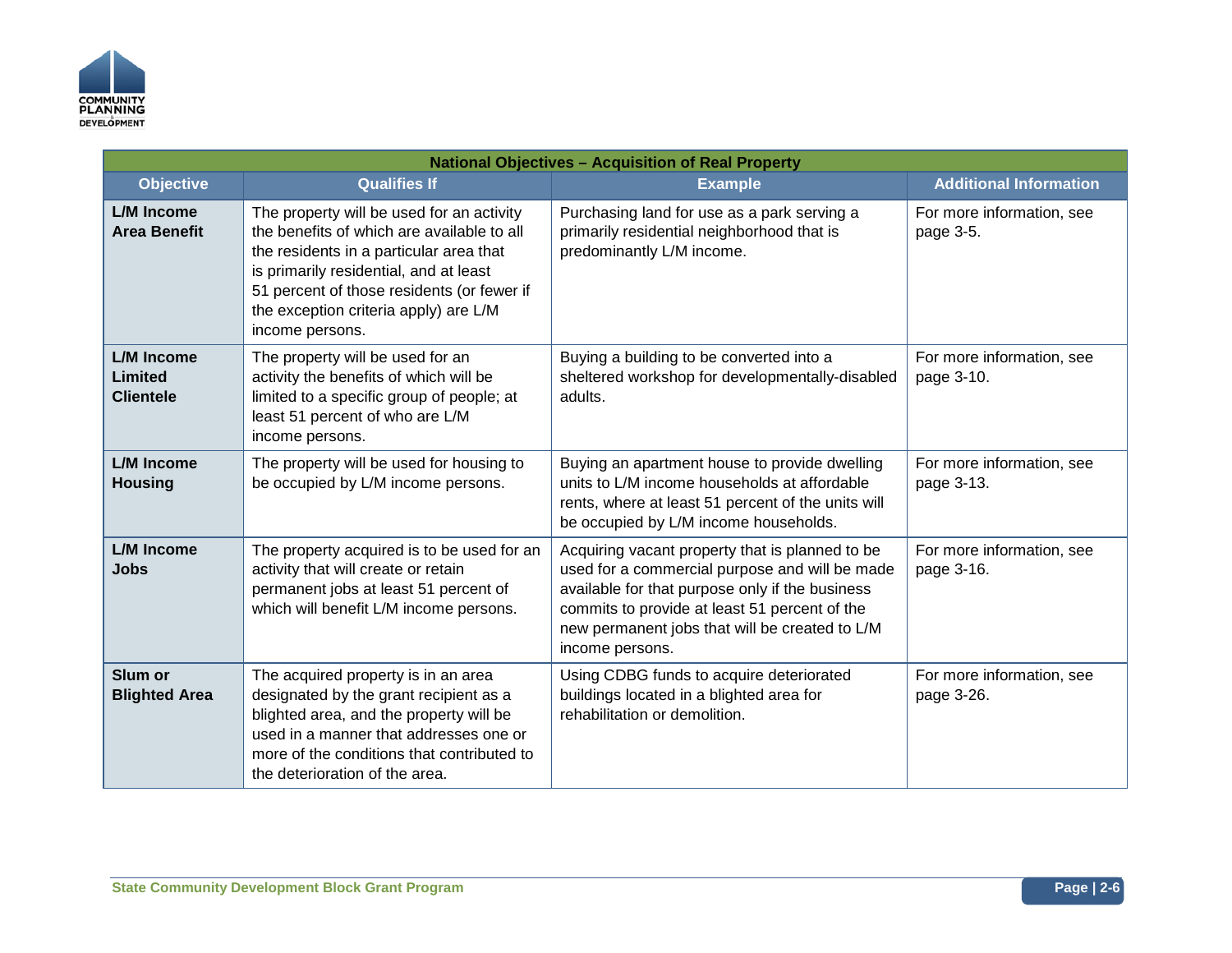

| <b>National Objectives - Acquisition of Real Property</b> |                                                                                                                                                                                                                                                                                        |                                                                                                                                                                                                                                                                            |                                         |
|-----------------------------------------------------------|----------------------------------------------------------------------------------------------------------------------------------------------------------------------------------------------------------------------------------------------------------------------------------------|----------------------------------------------------------------------------------------------------------------------------------------------------------------------------------------------------------------------------------------------------------------------------|-----------------------------------------|
| <b>Objective</b>                                          | <b>Qualifies If</b>                                                                                                                                                                                                                                                                    | <b>Example</b>                                                                                                                                                                                                                                                             | <b>Additional Information</b>           |
| <b>L/M Income</b><br><b>Area Benefit</b>                  | The property will be used for an activity<br>the benefits of which are available to all<br>the residents in a particular area that<br>is primarily residential, and at least<br>51 percent of those residents (or fewer if<br>the exception criteria apply) are L/M<br>income persons. | Purchasing land for use as a park serving a<br>primarily residential neighborhood that is<br>predominantly L/M income.                                                                                                                                                     | For more information, see<br>page 3-5.  |
| L/M Income<br>Limited<br><b>Clientele</b>                 | The property will be used for an<br>activity the benefits of which will be<br>limited to a specific group of people; at<br>least 51 percent of who are L/M<br>income persons.                                                                                                          | Buying a building to be converted into a<br>sheltered workshop for developmentally-disabled<br>adults.                                                                                                                                                                     | For more information, see<br>page 3-10. |
| L/M Income<br><b>Housing</b>                              | The property will be used for housing to<br>be occupied by L/M income persons.                                                                                                                                                                                                         | Buying an apartment house to provide dwelling<br>units to L/M income households at affordable<br>rents, where at least 51 percent of the units will<br>be occupied by L/M income households.                                                                               | For more information, see<br>page 3-13. |
| <b>L/M Income</b><br><b>Jobs</b>                          | The property acquired is to be used for an<br>activity that will create or retain<br>permanent jobs at least 51 percent of<br>which will benefit L/M income persons.                                                                                                                   | Acquiring vacant property that is planned to be<br>used for a commercial purpose and will be made<br>available for that purpose only if the business<br>commits to provide at least 51 percent of the<br>new permanent jobs that will be created to L/M<br>income persons. | For more information, see<br>page 3-16. |
| Slum or<br><b>Blighted Area</b>                           | The acquired property is in an area<br>designated by the grant recipient as a<br>blighted area, and the property will be<br>used in a manner that addresses one or<br>more of the conditions that contributed to<br>the deterioration of the area.                                     | Using CDBG funds to acquire deteriorated<br>buildings located in a blighted area for<br>rehabilitation or demolition.                                                                                                                                                      | For more information, see<br>page 3-26. |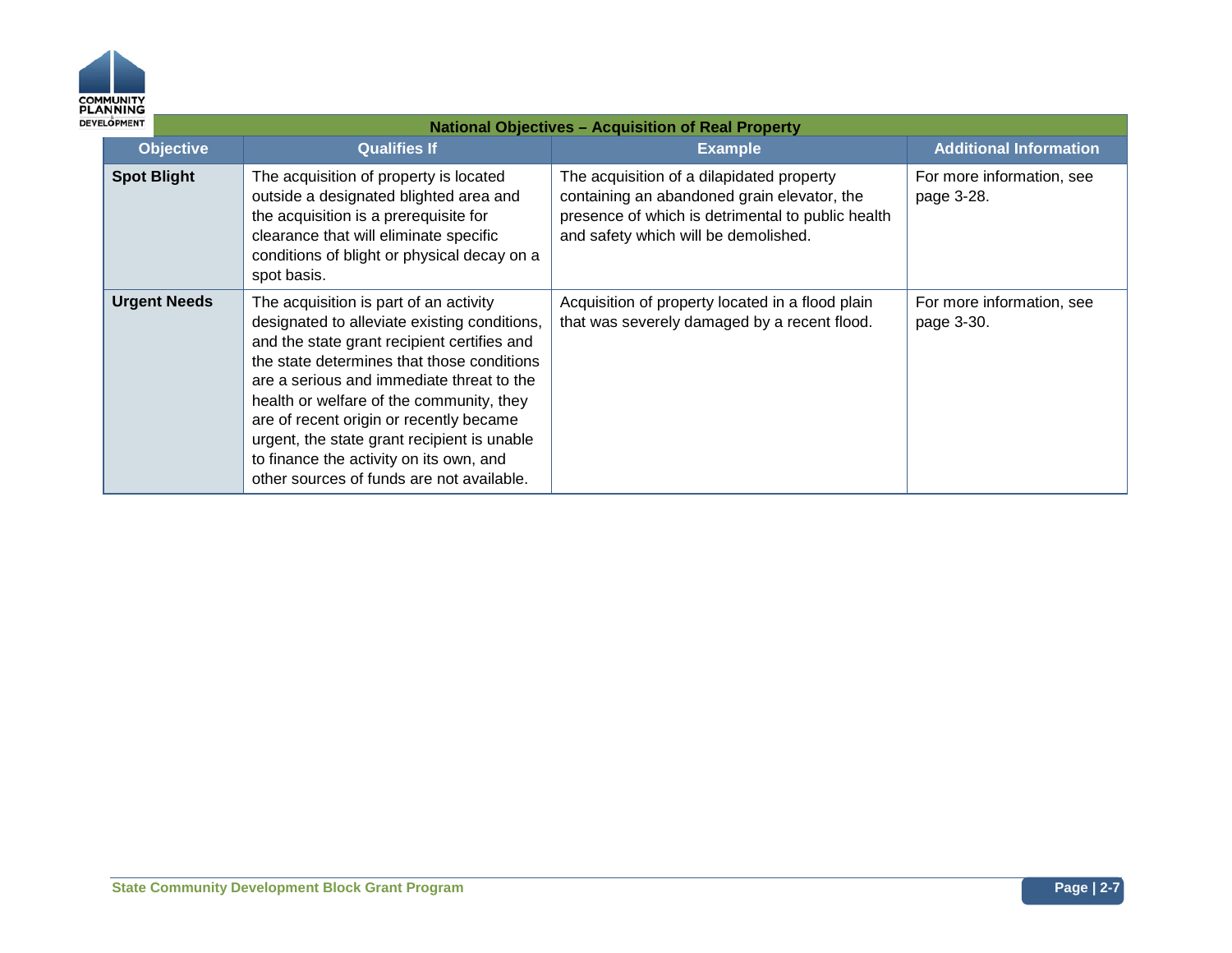

| ELOPMENT            | <b>National Objectives - Acquisition of Real Property</b>                                                                                                                                                                                                                                                                                                                                                                                                      |                                                                                                                                                                                       |                                         |  |
|---------------------|----------------------------------------------------------------------------------------------------------------------------------------------------------------------------------------------------------------------------------------------------------------------------------------------------------------------------------------------------------------------------------------------------------------------------------------------------------------|---------------------------------------------------------------------------------------------------------------------------------------------------------------------------------------|-----------------------------------------|--|
| <b>Objective</b>    | <b>Qualifies If</b>                                                                                                                                                                                                                                                                                                                                                                                                                                            | <b>Example</b>                                                                                                                                                                        | <b>Additional Information</b>           |  |
| <b>Spot Blight</b>  | The acquisition of property is located<br>outside a designated blighted area and<br>the acquisition is a prerequisite for<br>clearance that will eliminate specific<br>conditions of blight or physical decay on a<br>spot basis.                                                                                                                                                                                                                              | The acquisition of a dilapidated property<br>containing an abandoned grain elevator, the<br>presence of which is detrimental to public health<br>and safety which will be demolished. | For more information, see<br>page 3-28. |  |
| <b>Urgent Needs</b> | The acquisition is part of an activity<br>designated to alleviate existing conditions,<br>and the state grant recipient certifies and<br>the state determines that those conditions<br>are a serious and immediate threat to the<br>health or welfare of the community, they<br>are of recent origin or recently became<br>urgent, the state grant recipient is unable<br>to finance the activity on its own, and<br>other sources of funds are not available. | Acquisition of property located in a flood plain<br>that was severely damaged by a recent flood.                                                                                      | For more information, see<br>page 3-30. |  |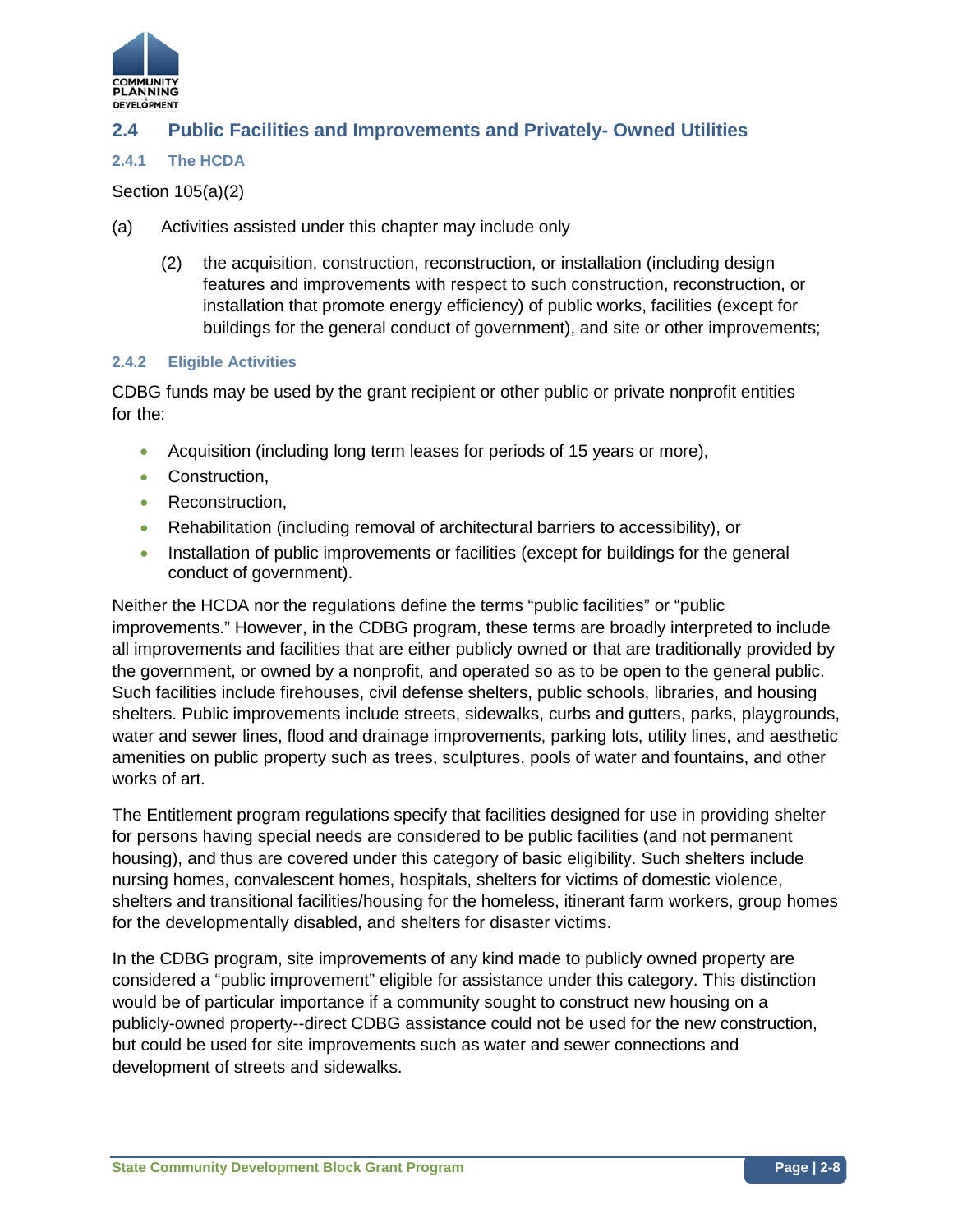

## **2.4 Public Facilities and Improvements and Privately- Owned Utilities**

#### **2.4.1 The HCDA**

#### Section 105(a)(2)

- (a) Activities assisted under this chapter may include only
	- (2) the acquisition, construction, reconstruction, or installation (including design features and improvements with respect to such construction, reconstruction, or installation that promote energy efficiency) of public works, facilities (except for buildings for the general conduct of government), and site or other improvements;

#### **2.4.2 Eligible Activities**

CDBG funds may be used by the grant recipient or other public or private nonprofit entities for the:

- Acquisition (including long term leases for periods of 15 years or more),
- Construction,
- Reconstruction.
- Rehabilitation (including removal of architectural barriers to accessibility), or
- Installation of public improvements or facilities (except for buildings for the general conduct of government).

Neither the HCDA nor the regulations define the terms "public facilities" or "public improvements." However, in the CDBG program, these terms are broadly interpreted to include all improvements and facilities that are either publicly owned or that are traditionally provided by the government, or owned by a nonprofit, and operated so as to be open to the general public. Such facilities include firehouses, civil defense shelters, public schools, libraries, and housing shelters. Public improvements include streets, sidewalks, curbs and gutters, parks, playgrounds, water and sewer lines, flood and drainage improvements, parking lots, utility lines, and aesthetic amenities on public property such as trees, sculptures, pools of water and fountains, and other works of art.

The Entitlement program regulations specify that facilities designed for use in providing shelter for persons having special needs are considered to be public facilities (and not permanent housing), and thus are covered under this category of basic eligibility. Such shelters include nursing homes, convalescent homes, hospitals, shelters for victims of domestic violence, shelters and transitional facilities/housing for the homeless, itinerant farm workers, group homes for the developmentally disabled, and shelters for disaster victims.

In the CDBG program, site improvements of any kind made to publicly owned property are considered a "public improvement" eligible for assistance under this category. This distinction would be of particular importance if a community sought to construct new housing on a publicly-owned property--direct CDBG assistance could not be used for the new construction, but could be used for site improvements such as water and sewer connections and development of streets and sidewalks.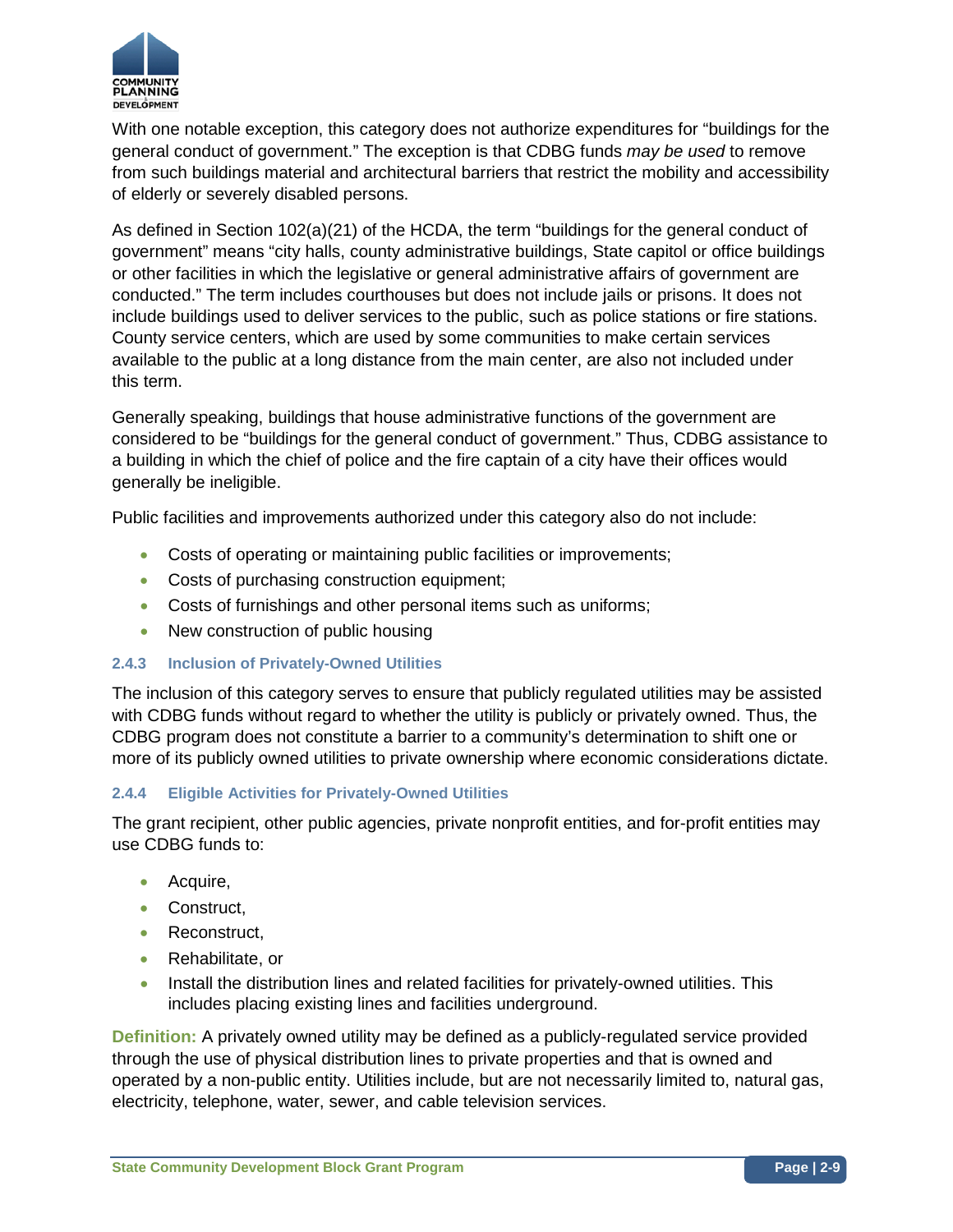

With one notable exception, this category does not authorize expenditures for "buildings for the general conduct of government." The exception is that CDBG funds *may be used* to remove from such buildings material and architectural barriers that restrict the mobility and accessibility of elderly or severely disabled persons.

As defined in Section 102(a)(21) of the HCDA, the term "buildings for the general conduct of government" means "city halls, county administrative buildings, State capitol or office buildings or other facilities in which the legislative or general administrative affairs of government are conducted." The term includes courthouses but does not include jails or prisons. It does not include buildings used to deliver services to the public, such as police stations or fire stations. County service centers, which are used by some communities to make certain services available to the public at a long distance from the main center, are also not included under this term.

Generally speaking, buildings that house administrative functions of the government are considered to be "buildings for the general conduct of government." Thus, CDBG assistance to a building in which the chief of police and the fire captain of a city have their offices would generally be ineligible.

Public facilities and improvements authorized under this category also do not include:

- Costs of operating or maintaining public facilities or improvements;
- Costs of purchasing construction equipment;
- Costs of furnishings and other personal items such as uniforms;
- New construction of public housing

#### **2.4.3 Inclusion of Privately-Owned Utilities**

The inclusion of this category serves to ensure that publicly regulated utilities may be assisted with CDBG funds without regard to whether the utility is publicly or privately owned. Thus, the CDBG program does not constitute a barrier to a community's determination to shift one or more of its publicly owned utilities to private ownership where economic considerations dictate.

#### **2.4.4 Eligible Activities for Privately-Owned Utilities**

The grant recipient, other public agencies, private nonprofit entities, and for-profit entities may use CDBG funds to:

- Acquire,
- Construct.
- Reconstruct,
- Rehabilitate, or
- Install the distribution lines and related facilities for privately-owned utilities. This includes placing existing lines and facilities underground.

**Definition:** A privately owned utility may be defined as a publicly-regulated service provided through the use of physical distribution lines to private properties and that is owned and operated by a non-public entity. Utilities include, but are not necessarily limited to, natural gas, electricity, telephone, water, sewer, and cable television services.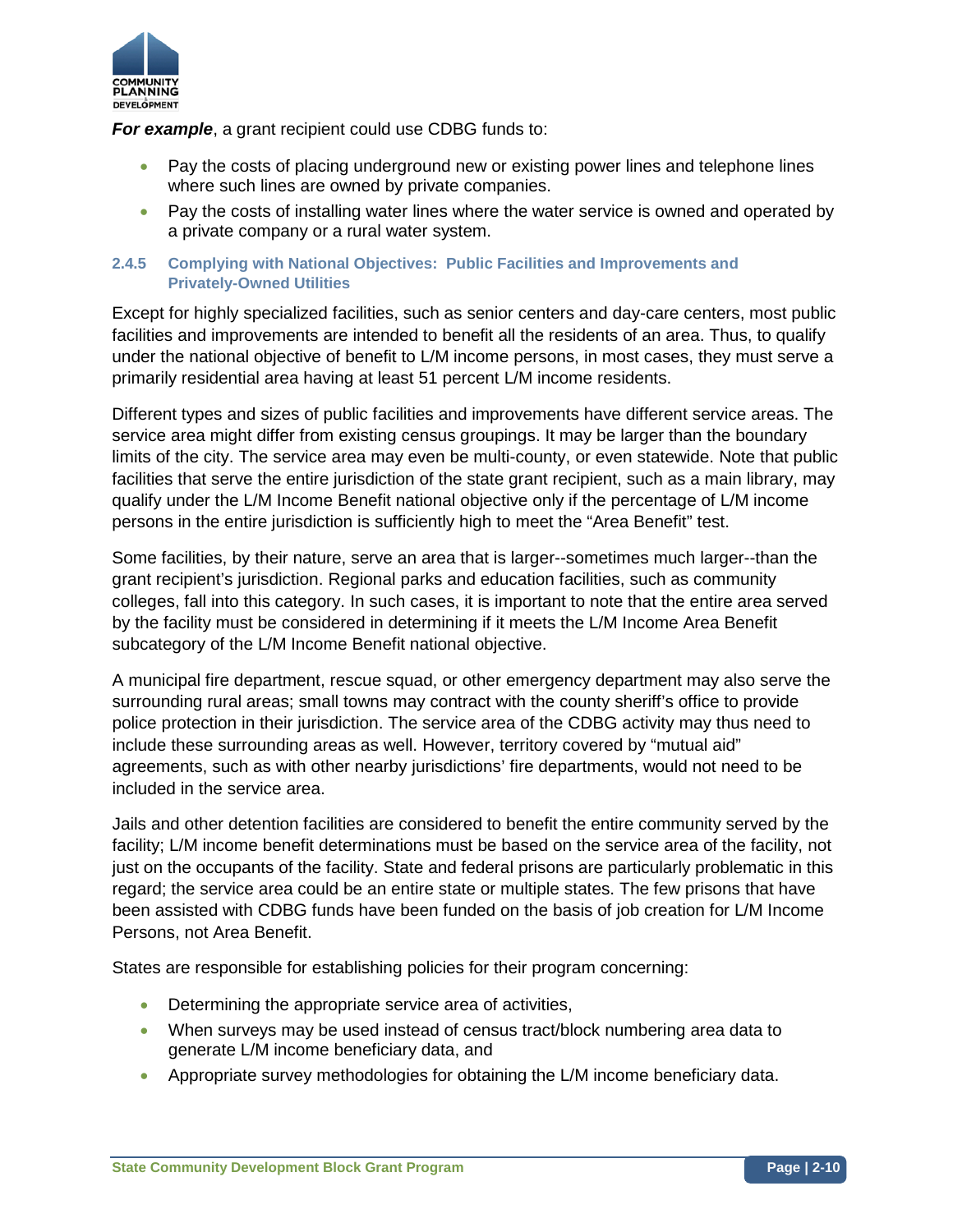

*For example, a grant recipient could use CDBG funds to:* 

- Pay the costs of placing underground new or existing power lines and telephone lines where such lines are owned by private companies.
- Pay the costs of installing water lines where the water service is owned and operated by a private company or a rural water system.

#### **2.4.5 Complying with National Objectives: Public Facilities and Improvements and Privately-Owned Utilities**

Except for highly specialized facilities, such as senior centers and day-care centers, most public facilities and improvements are intended to benefit all the residents of an area. Thus, to qualify under the national objective of benefit to L/M income persons, in most cases, they must serve a primarily residential area having at least 51 percent L/M income residents.

Different types and sizes of public facilities and improvements have different service areas. The service area might differ from existing census groupings. It may be larger than the boundary limits of the city. The service area may even be multi-county, or even statewide. Note that public facilities that serve the entire jurisdiction of the state grant recipient, such as a main library, may qualify under the L/M Income Benefit national objective only if the percentage of L/M income persons in the entire jurisdiction is sufficiently high to meet the "Area Benefit" test.

Some facilities, by their nature, serve an area that is larger--sometimes much larger--than the grant recipient's jurisdiction. Regional parks and education facilities, such as community colleges, fall into this category. In such cases, it is important to note that the entire area served by the facility must be considered in determining if it meets the L/M Income Area Benefit subcategory of the L/M Income Benefit national objective.

A municipal fire department, rescue squad, or other emergency department may also serve the surrounding rural areas; small towns may contract with the county sheriff's office to provide police protection in their jurisdiction. The service area of the CDBG activity may thus need to include these surrounding areas as well. However, territory covered by "mutual aid" agreements, such as with other nearby jurisdictions' fire departments, would not need to be included in the service area.

Jails and other detention facilities are considered to benefit the entire community served by the facility; L/M income benefit determinations must be based on the service area of the facility, not just on the occupants of the facility. State and federal prisons are particularly problematic in this regard; the service area could be an entire state or multiple states. The few prisons that have been assisted with CDBG funds have been funded on the basis of job creation for L/M Income Persons, not Area Benefit.

States are responsible for establishing policies for their program concerning:

- Determining the appropriate service area of activities,
- When surveys may be used instead of census tract/block numbering area data to generate L/M income beneficiary data, and
- Appropriate survey methodologies for obtaining the L/M income beneficiary data.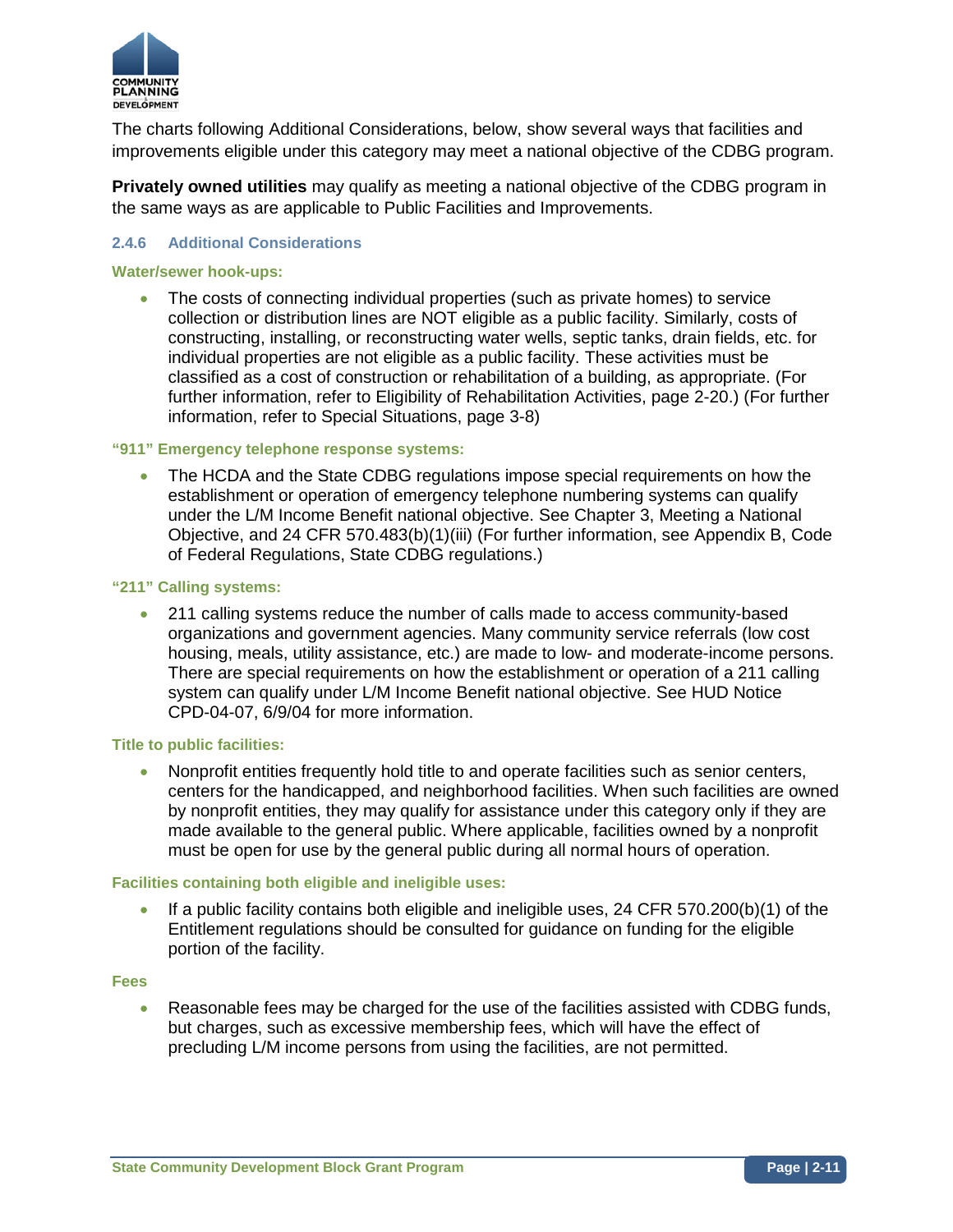

The charts following Additional Considerations, below, show several ways that facilities and improvements eligible under this category may meet a national objective of the CDBG program.

**Privately owned utilities** may qualify as meeting a national objective of the CDBG program in the same ways as are applicable to Public Facilities and Improvements.

#### **2.4.6 Additional Considerations**

#### **Water/sewer hook-ups:**

• The costs of connecting individual properties (such as private homes) to service collection or distribution lines are NOT eligible as a public facility. Similarly, costs of constructing, installing, or reconstructing water wells, septic tanks, drain fields, etc. for individual properties are not eligible as a public facility. These activities must be classified as a cost of construction or rehabilitation of a building, as appropriate. (For further information, refer to Eligibility of Rehabilitation Activities, page 2-20.) (For further information, refer to Special Situations, page 3-8)

#### **"911" Emergency telephone response systems:**

• The HCDA and the State CDBG regulations impose special requirements on how the establishment or operation of emergency telephone numbering systems can qualify under the L/M Income Benefit national objective. See Chapter 3, Meeting a National Objective, and 24 CFR 570.483(b)(1)(iii) (For further information, see Appendix B, Code of Federal Regulations, State CDBG regulations.)

#### **"211" Calling systems:**

• 211 calling systems reduce the number of calls made to access community-based organizations and government agencies. Many community service referrals (low cost housing, meals, utility assistance, etc.) are made to low- and moderate-income persons. There are special requirements on how the establishment or operation of a 211 calling system can qualify under L/M Income Benefit national objective. See HUD Notice CPD-04-07, 6/9/04 for more information.

#### **Title to public facilities:**

• Nonprofit entities frequently hold title to and operate facilities such as senior centers, centers for the handicapped, and neighborhood facilities. When such facilities are owned by nonprofit entities, they may qualify for assistance under this category only if they are made available to the general public. Where applicable, facilities owned by a nonprofit must be open for use by the general public during all normal hours of operation.

#### **Facilities containing both eligible and ineligible uses:**

• If a public facility contains both eligible and ineligible uses, 24 CFR 570.200(b)(1) of the Entitlement regulations should be consulted for guidance on funding for the eligible portion of the facility.

#### **Fees**

• Reasonable fees may be charged for the use of the facilities assisted with CDBG funds, but charges, such as excessive membership fees, which will have the effect of precluding L/M income persons from using the facilities, are not permitted.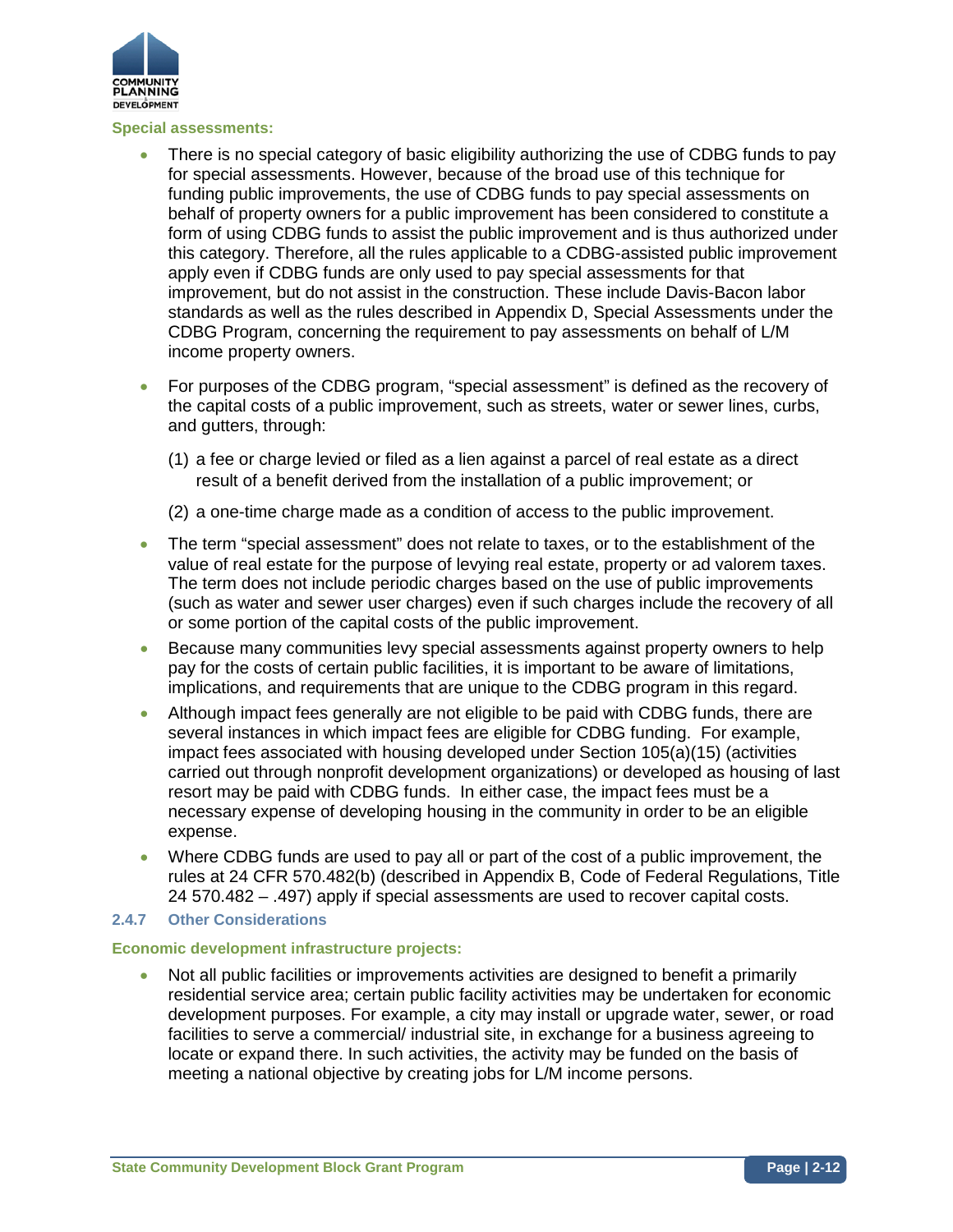

#### **Special assessments:**

- There is no special category of basic eligibility authorizing the use of CDBG funds to pay for special assessments. However, because of the broad use of this technique for funding public improvements, the use of CDBG funds to pay special assessments on behalf of property owners for a public improvement has been considered to constitute a form of using CDBG funds to assist the public improvement and is thus authorized under this category. Therefore, all the rules applicable to a CDBG-assisted public improvement apply even if CDBG funds are only used to pay special assessments for that improvement, but do not assist in the construction. These include Davis-Bacon labor standards as well as the rules described in Appendix D, Special Assessments under the CDBG Program, concerning the requirement to pay assessments on behalf of L/M income property owners.
- For purposes of the CDBG program, "special assessment" is defined as the recovery of the capital costs of a public improvement, such as streets, water or sewer lines, curbs, and gutters, through:
	- (1) a fee or charge levied or filed as a lien against a parcel of real estate as a direct result of a benefit derived from the installation of a public improvement; or
	- (2) a one-time charge made as a condition of access to the public improvement.
- The term "special assessment" does not relate to taxes, or to the establishment of the value of real estate for the purpose of levying real estate, property or ad valorem taxes. The term does not include periodic charges based on the use of public improvements (such as water and sewer user charges) even if such charges include the recovery of all or some portion of the capital costs of the public improvement.
- Because many communities levy special assessments against property owners to help pay for the costs of certain public facilities, it is important to be aware of limitations, implications, and requirements that are unique to the CDBG program in this regard.
- Although impact fees generally are not eligible to be paid with CDBG funds, there are several instances in which impact fees are eligible for CDBG funding. For example, impact fees associated with housing developed under Section 105(a)(15) (activities carried out through nonprofit development organizations) or developed as housing of last resort may be paid with CDBG funds. In either case, the impact fees must be a necessary expense of developing housing in the community in order to be an eligible expense.
- Where CDBG funds are used to pay all or part of the cost of a public improvement, the rules at 24 CFR 570.482(b) (described in Appendix B, Code of Federal Regulations, Title 24 570.482 – .497) apply if special assessments are used to recover capital costs.

#### **2.4.7 Other Considerations**

#### **Economic development infrastructure projects:**

• Not all public facilities or improvements activities are designed to benefit a primarily residential service area; certain public facility activities may be undertaken for economic development purposes. For example, a city may install or upgrade water, sewer, or road facilities to serve a commercial/ industrial site, in exchange for a business agreeing to locate or expand there. In such activities, the activity may be funded on the basis of meeting a national objective by creating jobs for L/M income persons.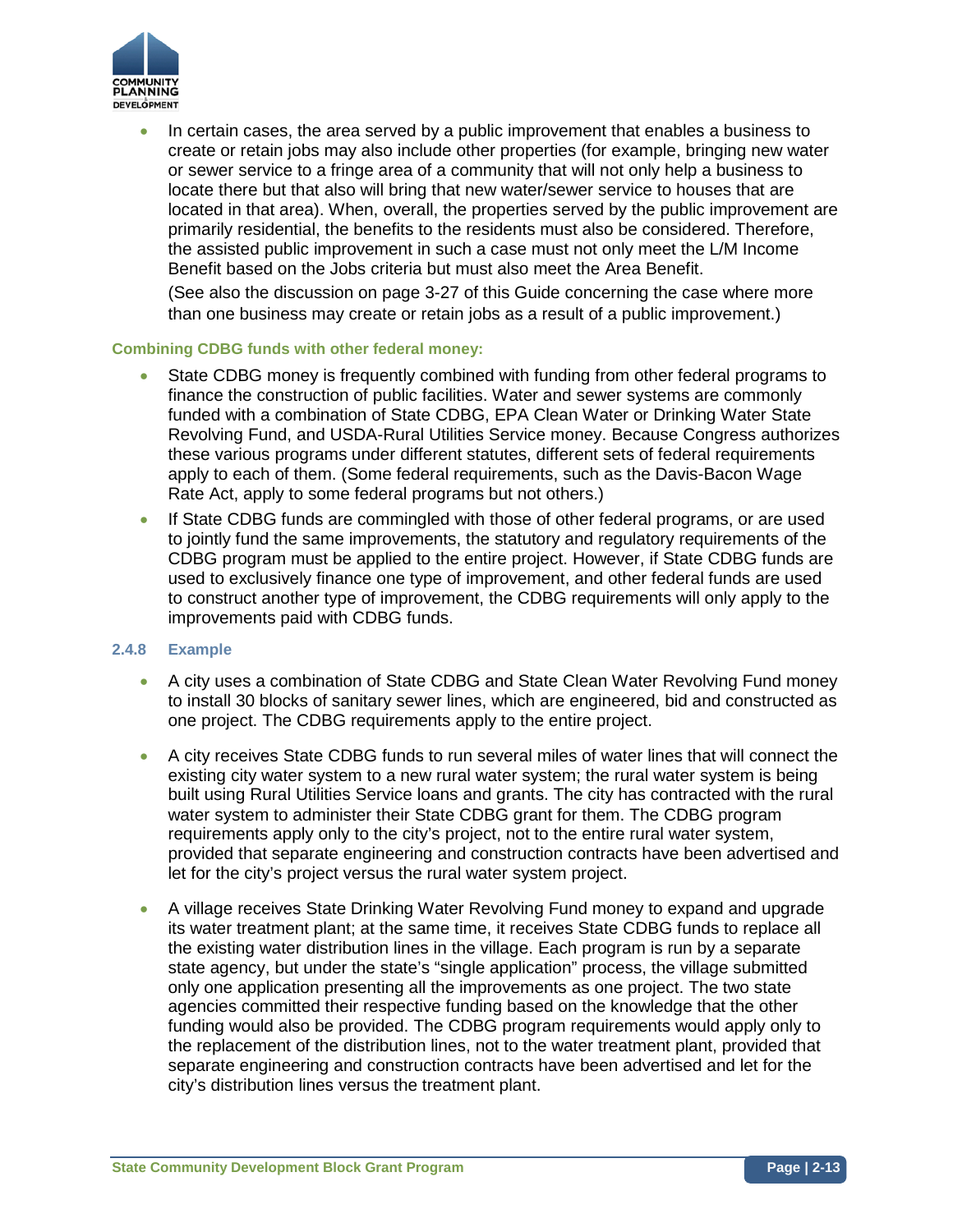

• In certain cases, the area served by a public improvement that enables a business to create or retain jobs may also include other properties (for example, bringing new water or sewer service to a fringe area of a community that will not only help a business to locate there but that also will bring that new water/sewer service to houses that are located in that area). When, overall, the properties served by the public improvement are primarily residential, the benefits to the residents must also be considered. Therefore, the assisted public improvement in such a case must not only meet the L/M Income Benefit based on the Jobs criteria but must also meet the Area Benefit.

(See also the discussion on page 3-27 of this Guide concerning the case where more than one business may create or retain jobs as a result of a public improvement.)

#### **Combining CDBG funds with other federal money:**

- State CDBG money is frequently combined with funding from other federal programs to finance the construction of public facilities. Water and sewer systems are commonly funded with a combination of State CDBG, EPA Clean Water or Drinking Water State Revolving Fund, and USDA-Rural Utilities Service money. Because Congress authorizes these various programs under different statutes, different sets of federal requirements apply to each of them. (Some federal requirements, such as the Davis-Bacon Wage Rate Act, apply to some federal programs but not others.)
- If State CDBG funds are commingled with those of other federal programs, or are used to jointly fund the same improvements, the statutory and regulatory requirements of the CDBG program must be applied to the entire project. However, if State CDBG funds are used to exclusively finance one type of improvement, and other federal funds are used to construct another type of improvement, the CDBG requirements will only apply to the improvements paid with CDBG funds.

#### **2.4.8 Example**

- A city uses a combination of State CDBG and State Clean Water Revolving Fund money to install 30 blocks of sanitary sewer lines, which are engineered, bid and constructed as one project. The CDBG requirements apply to the entire project.
- A city receives State CDBG funds to run several miles of water lines that will connect the existing city water system to a new rural water system; the rural water system is being built using Rural Utilities Service loans and grants. The city has contracted with the rural water system to administer their State CDBG grant for them. The CDBG program requirements apply only to the city's project, not to the entire rural water system, provided that separate engineering and construction contracts have been advertised and let for the city's project versus the rural water system project.
- A village receives State Drinking Water Revolving Fund money to expand and upgrade its water treatment plant; at the same time, it receives State CDBG funds to replace all the existing water distribution lines in the village. Each program is run by a separate state agency, but under the state's "single application" process, the village submitted only one application presenting all the improvements as one project. The two state agencies committed their respective funding based on the knowledge that the other funding would also be provided. The CDBG program requirements would apply only to the replacement of the distribution lines, not to the water treatment plant, provided that separate engineering and construction contracts have been advertised and let for the city's distribution lines versus the treatment plant.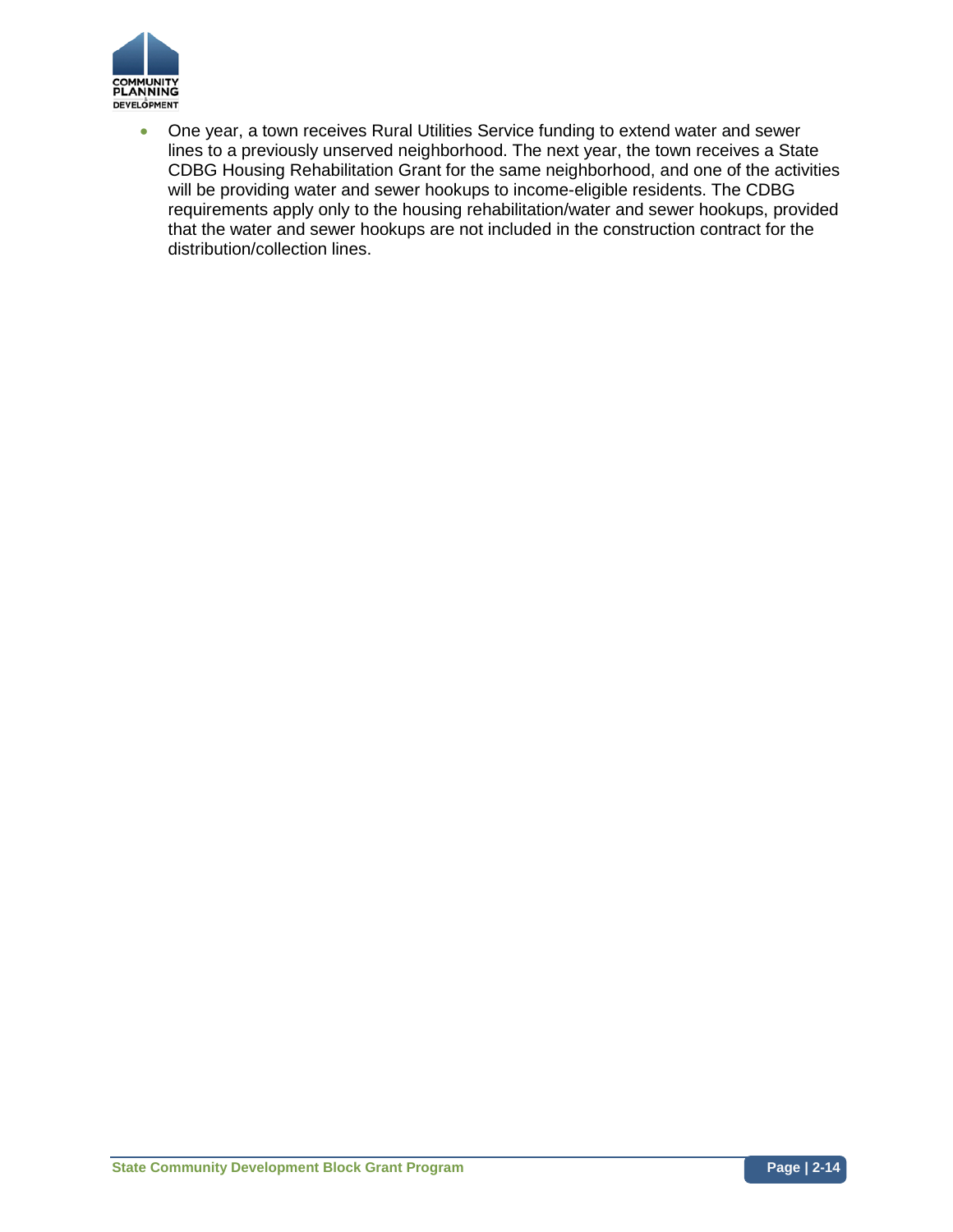

• One year, a town receives Rural Utilities Service funding to extend water and sewer lines to a previously unserved neighborhood. The next year, the town receives a State CDBG Housing Rehabilitation Grant for the same neighborhood, and one of the activities will be providing water and sewer hookups to income-eligible residents. The CDBG requirements apply only to the housing rehabilitation/water and sewer hookups, provided that the water and sewer hookups are not included in the construction contract for the distribution/collection lines.

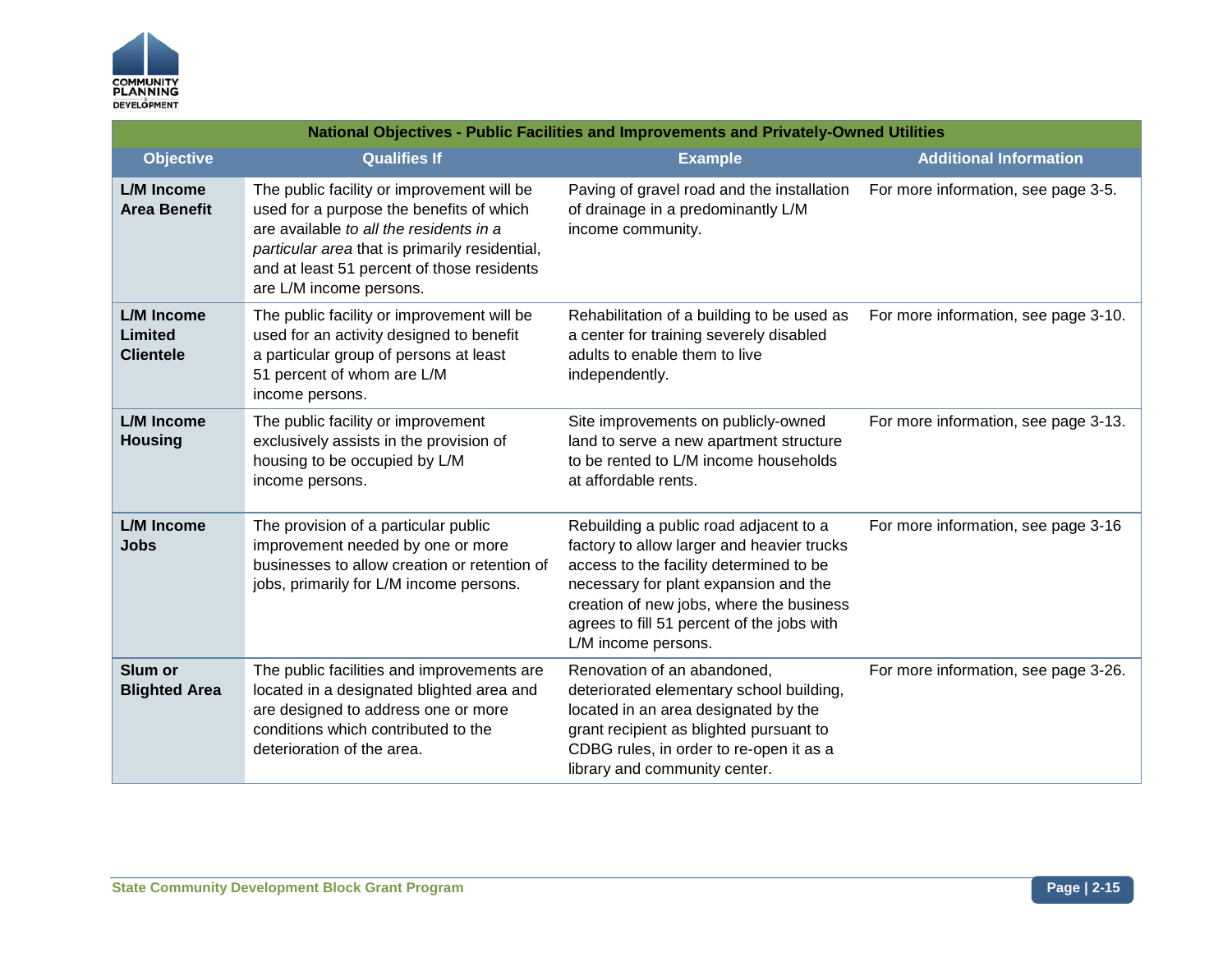

|                                                  | National Objectives - Public Facilities and Improvements and Privately-Owned Utilities                                                                                                                                                                       |                                                                                                                                                                                                                                                                                           |                                      |  |
|--------------------------------------------------|--------------------------------------------------------------------------------------------------------------------------------------------------------------------------------------------------------------------------------------------------------------|-------------------------------------------------------------------------------------------------------------------------------------------------------------------------------------------------------------------------------------------------------------------------------------------|--------------------------------------|--|
| <b>Objective</b>                                 | <b>Qualifies If</b>                                                                                                                                                                                                                                          | <b>Example</b>                                                                                                                                                                                                                                                                            | <b>Additional Information</b>        |  |
| <b>L/M Income</b><br><b>Area Benefit</b>         | The public facility or improvement will be<br>used for a purpose the benefits of which<br>are available to all the residents in a<br>particular area that is primarily residential,<br>and at least 51 percent of those residents<br>are L/M income persons. | Paving of gravel road and the installation<br>of drainage in a predominantly L/M<br>income community.                                                                                                                                                                                     | For more information, see page 3-5.  |  |
| <b>L/M</b> Income<br>Limited<br><b>Clientele</b> | The public facility or improvement will be<br>used for an activity designed to benefit<br>a particular group of persons at least<br>51 percent of whom are L/M<br>income persons.                                                                            | Rehabilitation of a building to be used as<br>a center for training severely disabled<br>adults to enable them to live<br>independently.                                                                                                                                                  | For more information, see page 3-10. |  |
| <b>L/M</b> Income<br><b>Housing</b>              | The public facility or improvement<br>exclusively assists in the provision of<br>housing to be occupied by L/M<br>income persons.                                                                                                                            | Site improvements on publicly-owned<br>land to serve a new apartment structure<br>to be rented to L/M income households<br>at affordable rents.                                                                                                                                           | For more information, see page 3-13. |  |
| <b>L/M</b> Income<br><b>Jobs</b>                 | The provision of a particular public<br>improvement needed by one or more<br>businesses to allow creation or retention of<br>jobs, primarily for L/M income persons.                                                                                         | Rebuilding a public road adjacent to a<br>factory to allow larger and heavier trucks<br>access to the facility determined to be<br>necessary for plant expansion and the<br>creation of new jobs, where the business<br>agrees to fill 51 percent of the jobs with<br>L/M income persons. | For more information, see page 3-16  |  |
| Slum or<br><b>Blighted Area</b>                  | The public facilities and improvements are<br>located in a designated blighted area and<br>are designed to address one or more<br>conditions which contributed to the<br>deterioration of the area.                                                          | Renovation of an abandoned,<br>deteriorated elementary school building,<br>located in an area designated by the<br>grant recipient as blighted pursuant to<br>CDBG rules, in order to re-open it as a<br>library and community center.                                                    | For more information, see page 3-26. |  |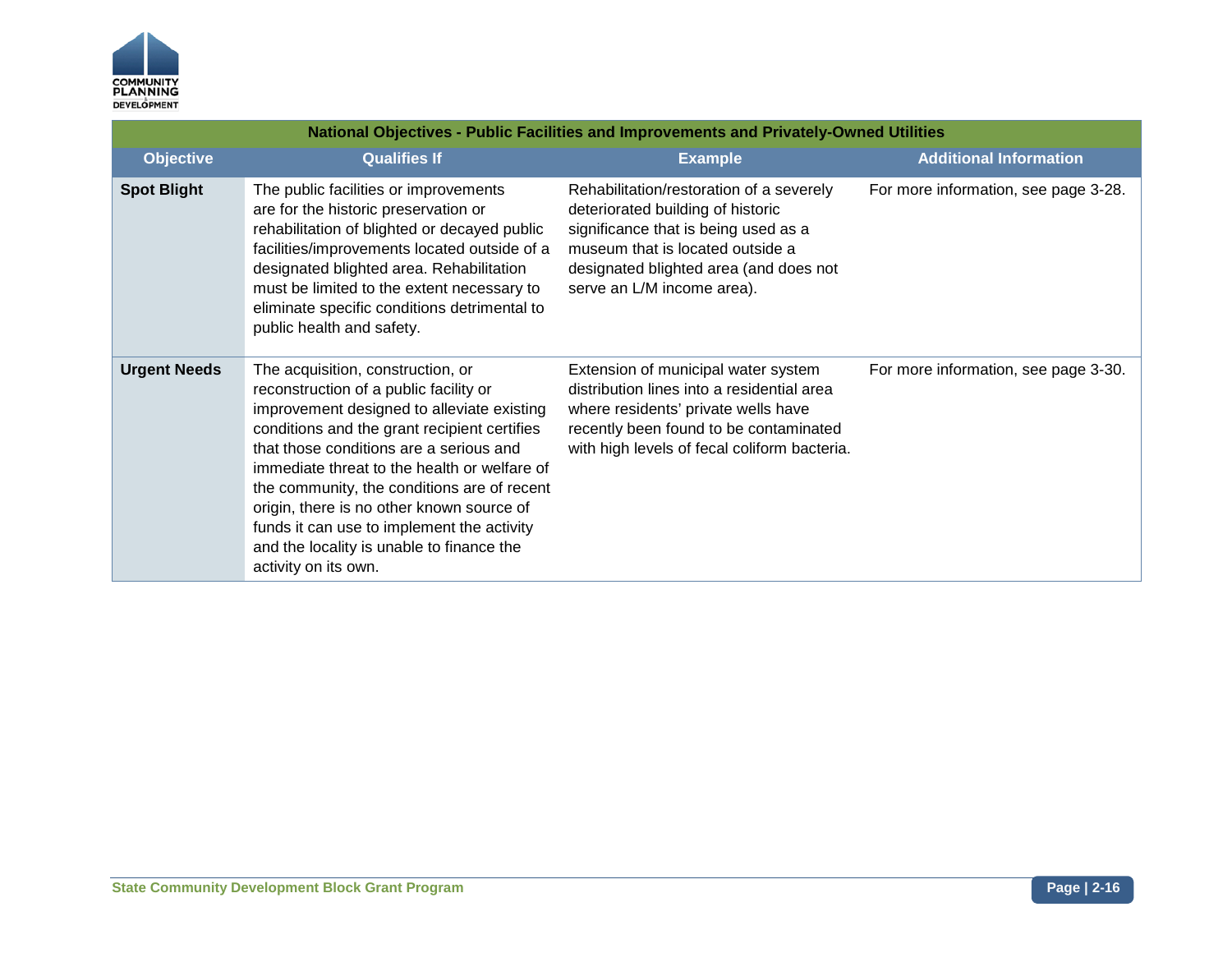

|                     | National Objectives - Public Facilities and Improvements and Privately-Owned Utilities                                                                                                                                                                                                                                                                                                                                                                                              |                                                                                                                                                                                                                                   |                                      |  |
|---------------------|-------------------------------------------------------------------------------------------------------------------------------------------------------------------------------------------------------------------------------------------------------------------------------------------------------------------------------------------------------------------------------------------------------------------------------------------------------------------------------------|-----------------------------------------------------------------------------------------------------------------------------------------------------------------------------------------------------------------------------------|--------------------------------------|--|
| <b>Objective</b>    | <b>Qualifies If</b>                                                                                                                                                                                                                                                                                                                                                                                                                                                                 | <b>Example</b>                                                                                                                                                                                                                    | <b>Additional Information</b>        |  |
| <b>Spot Blight</b>  | The public facilities or improvements<br>are for the historic preservation or<br>rehabilitation of blighted or decayed public<br>facilities/improvements located outside of a<br>designated blighted area. Rehabilitation<br>must be limited to the extent necessary to<br>eliminate specific conditions detrimental to<br>public health and safety.                                                                                                                                | Rehabilitation/restoration of a severely<br>deteriorated building of historic<br>significance that is being used as a<br>museum that is located outside a<br>designated blighted area (and does not<br>serve an L/M income area). | For more information, see page 3-28. |  |
| <b>Urgent Needs</b> | The acquisition, construction, or<br>reconstruction of a public facility or<br>improvement designed to alleviate existing<br>conditions and the grant recipient certifies<br>that those conditions are a serious and<br>immediate threat to the health or welfare of<br>the community, the conditions are of recent<br>origin, there is no other known source of<br>funds it can use to implement the activity<br>and the locality is unable to finance the<br>activity on its own. | Extension of municipal water system<br>distribution lines into a residential area<br>where residents' private wells have<br>recently been found to be contaminated<br>with high levels of fecal coliform bacteria.                | For more information, see page 3-30. |  |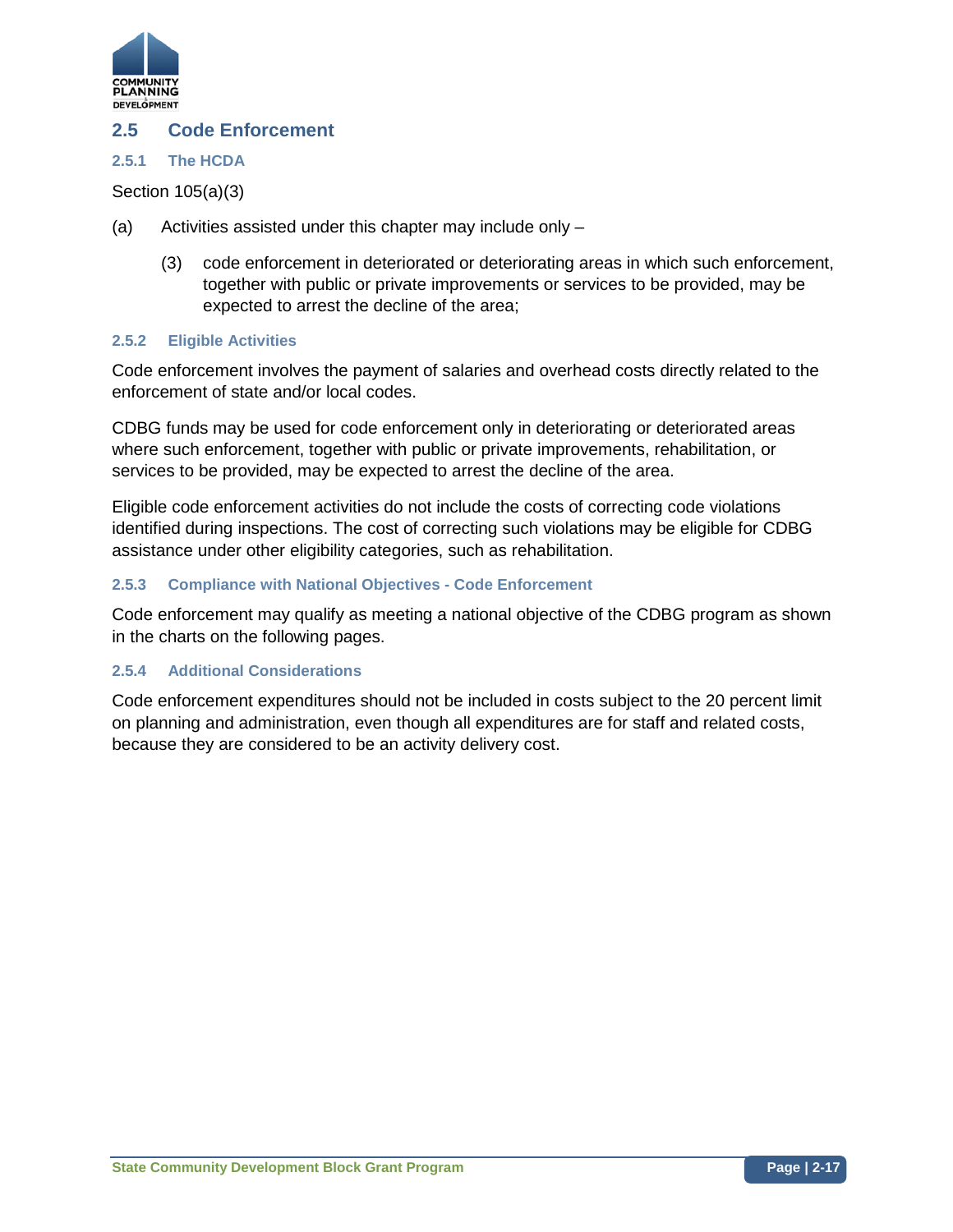

## **2.5 Code Enforcement**

#### **2.5.1 The HCDA**

Section 105(a)(3)

- (a) Activities assisted under this chapter may include only
	- (3) code enforcement in deteriorated or deteriorating areas in which such enforcement, together with public or private improvements or services to be provided, may be expected to arrest the decline of the area;

### **2.5.2 Eligible Activities**

Code enforcement involves the payment of salaries and overhead costs directly related to the enforcement of state and/or local codes.

CDBG funds may be used for code enforcement only in deteriorating or deteriorated areas where such enforcement, together with public or private improvements, rehabilitation, or services to be provided, may be expected to arrest the decline of the area.

Eligible code enforcement activities do not include the costs of correcting code violations identified during inspections. The cost of correcting such violations may be eligible for CDBG assistance under other eligibility categories, such as rehabilitation.

#### **2.5.3 Compliance with National Objectives - Code Enforcement**

Code enforcement may qualify as meeting a national objective of the CDBG program as shown in the charts on the following pages.

#### **2.5.4 Additional Considerations**

Code enforcement expenditures should not be included in costs subject to the 20 percent limit on planning and administration, even though all expenditures are for staff and related costs, because they are considered to be an activity delivery cost.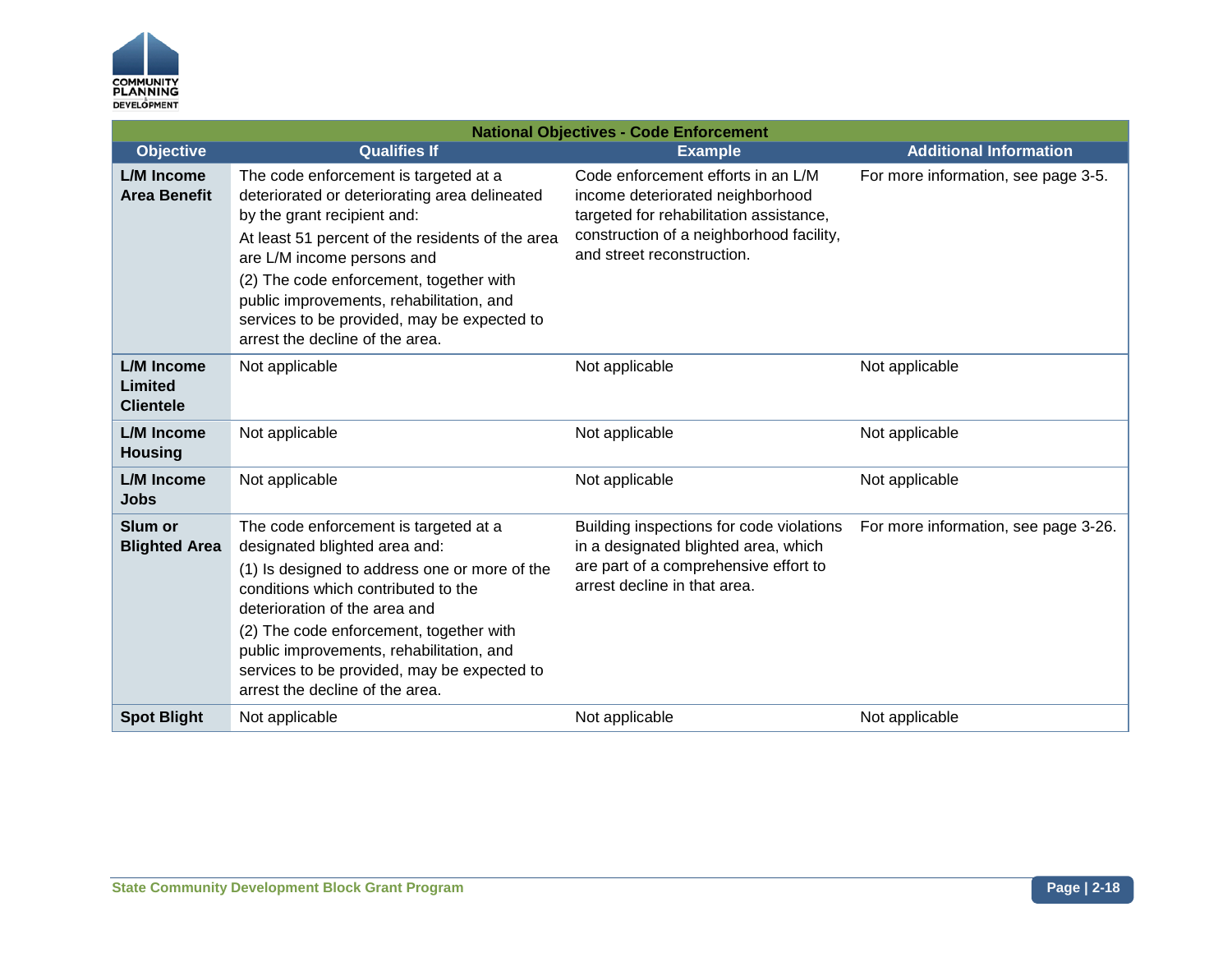

| <b>National Objectives - Code Enforcement</b>    |                                                                                                                                                                                                                                                                                                                                                                                  |                                                                                                                                                                                             |                                      |
|--------------------------------------------------|----------------------------------------------------------------------------------------------------------------------------------------------------------------------------------------------------------------------------------------------------------------------------------------------------------------------------------------------------------------------------------|---------------------------------------------------------------------------------------------------------------------------------------------------------------------------------------------|--------------------------------------|
| <b>Objective</b>                                 | <b>Qualifies If</b>                                                                                                                                                                                                                                                                                                                                                              | <b>Example</b>                                                                                                                                                                              | <b>Additional Information</b>        |
| L/M Income<br><b>Area Benefit</b>                | The code enforcement is targeted at a<br>deteriorated or deteriorating area delineated<br>by the grant recipient and:<br>At least 51 percent of the residents of the area<br>are L/M income persons and<br>(2) The code enforcement, together with<br>public improvements, rehabilitation, and<br>services to be provided, may be expected to<br>arrest the decline of the area. | Code enforcement efforts in an L/M<br>income deteriorated neighborhood<br>targeted for rehabilitation assistance,<br>construction of a neighborhood facility,<br>and street reconstruction. | For more information, see page 3-5.  |
| L/M Income<br><b>Limited</b><br><b>Clientele</b> | Not applicable                                                                                                                                                                                                                                                                                                                                                                   | Not applicable                                                                                                                                                                              | Not applicable                       |
| <b>L/M</b> Income<br><b>Housing</b>              | Not applicable                                                                                                                                                                                                                                                                                                                                                                   | Not applicable                                                                                                                                                                              | Not applicable                       |
| <b>L/M</b> Income<br><b>Jobs</b>                 | Not applicable                                                                                                                                                                                                                                                                                                                                                                   | Not applicable                                                                                                                                                                              | Not applicable                       |
| Slum or<br><b>Blighted Area</b>                  | The code enforcement is targeted at a<br>designated blighted area and:<br>(1) Is designed to address one or more of the<br>conditions which contributed to the<br>deterioration of the area and<br>(2) The code enforcement, together with<br>public improvements, rehabilitation, and<br>services to be provided, may be expected to<br>arrest the decline of the area.         | Building inspections for code violations<br>in a designated blighted area, which<br>are part of a comprehensive effort to<br>arrest decline in that area.                                   | For more information, see page 3-26. |
| <b>Spot Blight</b>                               | Not applicable                                                                                                                                                                                                                                                                                                                                                                   | Not applicable                                                                                                                                                                              | Not applicable                       |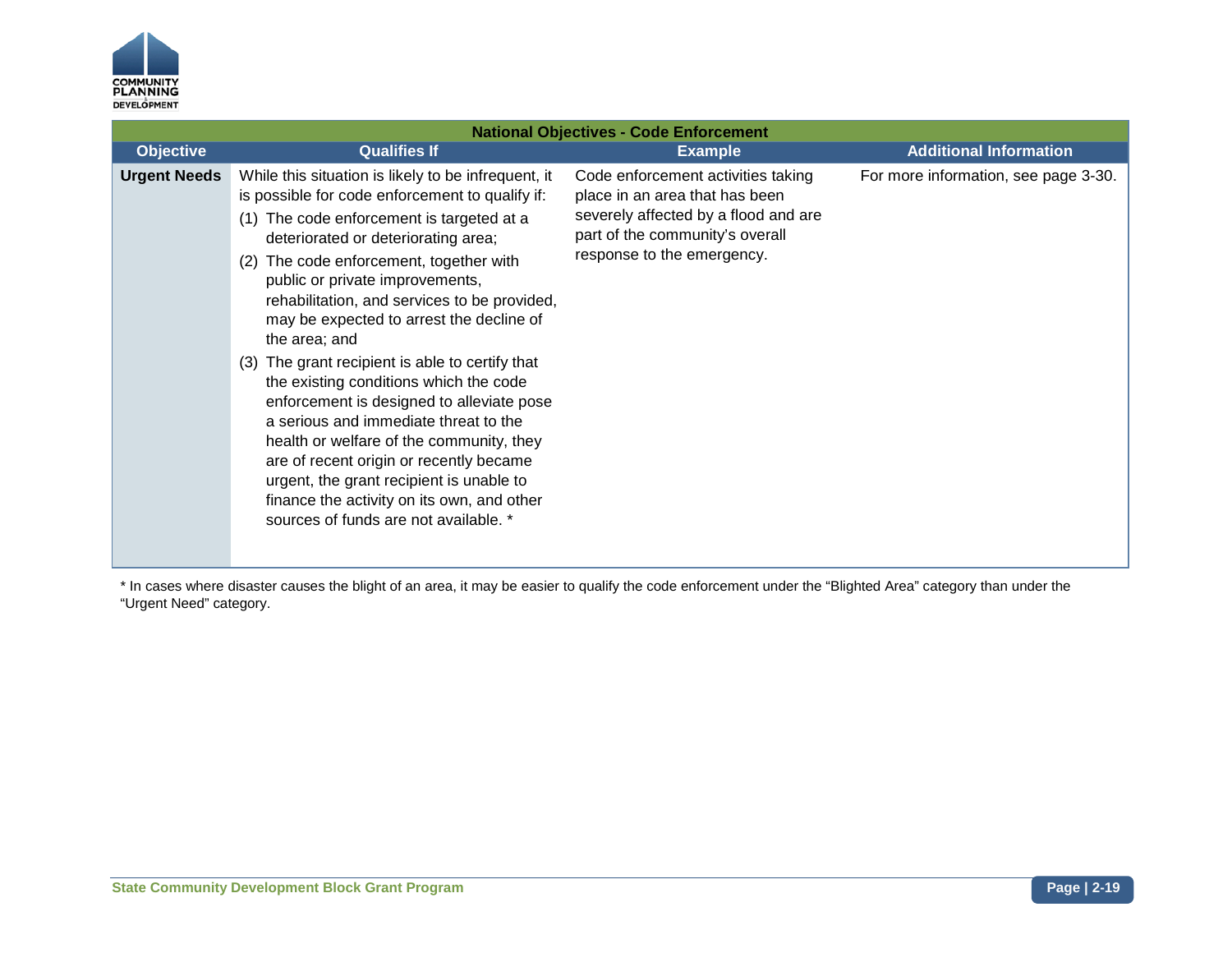

| <b>National Objectives - Code Enforcement</b> |                                                                                                                                                                                                                                                                                                                                                                                                                                                                                                                                                                                                                                                                                                                                                                                                       |                                                                                                                                                                               |                                      |
|-----------------------------------------------|-------------------------------------------------------------------------------------------------------------------------------------------------------------------------------------------------------------------------------------------------------------------------------------------------------------------------------------------------------------------------------------------------------------------------------------------------------------------------------------------------------------------------------------------------------------------------------------------------------------------------------------------------------------------------------------------------------------------------------------------------------------------------------------------------------|-------------------------------------------------------------------------------------------------------------------------------------------------------------------------------|--------------------------------------|
| <b>Objective</b>                              | <b>Qualifies If</b>                                                                                                                                                                                                                                                                                                                                                                                                                                                                                                                                                                                                                                                                                                                                                                                   | <b>Example</b>                                                                                                                                                                | <b>Additional Information</b>        |
| <b>Urgent Needs</b>                           | While this situation is likely to be infrequent, it<br>is possible for code enforcement to qualify if:<br>(1) The code enforcement is targeted at a<br>deteriorated or deteriorating area;<br>The code enforcement, together with<br>(2)<br>public or private improvements,<br>rehabilitation, and services to be provided,<br>may be expected to arrest the decline of<br>the area; and<br>(3) The grant recipient is able to certify that<br>the existing conditions which the code<br>enforcement is designed to alleviate pose<br>a serious and immediate threat to the<br>health or welfare of the community, they<br>are of recent origin or recently became<br>urgent, the grant recipient is unable to<br>finance the activity on its own, and other<br>sources of funds are not available. * | Code enforcement activities taking<br>place in an area that has been<br>severely affected by a flood and are<br>part of the community's overall<br>response to the emergency. | For more information, see page 3-30. |

\* In cases where disaster causes the blight of an area, it may be easier to qualify the code enforcement under the "Blighted Area" category than under the "Urgent Need" category.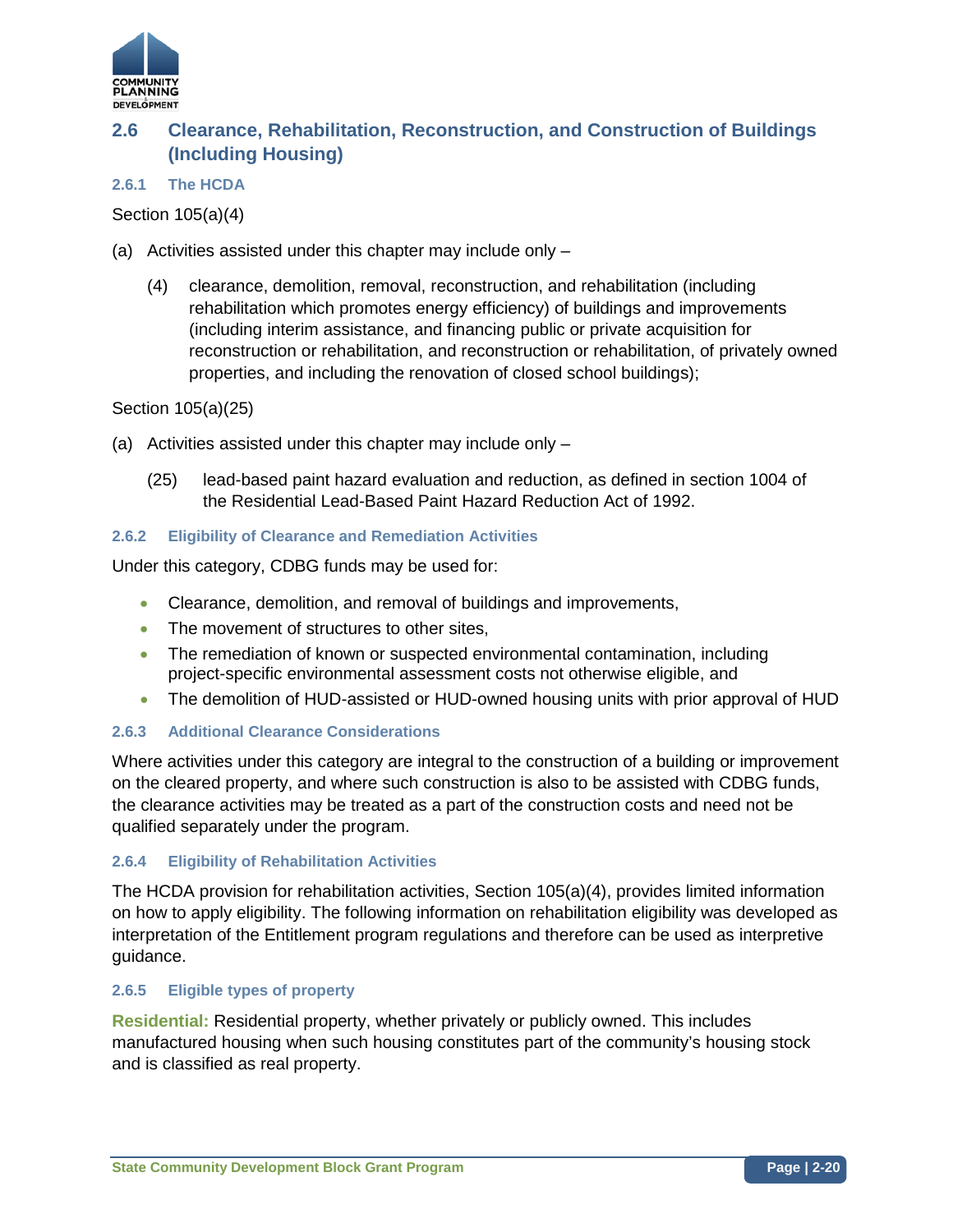

#### **Clearance, Rehabilitation, Reconstruction, and Construction of Buildings (Including Housing) 2.6**

### **2.6.1 The HCDA**

Section 105(a)(4)

- (a) Activities assisted under this chapter may include only
	- (4) clearance, demolition, removal, reconstruction, and rehabilitation (including rehabilitation which promotes energy efficiency) of buildings and improvements (including interim assistance, and financing public or private acquisition for reconstruction or rehabilitation, and reconstruction or rehabilitation, of privately owned properties, and including the renovation of closed school buildings);

Section 105(a)(25)

- (a) Activities assisted under this chapter may include only
	- (25) lead-based paint hazard evaluation and reduction, as defined in section 1004 of the Residential Lead-Based Paint Hazard Reduction Act of 1992.

### **2.6.2 Eligibility of Clearance and Remediation Activities**

Under this category, CDBG funds may be used for:

- Clearance, demolition, and removal of buildings and improvements,
- The movement of structures to other sites,
- The remediation of known or suspected environmental contamination, including project-specific environmental assessment costs not otherwise eligible, and
- The demolition of HUD-assisted or HUD-owned housing units with prior approval of HUD

#### **2.6.3 Additional Clearance Considerations**

Where activities under this category are integral to the construction of a building or improvement on the cleared property, and where such construction is also to be assisted with CDBG funds, the clearance activities may be treated as a part of the construction costs and need not be qualified separately under the program.

#### **2.6.4 Eligibility of Rehabilitation Activities**

The HCDA provision for rehabilitation activities, Section 105(a)(4), provides limited information on how to apply eligibility. The following information on rehabilitation eligibility was developed as interpretation of the Entitlement program regulations and therefore can be used as interpretive guidance.

#### **2.6.5 Eligible types of property**

**Residential:** Residential property, whether privately or publicly owned. This includes manufactured housing when such housing constitutes part of the community's housing stock and is classified as real property.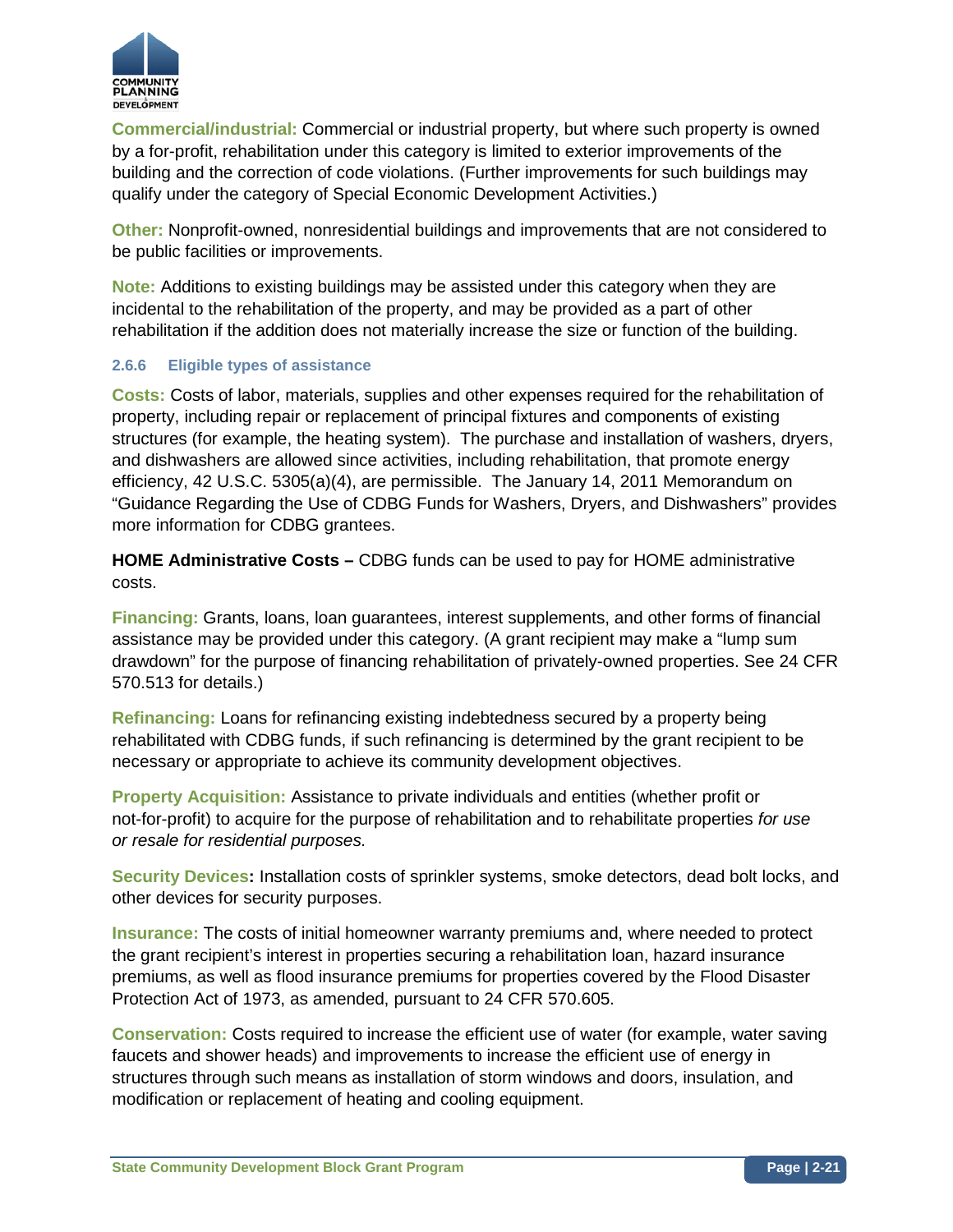

**Commercial/industrial:** Commercial or industrial property, but where such property is owned by a for-profit, rehabilitation under this category is limited to exterior improvements of the building and the correction of code violations. (Further improvements for such buildings may qualify under the category of Special Economic Development Activities.)

**Other:** Nonprofit-owned, nonresidential buildings and improvements that are not considered to be public facilities or improvements.

**Note:** Additions to existing buildings may be assisted under this category when they are incidental to the rehabilitation of the property, and may be provided as a part of other rehabilitation if the addition does not materially increase the size or function of the building.

### **2.6.6 Eligible types of assistance**

**Costs:** Costs of labor, materials, supplies and other expenses required for the rehabilitation of property, including repair or replacement of principal fixtures and components of existing structures (for example, the heating system). The purchase and installation of washers, dryers, and dishwashers are allowed since activities, including rehabilitation, that promote energy efficiency, 42 U.S.C. 5305(a)(4), are permissible. The January 14, 2011 Memorandum on "Guidance Regarding the Use of CDBG Funds for Washers, Dryers, and Dishwashers" provides more information for CDBG grantees.

**HOME Administrative Costs –** CDBG funds can be used to pay for HOME administrative costs.

**Financing:** Grants, loans, loan guarantees, interest supplements, and other forms of financial assistance may be provided under this category. (A grant recipient may make a "lump sum drawdown" for the purpose of financing rehabilitation of privately-owned properties. See 24 CFR 570.513 for details.)

**Refinancing:** Loans for refinancing existing indebtedness secured by a property being rehabilitated with CDBG funds, if such refinancing is determined by the grant recipient to be necessary or appropriate to achieve its community development objectives.

**Property Acquisition:** Assistance to private individuals and entities (whether profit or not-for-profit) to acquire for the purpose of rehabilitation and to rehabilitate properties *for use or resale for residential purposes.*

**Security Devices:** Installation costs of sprinkler systems, smoke detectors, dead bolt locks, and other devices for security purposes.

**Insurance:** The costs of initial homeowner warranty premiums and, where needed to protect the grant recipient's interest in properties securing a rehabilitation loan, hazard insurance premiums, as well as flood insurance premiums for properties covered by the Flood Disaster Protection Act of 1973, as amended, pursuant to 24 CFR 570.605.

**Conservation:** Costs required to increase the efficient use of water (for example, water saving faucets and shower heads) and improvements to increase the efficient use of energy in structures through such means as installation of storm windows and doors, insulation, and modification or replacement of heating and cooling equipment.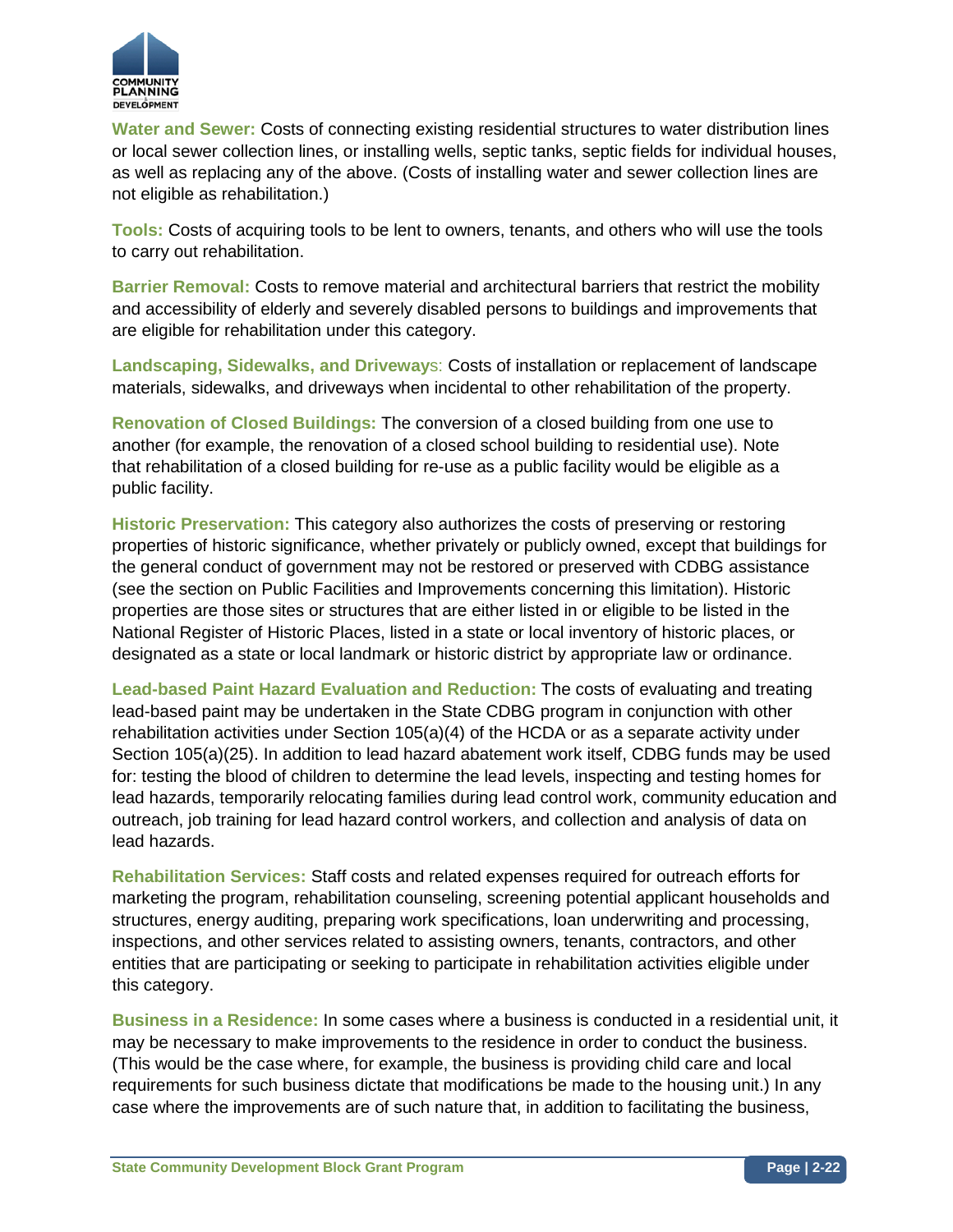

**Water and Sewer:** Costs of connecting existing residential structures to water distribution lines or local sewer collection lines, or installing wells, septic tanks, septic fields for individual houses, as well as replacing any of the above. (Costs of installing water and sewer collection lines are not eligible as rehabilitation.)

**Tools:** Costs of acquiring tools to be lent to owners, tenants, and others who will use the tools to carry out rehabilitation.

**Barrier Removal:** Costs to remove material and architectural barriers that restrict the mobility and accessibility of elderly and severely disabled persons to buildings and improvements that are eligible for rehabilitation under this category.

**Landscaping, Sidewalks, and Driveway**s: Costs of installation or replacement of landscape materials, sidewalks, and driveways when incidental to other rehabilitation of the property.

**Renovation of Closed Buildings:** The conversion of a closed building from one use to another (for example, the renovation of a closed school building to residential use). Note that rehabilitation of a closed building for re-use as a public facility would be eligible as a public facility.

**Historic Preservation:** This category also authorizes the costs of preserving or restoring properties of historic significance, whether privately or publicly owned, except that buildings for the general conduct of government may not be restored or preserved with CDBG assistance (see the section on Public Facilities and Improvements concerning this limitation). Historic properties are those sites or structures that are either listed in or eligible to be listed in the National Register of Historic Places, listed in a state or local inventory of historic places, or designated as a state or local landmark or historic district by appropriate law or ordinance.

**Lead-based Paint Hazard Evaluation and Reduction:** The costs of evaluating and treating lead-based paint may be undertaken in the State CDBG program in conjunction with other rehabilitation activities under Section 105(a)(4) of the HCDA or as a separate activity under Section 105(a)(25). In addition to lead hazard abatement work itself, CDBG funds may be used for: testing the blood of children to determine the lead levels, inspecting and testing homes for lead hazards, temporarily relocating families during lead control work, community education and outreach, job training for lead hazard control workers, and collection and analysis of data on lead hazards.

**Rehabilitation Services:** Staff costs and related expenses required for outreach efforts for marketing the program, rehabilitation counseling, screening potential applicant households and structures, energy auditing, preparing work specifications, loan underwriting and processing, inspections, and other services related to assisting owners, tenants, contractors, and other entities that are participating or seeking to participate in rehabilitation activities eligible under this category.

**Business in a Residence:** In some cases where a business is conducted in a residential unit, it may be necessary to make improvements to the residence in order to conduct the business. (This would be the case where, for example, the business is providing child care and local requirements for such business dictate that modifications be made to the housing unit.) In any case where the improvements are of such nature that, in addition to facilitating the business,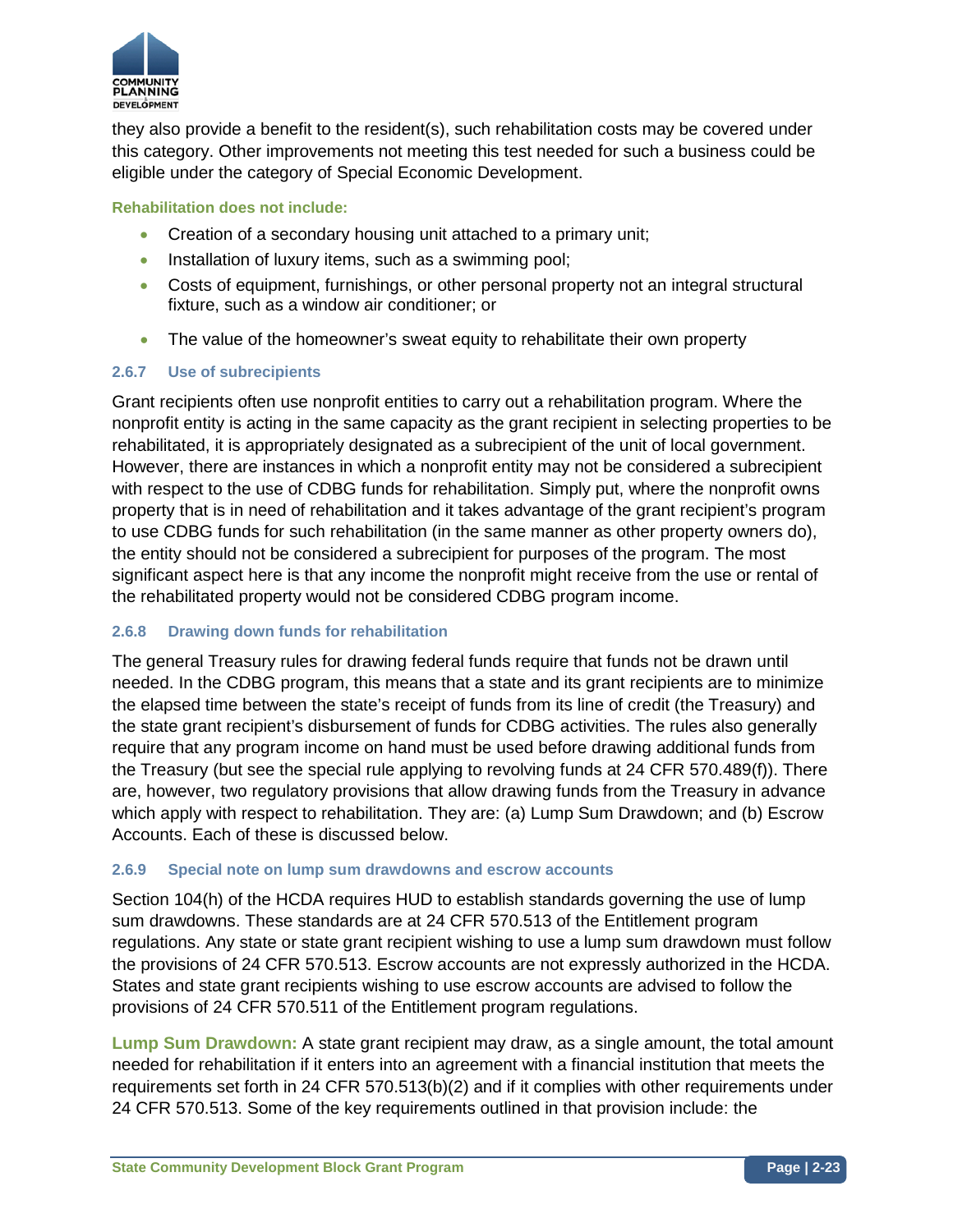

they also provide a benefit to the resident(s), such rehabilitation costs may be covered under this category. Other improvements not meeting this test needed for such a business could be eligible under the category of Special Economic Development.

### **Rehabilitation does not include:**

- Creation of a secondary housing unit attached to a primary unit;
- Installation of luxury items, such as a swimming pool;
- Costs of equipment, furnishings, or other personal property not an integral structural fixture, such as a window air conditioner; or
- The value of the homeowner's sweat equity to rehabilitate their own property

### **2.6.7 Use of subrecipients**

Grant recipients often use nonprofit entities to carry out a rehabilitation program. Where the nonprofit entity is acting in the same capacity as the grant recipient in selecting properties to be rehabilitated, it is appropriately designated as a subrecipient of the unit of local government. However, there are instances in which a nonprofit entity may not be considered a subrecipient with respect to the use of CDBG funds for rehabilitation. Simply put, where the nonprofit owns property that is in need of rehabilitation and it takes advantage of the grant recipient's program to use CDBG funds for such rehabilitation (in the same manner as other property owners do), the entity should not be considered a subrecipient for purposes of the program. The most significant aspect here is that any income the nonprofit might receive from the use or rental of the rehabilitated property would not be considered CDBG program income.

#### **2.6.8 Drawing down funds for rehabilitation**

The general Treasury rules for drawing federal funds require that funds not be drawn until needed. In the CDBG program, this means that a state and its grant recipients are to minimize the elapsed time between the state's receipt of funds from its line of credit (the Treasury) and the state grant recipient's disbursement of funds for CDBG activities. The rules also generally require that any program income on hand must be used before drawing additional funds from the Treasury (but see the special rule applying to revolving funds at 24 CFR 570.489(f)). There are, however, two regulatory provisions that allow drawing funds from the Treasury in advance which apply with respect to rehabilitation. They are: (a) Lump Sum Drawdown; and (b) Escrow Accounts. Each of these is discussed below.

#### **2.6.9 Special note on lump sum drawdowns and escrow accounts**

Section 104(h) of the HCDA requires HUD to establish standards governing the use of lump sum drawdowns. These standards are at 24 CFR 570.513 of the Entitlement program regulations. Any state or state grant recipient wishing to use a lump sum drawdown must follow the provisions of 24 CFR 570.513. Escrow accounts are not expressly authorized in the HCDA. States and state grant recipients wishing to use escrow accounts are advised to follow the provisions of 24 CFR 570.511 of the Entitlement program regulations.

**Lump Sum Drawdown:** A state grant recipient may draw, as a single amount, the total amount needed for rehabilitation if it enters into an agreement with a financial institution that meets the requirements set forth in 24 CFR 570.513(b)(2) and if it complies with other requirements under 24 CFR 570.513. Some of the key requirements outlined in that provision include: the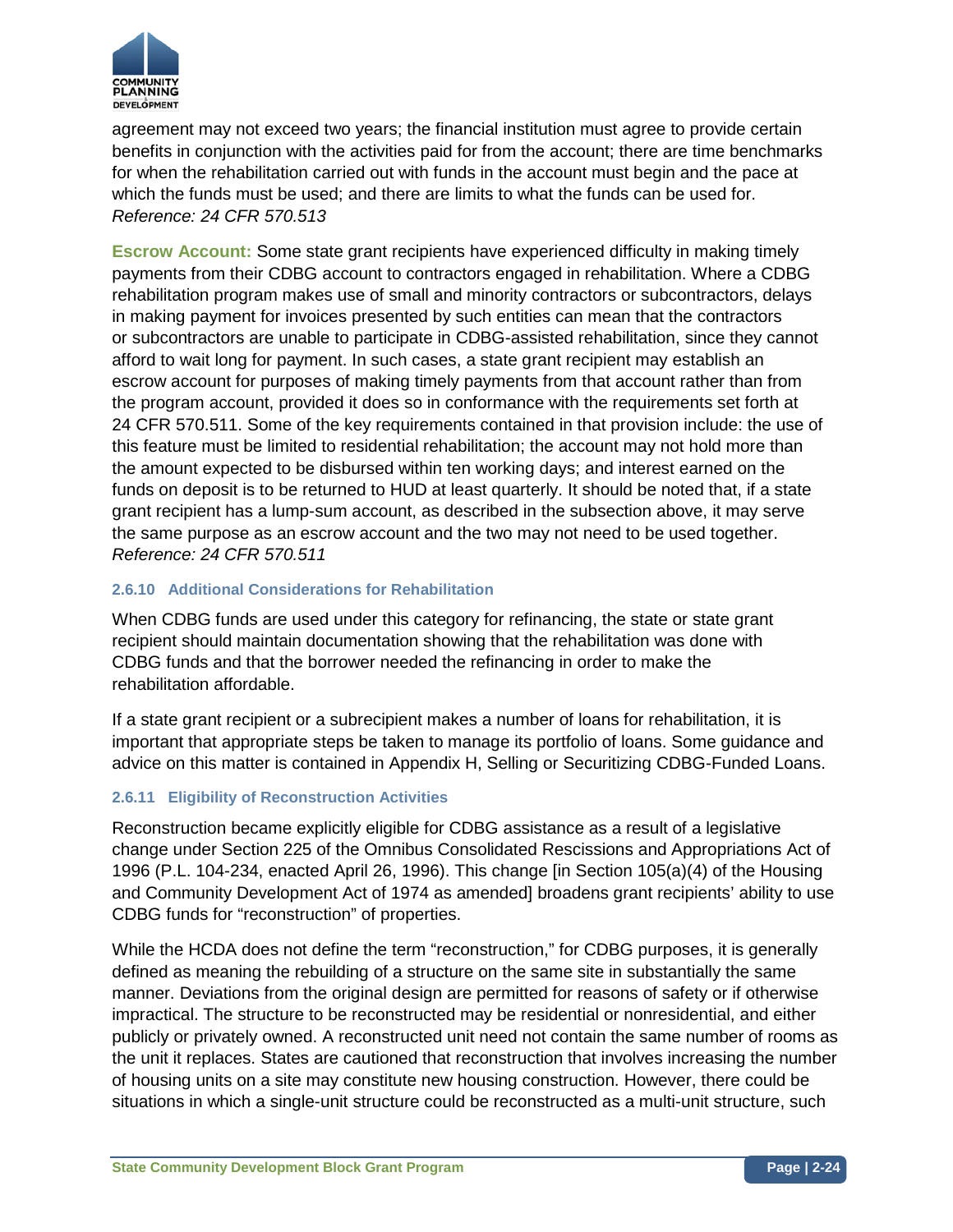

agreement may not exceed two years; the financial institution must agree to provide certain benefits in conjunction with the activities paid for from the account; there are time benchmarks for when the rehabilitation carried out with funds in the account must begin and the pace at which the funds must be used; and there are limits to what the funds can be used for. *Reference: 24 CFR 570.513*

**Escrow Account:** Some state grant recipients have experienced difficulty in making timely payments from their CDBG account to contractors engaged in rehabilitation. Where a CDBG rehabilitation program makes use of small and minority contractors or subcontractors, delays in making payment for invoices presented by such entities can mean that the contractors or subcontractors are unable to participate in CDBG-assisted rehabilitation, since they cannot afford to wait long for payment. In such cases, a state grant recipient may establish an escrow account for purposes of making timely payments from that account rather than from the program account, provided it does so in conformance with the requirements set forth at 24 CFR 570.511. Some of the key requirements contained in that provision include: the use of this feature must be limited to residential rehabilitation; the account may not hold more than the amount expected to be disbursed within ten working days; and interest earned on the funds on deposit is to be returned to HUD at least quarterly. It should be noted that, if a state grant recipient has a lump-sum account, as described in the subsection above, it may serve the same purpose as an escrow account and the two may not need to be used together. *Reference: 24 CFR 570.511*

### **2.6.10 Additional Considerations for Rehabilitation**

When CDBG funds are used under this category for refinancing, the state or state grant recipient should maintain documentation showing that the rehabilitation was done with CDBG funds and that the borrower needed the refinancing in order to make the rehabilitation affordable.

If a state grant recipient or a subrecipient makes a number of loans for rehabilitation, it is important that appropriate steps be taken to manage its portfolio of loans. Some guidance and advice on this matter is contained in Appendix H, Selling or Securitizing CDBG-Funded Loans.

### **2.6.11 Eligibility of Reconstruction Activities**

Reconstruction became explicitly eligible for CDBG assistance as a result of a legislative change under Section 225 of the Omnibus Consolidated Rescissions and Appropriations Act of 1996 (P.L. 104-234, enacted April 26, 1996). This change [in Section 105(a)(4) of the Housing and Community Development Act of 1974 as amended] broadens grant recipients' ability to use CDBG funds for "reconstruction" of properties.

While the HCDA does not define the term "reconstruction," for CDBG purposes, it is generally defined as meaning the rebuilding of a structure on the same site in substantially the same manner. Deviations from the original design are permitted for reasons of safety or if otherwise impractical. The structure to be reconstructed may be residential or nonresidential, and either publicly or privately owned. A reconstructed unit need not contain the same number of rooms as the unit it replaces. States are cautioned that reconstruction that involves increasing the number of housing units on a site may constitute new housing construction. However, there could be situations in which a single-unit structure could be reconstructed as a multi-unit structure, such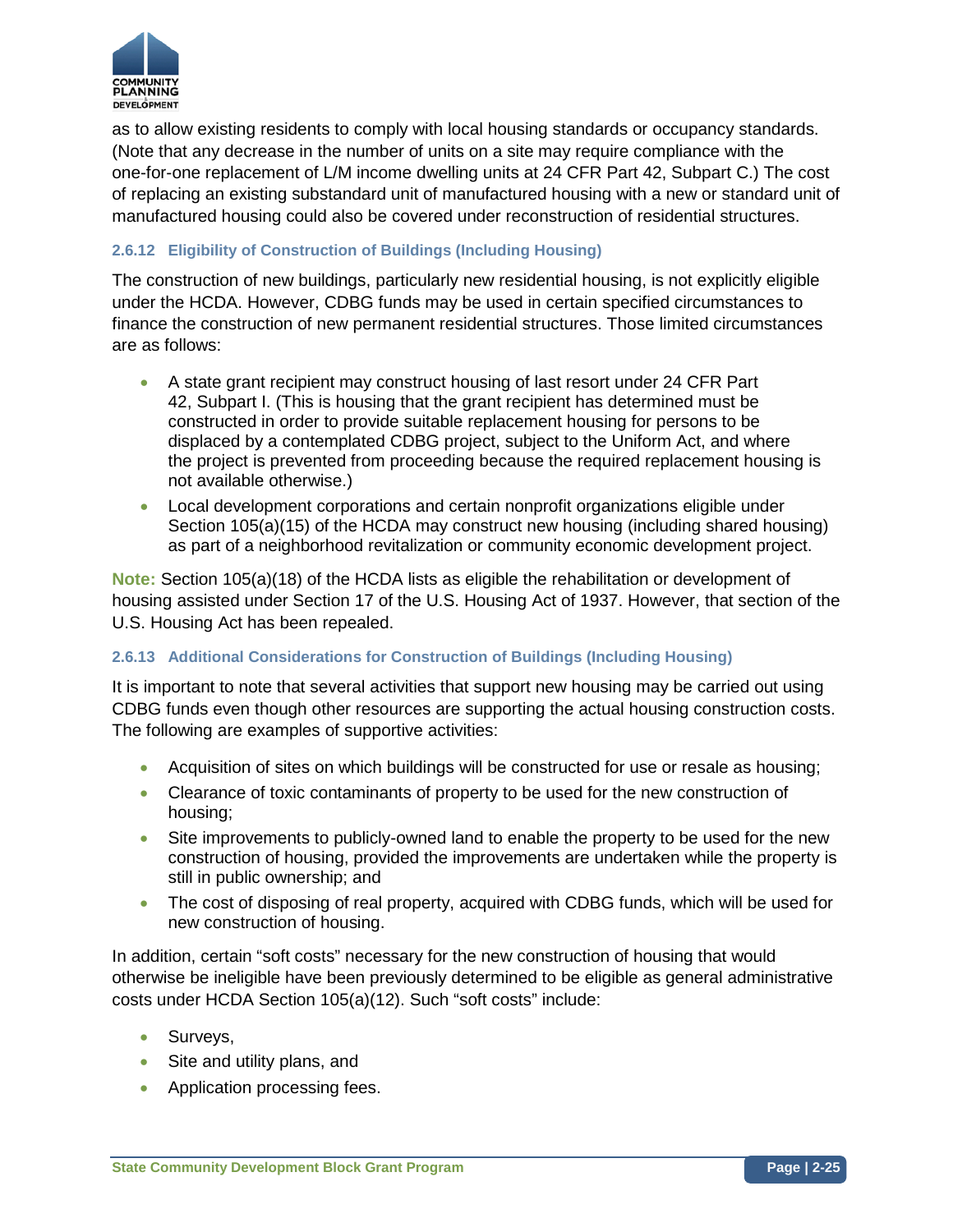

as to allow existing residents to comply with local housing standards or occupancy standards. (Note that any decrease in the number of units on a site may require compliance with the one-for-one replacement of L/M income dwelling units at 24 CFR Part 42, Subpart C.) The cost of replacing an existing substandard unit of manufactured housing with a new or standard unit of manufactured housing could also be covered under reconstruction of residential structures.

## **2.6.12 Eligibility of Construction of Buildings (Including Housing)**

The construction of new buildings, particularly new residential housing, is not explicitly eligible under the HCDA. However, CDBG funds may be used in certain specified circumstances to finance the construction of new permanent residential structures. Those limited circumstances are as follows:

- A state grant recipient may construct housing of last resort under 24 CFR Part 42, Subpart I. (This is housing that the grant recipient has determined must be constructed in order to provide suitable replacement housing for persons to be displaced by a contemplated CDBG project, subject to the Uniform Act, and where the project is prevented from proceeding because the required replacement housing is not available otherwise.)
- Local development corporations and certain nonprofit organizations eligible under Section 105(a)(15) of the HCDA may construct new housing (including shared housing) as part of a neighborhood revitalization or community economic development project.

**Note:** Section 105(a)(18) of the HCDA lists as eligible the rehabilitation or development of housing assisted under Section 17 of the U.S. Housing Act of 1937. However, that section of the U.S. Housing Act has been repealed.

#### **2.6.13 Additional Considerations for Construction of Buildings (Including Housing)**

It is important to note that several activities that support new housing may be carried out using CDBG funds even though other resources are supporting the actual housing construction costs. The following are examples of supportive activities:

- Acquisition of sites on which buildings will be constructed for use or resale as housing;
- Clearance of toxic contaminants of property to be used for the new construction of housing;
- Site improvements to publicly-owned land to enable the property to be used for the new construction of housing, provided the improvements are undertaken while the property is still in public ownership; and
- The cost of disposing of real property, acquired with CDBG funds, which will be used for new construction of housing.

In addition, certain "soft costs" necessary for the new construction of housing that would otherwise be ineligible have been previously determined to be eligible as general administrative costs under HCDA Section 105(a)(12). Such "soft costs" include:

- Surveys,
- Site and utility plans, and
- Application processing fees.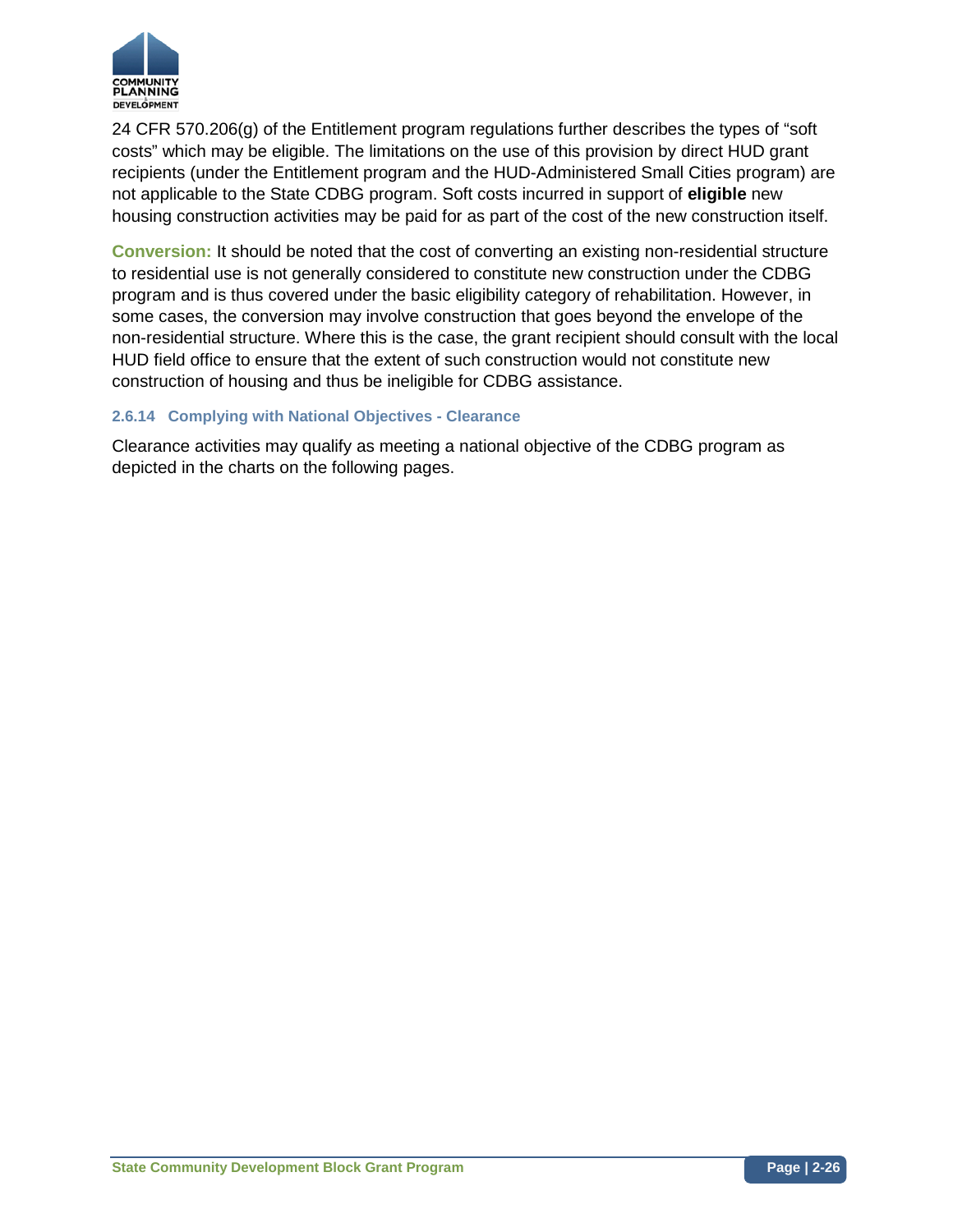

24 CFR 570.206(g) of the Entitlement program regulations further describes the types of "soft costs" which may be eligible. The limitations on the use of this provision by direct HUD grant recipients (under the Entitlement program and the HUD-Administered Small Cities program) are not applicable to the State CDBG program. Soft costs incurred in support of **eligible** new housing construction activities may be paid for as part of the cost of the new construction itself.

**Conversion:** It should be noted that the cost of converting an existing non-residential structure to residential use is not generally considered to constitute new construction under the CDBG program and is thus covered under the basic eligibility category of rehabilitation. However, in some cases, the conversion may involve construction that goes beyond the envelope of the non-residential structure. Where this is the case, the grant recipient should consult with the local HUD field office to ensure that the extent of such construction would not constitute new construction of housing and thus be ineligible for CDBG assistance.

### **2.6.14 Complying with National Objectives - Clearance**

Clearance activities may qualify as meeting a national objective of the CDBG program as depicted in the charts on the following pages.

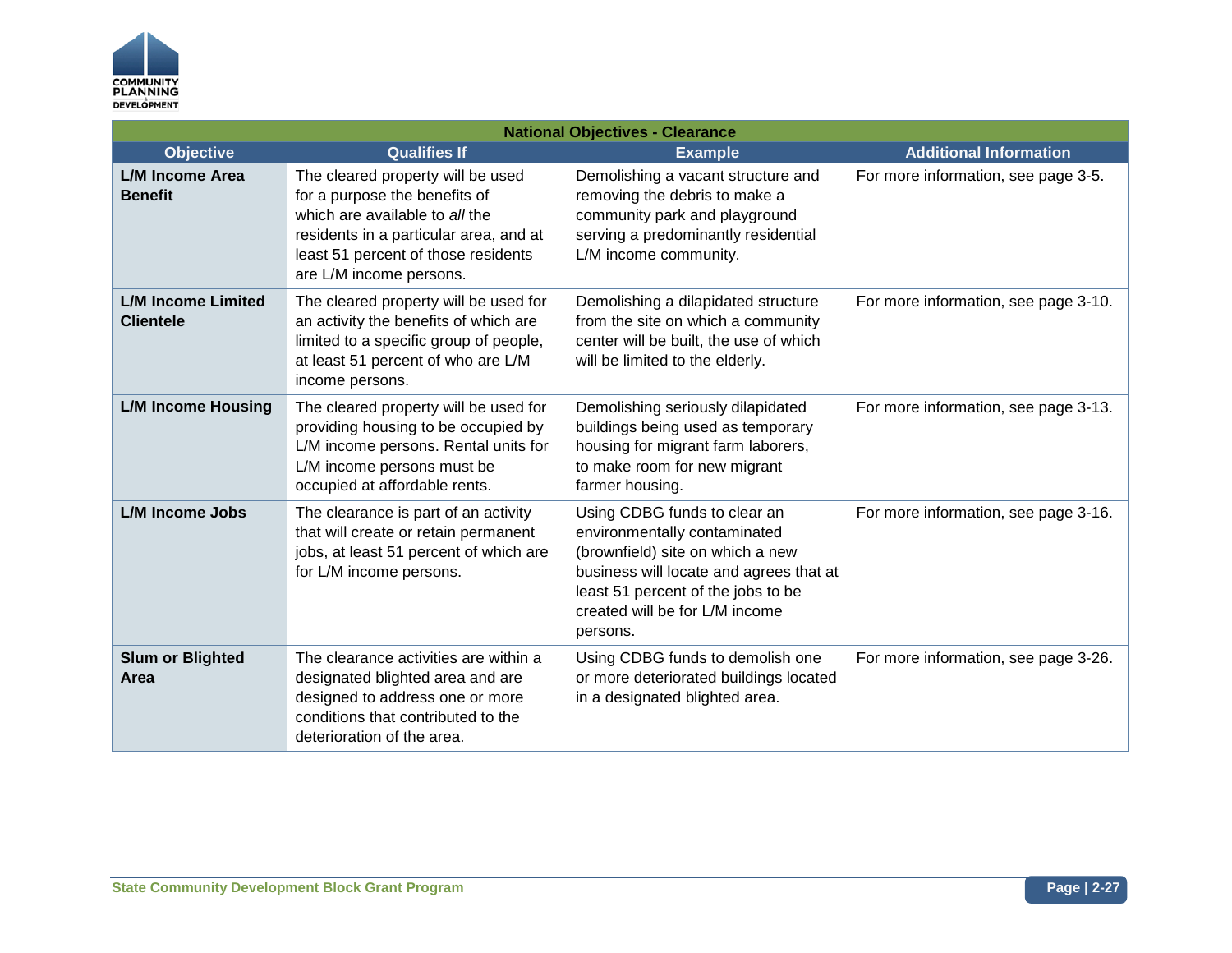

| <b>National Objectives - Clearance</b>        |                                                                                                                                                                                                                  |                                                                                                                                                                                                                                 |                                      |
|-----------------------------------------------|------------------------------------------------------------------------------------------------------------------------------------------------------------------------------------------------------------------|---------------------------------------------------------------------------------------------------------------------------------------------------------------------------------------------------------------------------------|--------------------------------------|
| <b>Objective</b>                              | <b>Qualifies If</b>                                                                                                                                                                                              | <b>Example</b>                                                                                                                                                                                                                  | <b>Additional Information</b>        |
| L/M Income Area<br><b>Benefit</b>             | The cleared property will be used<br>for a purpose the benefits of<br>which are available to all the<br>residents in a particular area, and at<br>least 51 percent of those residents<br>are L/M income persons. | Demolishing a vacant structure and<br>removing the debris to make a<br>community park and playground<br>serving a predominantly residential<br>L/M income community.                                                            | For more information, see page 3-5.  |
| <b>L/M Income Limited</b><br><b>Clientele</b> | The cleared property will be used for<br>an activity the benefits of which are<br>limited to a specific group of people,<br>at least 51 percent of who are L/M<br>income persons.                                | Demolishing a dilapidated structure<br>from the site on which a community<br>center will be built, the use of which<br>will be limited to the elderly.                                                                          | For more information, see page 3-10. |
| <b>L/M Income Housing</b>                     | The cleared property will be used for<br>providing housing to be occupied by<br>L/M income persons. Rental units for<br>L/M income persons must be<br>occupied at affordable rents.                              | Demolishing seriously dilapidated<br>buildings being used as temporary<br>housing for migrant farm laborers,<br>to make room for new migrant<br>farmer housing.                                                                 | For more information, see page 3-13. |
| <b>L/M Income Jobs</b>                        | The clearance is part of an activity<br>that will create or retain permanent<br>jobs, at least 51 percent of which are<br>for L/M income persons.                                                                | Using CDBG funds to clear an<br>environmentally contaminated<br>(brownfield) site on which a new<br>business will locate and agrees that at<br>least 51 percent of the jobs to be<br>created will be for L/M income<br>persons. | For more information, see page 3-16. |
| <b>Slum or Blighted</b><br>Area               | The clearance activities are within a<br>designated blighted area and are<br>designed to address one or more<br>conditions that contributed to the<br>deterioration of the area.                                 | Using CDBG funds to demolish one<br>or more deteriorated buildings located<br>in a designated blighted area.                                                                                                                    | For more information, see page 3-26. |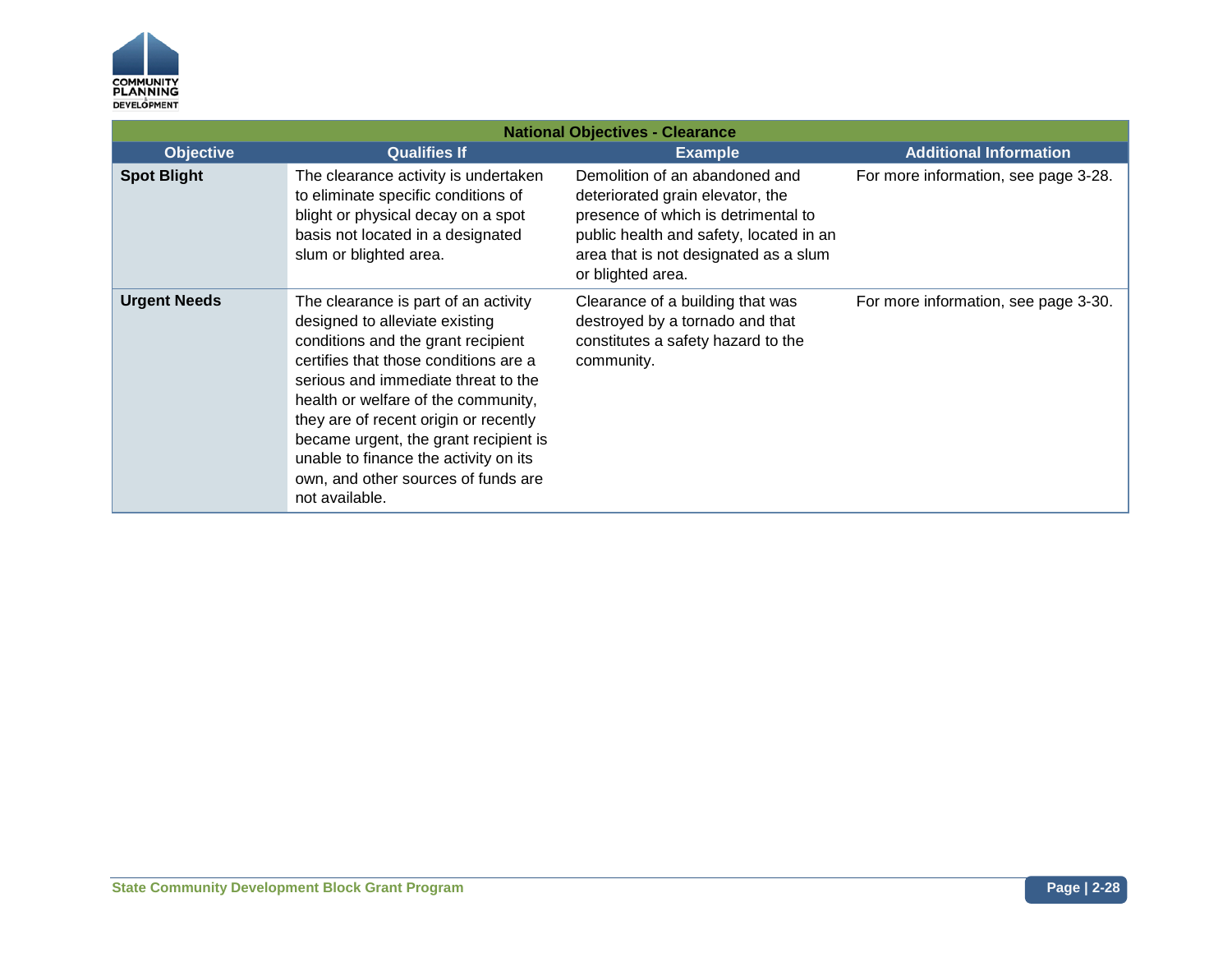

| <b>National Objectives - Clearance</b> |                                                                                                                                                                                                                                                                                                                                                                                                                         |                                                                                                                                                                                                                    |                                      |
|----------------------------------------|-------------------------------------------------------------------------------------------------------------------------------------------------------------------------------------------------------------------------------------------------------------------------------------------------------------------------------------------------------------------------------------------------------------------------|--------------------------------------------------------------------------------------------------------------------------------------------------------------------------------------------------------------------|--------------------------------------|
| <b>Objective</b>                       | <b>Qualifies If</b>                                                                                                                                                                                                                                                                                                                                                                                                     | <b>Example</b>                                                                                                                                                                                                     | <b>Additional Information</b>        |
| <b>Spot Blight</b>                     | The clearance activity is undertaken<br>to eliminate specific conditions of<br>blight or physical decay on a spot<br>basis not located in a designated<br>slum or blighted area.                                                                                                                                                                                                                                        | Demolition of an abandoned and<br>deteriorated grain elevator, the<br>presence of which is detrimental to<br>public health and safety, located in an<br>area that is not designated as a slum<br>or blighted area. | For more information, see page 3-28. |
| <b>Urgent Needs</b>                    | The clearance is part of an activity<br>designed to alleviate existing<br>conditions and the grant recipient<br>certifies that those conditions are a<br>serious and immediate threat to the<br>health or welfare of the community,<br>they are of recent origin or recently<br>became urgent, the grant recipient is<br>unable to finance the activity on its<br>own, and other sources of funds are<br>not available. | Clearance of a building that was<br>destroyed by a tornado and that<br>constitutes a safety hazard to the<br>community.                                                                                            | For more information, see page 3-30. |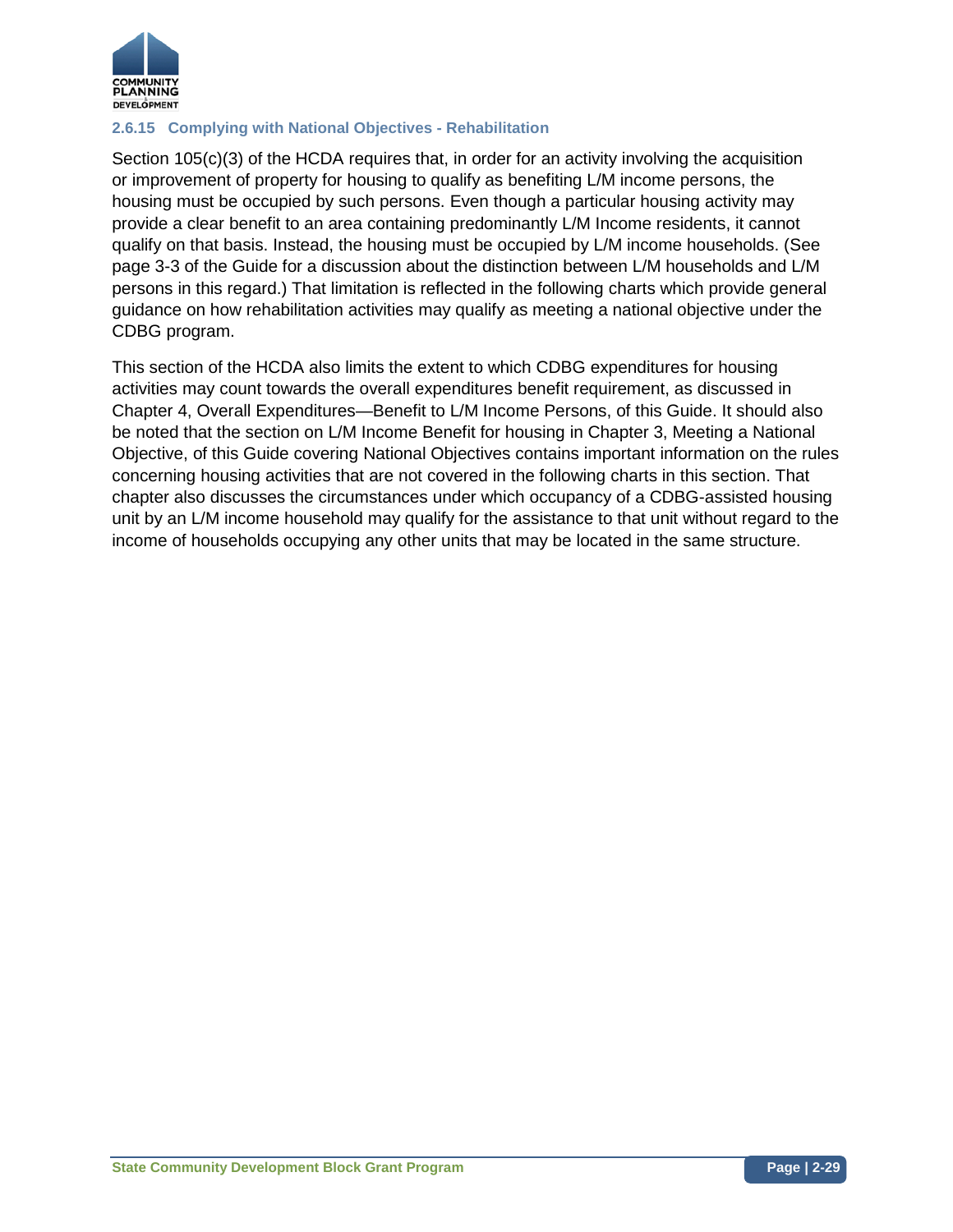

### **2.6.15 Complying with National Objectives - Rehabilitation**

Section 105(c)(3) of the HCDA requires that, in order for an activity involving the acquisition or improvement of property for housing to qualify as benefiting L/M income persons, the housing must be occupied by such persons. Even though a particular housing activity may provide a clear benefit to an area containing predominantly L/M Income residents, it cannot qualify on that basis. Instead, the housing must be occupied by L/M income households. (See page 3-3 of the Guide for a discussion about the distinction between L/M households and L/M persons in this regard.) That limitation is reflected in the following charts which provide general guidance on how rehabilitation activities may qualify as meeting a national objective under the CDBG program.

This section of the HCDA also limits the extent to which CDBG expenditures for housing activities may count towards the overall expenditures benefit requirement, as discussed in Chapter 4, Overall Expenditures—Benefit to L/M Income Persons, of this Guide. It should also be noted that the section on L/M Income Benefit for housing in Chapter 3, Meeting a National Objective, of this Guide covering National Objectives contains important information on the rules concerning housing activities that are not covered in the following charts in this section. That chapter also discusses the circumstances under which occupancy of a CDBG-assisted housing unit by an L/M income household may qualify for the assistance to that unit without regard to the income of households occupying any other units that may be located in the same structure.

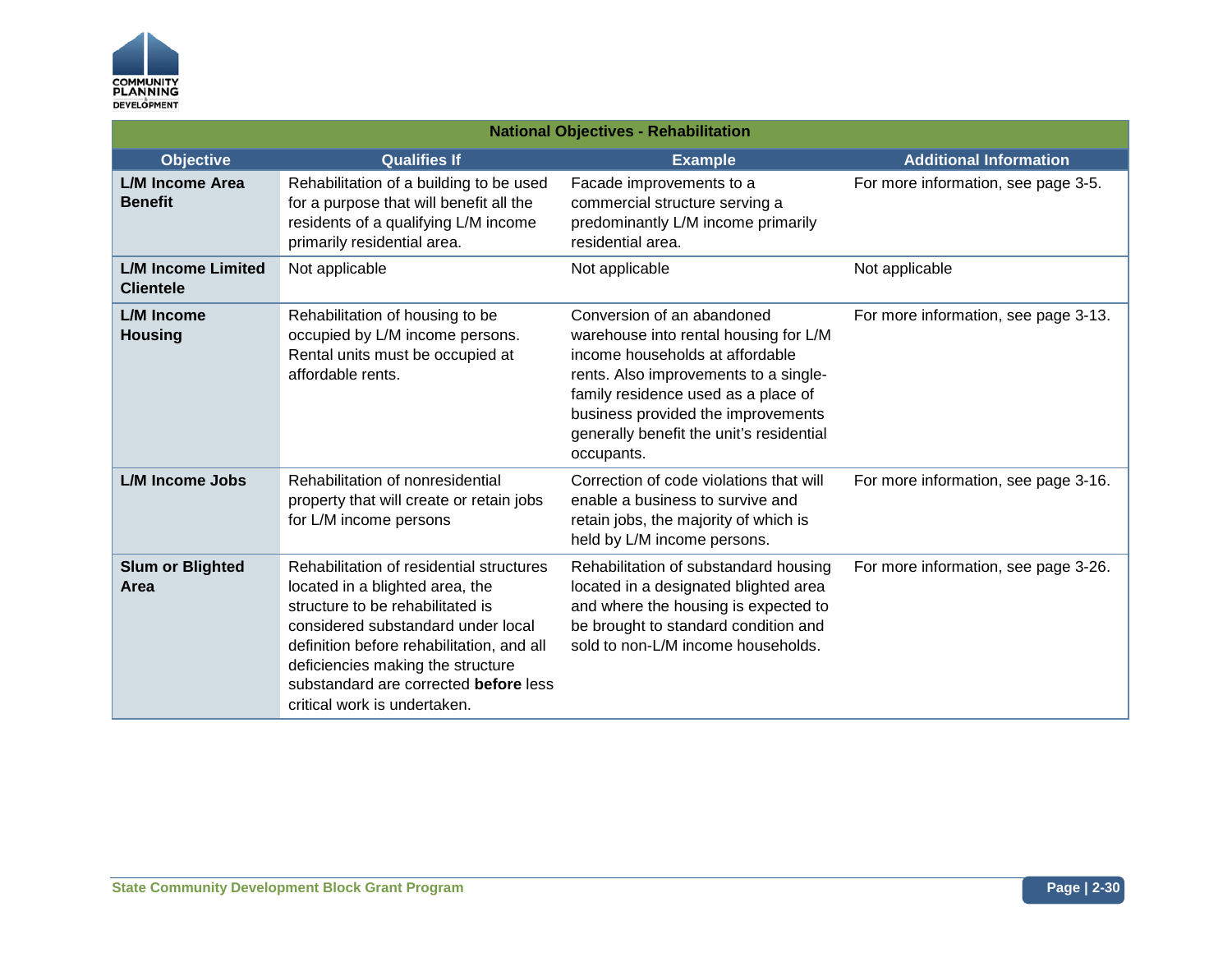

| <b>National Objectives - Rehabilitation</b>   |                                                                                                                                                                                                                                                                                                                  |                                                                                                                                                                                                                                                                                        |                                      |
|-----------------------------------------------|------------------------------------------------------------------------------------------------------------------------------------------------------------------------------------------------------------------------------------------------------------------------------------------------------------------|----------------------------------------------------------------------------------------------------------------------------------------------------------------------------------------------------------------------------------------------------------------------------------------|--------------------------------------|
| <b>Objective</b>                              | <b>Qualifies If</b>                                                                                                                                                                                                                                                                                              | <b>Example</b>                                                                                                                                                                                                                                                                         | <b>Additional Information</b>        |
| <b>L/M Income Area</b><br><b>Benefit</b>      | Rehabilitation of a building to be used<br>for a purpose that will benefit all the<br>residents of a qualifying L/M income<br>primarily residential area.                                                                                                                                                        | Facade improvements to a<br>commercial structure serving a<br>predominantly L/M income primarily<br>residential area.                                                                                                                                                                  | For more information, see page 3-5.  |
| <b>L/M Income Limited</b><br><b>Clientele</b> | Not applicable                                                                                                                                                                                                                                                                                                   | Not applicable                                                                                                                                                                                                                                                                         | Not applicable                       |
| L/M Income<br><b>Housing</b>                  | Rehabilitation of housing to be<br>occupied by L/M income persons.<br>Rental units must be occupied at<br>affordable rents.                                                                                                                                                                                      | Conversion of an abandoned<br>warehouse into rental housing for L/M<br>income households at affordable<br>rents. Also improvements to a single-<br>family residence used as a place of<br>business provided the improvements<br>generally benefit the unit's residential<br>occupants. | For more information, see page 3-13. |
| <b>L/M Income Jobs</b>                        | Rehabilitation of nonresidential<br>property that will create or retain jobs<br>for L/M income persons                                                                                                                                                                                                           | Correction of code violations that will<br>enable a business to survive and<br>retain jobs, the majority of which is<br>held by L/M income persons.                                                                                                                                    | For more information, see page 3-16. |
| <b>Slum or Blighted</b><br>Area               | Rehabilitation of residential structures<br>located in a blighted area, the<br>structure to be rehabilitated is<br>considered substandard under local<br>definition before rehabilitation, and all<br>deficiencies making the structure<br>substandard are corrected before less<br>critical work is undertaken. | Rehabilitation of substandard housing<br>located in a designated blighted area<br>and where the housing is expected to<br>be brought to standard condition and<br>sold to non-L/M income households.                                                                                   | For more information, see page 3-26. |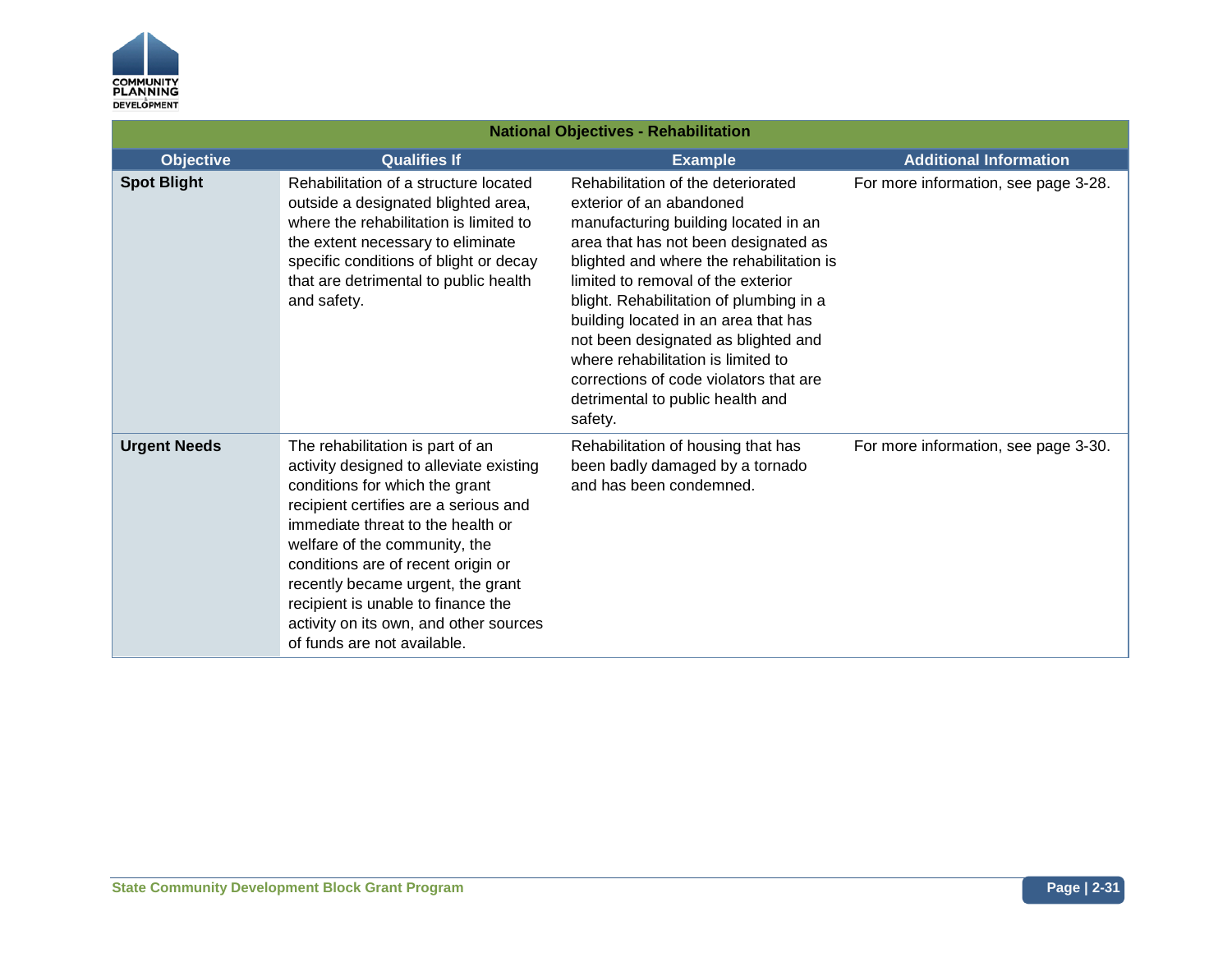

| <b>National Objectives - Rehabilitation</b> |                                                                                                                                                                                                                                                                                                                                                                                                                        |                                                                                                                                                                                                                                                                                                                                                                                                                                                                                           |                                      |
|---------------------------------------------|------------------------------------------------------------------------------------------------------------------------------------------------------------------------------------------------------------------------------------------------------------------------------------------------------------------------------------------------------------------------------------------------------------------------|-------------------------------------------------------------------------------------------------------------------------------------------------------------------------------------------------------------------------------------------------------------------------------------------------------------------------------------------------------------------------------------------------------------------------------------------------------------------------------------------|--------------------------------------|
| <b>Objective</b>                            | <b>Qualifies If</b>                                                                                                                                                                                                                                                                                                                                                                                                    | <b>Example</b>                                                                                                                                                                                                                                                                                                                                                                                                                                                                            | <b>Additional Information</b>        |
| <b>Spot Blight</b>                          | Rehabilitation of a structure located<br>outside a designated blighted area,<br>where the rehabilitation is limited to<br>the extent necessary to eliminate<br>specific conditions of blight or decay<br>that are detrimental to public health<br>and safety.                                                                                                                                                          | Rehabilitation of the deteriorated<br>exterior of an abandoned<br>manufacturing building located in an<br>area that has not been designated as<br>blighted and where the rehabilitation is<br>limited to removal of the exterior<br>blight. Rehabilitation of plumbing in a<br>building located in an area that has<br>not been designated as blighted and<br>where rehabilitation is limited to<br>corrections of code violators that are<br>detrimental to public health and<br>safety. | For more information, see page 3-28. |
| <b>Urgent Needs</b>                         | The rehabilitation is part of an<br>activity designed to alleviate existing<br>conditions for which the grant<br>recipient certifies are a serious and<br>immediate threat to the health or<br>welfare of the community, the<br>conditions are of recent origin or<br>recently became urgent, the grant<br>recipient is unable to finance the<br>activity on its own, and other sources<br>of funds are not available. | Rehabilitation of housing that has<br>been badly damaged by a tornado<br>and has been condemned.                                                                                                                                                                                                                                                                                                                                                                                          | For more information, see page 3-30. |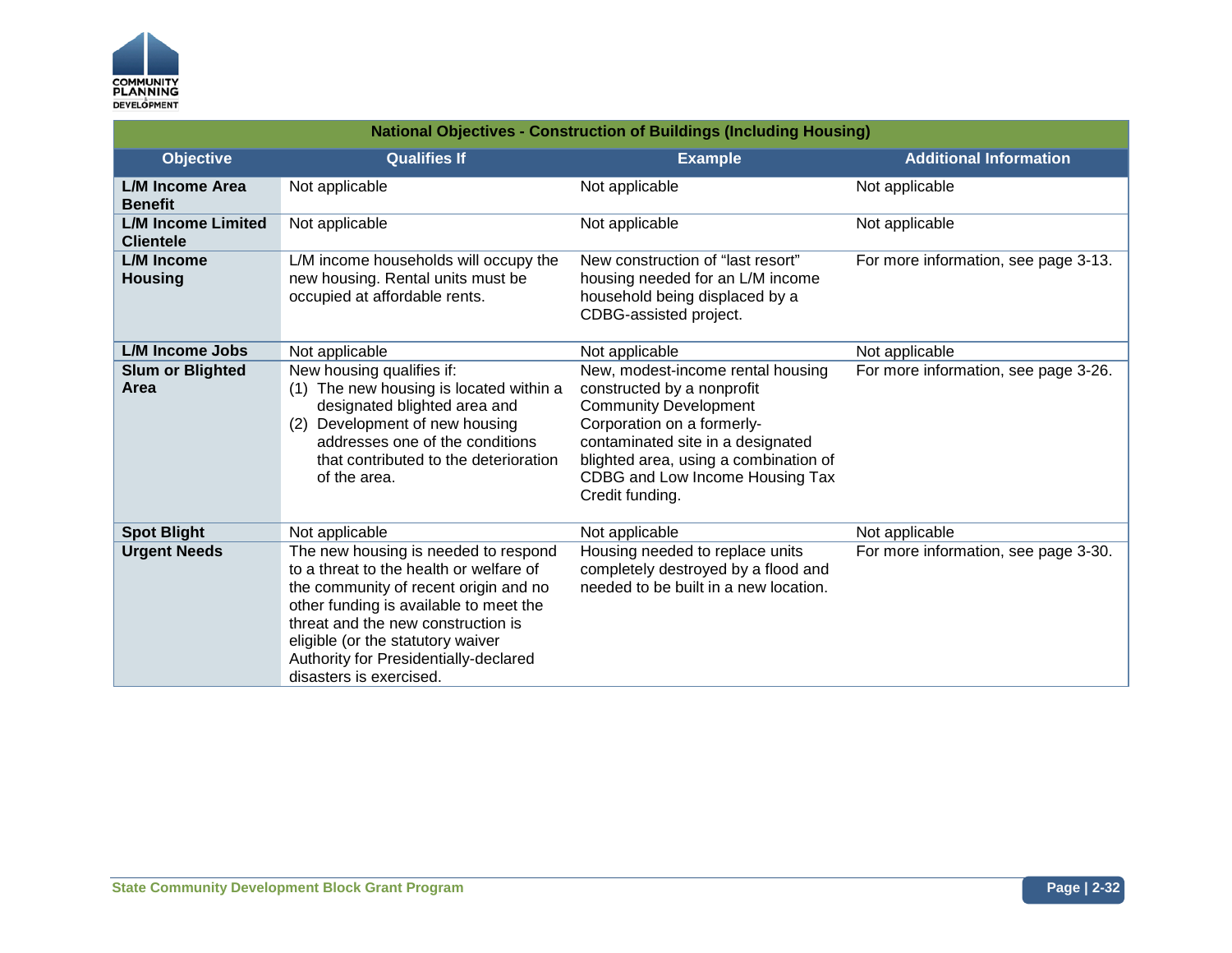

| <b>National Objectives - Construction of Buildings (Including Housing)</b> |                                                                                                                                                                                                                                                                                                                   |                                                                                                                                                                                                                                                                   |                                      |
|----------------------------------------------------------------------------|-------------------------------------------------------------------------------------------------------------------------------------------------------------------------------------------------------------------------------------------------------------------------------------------------------------------|-------------------------------------------------------------------------------------------------------------------------------------------------------------------------------------------------------------------------------------------------------------------|--------------------------------------|
| <b>Objective</b>                                                           | <b>Qualifies If</b>                                                                                                                                                                                                                                                                                               | <b>Example</b>                                                                                                                                                                                                                                                    | <b>Additional Information</b>        |
| L/M Income Area<br><b>Benefit</b>                                          | Not applicable                                                                                                                                                                                                                                                                                                    | Not applicable                                                                                                                                                                                                                                                    | Not applicable                       |
| <b>L/M Income Limited</b><br><b>Clientele</b>                              | Not applicable                                                                                                                                                                                                                                                                                                    | Not applicable                                                                                                                                                                                                                                                    | Not applicable                       |
| <b>L/M</b> Income<br><b>Housing</b>                                        | L/M income households will occupy the<br>new housing. Rental units must be<br>occupied at affordable rents.                                                                                                                                                                                                       | New construction of "last resort"<br>housing needed for an L/M income<br>household being displaced by a<br>CDBG-assisted project.                                                                                                                                 | For more information, see page 3-13. |
| <b>L/M Income Jobs</b>                                                     | Not applicable                                                                                                                                                                                                                                                                                                    | Not applicable                                                                                                                                                                                                                                                    | Not applicable                       |
| <b>Slum or Blighted</b><br>Area                                            | New housing qualifies if:<br>(1) The new housing is located within a<br>designated blighted area and<br>(2) Development of new housing<br>addresses one of the conditions<br>that contributed to the deterioration<br>of the area.                                                                                | New, modest-income rental housing<br>constructed by a nonprofit<br><b>Community Development</b><br>Corporation on a formerly-<br>contaminated site in a designated<br>blighted area, using a combination of<br>CDBG and Low Income Housing Tax<br>Credit funding. | For more information, see page 3-26. |
| <b>Spot Blight</b>                                                         | Not applicable                                                                                                                                                                                                                                                                                                    | Not applicable                                                                                                                                                                                                                                                    | Not applicable                       |
| <b>Urgent Needs</b>                                                        | The new housing is needed to respond<br>to a threat to the health or welfare of<br>the community of recent origin and no<br>other funding is available to meet the<br>threat and the new construction is<br>eligible (or the statutory waiver<br>Authority for Presidentially-declared<br>disasters is exercised. | Housing needed to replace units<br>completely destroyed by a flood and<br>needed to be built in a new location.                                                                                                                                                   | For more information, see page 3-30. |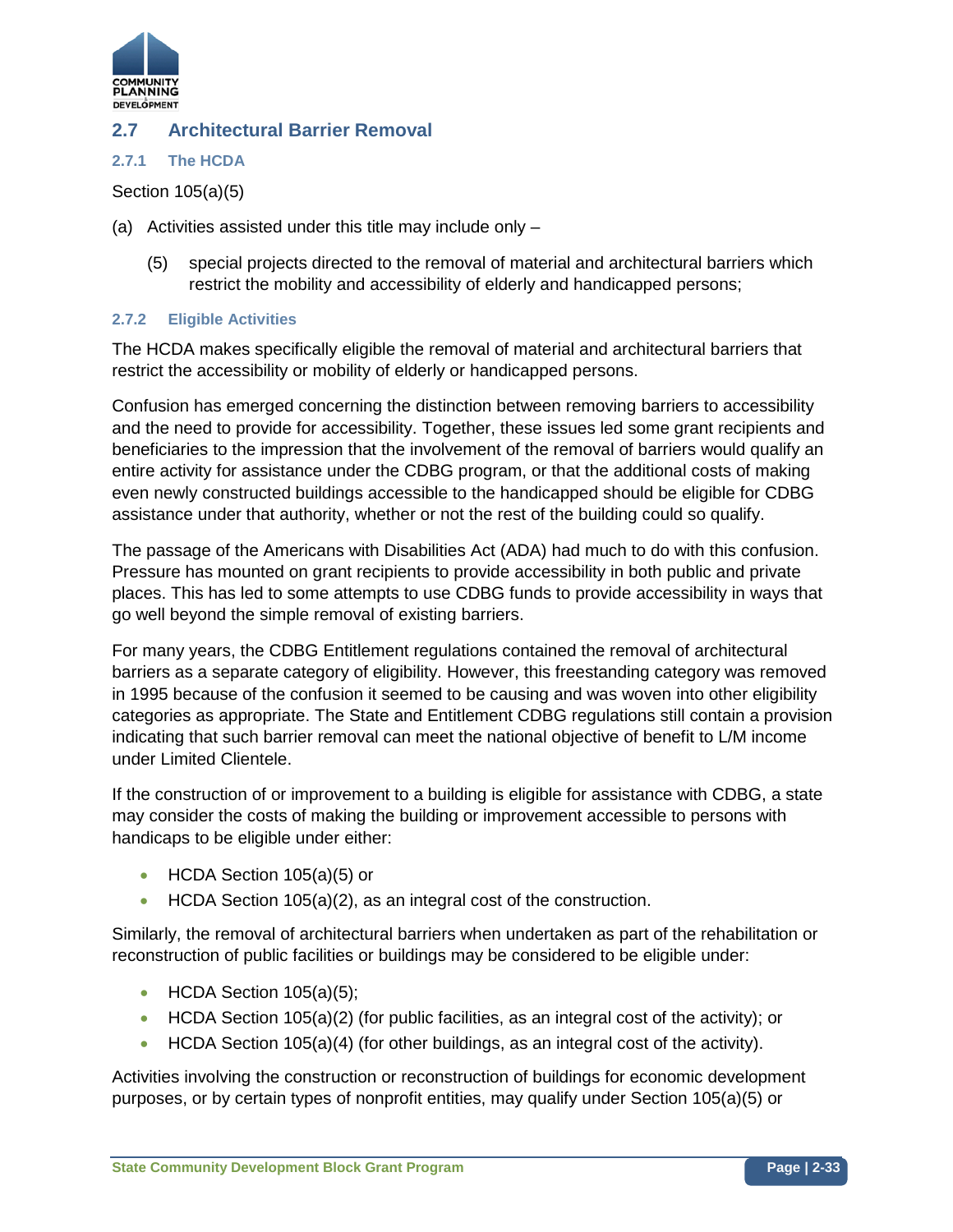

## **2.7 Architectural Barrier Removal**

#### **2.7.1 The HCDA**

Section 105(a)(5)

- (a) Activities assisted under this title may include only
	- (5) special projects directed to the removal of material and architectural barriers which restrict the mobility and accessibility of elderly and handicapped persons;

#### **2.7.2 Eligible Activities**

The HCDA makes specifically eligible the removal of material and architectural barriers that restrict the accessibility or mobility of elderly or handicapped persons.

Confusion has emerged concerning the distinction between removing barriers to accessibility and the need to provide for accessibility. Together, these issues led some grant recipients and beneficiaries to the impression that the involvement of the removal of barriers would qualify an entire activity for assistance under the CDBG program, or that the additional costs of making even newly constructed buildings accessible to the handicapped should be eligible for CDBG assistance under that authority, whether or not the rest of the building could so qualify.

The passage of the Americans with Disabilities Act (ADA) had much to do with this confusion. Pressure has mounted on grant recipients to provide accessibility in both public and private places. This has led to some attempts to use CDBG funds to provide accessibility in ways that go well beyond the simple removal of existing barriers.

For many years, the CDBG Entitlement regulations contained the removal of architectural barriers as a separate category of eligibility. However, this freestanding category was removed in 1995 because of the confusion it seemed to be causing and was woven into other eligibility categories as appropriate. The State and Entitlement CDBG regulations still contain a provision indicating that such barrier removal can meet the national objective of benefit to L/M income under Limited Clientele.

If the construction of or improvement to a building is eligible for assistance with CDBG, a state may consider the costs of making the building or improvement accessible to persons with handicaps to be eligible under either:

- HCDA Section 105(a)(5) or
- HCDA Section 105(a)(2), as an integral cost of the construction.

Similarly, the removal of architectural barriers when undertaken as part of the rehabilitation or reconstruction of public facilities or buildings may be considered to be eligible under:

- HCDA Section  $105(a)(5)$ ;
- HCDA Section 105(a)(2) (for public facilities, as an integral cost of the activity); or
- HCDA Section 105(a)(4) (for other buildings, as an integral cost of the activity).

Activities involving the construction or reconstruction of buildings for economic development purposes, or by certain types of nonprofit entities, may qualify under Section 105(a)(5) or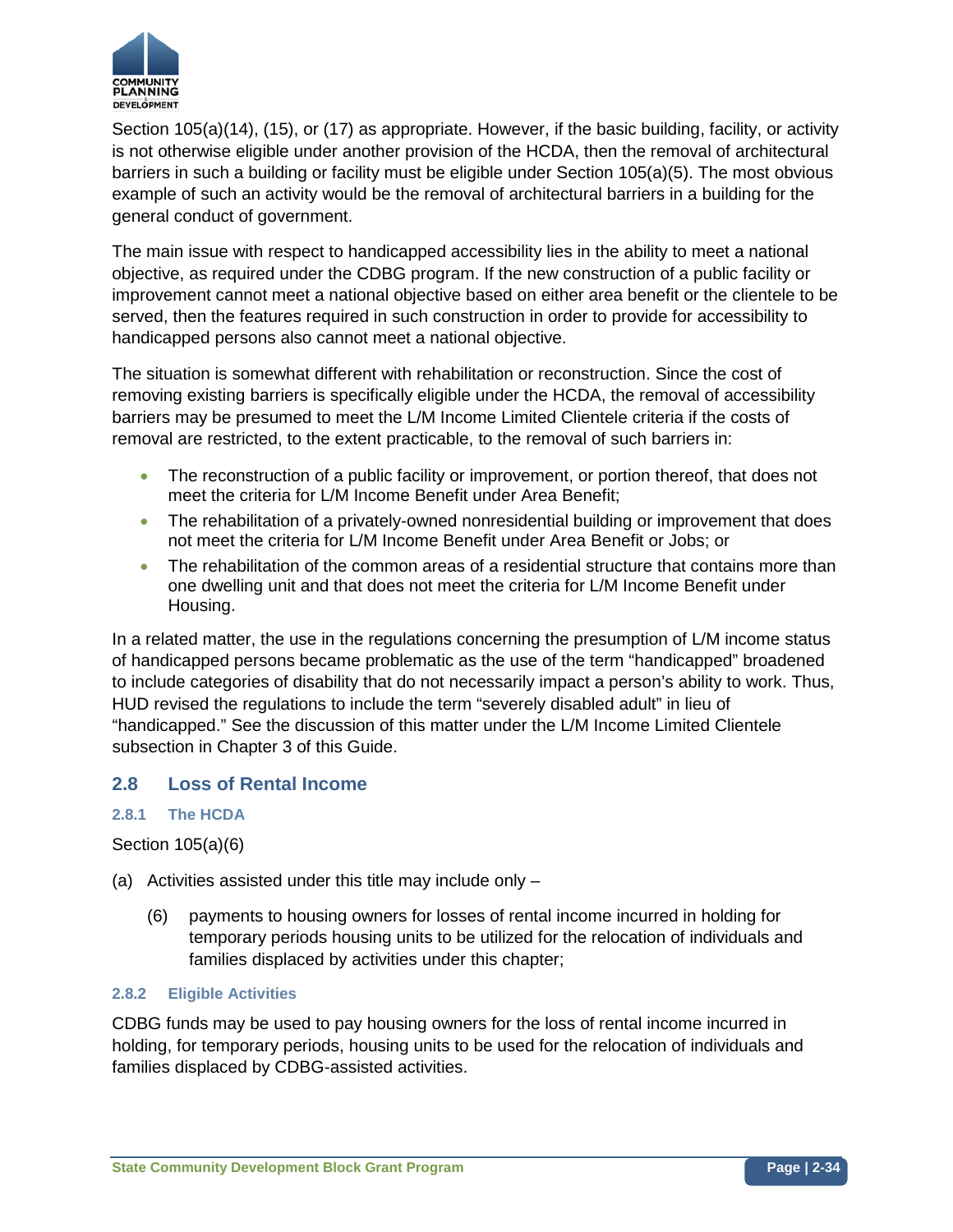

Section 105(a)(14), (15), or (17) as appropriate. However, if the basic building, facility, or activity is not otherwise eligible under another provision of the HCDA, then the removal of architectural barriers in such a building or facility must be eligible under Section 105(a)(5). The most obvious example of such an activity would be the removal of architectural barriers in a building for the general conduct of government.

The main issue with respect to handicapped accessibility lies in the ability to meet a national objective, as required under the CDBG program. If the new construction of a public facility or improvement cannot meet a national objective based on either area benefit or the clientele to be served, then the features required in such construction in order to provide for accessibility to handicapped persons also cannot meet a national objective.

The situation is somewhat different with rehabilitation or reconstruction. Since the cost of removing existing barriers is specifically eligible under the HCDA, the removal of accessibility barriers may be presumed to meet the L/M Income Limited Clientele criteria if the costs of removal are restricted, to the extent practicable, to the removal of such barriers in:

- The reconstruction of a public facility or improvement, or portion thereof, that does not meet the criteria for L/M Income Benefit under Area Benefit;
- The rehabilitation of a privately-owned nonresidential building or improvement that does not meet the criteria for L/M Income Benefit under Area Benefit or Jobs; or
- The rehabilitation of the common areas of a residential structure that contains more than one dwelling unit and that does not meet the criteria for L/M Income Benefit under Housing.

In a related matter, the use in the regulations concerning the presumption of L/M income status of handicapped persons became problematic as the use of the term "handicapped" broadened to include categories of disability that do not necessarily impact a person's ability to work. Thus, HUD revised the regulations to include the term "severely disabled adult" in lieu of "handicapped." See the discussion of this matter under the L/M Income Limited Clientele subsection in Chapter 3 of this Guide.

## **2.8 Loss of Rental Income**

### **2.8.1 The HCDA**

Section 105(a)(6)

- (a) Activities assisted under this title may include only
	- (6) payments to housing owners for losses of rental income incurred in holding for temporary periods housing units to be utilized for the relocation of individuals and families displaced by activities under this chapter;

#### **2.8.2 Eligible Activities**

CDBG funds may be used to pay housing owners for the loss of rental income incurred in holding, for temporary periods, housing units to be used for the relocation of individuals and families displaced by CDBG-assisted activities.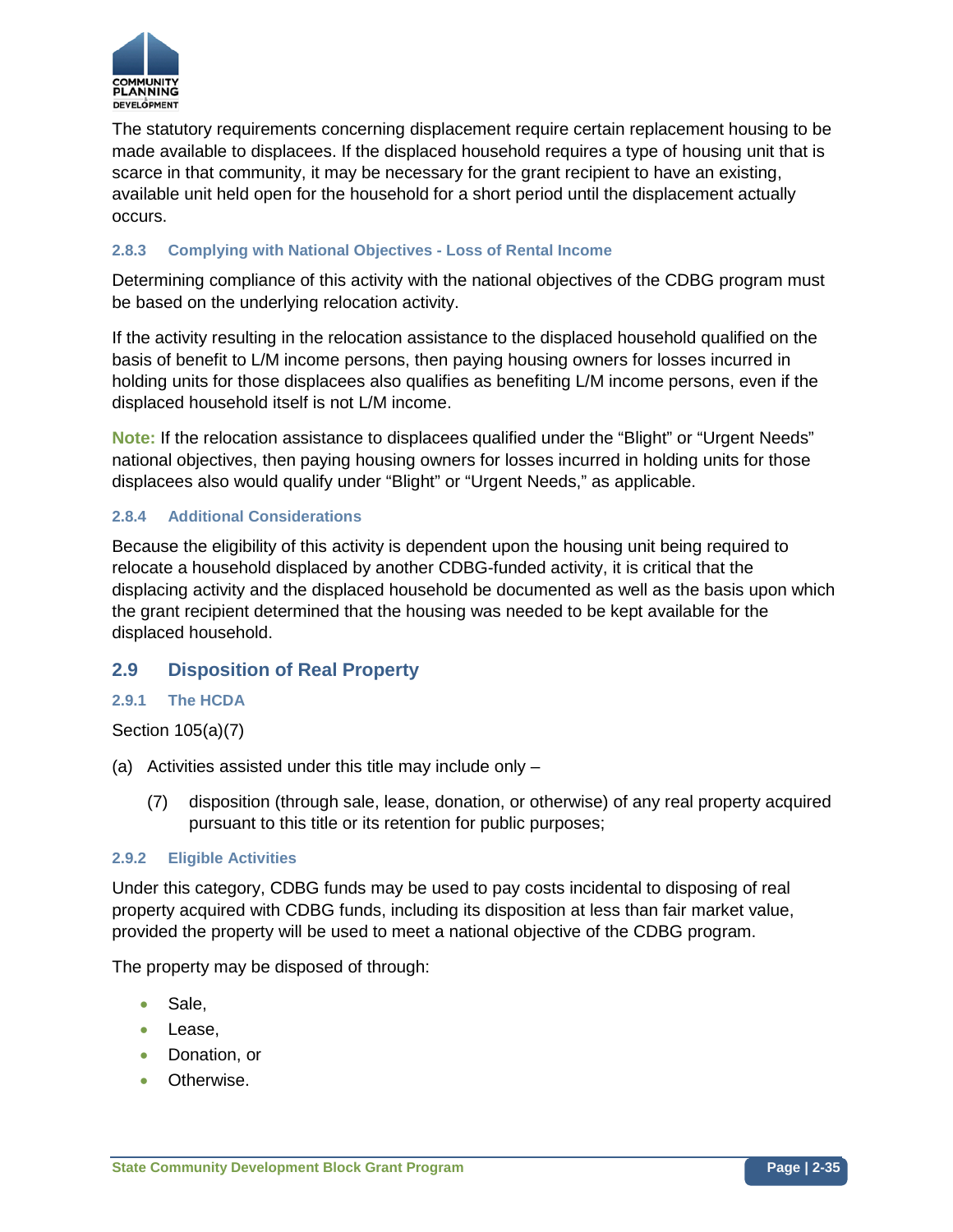

The statutory requirements concerning displacement require certain replacement housing to be made available to displacees. If the displaced household requires a type of housing unit that is scarce in that community, it may be necessary for the grant recipient to have an existing, available unit held open for the household for a short period until the displacement actually occurs.

### **2.8.3 Complying with National Objectives - Loss of Rental Income**

Determining compliance of this activity with the national objectives of the CDBG program must be based on the underlying relocation activity.

If the activity resulting in the relocation assistance to the displaced household qualified on the basis of benefit to L/M income persons, then paying housing owners for losses incurred in holding units for those displacees also qualifies as benefiting L/M income persons, even if the displaced household itself is not L/M income.

**Note:** If the relocation assistance to displacees qualified under the "Blight" or "Urgent Needs" national objectives, then paying housing owners for losses incurred in holding units for those displacees also would qualify under "Blight" or "Urgent Needs," as applicable.

#### **2.8.4 Additional Considerations**

Because the eligibility of this activity is dependent upon the housing unit being required to relocate a household displaced by another CDBG-funded activity, it is critical that the displacing activity and the displaced household be documented as well as the basis upon which the grant recipient determined that the housing was needed to be kept available for the displaced household.

### **2.9 Disposition of Real Property**

#### **2.9.1 The HCDA**

#### Section 105(a)(7)

- (a) Activities assisted under this title may include only
	- (7) disposition (through sale, lease, donation, or otherwise) of any real property acquired pursuant to this title or its retention for public purposes;

#### **2.9.2 Eligible Activities**

Under this category, CDBG funds may be used to pay costs incidental to disposing of real property acquired with CDBG funds, including its disposition at less than fair market value, provided the property will be used to meet a national objective of the CDBG program.

The property may be disposed of through:

- Sale,
- Lease,
- Donation, or
- Otherwise.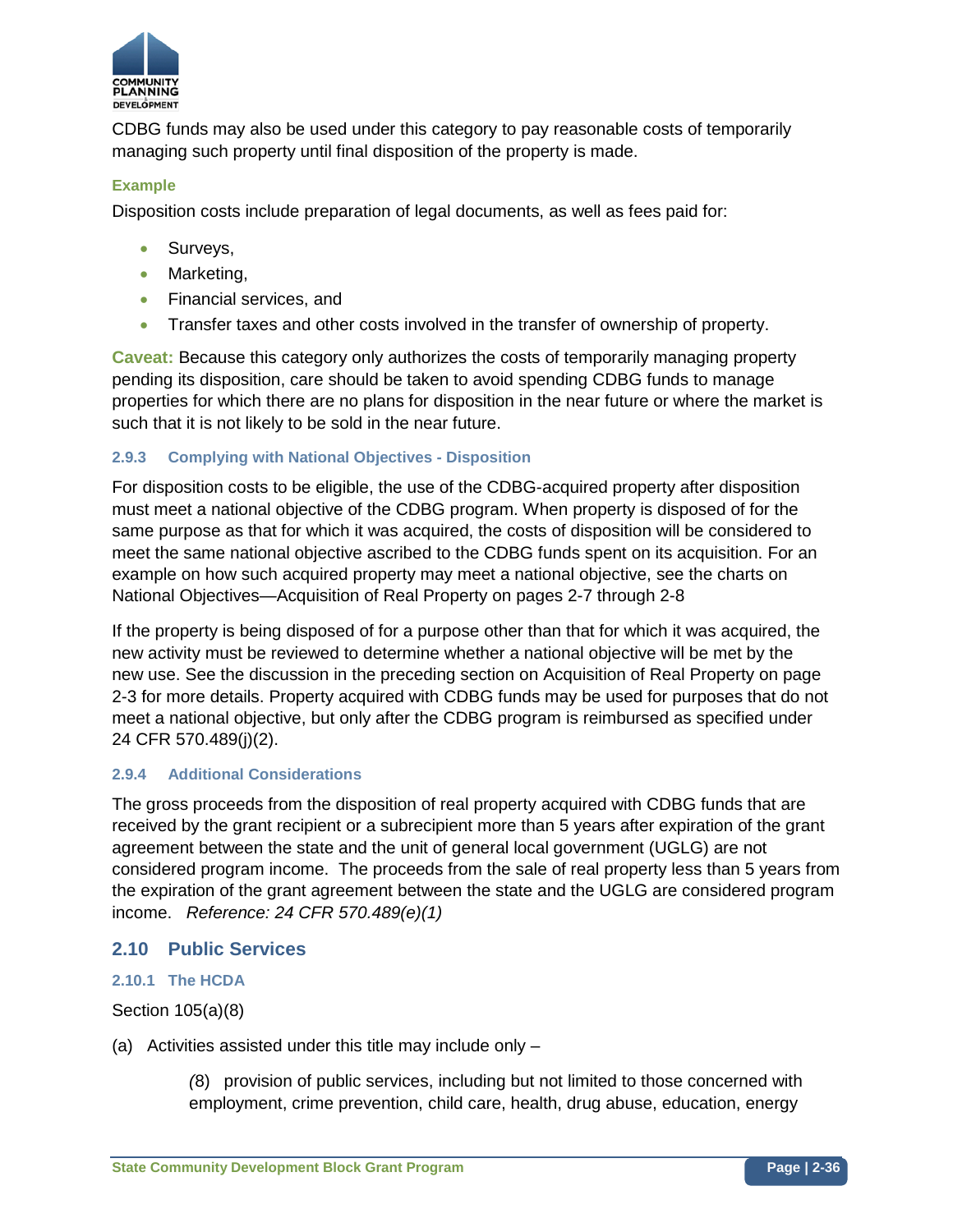

CDBG funds may also be used under this category to pay reasonable costs of temporarily managing such property until final disposition of the property is made.

### **Example**

Disposition costs include preparation of legal documents, as well as fees paid for:

- Surveys,
- Marketing,
- Financial services, and
- Transfer taxes and other costs involved in the transfer of ownership of property.

**Caveat:** Because this category only authorizes the costs of temporarily managing property pending its disposition, care should be taken to avoid spending CDBG funds to manage properties for which there are no plans for disposition in the near future or where the market is such that it is not likely to be sold in the near future.

### **2.9.3 Complying with National Objectives - Disposition**

For disposition costs to be eligible, the use of the CDBG-acquired property after disposition must meet a national objective of the CDBG program. When property is disposed of for the same purpose as that for which it was acquired, the costs of disposition will be considered to meet the same national objective ascribed to the CDBG funds spent on its acquisition. For an example on how such acquired property may meet a national objective, see the charts on National Objectives—Acquisition of Real Property on pages 2-7 through 2-8

If the property is being disposed of for a purpose other than that for which it was acquired, the new activity must be reviewed to determine whether a national objective will be met by the new use. See the discussion in the preceding section on Acquisition of Real Property on page 2-3 for more details. Property acquired with CDBG funds may be used for purposes that do not meet a national objective, but only after the CDBG program is reimbursed as specified under 24 CFR 570.489(j)(2).

#### **2.9.4 Additional Considerations**

The gross proceeds from the disposition of real property acquired with CDBG funds that are received by the grant recipient or a subrecipient more than 5 years after expiration of the grant agreement between the state and the unit of general local government (UGLG) are not considered program income. The proceeds from the sale of real property less than 5 years from the expiration of the grant agreement between the state and the UGLG are considered program income. *Reference: 24 CFR 570.489(e)(1)*

### **2.10 Public Services**

#### **2.10.1 The HCDA**

Section 105(a)(8)

(a) Activities assisted under this title may include only –

*(*8) provision of public services, including but not limited to those concerned with employment, crime prevention, child care, health, drug abuse, education, energy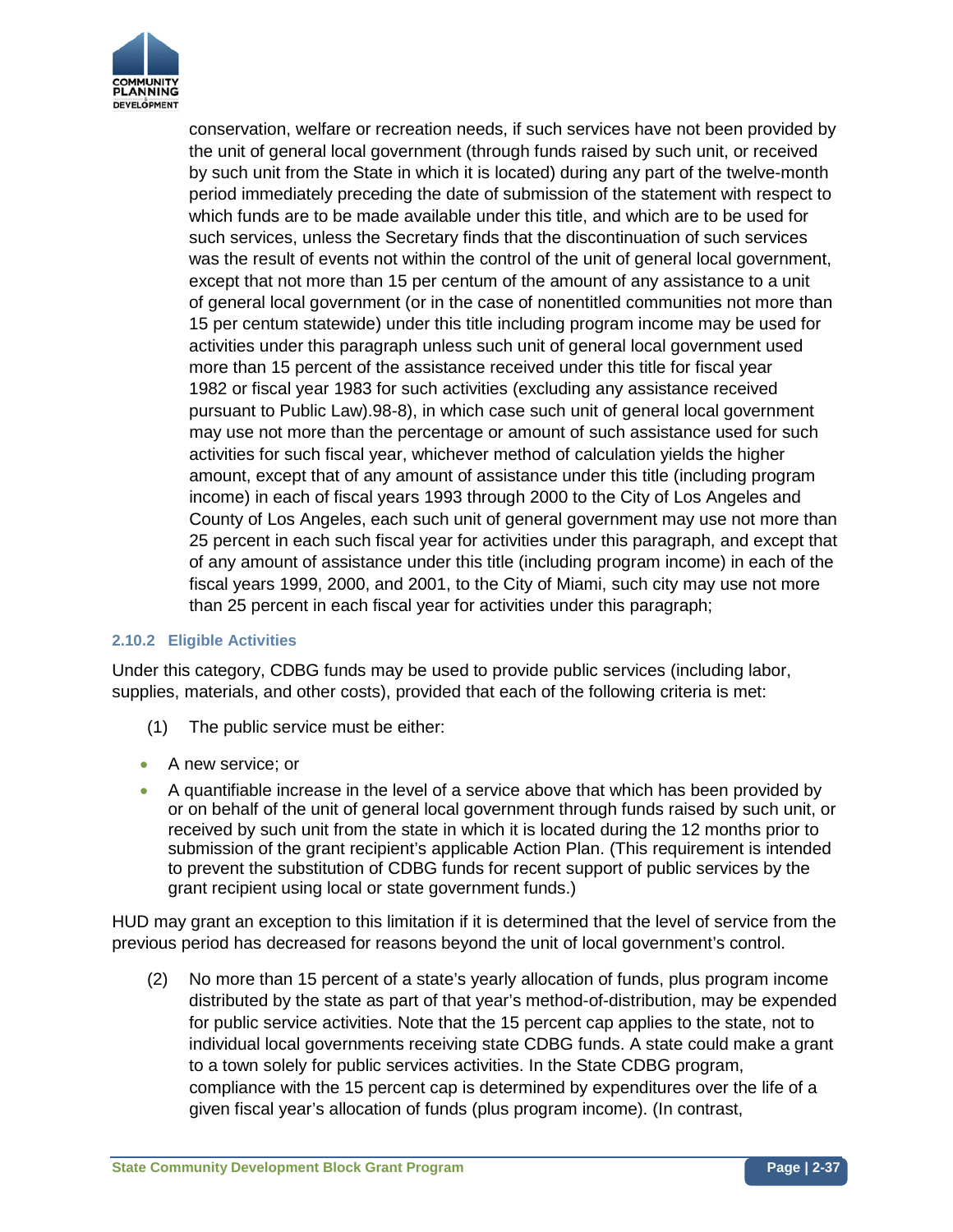

conservation, welfare or recreation needs, if such services have not been provided by the unit of general local government (through funds raised by such unit, or received by such unit from the State in which it is located) during any part of the twelve-month period immediately preceding the date of submission of the statement with respect to which funds are to be made available under this title, and which are to be used for such services, unless the Secretary finds that the discontinuation of such services was the result of events not within the control of the unit of general local government, except that not more than 15 per centum of the amount of any assistance to a unit of general local government (or in the case of nonentitled communities not more than 15 per centum statewide) under this title including program income may be used for activities under this paragraph unless such unit of general local government used more than 15 percent of the assistance received under this title for fiscal year 1982 or fiscal year 1983 for such activities (excluding any assistance received pursuant to Public Law).98-8), in which case such unit of general local government may use not more than the percentage or amount of such assistance used for such activities for such fiscal year, whichever method of calculation yields the higher amount, except that of any amount of assistance under this title (including program income) in each of fiscal years 1993 through 2000 to the City of Los Angeles and County of Los Angeles, each such unit of general government may use not more than 25 percent in each such fiscal year for activities under this paragraph, and except that of any amount of assistance under this title (including program income) in each of the fiscal years 1999, 2000, and 2001, to the City of Miami, such city may use not more than 25 percent in each fiscal year for activities under this paragraph;

## **2.10.2 Eligible Activities**

Under this category, CDBG funds may be used to provide public services (including labor, supplies, materials, and other costs), provided that each of the following criteria is met:

- (1) The public service must be either:
- A new service: or
- A quantifiable increase in the level of a service above that which has been provided by or on behalf of the unit of general local government through funds raised by such unit, or received by such unit from the state in which it is located during the 12 months prior to submission of the grant recipient's applicable Action Plan. (This requirement is intended to prevent the substitution of CDBG funds for recent support of public services by the grant recipient using local or state government funds.)

HUD may grant an exception to this limitation if it is determined that the level of service from the previous period has decreased for reasons beyond the unit of local government's control.

(2) No more than 15 percent of a state's yearly allocation of funds, plus program income distributed by the state as part of that year's method-of-distribution, may be expended for public service activities. Note that the 15 percent cap applies to the state, not to individual local governments receiving state CDBG funds. A state could make a grant to a town solely for public services activities. In the State CDBG program, compliance with the 15 percent cap is determined by expenditures over the life of a given fiscal year's allocation of funds (plus program income). (In contrast,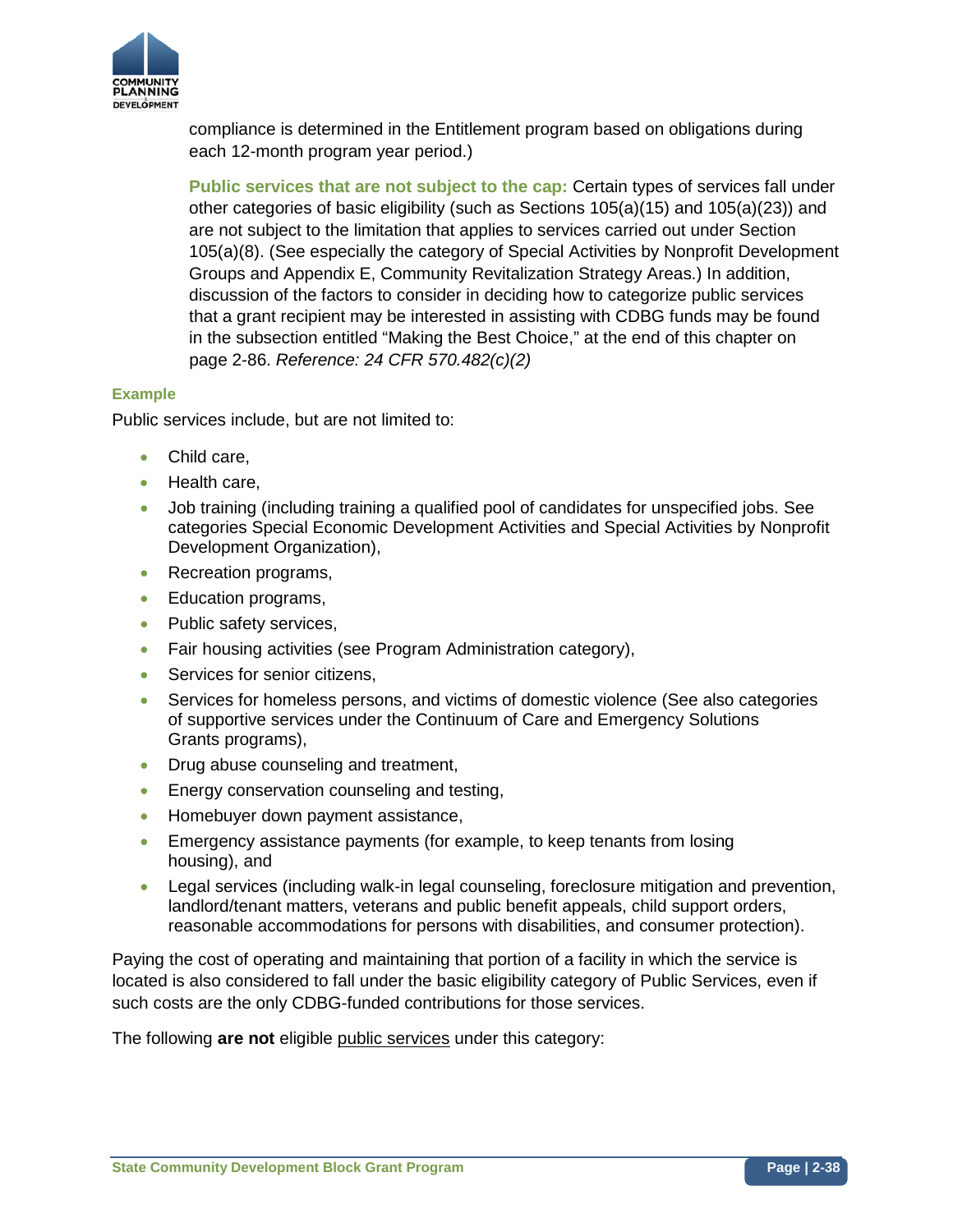

compliance is determined in the Entitlement program based on obligations during each 12-month program year period.)

**Public services that are not subject to the cap:** Certain types of services fall under other categories of basic eligibility (such as Sections 105(a)(15) and 105(a)(23)) and are not subject to the limitation that applies to services carried out under Section 105(a)(8). (See especially the category of Special Activities by Nonprofit Development Groups and Appendix E, Community Revitalization Strategy Areas.) In addition, discussion of the factors to consider in deciding how to categorize public services that a grant recipient may be interested in assisting with CDBG funds may be found in the subsection entitled "Making the Best Choice," at the end of this chapter on page 2-86. *Reference: 24 CFR 570.482(c)(2)*

## **Example**

Public services include, but are not limited to:

- Child care,
- Health care,
- Job training (including training a qualified pool of candidates for unspecified jobs. See categories Special Economic Development Activities and Special Activities by Nonprofit Development Organization),
- Recreation programs,
- Education programs,
- Public safety services,
- Fair housing activities (see Program Administration category),
- Services for senior citizens,
- Services for homeless persons, and victims of domestic violence (See also categories of supportive services under the Continuum of Care and Emergency Solutions Grants programs),
- Drug abuse counseling and treatment,
- Energy conservation counseling and testing,
- Homebuyer down payment assistance,
- Emergency assistance payments (for example, to keep tenants from losing housing), and
- Legal services (including walk-in legal counseling, foreclosure mitigation and prevention, landlord/tenant matters, veterans and public benefit appeals, child support orders, reasonable accommodations for persons with disabilities, and consumer protection).

Paying the cost of operating and maintaining that portion of a facility in which the service is located is also considered to fall under the basic eligibility category of Public Services, even if such costs are the only CDBG-funded contributions for those services.

The following **are not** eligible public services under this category: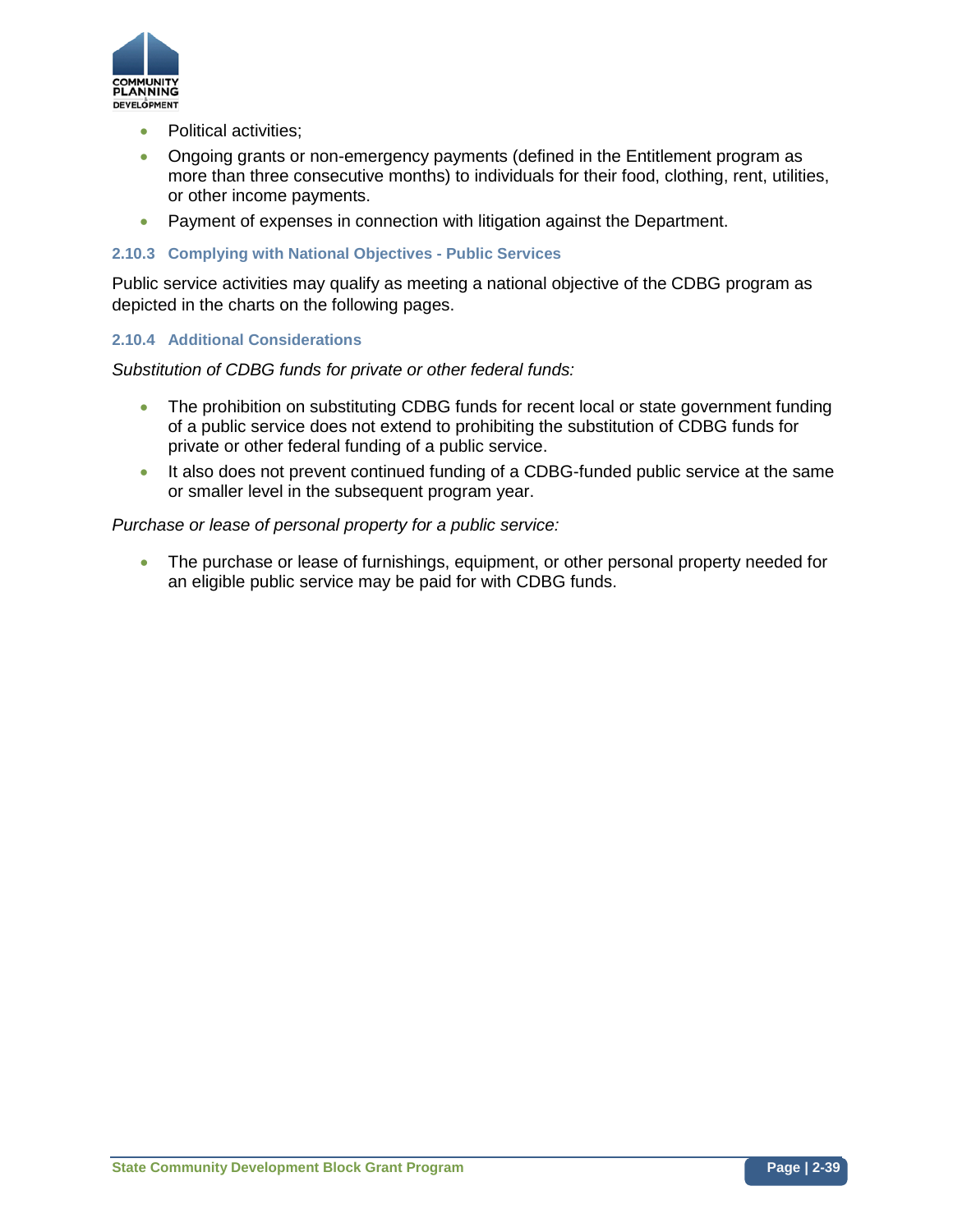

- Political activities;
- Ongoing grants or non-emergency payments (defined in the Entitlement program as more than three consecutive months) to individuals for their food, clothing, rent, utilities, or other income payments.
- Payment of expenses in connection with litigation against the Department.

## **2.10.3 Complying with National Objectives - Public Services**

Public service activities may qualify as meeting a national objective of the CDBG program as depicted in the charts on the following pages.

## **2.10.4 Additional Considerations**

*Substitution of CDBG funds for private or other federal funds:*

- The prohibition on substituting CDBG funds for recent local or state government funding of a public service does not extend to prohibiting the substitution of CDBG funds for private or other federal funding of a public service.
- It also does not prevent continued funding of a CDBG-funded public service at the same or smaller level in the subsequent program year.

## *Purchase or lease of personal property for a public service:*

• The purchase or lease of furnishings, equipment, or other personal property needed for an eligible public service may be paid for with CDBG funds.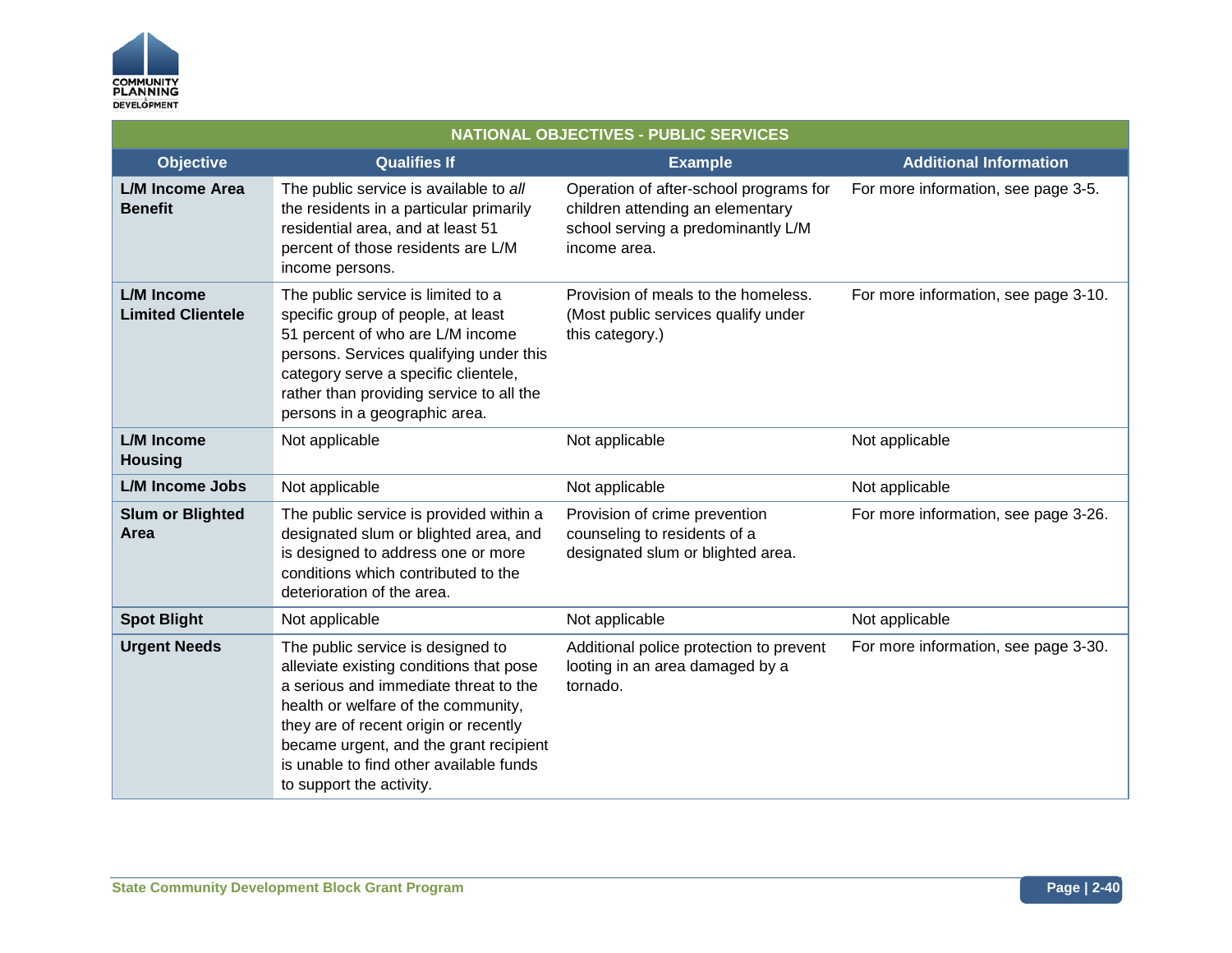

| <b>NATIONAL OBJECTIVES - PUBLIC SERVICES</b>  |                                                                                                                                                                                                                                                                                                                        |                                                                                                                                  |                                      |
|-----------------------------------------------|------------------------------------------------------------------------------------------------------------------------------------------------------------------------------------------------------------------------------------------------------------------------------------------------------------------------|----------------------------------------------------------------------------------------------------------------------------------|--------------------------------------|
| <b>Objective</b>                              | <b>Qualifies If</b>                                                                                                                                                                                                                                                                                                    | <b>Example</b>                                                                                                                   | <b>Additional Information</b>        |
| L/M Income Area<br><b>Benefit</b>             | The public service is available to all<br>the residents in a particular primarily<br>residential area, and at least 51<br>percent of those residents are L/M<br>income persons.                                                                                                                                        | Operation of after-school programs for<br>children attending an elementary<br>school serving a predominantly L/M<br>income area. | For more information, see page 3-5.  |
| <b>L/M Income</b><br><b>Limited Clientele</b> | The public service is limited to a<br>specific group of people, at least<br>51 percent of who are L/M income<br>persons. Services qualifying under this<br>category serve a specific clientele,<br>rather than providing service to all the<br>persons in a geographic area.                                           | Provision of meals to the homeless.<br>(Most public services qualify under<br>this category.)                                    | For more information, see page 3-10. |
| L/M Income<br><b>Housing</b>                  | Not applicable                                                                                                                                                                                                                                                                                                         | Not applicable                                                                                                                   | Not applicable                       |
| <b>L/M Income Jobs</b>                        | Not applicable                                                                                                                                                                                                                                                                                                         | Not applicable                                                                                                                   | Not applicable                       |
| <b>Slum or Blighted</b><br>Area               | The public service is provided within a<br>designated slum or blighted area, and<br>is designed to address one or more<br>conditions which contributed to the<br>deterioration of the area.                                                                                                                            | Provision of crime prevention<br>counseling to residents of a<br>designated slum or blighted area.                               | For more information, see page 3-26. |
| <b>Spot Blight</b>                            | Not applicable                                                                                                                                                                                                                                                                                                         | Not applicable                                                                                                                   | Not applicable                       |
| <b>Urgent Needs</b>                           | The public service is designed to<br>alleviate existing conditions that pose<br>a serious and immediate threat to the<br>health or welfare of the community,<br>they are of recent origin or recently<br>became urgent, and the grant recipient<br>is unable to find other available funds<br>to support the activity. | Additional police protection to prevent<br>looting in an area damaged by a<br>tornado.                                           | For more information, see page 3-30. |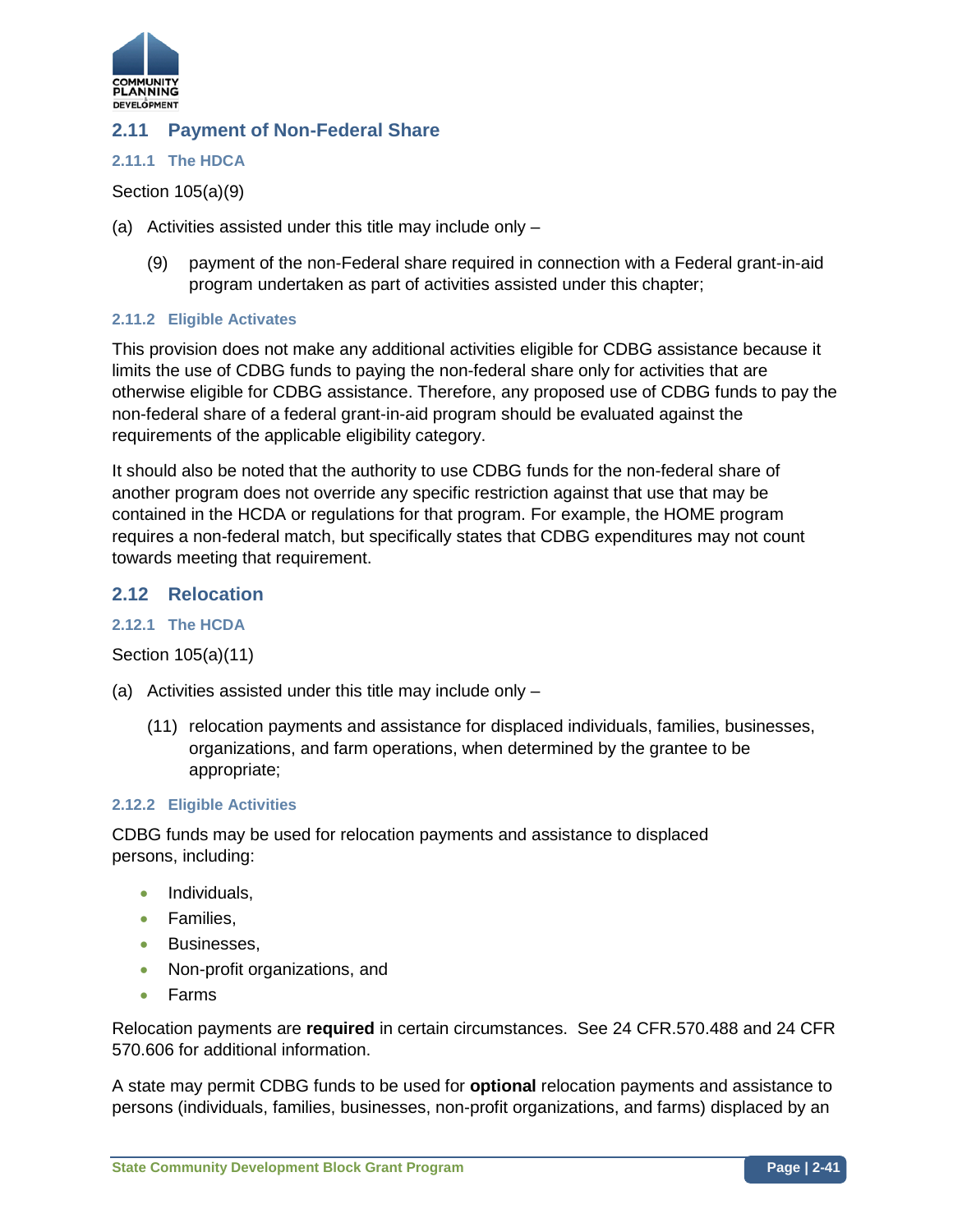

# **2.11 Payment of Non-Federal Share**

## **2.11.1 The HDCA**

Section 105(a)(9)

- (a) Activities assisted under this title may include only
	- (9) payment of the non-Federal share required in connection with a Federal grant-in-aid program undertaken as part of activities assisted under this chapter;

## **2.11.2 Eligible Activates**

This provision does not make any additional activities eligible for CDBG assistance because it limits the use of CDBG funds to paying the non-federal share only for activities that are otherwise eligible for CDBG assistance. Therefore, any proposed use of CDBG funds to pay the non-federal share of a federal grant-in-aid program should be evaluated against the requirements of the applicable eligibility category.

It should also be noted that the authority to use CDBG funds for the non-federal share of another program does not override any specific restriction against that use that may be contained in the HCDA or regulations for that program. For example, the HOME program requires a non-federal match, but specifically states that CDBG expenditures may not count towards meeting that requirement.

# **2.12 Relocation**

## **2.12.1 The HCDA**

Section 105(a)(11)

- (a) Activities assisted under this title may include only
	- (11) relocation payments and assistance for displaced individuals, families, businesses, organizations, and farm operations, when determined by the grantee to be appropriate;

## **2.12.2 Eligible Activities**

CDBG funds may be used for relocation payments and assistance to displaced persons, including:

- Individuals,
- Families,
- Businesses,
- Non-profit organizations, and
- Farms

Relocation payments are **required** in certain circumstances. See 24 CFR.570.488 and 24 CFR 570.606 for additional information.

A state may permit CDBG funds to be used for **optional** relocation payments and assistance to persons (individuals, families, businesses, non-profit organizations, and farms) displaced by an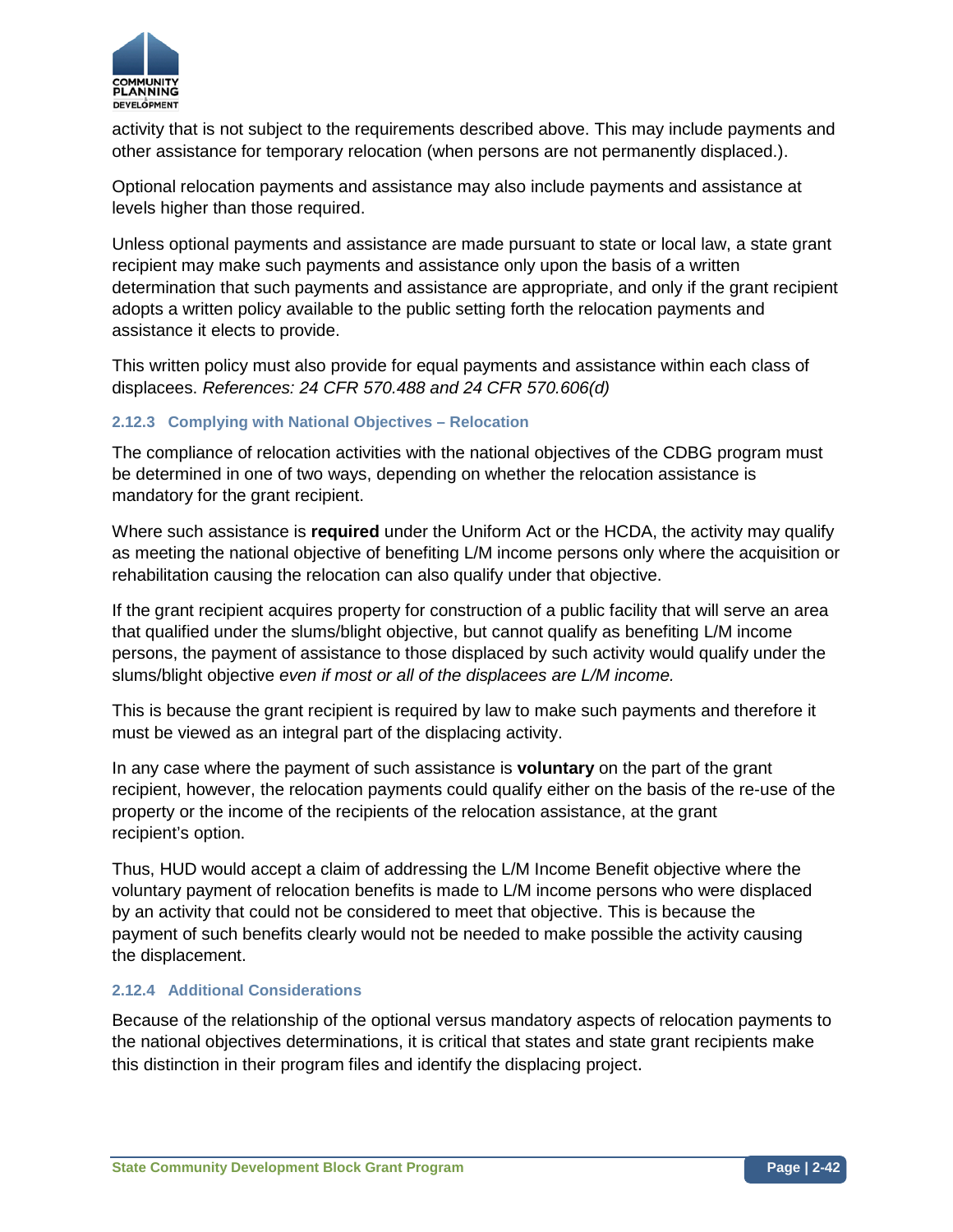

activity that is not subject to the requirements described above. This may include payments and other assistance for temporary relocation (when persons are not permanently displaced.).

Optional relocation payments and assistance may also include payments and assistance at levels higher than those required.

Unless optional payments and assistance are made pursuant to state or local law, a state grant recipient may make such payments and assistance only upon the basis of a written determination that such payments and assistance are appropriate, and only if the grant recipient adopts a written policy available to the public setting forth the relocation payments and assistance it elects to provide.

This written policy must also provide for equal payments and assistance within each class of displacees. *References: 24 CFR 570.488 and 24 CFR 570.606(d)*

## **2.12.3 Complying with National Objectives – Relocation**

The compliance of relocation activities with the national objectives of the CDBG program must be determined in one of two ways, depending on whether the relocation assistance is mandatory for the grant recipient.

Where such assistance is **required** under the Uniform Act or the HCDA, the activity may qualify as meeting the national objective of benefiting L/M income persons only where the acquisition or rehabilitation causing the relocation can also qualify under that objective.

If the grant recipient acquires property for construction of a public facility that will serve an area that qualified under the slums/blight objective, but cannot qualify as benefiting L/M income persons, the payment of assistance to those displaced by such activity would qualify under the slums/blight objective *even if most or all of the displacees are L/M income.*

This is because the grant recipient is required by law to make such payments and therefore it must be viewed as an integral part of the displacing activity.

In any case where the payment of such assistance is **voluntary** on the part of the grant recipient, however, the relocation payments could qualify either on the basis of the re-use of the property or the income of the recipients of the relocation assistance, at the grant recipient's option.

Thus, HUD would accept a claim of addressing the L/M Income Benefit objective where the voluntary payment of relocation benefits is made to L/M income persons who were displaced by an activity that could not be considered to meet that objective. This is because the payment of such benefits clearly would not be needed to make possible the activity causing the displacement.

## **2.12.4 Additional Considerations**

Because of the relationship of the optional versus mandatory aspects of relocation payments to the national objectives determinations, it is critical that states and state grant recipients make this distinction in their program files and identify the displacing project.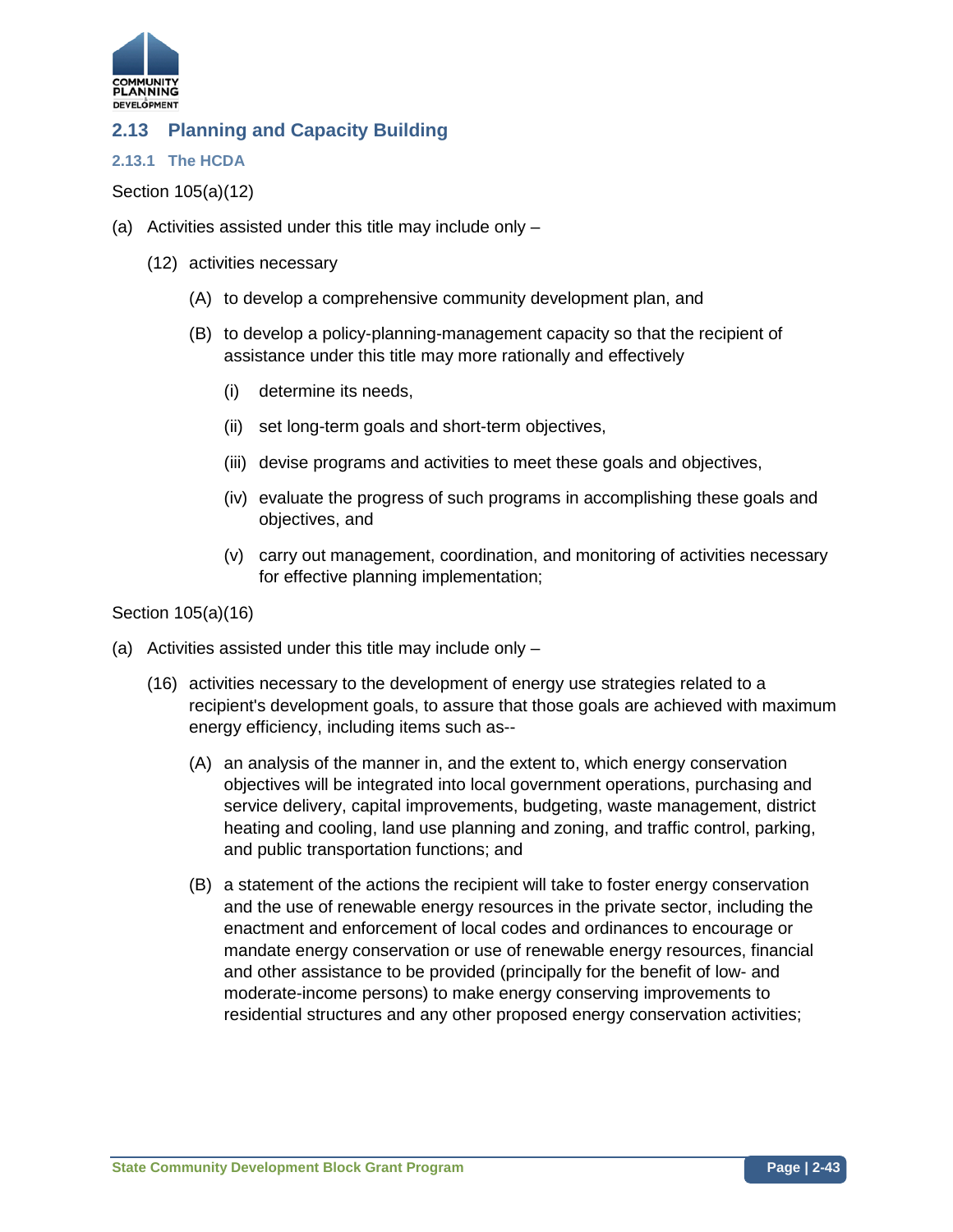

# **2.13 Planning and Capacity Building**

## **2.13.1 The HCDA**

## Section 105(a)(12)

- (a) Activities assisted under this title may include only
	- (12) activities necessary
		- (A) to develop a comprehensive community development plan, and
		- (B) to develop a policy-planning-management capacity so that the recipient of assistance under this title may more rationally and effectively
			- (i) determine its needs,
			- (ii) set long-term goals and short-term objectives,
			- (iii) devise programs and activities to meet these goals and objectives,
			- (iv) evaluate the progress of such programs in accomplishing these goals and objectives, and
			- (v) carry out management, coordination, and monitoring of activities necessary for effective planning implementation;

## Section 105(a)(16)

- (a) Activities assisted under this title may include only
	- (16) activities necessary to the development of energy use strategies related to a recipient's development goals, to assure that those goals are achieved with maximum energy efficiency, including items such as--
		- (A) an analysis of the manner in, and the extent to, which energy conservation objectives will be integrated into local government operations, purchasing and service delivery, capital improvements, budgeting, waste management, district heating and cooling, land use planning and zoning, and traffic control, parking, and public transportation functions; and
		- (B) a statement of the actions the recipient will take to foster energy conservation and the use of renewable energy resources in the private sector, including the enactment and enforcement of local codes and ordinances to encourage or mandate energy conservation or use of renewable energy resources, financial and other assistance to be provided (principally for the benefit of low- and moderate-income persons) to make energy conserving improvements to residential structures and any other proposed energy conservation activities;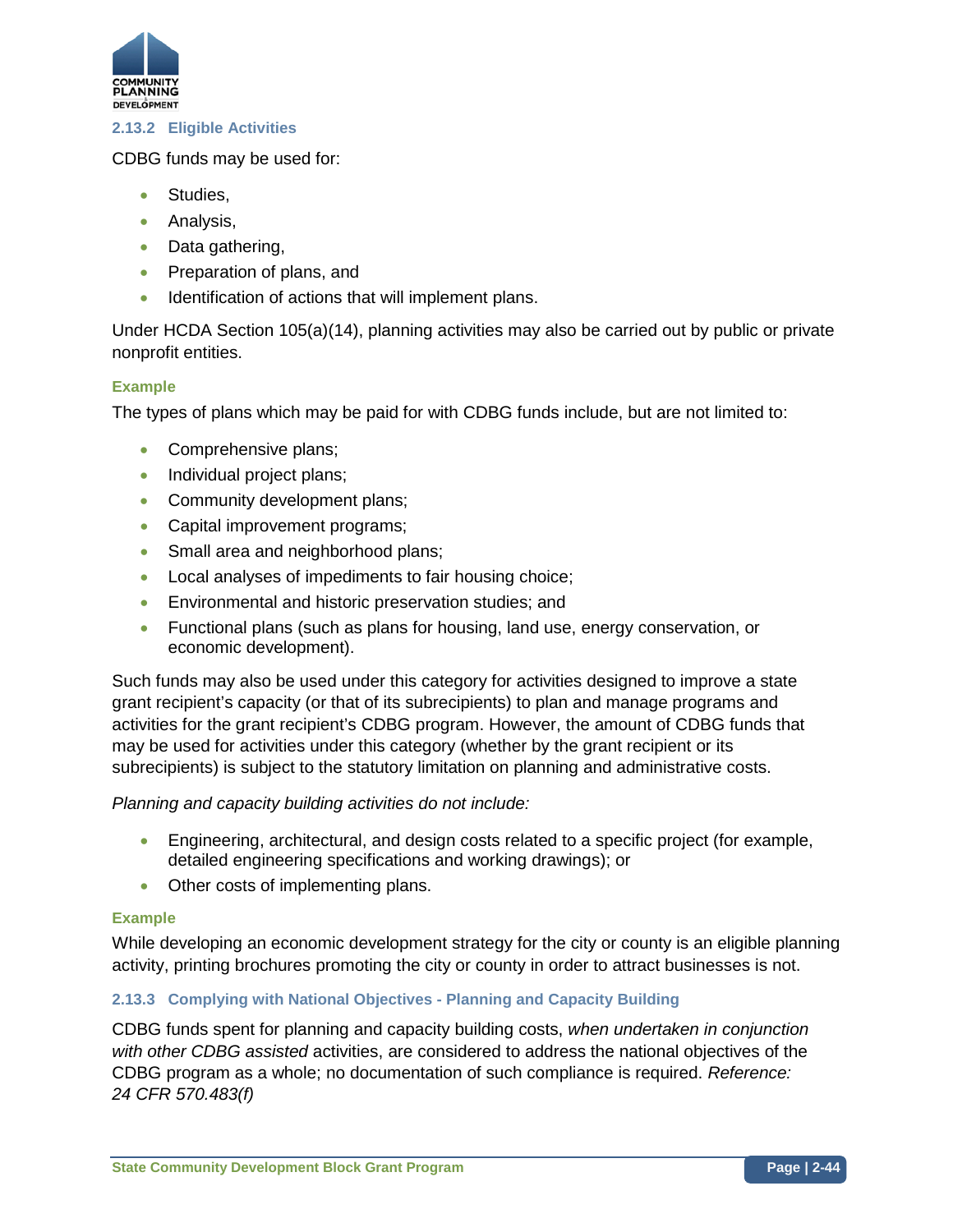

## **2.13.2 Eligible Activities**

CDBG funds may be used for:

- Studies,
- Analysis,
- Data gathering,
- Preparation of plans, and
- Identification of actions that will implement plans.

Under HCDA Section 105(a)(14), planning activities may also be carried out by public or private nonprofit entities.

## **Example**

The types of plans which may be paid for with CDBG funds include, but are not limited to:

- Comprehensive plans;
- Individual project plans;
- Community development plans;
- Capital improvement programs;
- Small area and neighborhood plans;
- Local analyses of impediments to fair housing choice;
- Environmental and historic preservation studies; and
- Functional plans (such as plans for housing, land use, energy conservation, or economic development).

Such funds may also be used under this category for activities designed to improve a state grant recipient's capacity (or that of its subrecipients) to plan and manage programs and activities for the grant recipient's CDBG program. However, the amount of CDBG funds that may be used for activities under this category (whether by the grant recipient or its subrecipients) is subject to the statutory limitation on planning and administrative costs.

## *Planning and capacity building activities do not include:*

- Engineering, architectural, and design costs related to a specific project (for example, detailed engineering specifications and working drawings); or
- Other costs of implementing plans.

## **Example**

While developing an economic development strategy for the city or county is an eligible planning activity, printing brochures promoting the city or county in order to attract businesses is not.

## **2.13.3 Complying with National Objectives - Planning and Capacity Building**

CDBG funds spent for planning and capacity building costs, *when undertaken in conjunction with other CDBG assisted* activities, are considered to address the national objectives of the CDBG program as a whole; no documentation of such compliance is required. *Reference: 24 CFR 570.483(f)*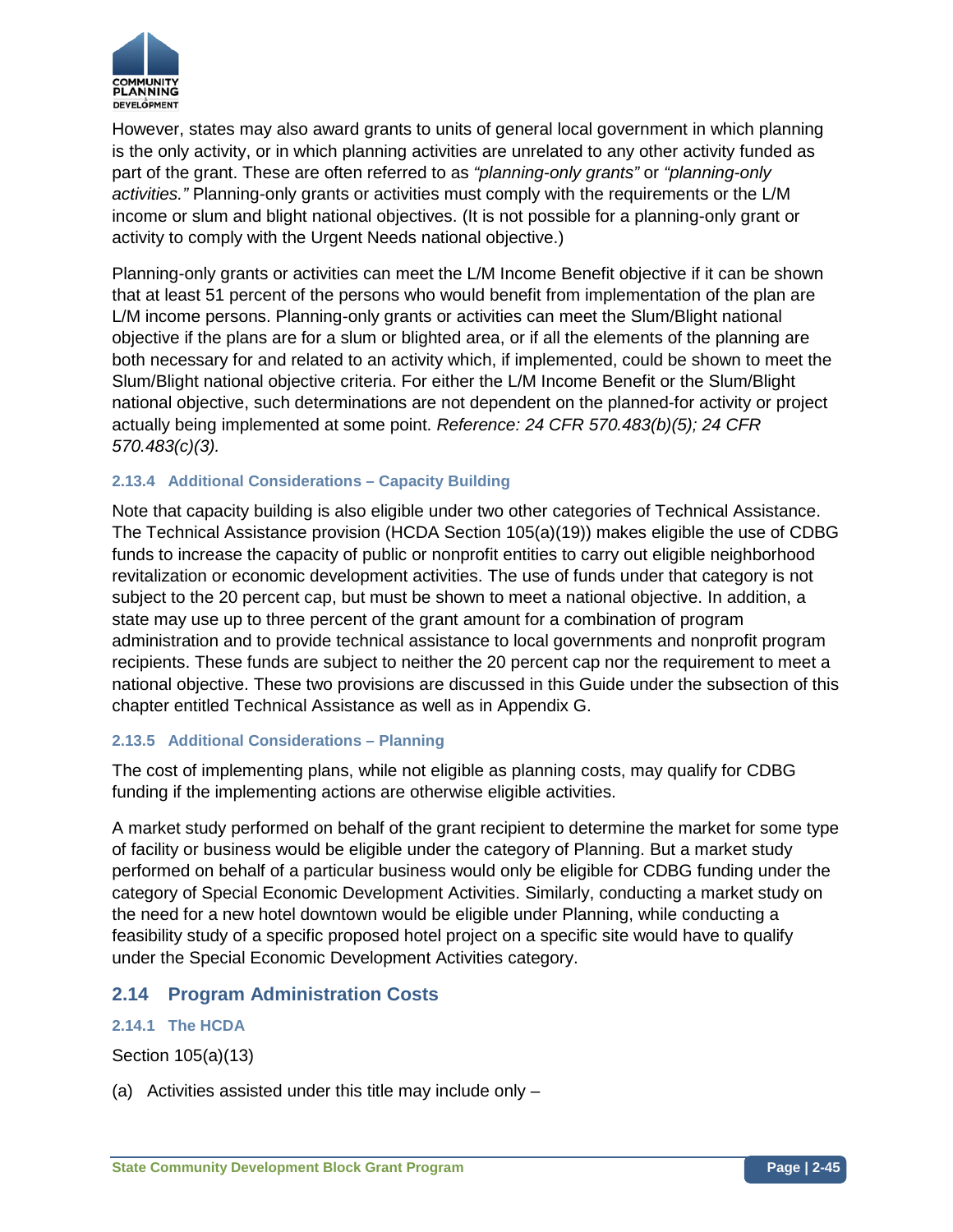

However, states may also award grants to units of general local government in which planning is the only activity, or in which planning activities are unrelated to any other activity funded as part of the grant. These are often referred to as *"planning-only grants"* or *"planning-only activities."* Planning-only grants or activities must comply with the requirements or the L/M income or slum and blight national objectives. (It is not possible for a planning-only grant or activity to comply with the Urgent Needs national objective.)

Planning-only grants or activities can meet the L/M Income Benefit objective if it can be shown that at least 51 percent of the persons who would benefit from implementation of the plan are L/M income persons. Planning-only grants or activities can meet the Slum/Blight national objective if the plans are for a slum or blighted area, or if all the elements of the planning are both necessary for and related to an activity which, if implemented, could be shown to meet the Slum/Blight national objective criteria. For either the L/M Income Benefit or the Slum/Blight national objective, such determinations are not dependent on the planned-for activity or project actually being implemented at some point. *Reference: 24 CFR 570.483(b)(5); 24 CFR 570.483(c)(3).*

## **2.13.4 Additional Considerations – Capacity Building**

Note that capacity building is also eligible under two other categories of Technical Assistance. The Technical Assistance provision (HCDA Section 105(a)(19)) makes eligible the use of CDBG funds to increase the capacity of public or nonprofit entities to carry out eligible neighborhood revitalization or economic development activities. The use of funds under that category is not subject to the 20 percent cap, but must be shown to meet a national objective. In addition, a state may use up to three percent of the grant amount for a combination of program administration and to provide technical assistance to local governments and nonprofit program recipients. These funds are subject to neither the 20 percent cap nor the requirement to meet a national objective. These two provisions are discussed in this Guide under the subsection of this chapter entitled Technical Assistance as well as in Appendix G.

## **2.13.5 Additional Considerations – Planning**

The cost of implementing plans, while not eligible as planning costs, may qualify for CDBG funding if the implementing actions are otherwise eligible activities.

A market study performed on behalf of the grant recipient to determine the market for some type of facility or business would be eligible under the category of Planning. But a market study performed on behalf of a particular business would only be eligible for CDBG funding under the category of Special Economic Development Activities. Similarly, conducting a market study on the need for a new hotel downtown would be eligible under Planning, while conducting a feasibility study of a specific proposed hotel project on a specific site would have to qualify under the Special Economic Development Activities category.

# **2.14 Program Administration Costs**

## **2.14.1 The HCDA**

Section 105(a)(13)

(a) Activities assisted under this title may include only –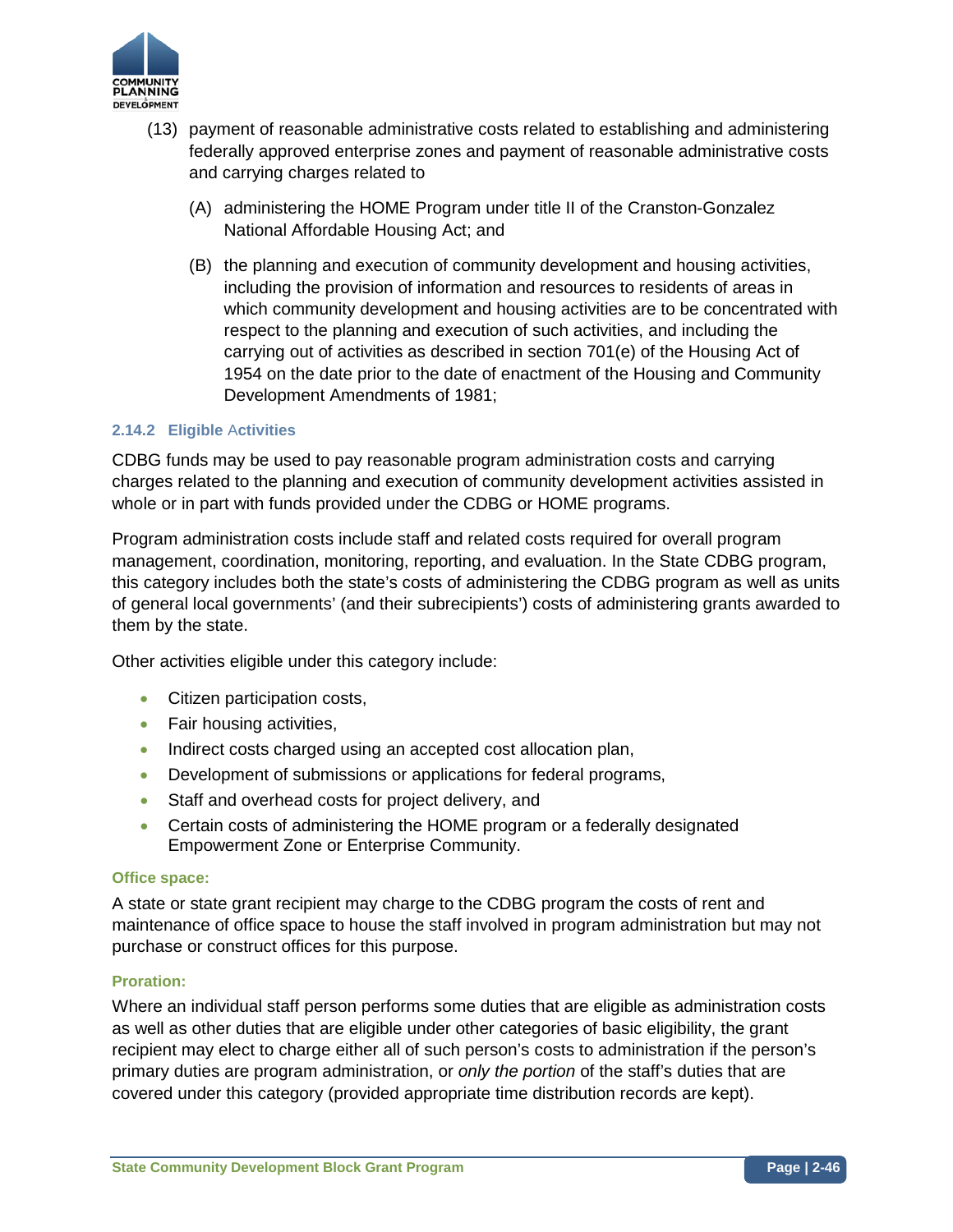

- (13) payment of reasonable administrative costs related to establishing and administering federally approved enterprise zones and payment of reasonable administrative costs and carrying charges related to
	- (A) administering the HOME Program under title II of the Cranston-Gonzalez National Affordable Housing Act; and
	- (B) the planning and execution of community development and housing activities, including the provision of information and resources to residents of areas in which community development and housing activities are to be concentrated with respect to the planning and execution of such activities, and including the carrying out of activities as described in section 701(e) of the Housing Act of 1954 on the date prior to the date of enactment of the Housing and Community Development Amendments of 1981;

## **2.14.2 Eligible** A**ctivities**

CDBG funds may be used to pay reasonable program administration costs and carrying charges related to the planning and execution of community development activities assisted in whole or in part with funds provided under the CDBG or HOME programs.

Program administration costs include staff and related costs required for overall program management, coordination, monitoring, reporting, and evaluation. In the State CDBG program, this category includes both the state's costs of administering the CDBG program as well as units of general local governments' (and their subrecipients') costs of administering grants awarded to them by the state.

Other activities eligible under this category include:

- Citizen participation costs,
- Fair housing activities,
- Indirect costs charged using an accepted cost allocation plan,
- Development of submissions or applications for federal programs,
- Staff and overhead costs for project delivery, and
- Certain costs of administering the HOME program or a federally designated Empowerment Zone or Enterprise Community.

#### **Office space:**

A state or state grant recipient may charge to the CDBG program the costs of rent and maintenance of office space to house the staff involved in program administration but may not purchase or construct offices for this purpose.

#### **Proration:**

Where an individual staff person performs some duties that are eligible as administration costs as well as other duties that are eligible under other categories of basic eligibility, the grant recipient may elect to charge either all of such person's costs to administration if the person's primary duties are program administration, or *only the portion* of the staff's duties that are covered under this category (provided appropriate time distribution records are kept).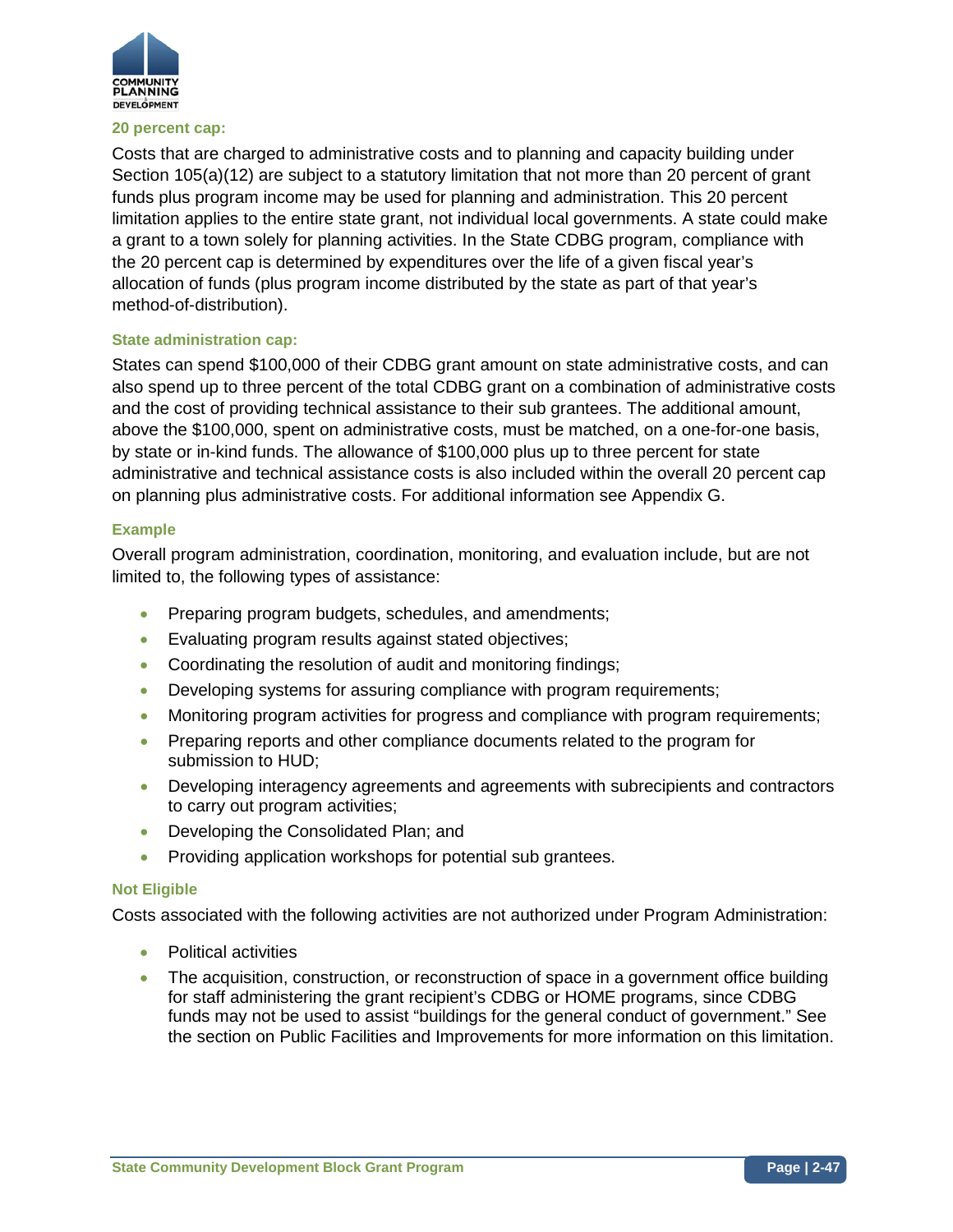

#### **20 percent cap:**

Costs that are charged to administrative costs and to planning and capacity building under Section 105(a)(12) are subject to a statutory limitation that not more than 20 percent of grant funds plus program income may be used for planning and administration. This 20 percent limitation applies to the entire state grant, not individual local governments. A state could make a grant to a town solely for planning activities. In the State CDBG program, compliance with the 20 percent cap is determined by expenditures over the life of a given fiscal year's allocation of funds (plus program income distributed by the state as part of that year's method-of-distribution).

#### **State administration cap:**

States can spend \$100,000 of their CDBG grant amount on state administrative costs, and can also spend up to three percent of the total CDBG grant on a combination of administrative costs and the cost of providing technical assistance to their sub grantees. The additional amount, above the \$100,000, spent on administrative costs, must be matched, on a one-for-one basis, by state or in-kind funds. The allowance of \$100,000 plus up to three percent for state administrative and technical assistance costs is also included within the overall 20 percent cap on planning plus administrative costs. For additional information see Appendix G.

#### **Example**

Overall program administration, coordination, monitoring, and evaluation include, but are not limited to, the following types of assistance:

- Preparing program budgets, schedules, and amendments;
- Evaluating program results against stated objectives;
- Coordinating the resolution of audit and monitoring findings;
- Developing systems for assuring compliance with program requirements;
- Monitoring program activities for progress and compliance with program requirements;
- Preparing reports and other compliance documents related to the program for submission to HUD;
- Developing interagency agreements and agreements with subrecipients and contractors to carry out program activities;
- Developing the Consolidated Plan; and
- Providing application workshops for potential sub grantees.

## **Not Eligible**

Costs associated with the following activities are not authorized under Program Administration:

- Political activities
- The acquisition, construction, or reconstruction of space in a government office building for staff administering the grant recipient's CDBG or HOME programs, since CDBG funds may not be used to assist "buildings for the general conduct of government." See the section on Public Facilities and Improvements for more information on this limitation.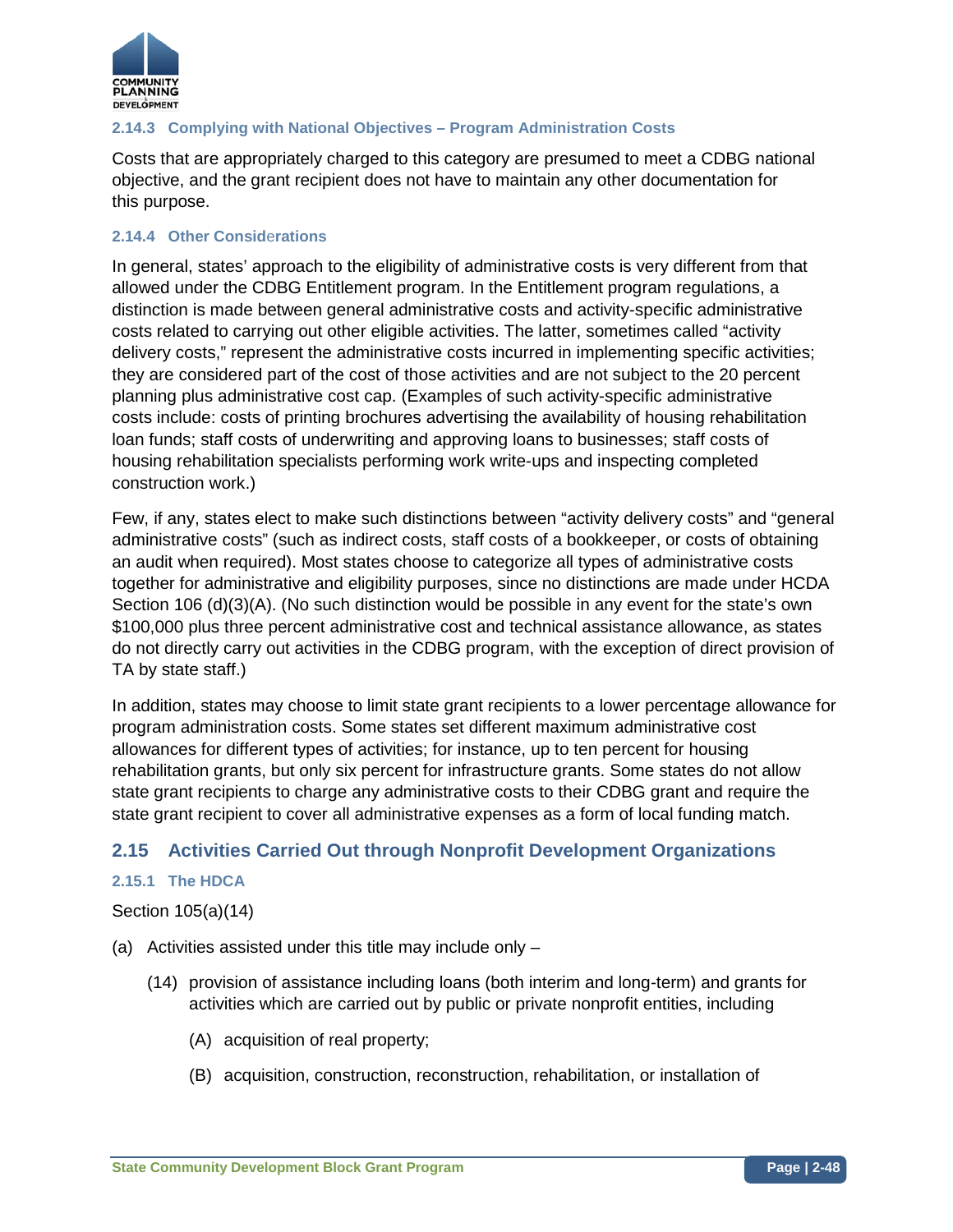

# **2.14.3 Complying with National Objectives – Program Administration Costs**

Costs that are appropriately charged to this category are presumed to meet a CDBG national objective, and the grant recipient does not have to maintain any other documentation for this purpose.

## **2.14.4 Other Consid**e**rations**

In general, states' approach to the eligibility of administrative costs is very different from that allowed under the CDBG Entitlement program. In the Entitlement program regulations, a distinction is made between general administrative costs and activity-specific administrative costs related to carrying out other eligible activities. The latter, sometimes called "activity delivery costs," represent the administrative costs incurred in implementing specific activities; they are considered part of the cost of those activities and are not subject to the 20 percent planning plus administrative cost cap. (Examples of such activity-specific administrative costs include: costs of printing brochures advertising the availability of housing rehabilitation loan funds; staff costs of underwriting and approving loans to businesses; staff costs of housing rehabilitation specialists performing work write-ups and inspecting completed construction work.)

Few, if any, states elect to make such distinctions between "activity delivery costs" and "general administrative costs" (such as indirect costs, staff costs of a bookkeeper, or costs of obtaining an audit when required). Most states choose to categorize all types of administrative costs together for administrative and eligibility purposes, since no distinctions are made under HCDA Section 106 (d)(3)(A). (No such distinction would be possible in any event for the state's own \$100,000 plus three percent administrative cost and technical assistance allowance, as states do not directly carry out activities in the CDBG program, with the exception of direct provision of TA by state staff.)

In addition, states may choose to limit state grant recipients to a lower percentage allowance for program administration costs. Some states set different maximum administrative cost allowances for different types of activities; for instance, up to ten percent for housing rehabilitation grants, but only six percent for infrastructure grants. Some states do not allow state grant recipients to charge any administrative costs to their CDBG grant and require the state grant recipient to cover all administrative expenses as a form of local funding match.

# **2.15 Activities Carried Out through Nonprofit Development Organizations**

## **2.15.1 The HDCA**

## Section 105(a)(14)

- (a) Activities assisted under this title may include only
	- (14) provision of assistance including loans (both interim and long-term) and grants for activities which are carried out by public or private nonprofit entities, including
		- (A) acquisition of real property;
		- (B) acquisition, construction, reconstruction, rehabilitation, or installation of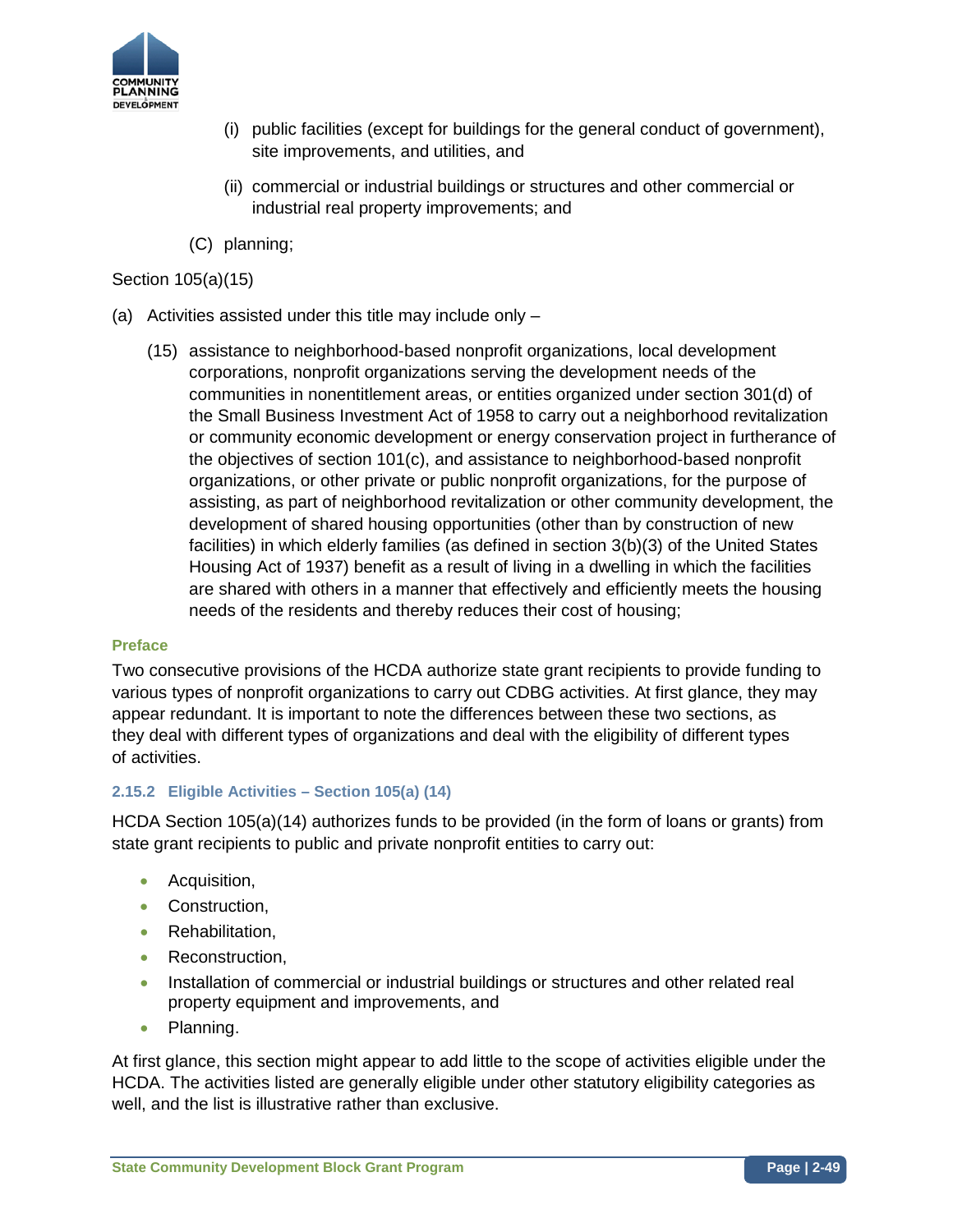

- (i) public facilities (except for buildings for the general conduct of government), site improvements, and utilities, and
- (ii) commercial or industrial buildings or structures and other commercial or industrial real property improvements; and
- (C) planning;

## Section 105(a)(15)

- (a) Activities assisted under this title may include only
	- (15) assistance to neighborhood-based nonprofit organizations, local development corporations, nonprofit organizations serving the development needs of the communities in nonentitlement areas, or entities organized under section 301(d) of the Small Business Investment Act of 1958 to carry out a neighborhood revitalization or community economic development or energy conservation project in furtherance of the objectives of section 101(c), and assistance to neighborhood-based nonprofit organizations, or other private or public nonprofit organizations, for the purpose of assisting, as part of neighborhood revitalization or other community development, the development of shared housing opportunities (other than by construction of new facilities) in which elderly families (as defined in section 3(b)(3) of the United States Housing Act of 1937) benefit as a result of living in a dwelling in which the facilities are shared with others in a manner that effectively and efficiently meets the housing needs of the residents and thereby reduces their cost of housing;

#### **Preface**

Two consecutive provisions of the HCDA authorize state grant recipients to provide funding to various types of nonprofit organizations to carry out CDBG activities. At first glance, they may appear redundant. It is important to note the differences between these two sections, as they deal with different types of organizations and deal with the eligibility of different types of activities.

## **2.15.2 Eligible Activities – Section 105(a) (14)**

HCDA Section 105(a)(14) authorizes funds to be provided (in the form of loans or grants) from state grant recipients to public and private nonprofit entities to carry out:

- Acquisition,
- Construction,
- Rehabilitation,
- Reconstruction.
- Installation of commercial or industrial buildings or structures and other related real property equipment and improvements, and
- Planning.

At first glance, this section might appear to add little to the scope of activities eligible under the HCDA. The activities listed are generally eligible under other statutory eligibility categories as well, and the list is illustrative rather than exclusive.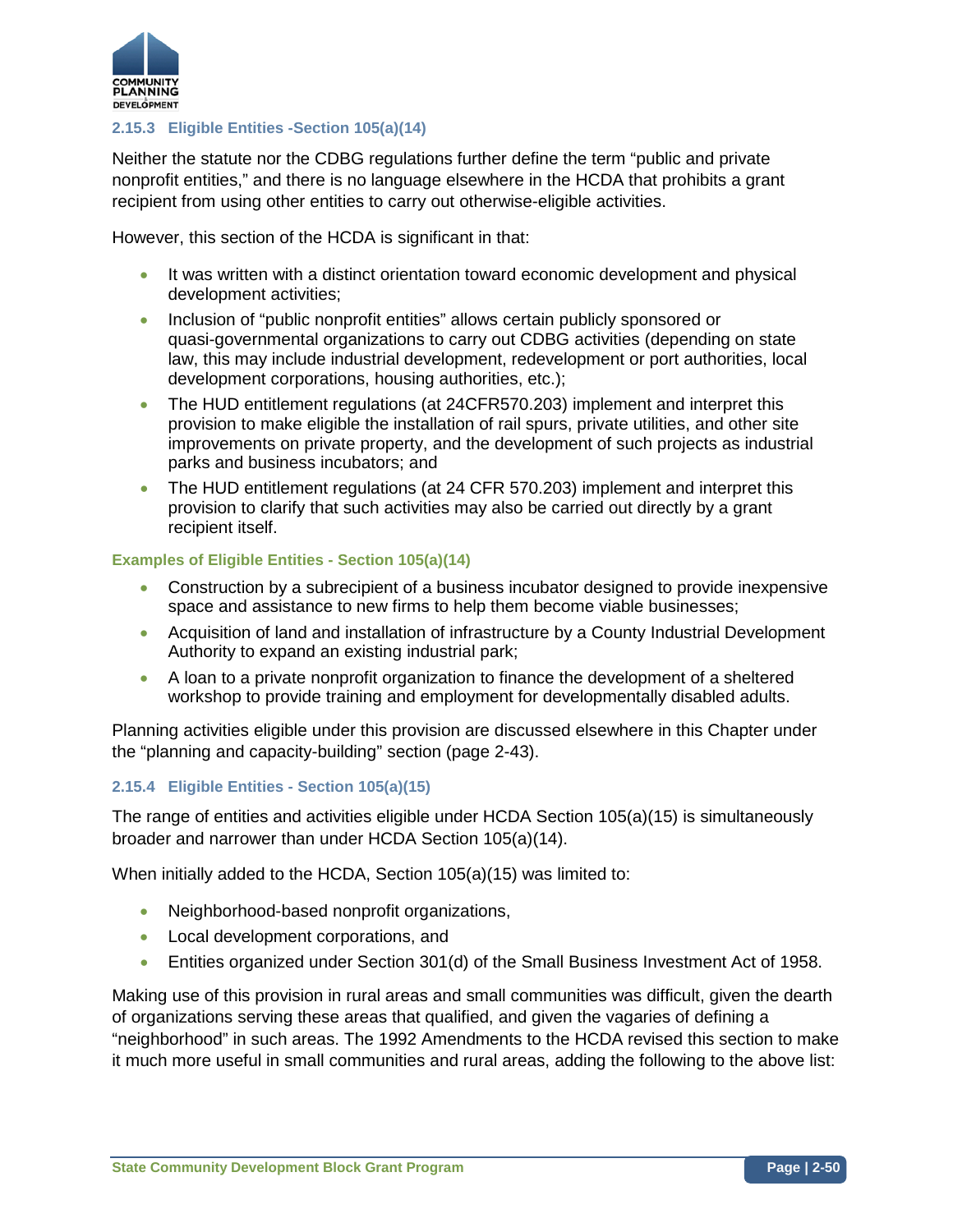

## **2.15.3 Eligible Entities -Section 105(a)(14)**

Neither the statute nor the CDBG regulations further define the term "public and private nonprofit entities," and there is no language elsewhere in the HCDA that prohibits a grant recipient from using other entities to carry out otherwise-eligible activities.

However, this section of the HCDA is significant in that:

- It was written with a distinct orientation toward economic development and physical development activities;
- Inclusion of "public nonprofit entities" allows certain publicly sponsored or quasi-governmental organizations to carry out CDBG activities (depending on state law, this may include industrial development, redevelopment or port authorities, local development corporations, housing authorities, etc.);
- The HUD entitlement regulations (at 24CFR570.203) implement and interpret this provision to make eligible the installation of rail spurs, private utilities, and other site improvements on private property, and the development of such projects as industrial parks and business incubators; and
- The HUD entitlement regulations (at 24 CFR 570.203) implement and interpret this provision to clarify that such activities may also be carried out directly by a grant recipient itself.

#### **Examples of Eligible Entities - Section 105(a)(14)**

- Construction by a subrecipient of a business incubator designed to provide inexpensive space and assistance to new firms to help them become viable businesses;
- Acquisition of land and installation of infrastructure by a County Industrial Development Authority to expand an existing industrial park;
- A loan to a private nonprofit organization to finance the development of a sheltered workshop to provide training and employment for developmentally disabled adults.

Planning activities eligible under this provision are discussed elsewhere in this Chapter under the "planning and capacity-building" section (page 2-43).

## **2.15.4 Eligible Entities - Section 105(a)(15)**

The range of entities and activities eligible under HCDA Section 105(a)(15) is simultaneously broader and narrower than under HCDA Section 105(a)(14).

When initially added to the HCDA, Section 105(a)(15) was limited to:

- Neighborhood-based nonprofit organizations,
- Local development corporations, and
- Entities organized under Section 301(d) of the Small Business Investment Act of 1958.

Making use of this provision in rural areas and small communities was difficult, given the dearth of organizations serving these areas that qualified, and given the vagaries of defining a "neighborhood" in such areas. The 1992 Amendments to the HCDA revised this section to make it much more useful in small communities and rural areas, adding the following to the above list: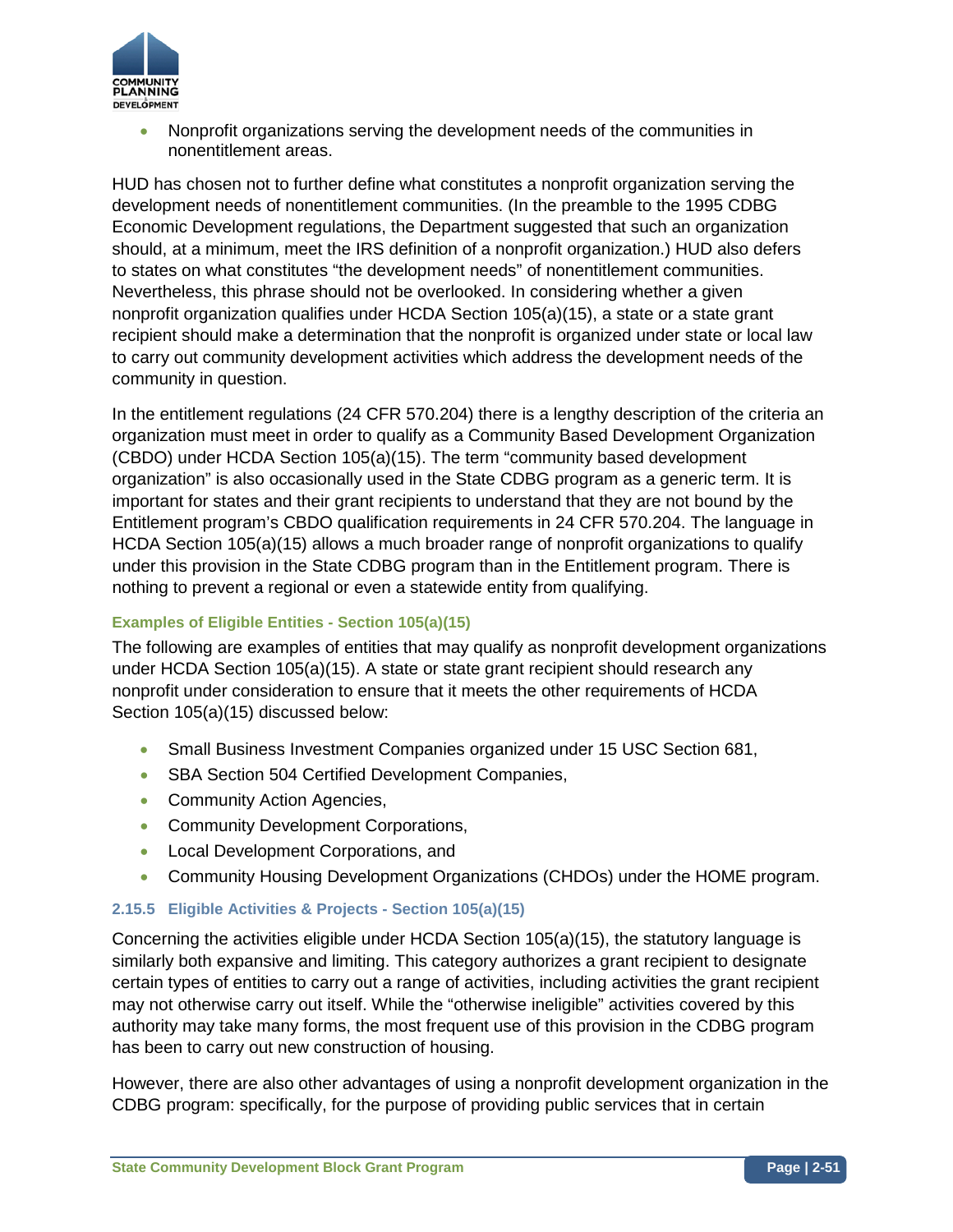

• Nonprofit organizations serving the development needs of the communities in nonentitlement areas.

HUD has chosen not to further define what constitutes a nonprofit organization serving the development needs of nonentitlement communities. (In the preamble to the 1995 CDBG Economic Development regulations, the Department suggested that such an organization should, at a minimum, meet the IRS definition of a nonprofit organization.) HUD also defers to states on what constitutes "the development needs" of nonentitlement communities. Nevertheless, this phrase should not be overlooked. In considering whether a given nonprofit organization qualifies under HCDA Section 105(a)(15), a state or a state grant recipient should make a determination that the nonprofit is organized under state or local law to carry out community development activities which address the development needs of the community in question.

In the entitlement regulations (24 CFR 570.204) there is a lengthy description of the criteria an organization must meet in order to qualify as a Community Based Development Organization (CBDO) under HCDA Section 105(a)(15). The term "community based development organization" is also occasionally used in the State CDBG program as a generic term. It is important for states and their grant recipients to understand that they are not bound by the Entitlement program's CBDO qualification requirements in 24 CFR 570.204. The language in HCDA Section 105(a)(15) allows a much broader range of nonprofit organizations to qualify under this provision in the State CDBG program than in the Entitlement program. There is nothing to prevent a regional or even a statewide entity from qualifying.

## **Examples of Eligible Entities - Section 105(a)(15)**

The following are examples of entities that may qualify as nonprofit development organizations under HCDA Section 105(a)(15). A state or state grant recipient should research any nonprofit under consideration to ensure that it meets the other requirements of HCDA Section 105(a)(15) discussed below:

- Small Business Investment Companies organized under 15 USC Section 681,
- SBA Section 504 Certified Development Companies,
- Community Action Agencies,
- Community Development Corporations,
- Local Development Corporations, and
- Community Housing Development Organizations (CHDOs) under the HOME program.

## **2.15.5 Eligible Activities & Projects - Section 105(a)(15)**

Concerning the activities eligible under HCDA Section 105(a)(15), the statutory language is similarly both expansive and limiting. This category authorizes a grant recipient to designate certain types of entities to carry out a range of activities, including activities the grant recipient may not otherwise carry out itself. While the "otherwise ineligible" activities covered by this authority may take many forms, the most frequent use of this provision in the CDBG program has been to carry out new construction of housing.

However, there are also other advantages of using a nonprofit development organization in the CDBG program: specifically, for the purpose of providing public services that in certain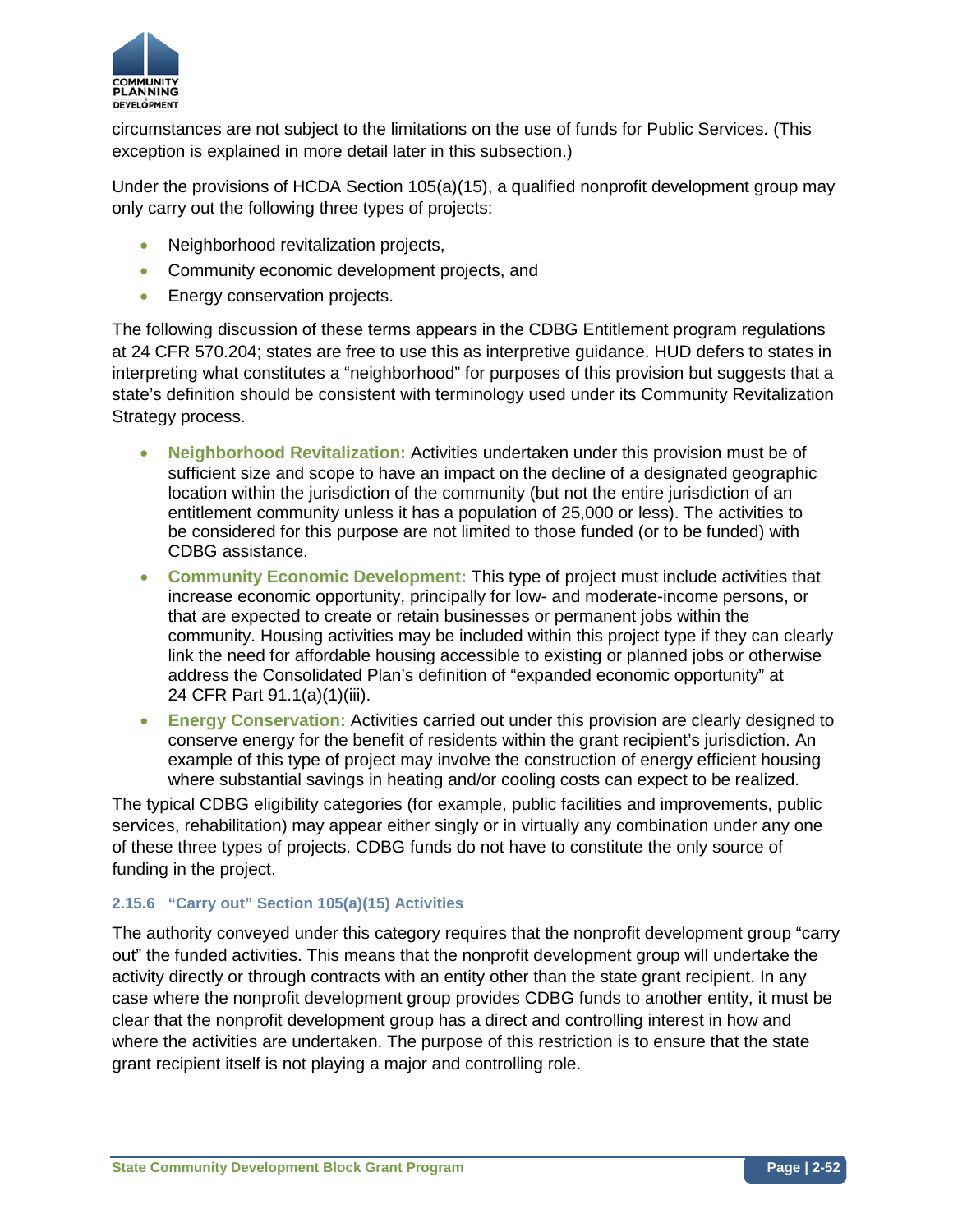

circumstances are not subject to the limitations on the use of funds for Public Services. (This exception is explained in more detail later in this subsection.)

Under the provisions of HCDA Section 105(a)(15), a qualified nonprofit development group may only carry out the following three types of projects:

- Neighborhood revitalization projects,
- Community economic development projects, and
- Energy conservation projects.

The following discussion of these terms appears in the CDBG Entitlement program regulations at 24 CFR 570.204; states are free to use this as interpretive guidance. HUD defers to states in interpreting what constitutes a "neighborhood" for purposes of this provision but suggests that a state's definition should be consistent with terminology used under its Community Revitalization Strategy process.

- **Neighborhood Revitalization:** Activities undertaken under this provision must be of sufficient size and scope to have an impact on the decline of a designated geographic location within the jurisdiction of the community (but not the entire jurisdiction of an entitlement community unless it has a population of 25,000 or less). The activities to be considered for this purpose are not limited to those funded (or to be funded) with CDBG assistance.
- **Community Economic Development:** This type of project must include activities that increase economic opportunity, principally for low- and moderate-income persons, or that are expected to create or retain businesses or permanent jobs within the community. Housing activities may be included within this project type if they can clearly link the need for affordable housing accessible to existing or planned jobs or otherwise address the Consolidated Plan's definition of "expanded economic opportunity" at 24 CFR Part 91.1(a)(1)(iii).
- **Energy Conservation:** Activities carried out under this provision are clearly designed to conserve energy for the benefit of residents within the grant recipient's jurisdiction. An example of this type of project may involve the construction of energy efficient housing where substantial savings in heating and/or cooling costs can expect to be realized.

The typical CDBG eligibility categories (for example, public facilities and improvements, public services, rehabilitation) may appear either singly or in virtually any combination under any one of these three types of projects. CDBG funds do not have to constitute the only source of funding in the project.

## **2.15.6 "Carry out" Section 105(a)(15) Activities**

The authority conveyed under this category requires that the nonprofit development group "carry out" the funded activities. This means that the nonprofit development group will undertake the activity directly or through contracts with an entity other than the state grant recipient. In any case where the nonprofit development group provides CDBG funds to another entity, it must be clear that the nonprofit development group has a direct and controlling interest in how and where the activities are undertaken. The purpose of this restriction is to ensure that the state grant recipient itself is not playing a major and controlling role.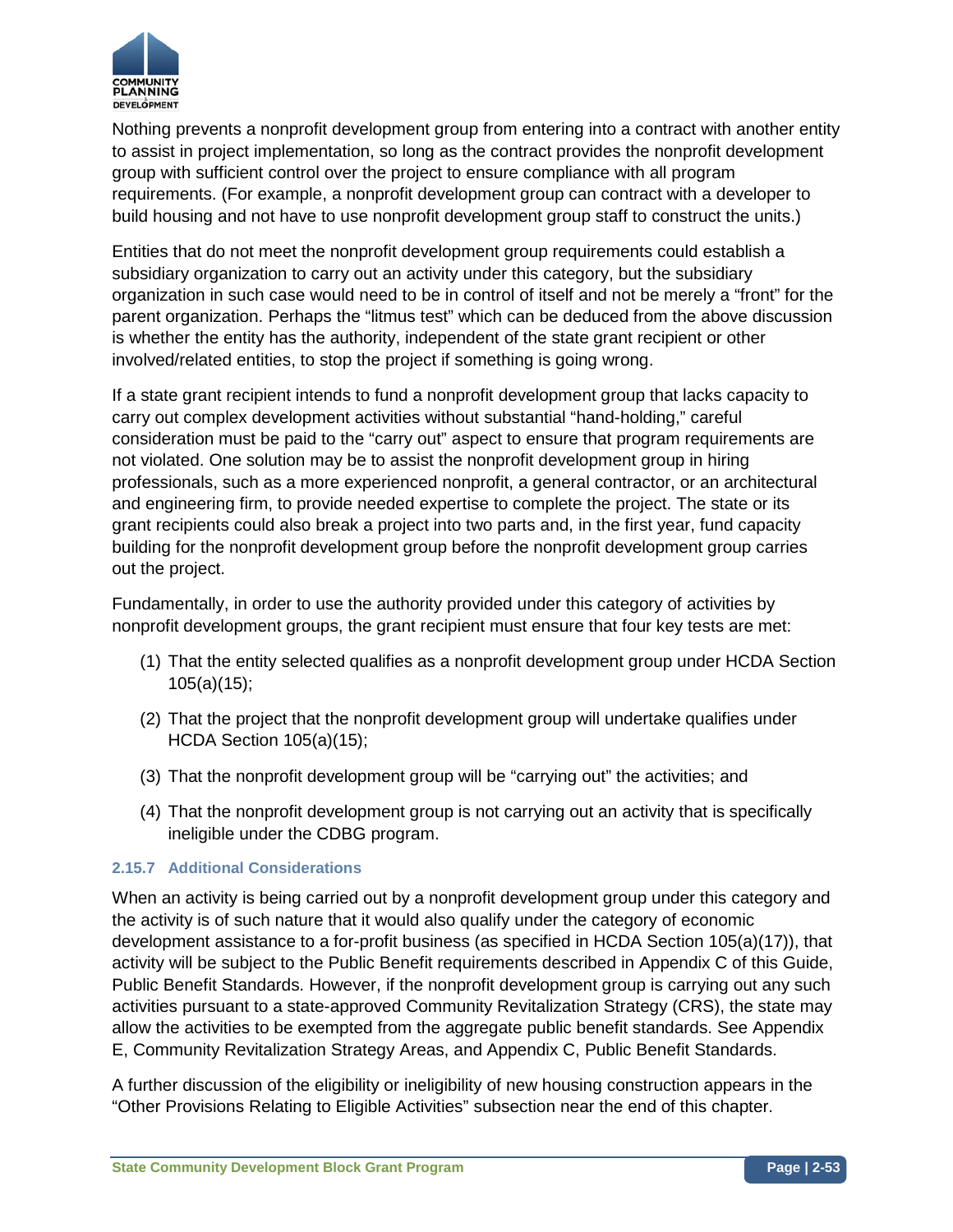

Nothing prevents a nonprofit development group from entering into a contract with another entity to assist in project implementation, so long as the contract provides the nonprofit development group with sufficient control over the project to ensure compliance with all program requirements. (For example, a nonprofit development group can contract with a developer to build housing and not have to use nonprofit development group staff to construct the units.)

Entities that do not meet the nonprofit development group requirements could establish a subsidiary organization to carry out an activity under this category, but the subsidiary organization in such case would need to be in control of itself and not be merely a "front" for the parent organization. Perhaps the "litmus test" which can be deduced from the above discussion is whether the entity has the authority, independent of the state grant recipient or other involved/related entities, to stop the project if something is going wrong.

If a state grant recipient intends to fund a nonprofit development group that lacks capacity to carry out complex development activities without substantial "hand-holding," careful consideration must be paid to the "carry out" aspect to ensure that program requirements are not violated. One solution may be to assist the nonprofit development group in hiring professionals, such as a more experienced nonprofit, a general contractor, or an architectural and engineering firm, to provide needed expertise to complete the project. The state or its grant recipients could also break a project into two parts and, in the first year, fund capacity building for the nonprofit development group before the nonprofit development group carries out the project.

Fundamentally, in order to use the authority provided under this category of activities by nonprofit development groups, the grant recipient must ensure that four key tests are met:

- (1) That the entity selected qualifies as a nonprofit development group under HCDA Section 105(a)(15);
- (2) That the project that the nonprofit development group will undertake qualifies under HCDA Section 105(a)(15);
- (3) That the nonprofit development group will be "carrying out" the activities; and
- (4) That the nonprofit development group is not carrying out an activity that is specifically ineligible under the CDBG program.

## **2.15.7 Additional Considerations**

When an activity is being carried out by a nonprofit development group under this category and the activity is of such nature that it would also qualify under the category of economic development assistance to a for-profit business (as specified in HCDA Section 105(a)(17)), that activity will be subject to the Public Benefit requirements described in Appendix C of this Guide, Public Benefit Standards. However, if the nonprofit development group is carrying out any such activities pursuant to a state-approved Community Revitalization Strategy (CRS), the state may allow the activities to be exempted from the aggregate public benefit standards. See Appendix E, Community Revitalization Strategy Areas, and Appendix C, Public Benefit Standards.

A further discussion of the eligibility or ineligibility of new housing construction appears in the "Other Provisions Relating to Eligible Activities" subsection near the end of this chapter.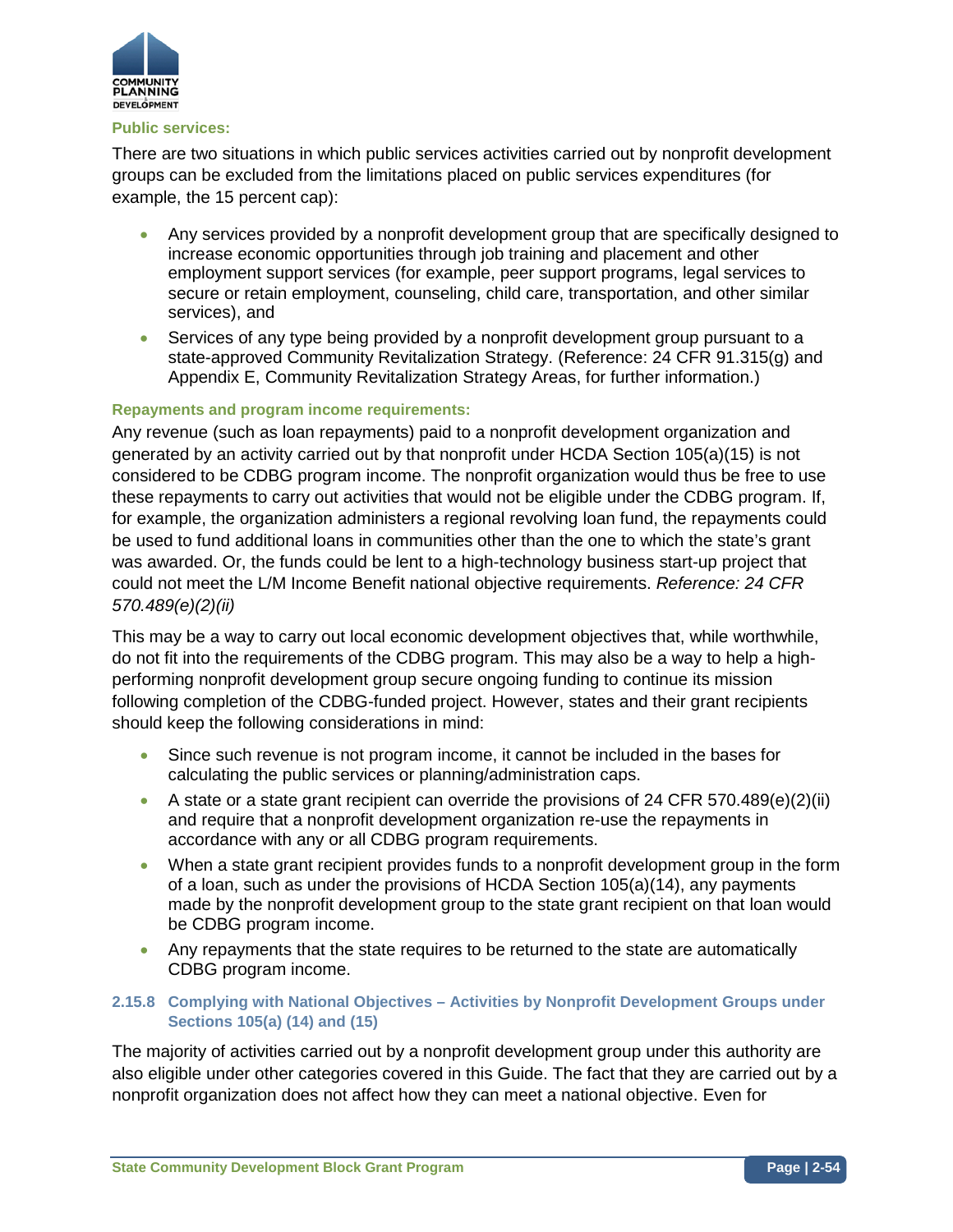

#### **Public services:**

There are two situations in which public services activities carried out by nonprofit development groups can be excluded from the limitations placed on public services expenditures (for example, the 15 percent cap):

- Any services provided by a nonprofit development group that are specifically designed to increase economic opportunities through job training and placement and other employment support services (for example, peer support programs, legal services to secure or retain employment, counseling, child care, transportation, and other similar services), and
- Services of any type being provided by a nonprofit development group pursuant to a state-approved Community Revitalization Strategy. (Reference: 24 CFR 91.315(g) and Appendix E, Community Revitalization Strategy Areas, for further information.)

## **Repayments and program income requirements:**

Any revenue (such as loan repayments) paid to a nonprofit development organization and generated by an activity carried out by that nonprofit under HCDA Section 105(a)(15) is not considered to be CDBG program income. The nonprofit organization would thus be free to use these repayments to carry out activities that would not be eligible under the CDBG program. If, for example, the organization administers a regional revolving loan fund, the repayments could be used to fund additional loans in communities other than the one to which the state's grant was awarded. Or, the funds could be lent to a high-technology business start-up project that could not meet the L/M Income Benefit national objective requirements. *Reference: 24 CFR 570.489(e)(2)(ii)*

This may be a way to carry out local economic development objectives that, while worthwhile, do not fit into the requirements of the CDBG program. This may also be a way to help a highperforming nonprofit development group secure ongoing funding to continue its mission following completion of the CDBG-funded project. However, states and their grant recipients should keep the following considerations in mind:

- Since such revenue is not program income, it cannot be included in the bases for calculating the public services or planning/administration caps.
- A state or a state grant recipient can override the provisions of 24 CFR 570.489(e)(2)(ii) and require that a nonprofit development organization re-use the repayments in accordance with any or all CDBG program requirements.
- When a state grant recipient provides funds to a nonprofit development group in the form of a loan, such as under the provisions of HCDA Section 105(a)(14), any payments made by the nonprofit development group to the state grant recipient on that loan would be CDBG program income.
- Any repayments that the state requires to be returned to the state are automatically CDBG program income.

## **2.15.8 Complying with National Objectives – Activities by Nonprofit Development Groups under Sections 105(a) (14) and (15)**

The majority of activities carried out by a nonprofit development group under this authority are also eligible under other categories covered in this Guide. The fact that they are carried out by a nonprofit organization does not affect how they can meet a national objective. Even for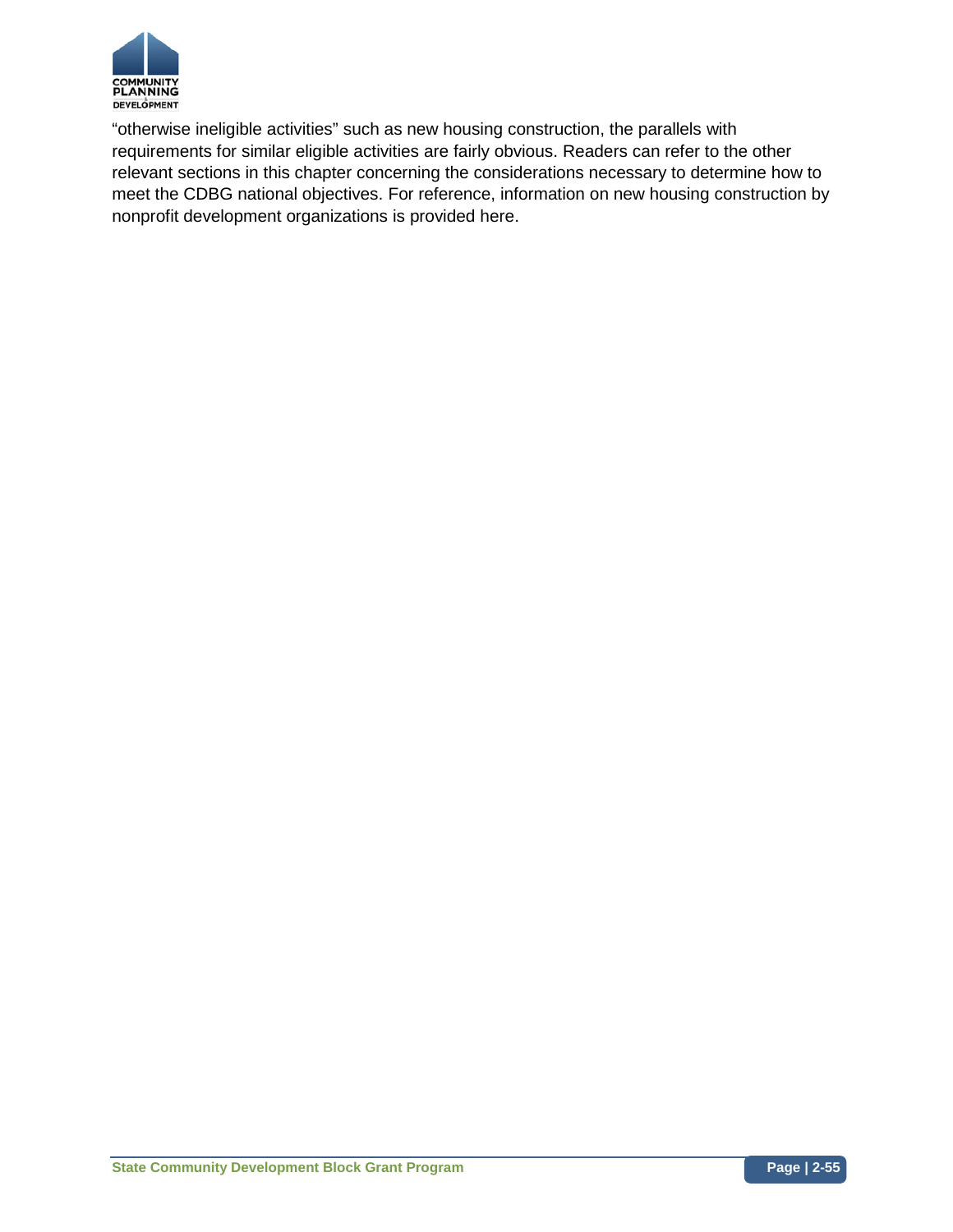

"otherwise ineligible activities" such as new housing construction, the parallels with requirements for similar eligible activities are fairly obvious. Readers can refer to the other relevant sections in this chapter concerning the considerations necessary to determine how to meet the CDBG national objectives. For reference, information on new housing construction by nonprofit development organizations is provided here.

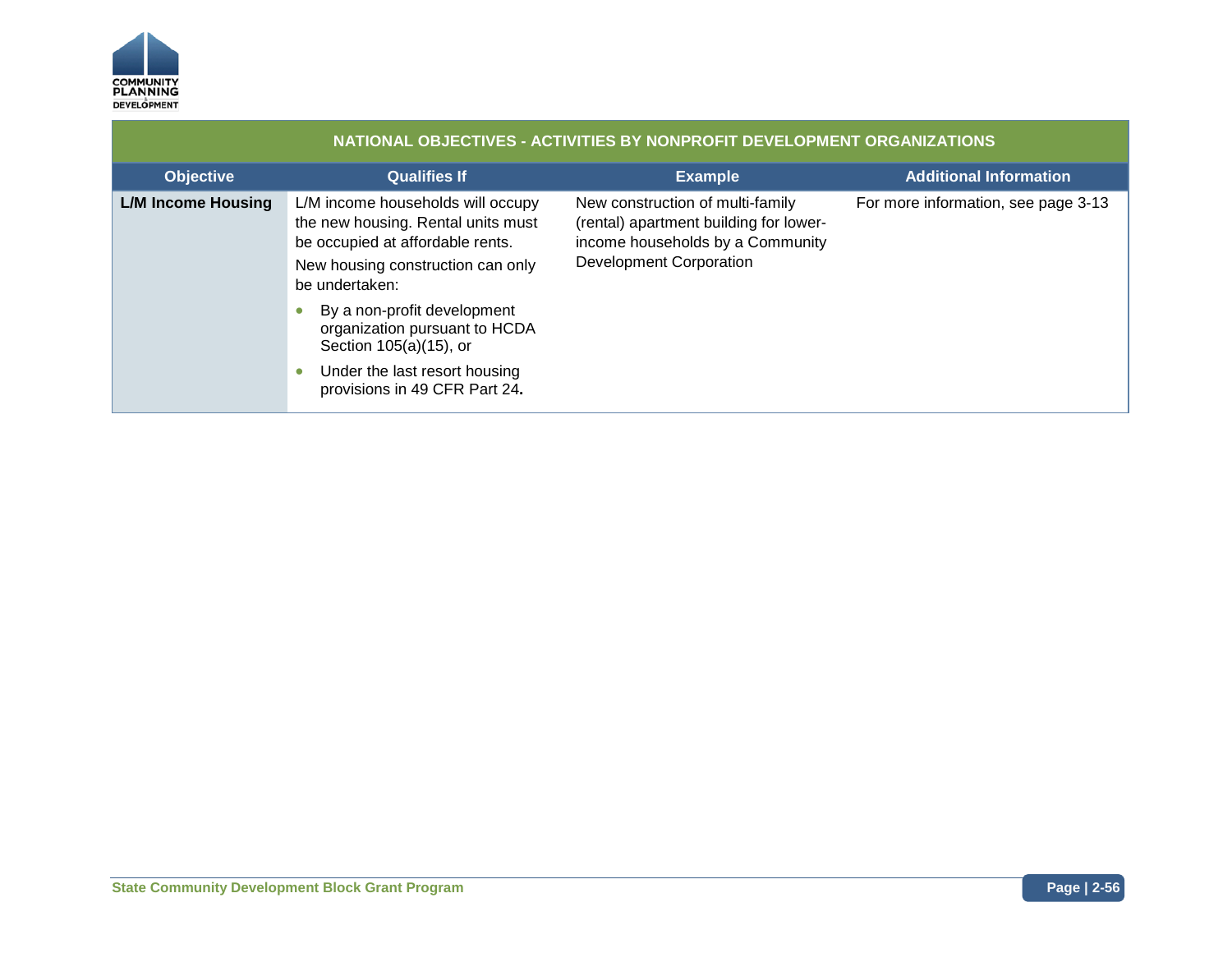

| NATIONAL OBJECTIVES - ACTIVITIES BY NONPROFIT DEVELOPMENT ORGANIZATIONS |                                                                                                                                                                    |                                                                                                                                                  |                                     |
|-------------------------------------------------------------------------|--------------------------------------------------------------------------------------------------------------------------------------------------------------------|--------------------------------------------------------------------------------------------------------------------------------------------------|-------------------------------------|
| <b>Objective</b>                                                        | <b>Qualifies If</b>                                                                                                                                                | <b>Example</b>                                                                                                                                   | <b>Additional Information</b>       |
| <b>L/M Income Housing</b>                                               | L/M income households will occupy<br>the new housing. Rental units must<br>be occupied at affordable rents.<br>New housing construction can only<br>be undertaken: | New construction of multi-family<br>(rental) apartment building for lower-<br>income households by a Community<br><b>Development Corporation</b> | For more information, see page 3-13 |
|                                                                         | By a non-profit development<br>organization pursuant to HCDA<br>Section 105(a)(15), or<br>Under the last resort housing<br>provisions in 49 CFR Part 24.           |                                                                                                                                                  |                                     |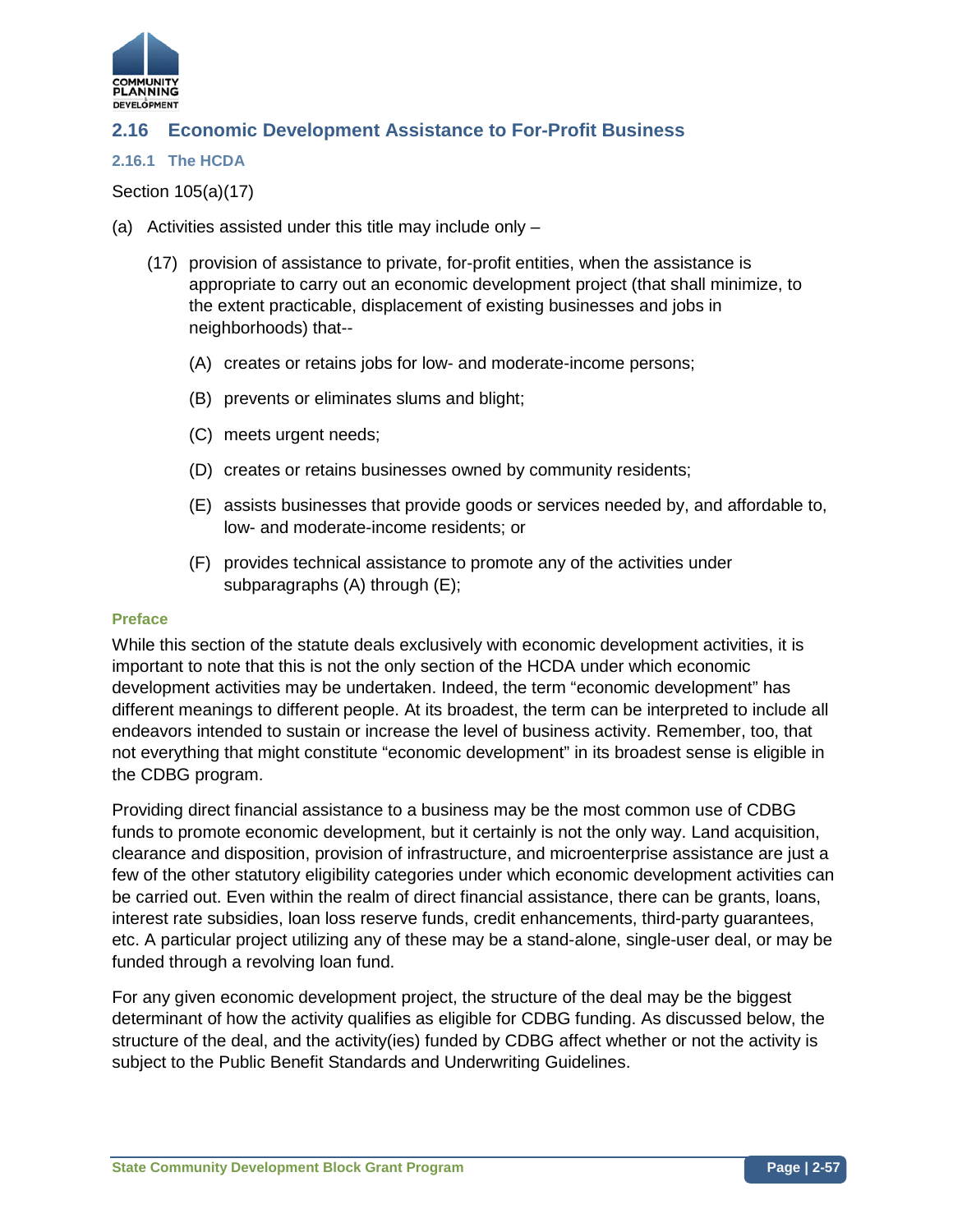

# **2.16 Economic Development Assistance to For-Profit Business**

#### **2.16.1 The HCDA**

## Section 105(a)(17)

- (a) Activities assisted under this title may include only
	- (17) provision of assistance to private, for-profit entities, when the assistance is appropriate to carry out an economic development project (that shall minimize, to the extent practicable, displacement of existing businesses and jobs in neighborhoods) that--
		- (A) creates or retains jobs for low- and moderate-income persons;
		- (B) prevents or eliminates slums and blight;
		- (C) meets urgent needs;
		- (D) creates or retains businesses owned by community residents;
		- (E) assists businesses that provide goods or services needed by, and affordable to, low- and moderate-income residents; or
		- (F) provides technical assistance to promote any of the activities under subparagraphs (A) through (E);

#### **Preface**

While this section of the statute deals exclusively with economic development activities, it is important to note that this is not the only section of the HCDA under which economic development activities may be undertaken. Indeed, the term "economic development" has different meanings to different people. At its broadest, the term can be interpreted to include all endeavors intended to sustain or increase the level of business activity. Remember, too, that not everything that might constitute "economic development" in its broadest sense is eligible in the CDBG program.

Providing direct financial assistance to a business may be the most common use of CDBG funds to promote economic development, but it certainly is not the only way. Land acquisition, clearance and disposition, provision of infrastructure, and microenterprise assistance are just a few of the other statutory eligibility categories under which economic development activities can be carried out. Even within the realm of direct financial assistance, there can be grants, loans, interest rate subsidies, loan loss reserve funds, credit enhancements, third-party guarantees, etc. A particular project utilizing any of these may be a stand-alone, single-user deal, or may be funded through a revolving loan fund.

For any given economic development project, the structure of the deal may be the biggest determinant of how the activity qualifies as eligible for CDBG funding. As discussed below, the structure of the deal, and the activity(ies) funded by CDBG affect whether or not the activity is subject to the Public Benefit Standards and Underwriting Guidelines.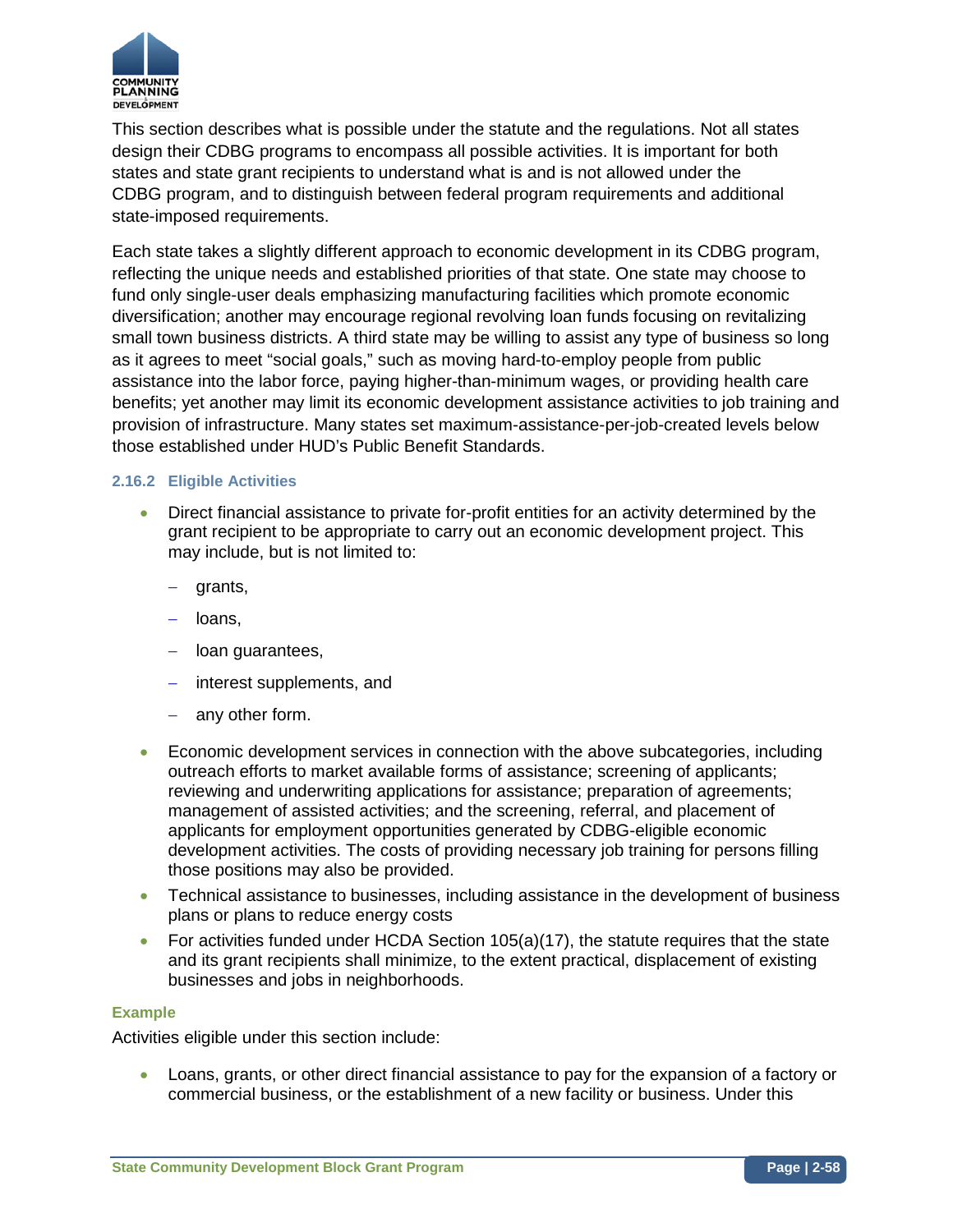

This section describes what is possible under the statute and the regulations. Not all states design their CDBG programs to encompass all possible activities. It is important for both states and state grant recipients to understand what is and is not allowed under the CDBG program, and to distinguish between federal program requirements and additional state-imposed requirements.

Each state takes a slightly different approach to economic development in its CDBG program, reflecting the unique needs and established priorities of that state. One state may choose to fund only single-user deals emphasizing manufacturing facilities which promote economic diversification; another may encourage regional revolving loan funds focusing on revitalizing small town business districts. A third state may be willing to assist any type of business so long as it agrees to meet "social goals," such as moving hard-to-employ people from public assistance into the labor force, paying higher-than-minimum wages, or providing health care benefits; yet another may limit its economic development assistance activities to job training and provision of infrastructure. Many states set maximum-assistance-per-job-created levels below those established under HUD's Public Benefit Standards.

## **2.16.2 Eligible Activities**

- Direct financial assistance to private for-profit entities for an activity determined by the grant recipient to be appropriate to carry out an economic development project. This may include, but is not limited to:
	- − grants,
	- − loans,
	- − loan guarantees,
	- − interest supplements, and
	- − any other form.
- Economic development services in connection with the above subcategories, including outreach efforts to market available forms of assistance; screening of applicants; reviewing and underwriting applications for assistance; preparation of agreements; management of assisted activities; and the screening, referral, and placement of applicants for employment opportunities generated by CDBG-eligible economic development activities. The costs of providing necessary job training for persons filling those positions may also be provided.
- Technical assistance to businesses, including assistance in the development of business plans or plans to reduce energy costs
- For activities funded under HCDA Section 105(a)(17), the statute requires that the state and its grant recipients shall minimize, to the extent practical, displacement of existing businesses and jobs in neighborhoods.

#### **Example**

Activities eligible under this section include:

• Loans, grants, or other direct financial assistance to pay for the expansion of a factory or commercial business, or the establishment of a new facility or business. Under this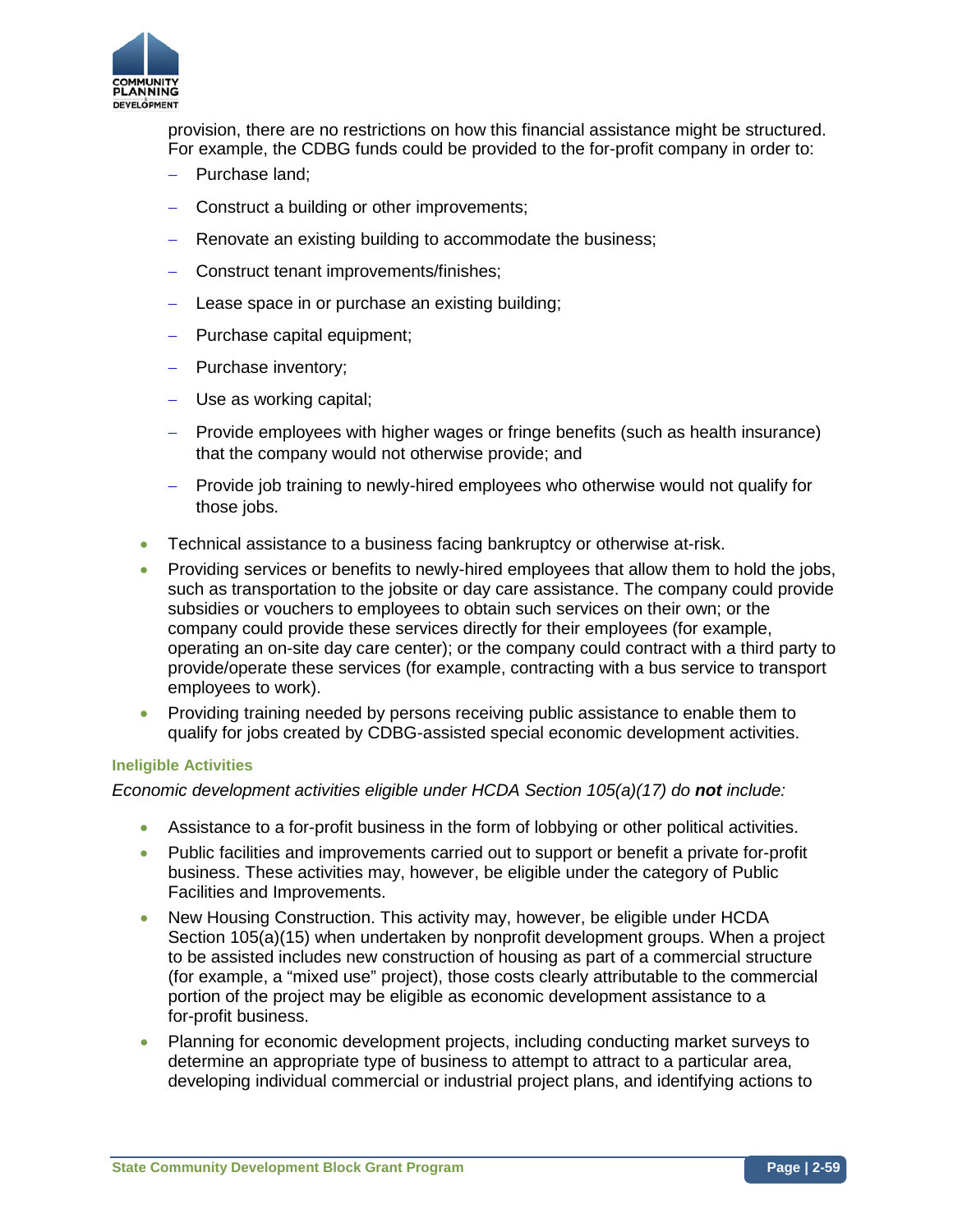

provision, there are no restrictions on how this financial assistance might be structured. For example, the CDBG funds could be provided to the for-profit company in order to:

- − Purchase land;
- − Construct a building or other improvements;
- − Renovate an existing building to accommodate the business;
- − Construct tenant improvements/finishes;
- − Lease space in or purchase an existing building;
- − Purchase capital equipment;
- − Purchase inventory;
- − Use as working capital;
- − Provide employees with higher wages or fringe benefits (such as health insurance) that the company would not otherwise provide; and
- − Provide job training to newly-hired employees who otherwise would not qualify for those jobs.
- Technical assistance to a business facing bankruptcy or otherwise at-risk.
- Providing services or benefits to newly-hired employees that allow them to hold the jobs, such as transportation to the jobsite or day care assistance. The company could provide subsidies or vouchers to employees to obtain such services on their own; or the company could provide these services directly for their employees (for example, operating an on-site day care center); or the company could contract with a third party to provide/operate these services (for example, contracting with a bus service to transport employees to work).
- Providing training needed by persons receiving public assistance to enable them to qualify for jobs created by CDBG-assisted special economic development activities.

## **Ineligible Activities**

## *Economic development activities eligible under HCDA Section 105(a)(17) do not include:*

- Assistance to a for-profit business in the form of lobbying or other political activities.
- Public facilities and improvements carried out to support or benefit a private for-profit business. These activities may, however, be eligible under the category of Public Facilities and Improvements.
- New Housing Construction. This activity may, however, be eligible under HCDA Section 105(a)(15) when undertaken by nonprofit development groups. When a project to be assisted includes new construction of housing as part of a commercial structure (for example, a "mixed use" project), those costs clearly attributable to the commercial portion of the project may be eligible as economic development assistance to a for-profit business.
- Planning for economic development projects, including conducting market surveys to determine an appropriate type of business to attempt to attract to a particular area, developing individual commercial or industrial project plans, and identifying actions to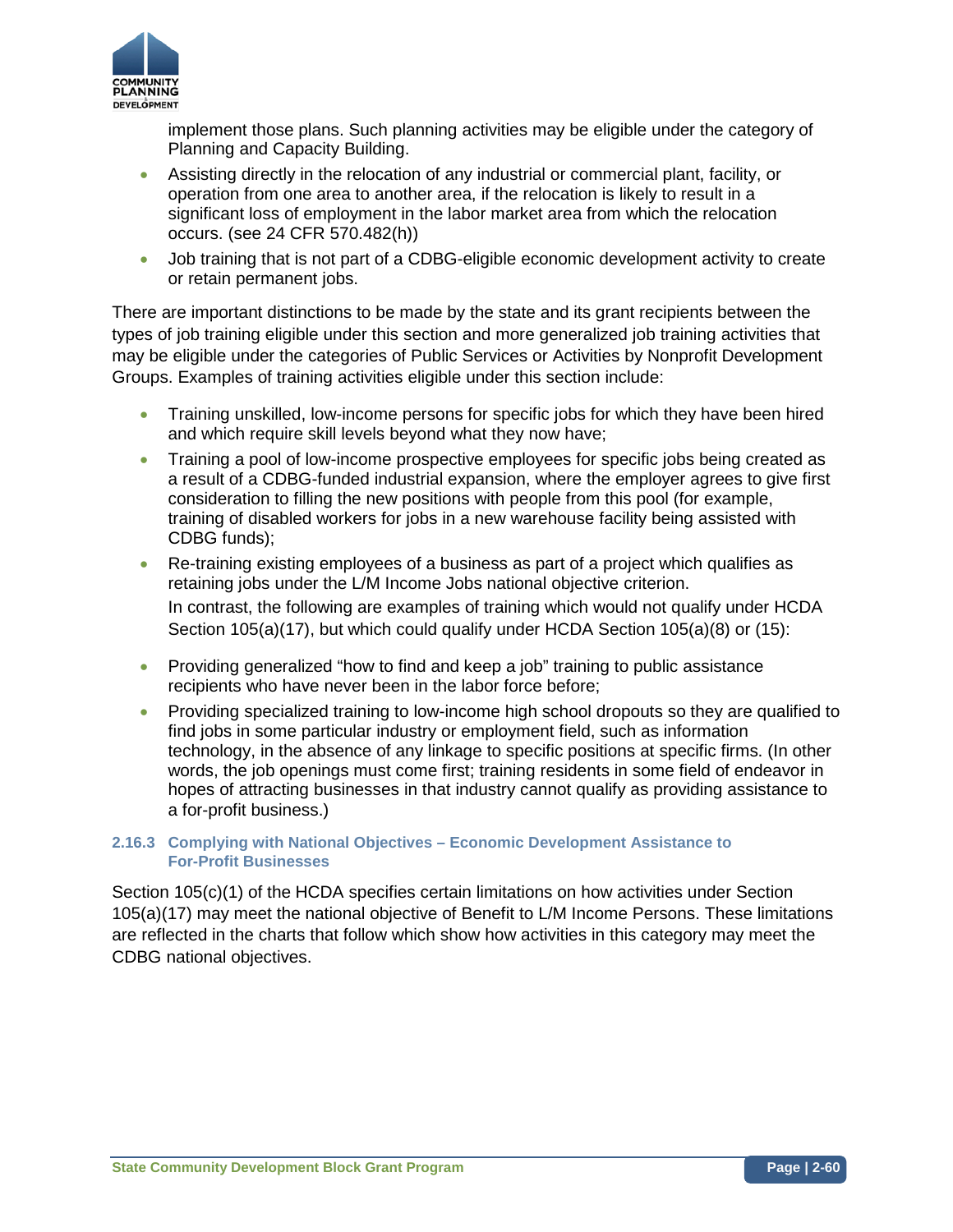

implement those plans. Such planning activities may be eligible under the category of Planning and Capacity Building.

- Assisting directly in the relocation of any industrial or commercial plant, facility, or operation from one area to another area, if the relocation is likely to result in a significant loss of employment in the labor market area from which the relocation occurs. (see 24 CFR 570.482(h))
- Job training that is not part of a CDBG-eligible economic development activity to create or retain permanent jobs.

There are important distinctions to be made by the state and its grant recipients between the types of job training eligible under this section and more generalized job training activities that may be eligible under the categories of Public Services or Activities by Nonprofit Development Groups. Examples of training activities eligible under this section include:

- Training unskilled, low-income persons for specific jobs for which they have been hired and which require skill levels beyond what they now have;
- Training a pool of low-income prospective employees for specific jobs being created as a result of a CDBG-funded industrial expansion, where the employer agrees to give first consideration to filling the new positions with people from this pool (for example, training of disabled workers for jobs in a new warehouse facility being assisted with CDBG funds);
- Re-training existing employees of a business as part of a project which qualifies as retaining jobs under the L/M Income Jobs national objective criterion. In contrast, the following are examples of training which would not qualify under HCDA Section 105(a)(17), but which could qualify under HCDA Section 105(a)(8) or (15):
- Providing generalized "how to find and keep a job" training to public assistance recipients who have never been in the labor force before;
- Providing specialized training to low-income high school dropouts so they are qualified to find jobs in some particular industry or employment field, such as information technology, in the absence of any linkage to specific positions at specific firms. (In other words, the job openings must come first; training residents in some field of endeavor in hopes of attracting businesses in that industry cannot qualify as providing assistance to a for-profit business.)

## **2.16.3 Complying with National Objectives – Economic Development Assistance to For-Profit Businesses**

Section 105(c)(1) of the HCDA specifies certain limitations on how activities under Section 105(a)(17) may meet the national objective of Benefit to L/M Income Persons. These limitations are reflected in the charts that follow which show how activities in this category may meet the CDBG national objectives.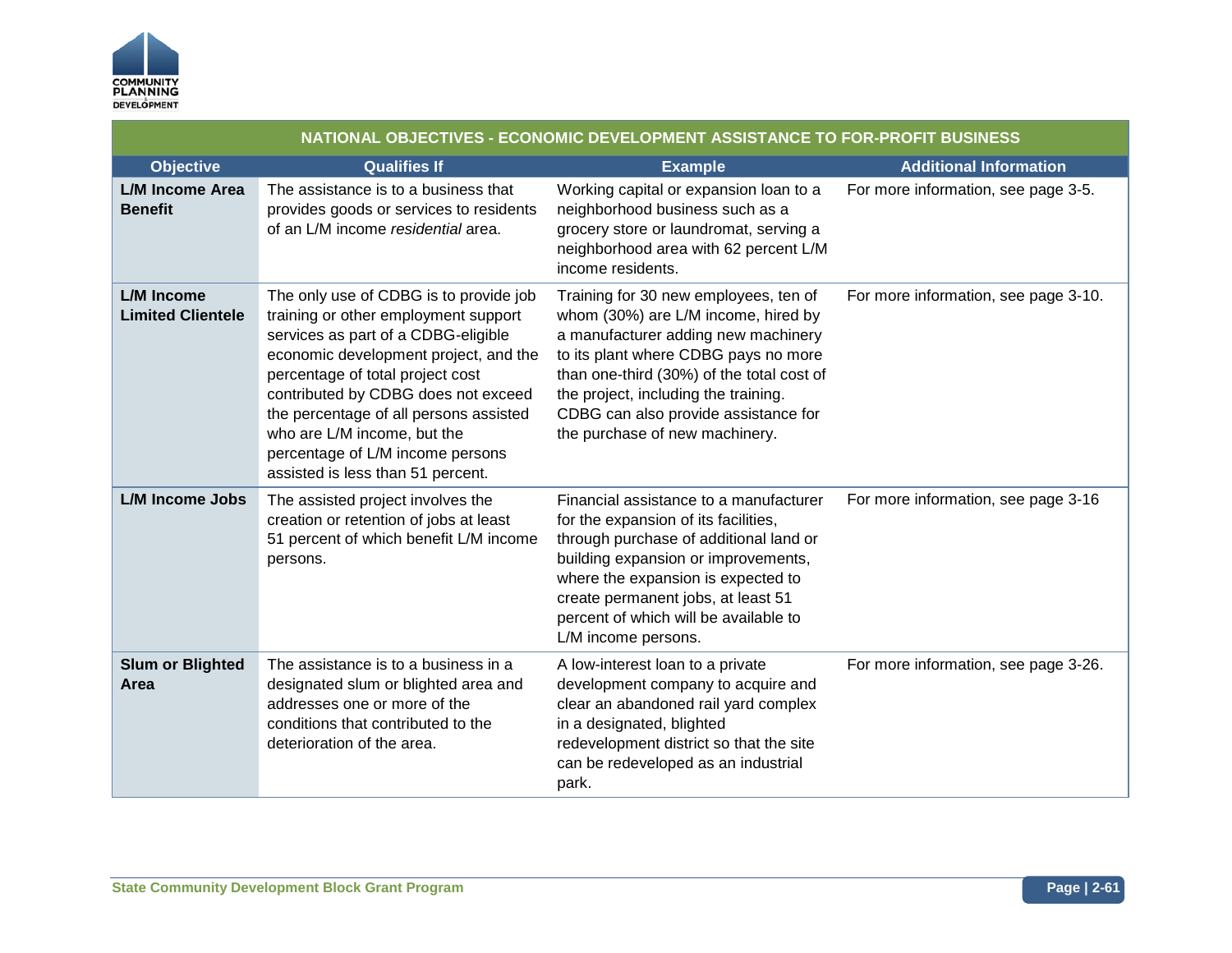

| NATIONAL OBJECTIVES - ECONOMIC DEVELOPMENT ASSISTANCE TO FOR-PROFIT BUSINESS |                                                                                                                                                                                                                                                                                                                                                                                             |                                                                                                                                                                                                                                                                                                                            |                                      |
|------------------------------------------------------------------------------|---------------------------------------------------------------------------------------------------------------------------------------------------------------------------------------------------------------------------------------------------------------------------------------------------------------------------------------------------------------------------------------------|----------------------------------------------------------------------------------------------------------------------------------------------------------------------------------------------------------------------------------------------------------------------------------------------------------------------------|--------------------------------------|
| <b>Objective</b>                                                             | <b>Qualifies If</b>                                                                                                                                                                                                                                                                                                                                                                         | <b>Example</b>                                                                                                                                                                                                                                                                                                             | <b>Additional Information</b>        |
| <b>L/M Income Area</b><br><b>Benefit</b>                                     | The assistance is to a business that<br>provides goods or services to residents<br>of an L/M income residential area.                                                                                                                                                                                                                                                                       | Working capital or expansion loan to a<br>neighborhood business such as a<br>grocery store or laundromat, serving a<br>neighborhood area with 62 percent L/M<br>income residents.                                                                                                                                          | For more information, see page 3-5.  |
| L/M Income<br><b>Limited Clientele</b>                                       | The only use of CDBG is to provide job<br>training or other employment support<br>services as part of a CDBG-eligible<br>economic development project, and the<br>percentage of total project cost<br>contributed by CDBG does not exceed<br>the percentage of all persons assisted<br>who are L/M income, but the<br>percentage of L/M income persons<br>assisted is less than 51 percent. | Training for 30 new employees, ten of<br>whom (30%) are L/M income, hired by<br>a manufacturer adding new machinery<br>to its plant where CDBG pays no more<br>than one-third (30%) of the total cost of<br>the project, including the training.<br>CDBG can also provide assistance for<br>the purchase of new machinery. | For more information, see page 3-10. |
| <b>L/M Income Jobs</b>                                                       | The assisted project involves the<br>creation or retention of jobs at least<br>51 percent of which benefit L/M income<br>persons.                                                                                                                                                                                                                                                           | Financial assistance to a manufacturer<br>for the expansion of its facilities,<br>through purchase of additional land or<br>building expansion or improvements,<br>where the expansion is expected to<br>create permanent jobs, at least 51<br>percent of which will be available to<br>L/M income persons.                | For more information, see page 3-16  |
| <b>Slum or Blighted</b><br>Area                                              | The assistance is to a business in a<br>designated slum or blighted area and<br>addresses one or more of the<br>conditions that contributed to the<br>deterioration of the area.                                                                                                                                                                                                            | A low-interest loan to a private<br>development company to acquire and<br>clear an abandoned rail yard complex<br>in a designated, blighted<br>redevelopment district so that the site<br>can be redeveloped as an industrial<br>park.                                                                                     | For more information, see page 3-26. |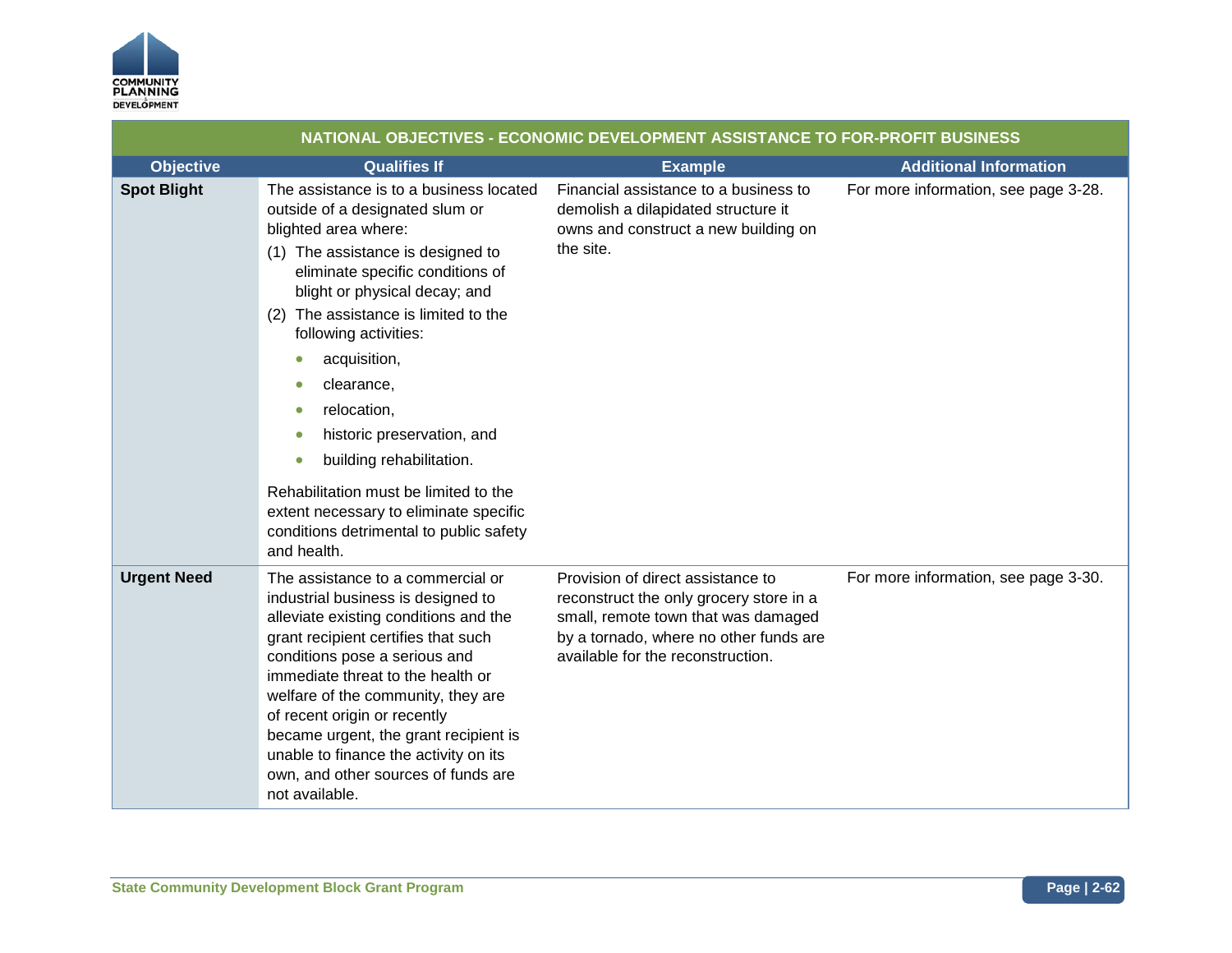

|                    | NATIONAL OBJECTIVES - ECONOMIC DEVELOPMENT ASSISTANCE TO FOR-PROFIT BUSINESS                                                                                                                                                                                                                                                                                                                                                                                                                                                           |                                                                                                                                                                                                    |                                      |
|--------------------|----------------------------------------------------------------------------------------------------------------------------------------------------------------------------------------------------------------------------------------------------------------------------------------------------------------------------------------------------------------------------------------------------------------------------------------------------------------------------------------------------------------------------------------|----------------------------------------------------------------------------------------------------------------------------------------------------------------------------------------------------|--------------------------------------|
| <b>Objective</b>   | <b>Qualifies If</b>                                                                                                                                                                                                                                                                                                                                                                                                                                                                                                                    | <b>Example</b>                                                                                                                                                                                     | <b>Additional Information</b>        |
| <b>Spot Blight</b> | The assistance is to a business located<br>outside of a designated slum or<br>blighted area where:<br>(1) The assistance is designed to<br>eliminate specific conditions of<br>blight or physical decay; and<br>(2) The assistance is limited to the<br>following activities:<br>acquisition,<br>clearance,<br>relocation,<br>historic preservation, and<br>building rehabilitation.<br>О<br>Rehabilitation must be limited to the<br>extent necessary to eliminate specific<br>conditions detrimental to public safety<br>and health. | Financial assistance to a business to<br>demolish a dilapidated structure it<br>owns and construct a new building on<br>the site.                                                                  | For more information, see page 3-28. |
| <b>Urgent Need</b> | The assistance to a commercial or<br>industrial business is designed to<br>alleviate existing conditions and the<br>grant recipient certifies that such<br>conditions pose a serious and<br>immediate threat to the health or<br>welfare of the community, they are<br>of recent origin or recently<br>became urgent, the grant recipient is<br>unable to finance the activity on its<br>own, and other sources of funds are<br>not available.                                                                                         | Provision of direct assistance to<br>reconstruct the only grocery store in a<br>small, remote town that was damaged<br>by a tornado, where no other funds are<br>available for the reconstruction. | For more information, see page 3-30. |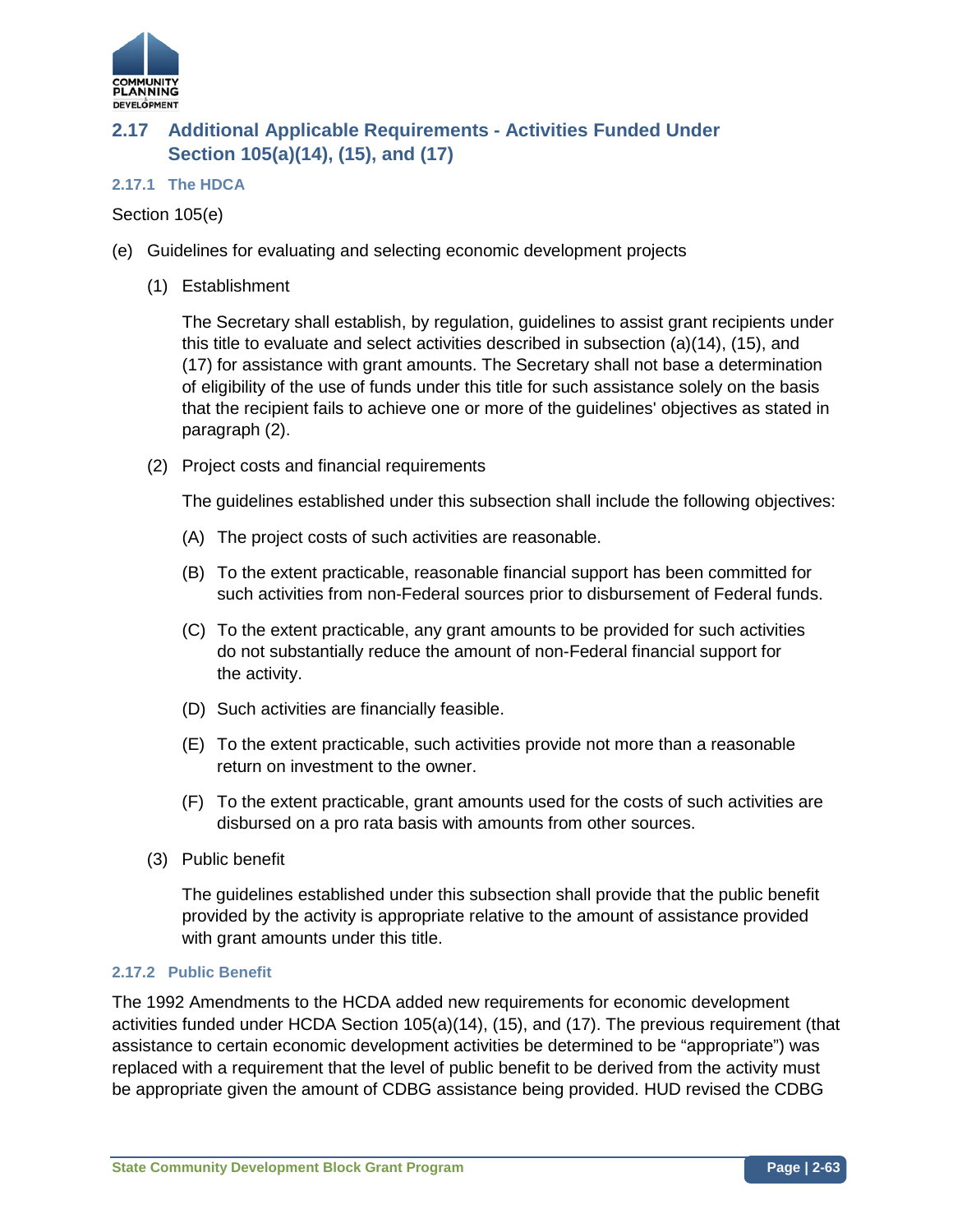

# **2.17 Additional Applicable Requirements - Activities Funded Under Section 105(a)(14), (15), and (17)**

## **2.17.1 The HDCA**

Section 105(e)

- (e) Guidelines for evaluating and selecting economic development projects
	- (1) Establishment

The Secretary shall establish, by regulation, guidelines to assist grant recipients under this title to evaluate and select activities described in subsection (a)(14), (15), and (17) for assistance with grant amounts. The Secretary shall not base a determination of eligibility of the use of funds under this title for such assistance solely on the basis that the recipient fails to achieve one or more of the guidelines' objectives as stated in paragraph (2).

(2) Project costs and financial requirements

The guidelines established under this subsection shall include the following objectives:

- (A) The project costs of such activities are reasonable.
- (B) To the extent practicable, reasonable financial support has been committed for such activities from non-Federal sources prior to disbursement of Federal funds.
- (C) To the extent practicable, any grant amounts to be provided for such activities do not substantially reduce the amount of non-Federal financial support for the activity.
- (D) Such activities are financially feasible.
- (E) To the extent practicable, such activities provide not more than a reasonable return on investment to the owner.
- (F) To the extent practicable, grant amounts used for the costs of such activities are disbursed on a pro rata basis with amounts from other sources.
- (3) Public benefit

The guidelines established under this subsection shall provide that the public benefit provided by the activity is appropriate relative to the amount of assistance provided with grant amounts under this title.

## **2.17.2 Public Benefit**

The 1992 Amendments to the HCDA added new requirements for economic development activities funded under HCDA Section 105(a)(14), (15), and (17). The previous requirement (that assistance to certain economic development activities be determined to be "appropriate") was replaced with a requirement that the level of public benefit to be derived from the activity must be appropriate given the amount of CDBG assistance being provided. HUD revised the CDBG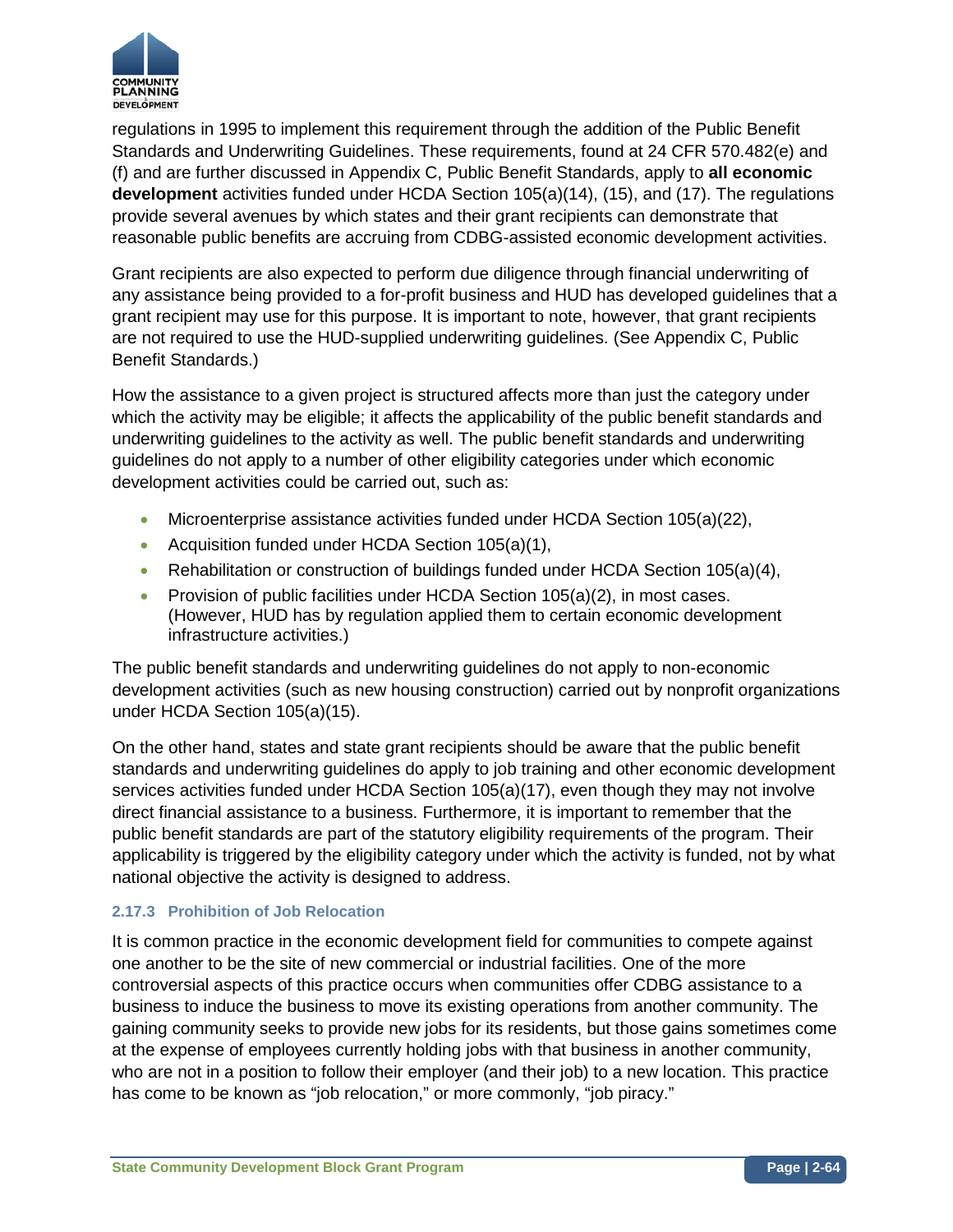

regulations in 1995 to implement this requirement through the addition of the Public Benefit Standards and Underwriting Guidelines. These requirements, found at 24 CFR 570.482(e) and (f) and are further discussed in Appendix C, Public Benefit Standards, apply to **all economic development** activities funded under HCDA Section 105(a)(14), (15), and (17). The regulations provide several avenues by which states and their grant recipients can demonstrate that reasonable public benefits are accruing from CDBG-assisted economic development activities.

Grant recipients are also expected to perform due diligence through financial underwriting of any assistance being provided to a for-profit business and HUD has developed guidelines that a grant recipient may use for this purpose. It is important to note, however, that grant recipients are not required to use the HUD-supplied underwriting guidelines. (See Appendix C, Public Benefit Standards.)

How the assistance to a given project is structured affects more than just the category under which the activity may be eligible; it affects the applicability of the public benefit standards and underwriting guidelines to the activity as well. The public benefit standards and underwriting guidelines do not apply to a number of other eligibility categories under which economic development activities could be carried out, such as:

- Microenterprise assistance activities funded under HCDA Section 105(a)(22),
- Acquisition funded under HCDA Section 105(a)(1),
- Rehabilitation or construction of buildings funded under HCDA Section 105(a)(4),
- Provision of public facilities under HCDA Section 105(a)(2), in most cases. (However, HUD has by regulation applied them to certain economic development infrastructure activities.)

The public benefit standards and underwriting guidelines do not apply to non-economic development activities (such as new housing construction) carried out by nonprofit organizations under HCDA Section 105(a)(15).

On the other hand, states and state grant recipients should be aware that the public benefit standards and underwriting guidelines do apply to job training and other economic development services activities funded under HCDA Section 105(a)(17), even though they may not involve direct financial assistance to a business. Furthermore, it is important to remember that the public benefit standards are part of the statutory eligibility requirements of the program. Their applicability is triggered by the eligibility category under which the activity is funded, not by what national objective the activity is designed to address.

## **2.17.3 Prohibition of Job Relocation**

It is common practice in the economic development field for communities to compete against one another to be the site of new commercial or industrial facilities. One of the more controversial aspects of this practice occurs when communities offer CDBG assistance to a business to induce the business to move its existing operations from another community. The gaining community seeks to provide new jobs for its residents, but those gains sometimes come at the expense of employees currently holding jobs with that business in another community, who are not in a position to follow their employer (and their job) to a new location. This practice has come to be known as "job relocation," or more commonly, "job piracy."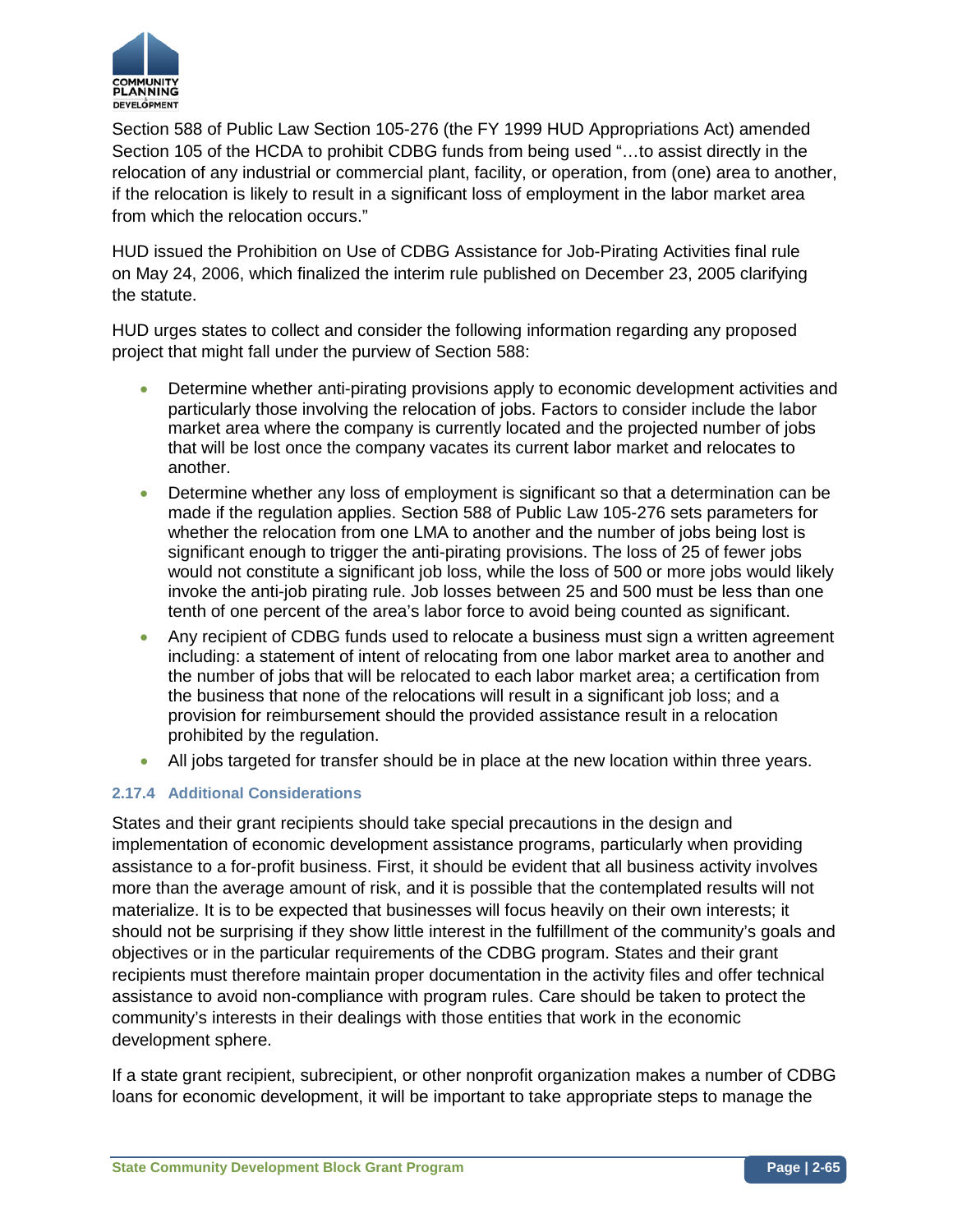

Section 588 of Public Law Section 105-276 (the FY 1999 HUD Appropriations Act) amended Section 105 of the HCDA to prohibit CDBG funds from being used "…to assist directly in the relocation of any industrial or commercial plant, facility, or operation, from (one) area to another, if the relocation is likely to result in a significant loss of employment in the labor market area from which the relocation occurs."

HUD issued the Prohibition on Use of CDBG Assistance for Job-Pirating Activities final rule on May 24, 2006, which finalized the interim rule published on December 23, 2005 clarifying the statute.

HUD urges states to collect and consider the following information regarding any proposed project that might fall under the purview of Section 588:

- Determine whether anti-pirating provisions apply to economic development activities and particularly those involving the relocation of jobs. Factors to consider include the labor market area where the company is currently located and the projected number of jobs that will be lost once the company vacates its current labor market and relocates to another.
- Determine whether any loss of employment is significant so that a determination can be made if the regulation applies. Section 588 of Public Law 105-276 sets parameters for whether the relocation from one LMA to another and the number of jobs being lost is significant enough to trigger the anti-pirating provisions. The loss of 25 of fewer jobs would not constitute a significant job loss, while the loss of 500 or more jobs would likely invoke the anti-job pirating rule. Job losses between 25 and 500 must be less than one tenth of one percent of the area's labor force to avoid being counted as significant.
- Any recipient of CDBG funds used to relocate a business must sign a written agreement including: a statement of intent of relocating from one labor market area to another and the number of jobs that will be relocated to each labor market area; a certification from the business that none of the relocations will result in a significant job loss; and a provision for reimbursement should the provided assistance result in a relocation prohibited by the regulation.
- All jobs targeted for transfer should be in place at the new location within three years.

## **2.17.4 Additional Considerations**

States and their grant recipients should take special precautions in the design and implementation of economic development assistance programs, particularly when providing assistance to a for-profit business. First, it should be evident that all business activity involves more than the average amount of risk, and it is possible that the contemplated results will not materialize. It is to be expected that businesses will focus heavily on their own interests; it should not be surprising if they show little interest in the fulfillment of the community's goals and objectives or in the particular requirements of the CDBG program. States and their grant recipients must therefore maintain proper documentation in the activity files and offer technical assistance to avoid non-compliance with program rules. Care should be taken to protect the community's interests in their dealings with those entities that work in the economic development sphere.

If a state grant recipient, subrecipient, or other nonprofit organization makes a number of CDBG loans for economic development, it will be important to take appropriate steps to manage the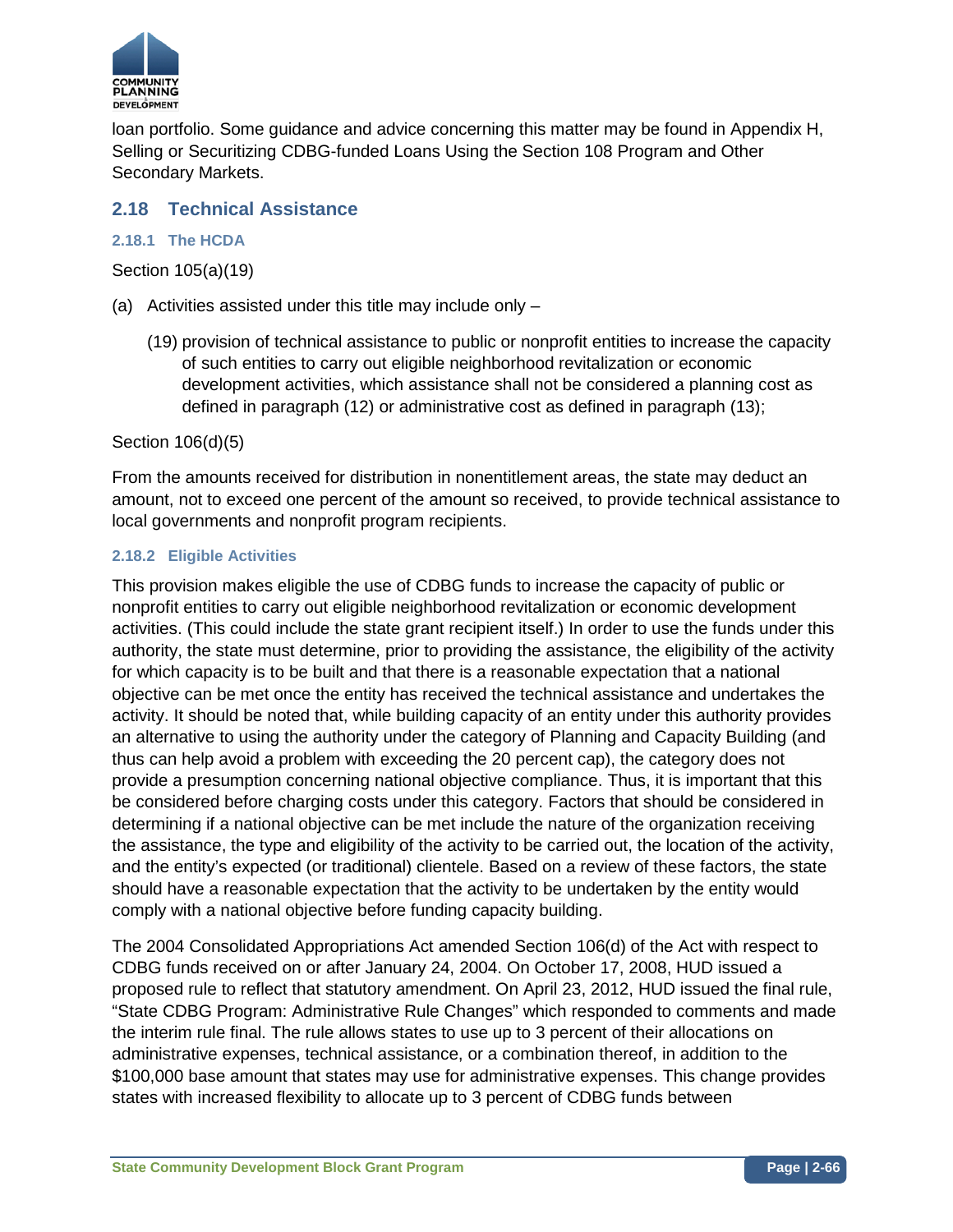

loan portfolio. Some guidance and advice concerning this matter may be found in Appendix H, Selling or Securitizing CDBG-funded Loans Using the Section 108 Program and Other Secondary Markets.

# **2.18 Technical Assistance**

## **2.18.1 The HCDA**

Section 105(a)(19)

- (a) Activities assisted under this title may include only
	- (19) provision of technical assistance to public or nonprofit entities to increase the capacity of such entities to carry out eligible neighborhood revitalization or economic development activities, which assistance shall not be considered a planning cost as defined in paragraph (12) or administrative cost as defined in paragraph (13);

Section 106(d)(5)

From the amounts received for distribution in nonentitlement areas, the state may deduct an amount, not to exceed one percent of the amount so received, to provide technical assistance to local governments and nonprofit program recipients.

## **2.18.2 Eligible Activities**

This provision makes eligible the use of CDBG funds to increase the capacity of public or nonprofit entities to carry out eligible neighborhood revitalization or economic development activities. (This could include the state grant recipient itself.) In order to use the funds under this authority, the state must determine, prior to providing the assistance, the eligibility of the activity for which capacity is to be built and that there is a reasonable expectation that a national objective can be met once the entity has received the technical assistance and undertakes the activity. It should be noted that, while building capacity of an entity under this authority provides an alternative to using the authority under the category of Planning and Capacity Building (and thus can help avoid a problem with exceeding the 20 percent cap), the category does not provide a presumption concerning national objective compliance. Thus, it is important that this be considered before charging costs under this category. Factors that should be considered in determining if a national objective can be met include the nature of the organization receiving the assistance, the type and eligibility of the activity to be carried out, the location of the activity, and the entity's expected (or traditional) clientele. Based on a review of these factors, the state should have a reasonable expectation that the activity to be undertaken by the entity would comply with a national objective before funding capacity building.

The 2004 Consolidated Appropriations Act amended Section 106(d) of the Act with respect to CDBG funds received on or after January 24, 2004. On October 17, 2008, HUD issued a proposed rule to reflect that statutory amendment. On April 23, 2012, HUD issued the final rule, "State CDBG Program: Administrative Rule Changes" which responded to comments and made the interim rule final. The rule allows states to use up to 3 percent of their allocations on administrative expenses, technical assistance, or a combination thereof, in addition to the \$100,000 base amount that states may use for administrative expenses. This change provides states with increased flexibility to allocate up to 3 percent of CDBG funds between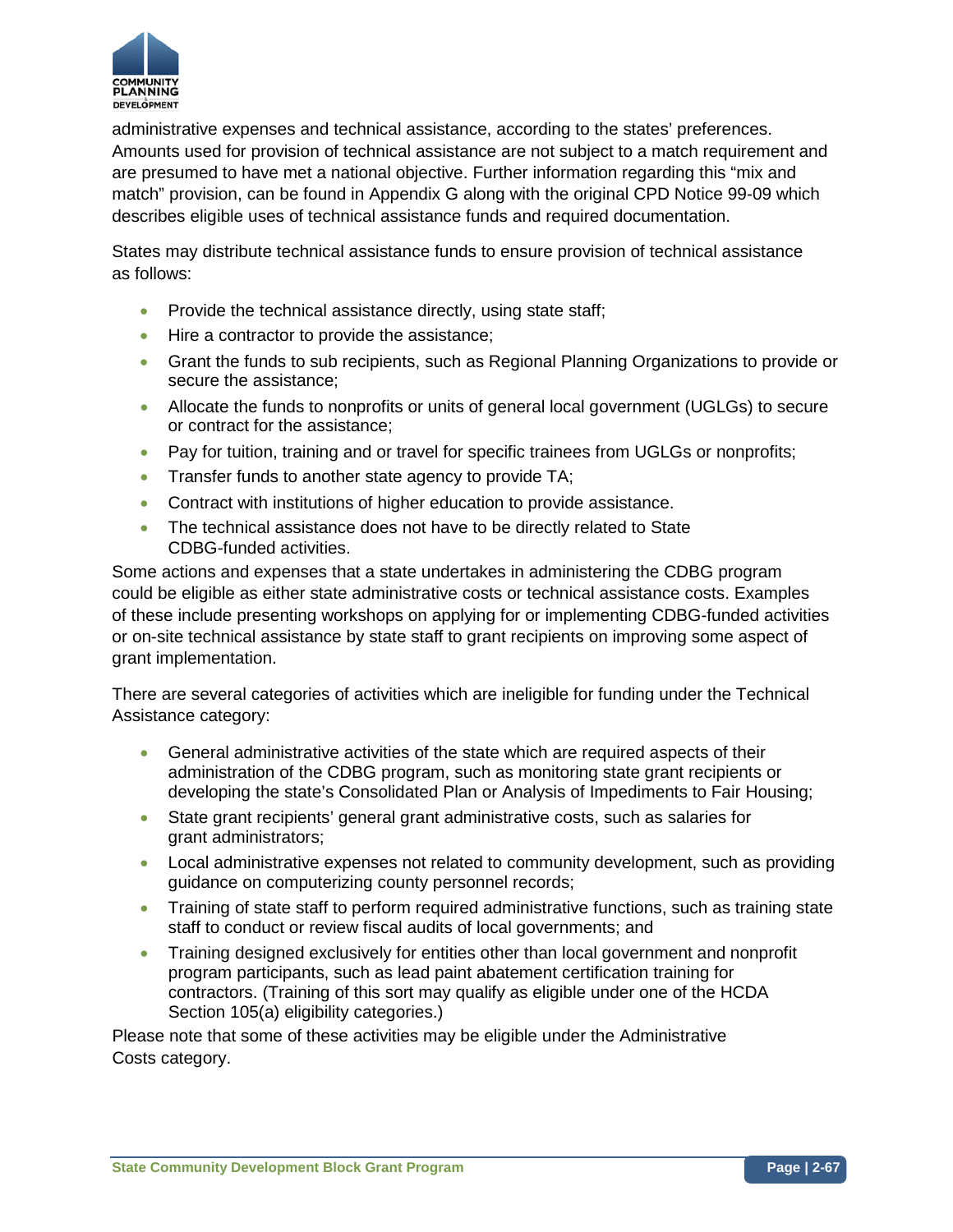

administrative expenses and technical assistance, according to the states' preferences. Amounts used for provision of technical assistance are not subject to a match requirement and are presumed to have met a national objective. Further information regarding this "mix and match" provision, can be found in Appendix G along with the original CPD Notice 99-09 which describes eligible uses of technical assistance funds and required documentation.

States may distribute technical assistance funds to ensure provision of technical assistance as follows:

- Provide the technical assistance directly, using state staff;
- Hire a contractor to provide the assistance:
- Grant the funds to sub recipients, such as Regional Planning Organizations to provide or secure the assistance;
- Allocate the funds to nonprofits or units of general local government (UGLGs) to secure or contract for the assistance;
- Pay for tuition, training and or travel for specific trainees from UGLGs or nonprofits;
- Transfer funds to another state agency to provide TA;
- Contract with institutions of higher education to provide assistance.
- The technical assistance does not have to be directly related to State CDBG-funded activities.

Some actions and expenses that a state undertakes in administering the CDBG program could be eligible as either state administrative costs or technical assistance costs. Examples of these include presenting workshops on applying for or implementing CDBG-funded activities or on-site technical assistance by state staff to grant recipients on improving some aspect of grant implementation.

There are several categories of activities which are ineligible for funding under the Technical Assistance category:

- General administrative activities of the state which are required aspects of their administration of the CDBG program, such as monitoring state grant recipients or developing the state's Consolidated Plan or Analysis of Impediments to Fair Housing;
- State grant recipients' general grant administrative costs, such as salaries for grant administrators;
- Local administrative expenses not related to community development, such as providing guidance on computerizing county personnel records;
- Training of state staff to perform required administrative functions, such as training state staff to conduct or review fiscal audits of local governments; and
- Training designed exclusively for entities other than local government and nonprofit program participants, such as lead paint abatement certification training for contractors. (Training of this sort may qualify as eligible under one of the HCDA Section 105(a) eligibility categories.)

Please note that some of these activities may be eligible under the Administrative Costs category.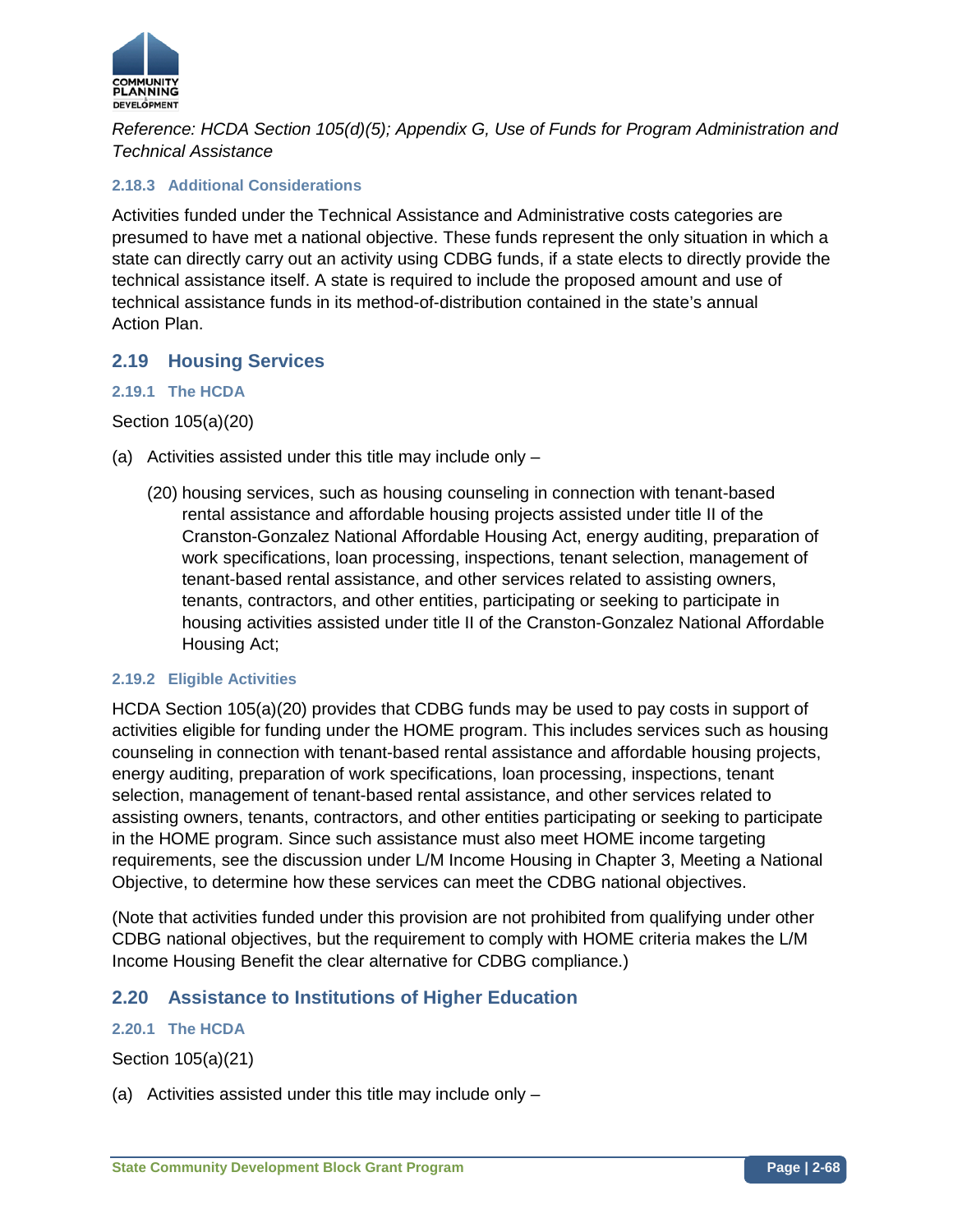

*Reference: HCDA Section 105(d)(5); Appendix G, Use of Funds for Program Administration and Technical Assistance*

## **2.18.3 Additional Considerations**

Activities funded under the Technical Assistance and Administrative costs categories are presumed to have met a national objective. These funds represent the only situation in which a state can directly carry out an activity using CDBG funds, if a state elects to directly provide the technical assistance itself. A state is required to include the proposed amount and use of technical assistance funds in its method-of-distribution contained in the state's annual Action Plan.

## **2.19 Housing Services**

## **2.19.1 The HCDA**

Section 105(a)(20)

- (a) Activities assisted under this title may include only
	- (20) housing services, such as housing counseling in connection with tenant-based rental assistance and affordable housing projects assisted under title II of the Cranston-Gonzalez National Affordable Housing Act, energy auditing, preparation of work specifications, loan processing, inspections, tenant selection, management of tenant-based rental assistance, and other services related to assisting owners, tenants, contractors, and other entities, participating or seeking to participate in housing activities assisted under title II of the Cranston-Gonzalez National Affordable Housing Act;

## **2.19.2 Eligible Activities**

HCDA Section 105(a)(20) provides that CDBG funds may be used to pay costs in support of activities eligible for funding under the HOME program. This includes services such as housing counseling in connection with tenant-based rental assistance and affordable housing projects, energy auditing, preparation of work specifications, loan processing, inspections, tenant selection, management of tenant-based rental assistance, and other services related to assisting owners, tenants, contractors, and other entities participating or seeking to participate in the HOME program. Since such assistance must also meet HOME income targeting requirements, see the discussion under L/M Income Housing in Chapter 3, Meeting a National Objective, to determine how these services can meet the CDBG national objectives.

(Note that activities funded under this provision are not prohibited from qualifying under other CDBG national objectives, but the requirement to comply with HOME criteria makes the L/M Income Housing Benefit the clear alternative for CDBG compliance.)

# **2.20 Assistance to Institutions of Higher Education**

## **2.20.1 The HCDA**

Section 105(a)(21)

(a) Activities assisted under this title may include only –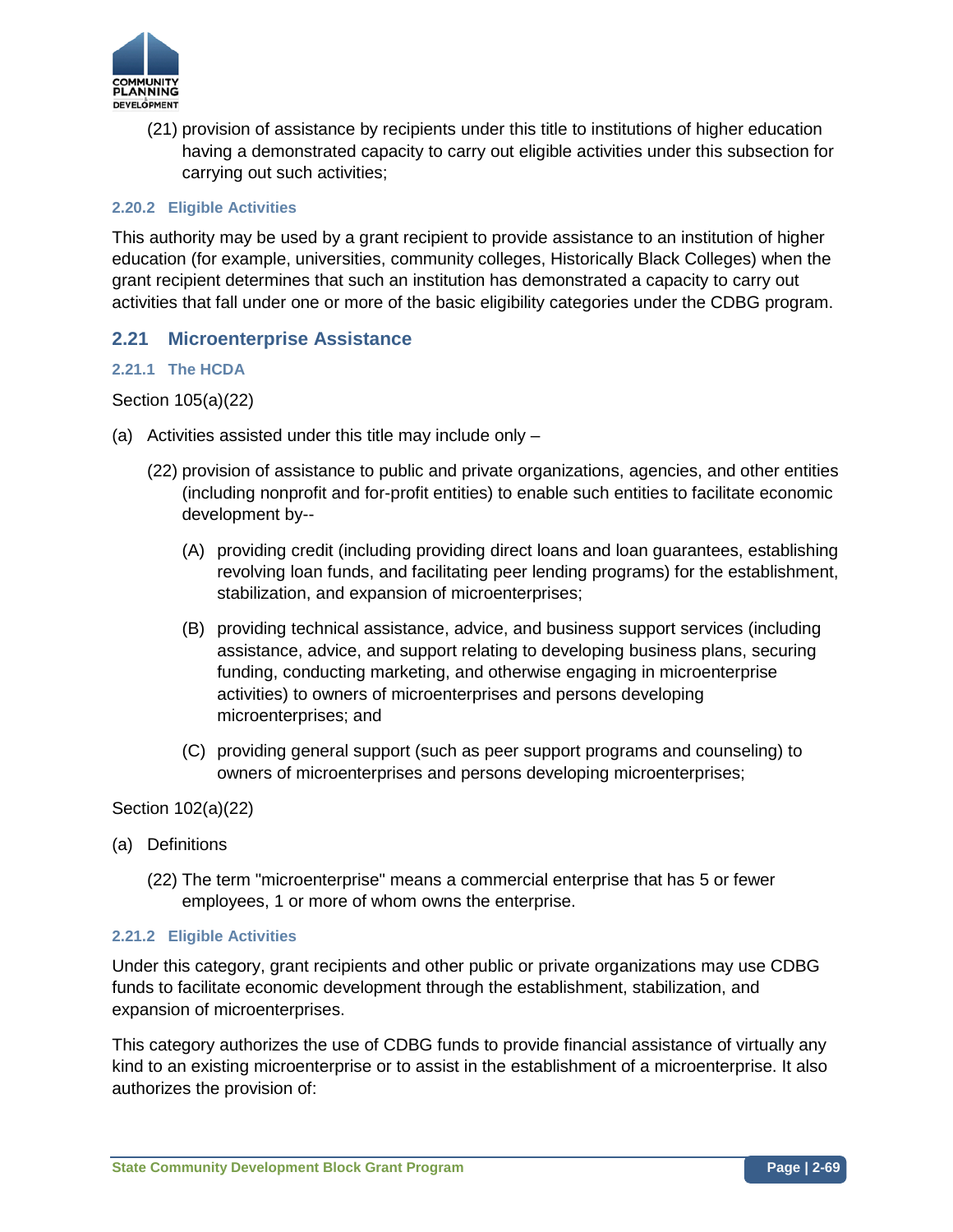

(21) provision of assistance by recipients under this title to institutions of higher education having a demonstrated capacity to carry out eligible activities under this subsection for carrying out such activities;

## **2.20.2 Eligible Activities**

This authority may be used by a grant recipient to provide assistance to an institution of higher education (for example, universities, community colleges, Historically Black Colleges) when the grant recipient determines that such an institution has demonstrated a capacity to carry out activities that fall under one or more of the basic eligibility categories under the CDBG program.

# **2.21 Microenterprise Assistance**

## **2.21.1 The HCDA**

## Section 105(a)(22)

- (a) Activities assisted under this title may include only
	- (22) provision of assistance to public and private organizations, agencies, and other entities (including nonprofit and for-profit entities) to enable such entities to facilitate economic development by--
		- (A) providing credit (including providing direct loans and loan guarantees, establishing revolving loan funds, and facilitating peer lending programs) for the establishment, stabilization, and expansion of microenterprises;
		- (B) providing technical assistance, advice, and business support services (including assistance, advice, and support relating to developing business plans, securing funding, conducting marketing, and otherwise engaging in microenterprise activities) to owners of microenterprises and persons developing microenterprises; and
		- (C) providing general support (such as peer support programs and counseling) to owners of microenterprises and persons developing microenterprises;

Section 102(a)(22)

- (a) Definitions
	- (22) The term "microenterprise" means a commercial enterprise that has 5 or fewer employees, 1 or more of whom owns the enterprise.

## **2.21.2 Eligible Activities**

Under this category, grant recipients and other public or private organizations may use CDBG funds to facilitate economic development through the establishment, stabilization, and expansion of microenterprises.

This category authorizes the use of CDBG funds to provide financial assistance of virtually any kind to an existing microenterprise or to assist in the establishment of a microenterprise. It also authorizes the provision of: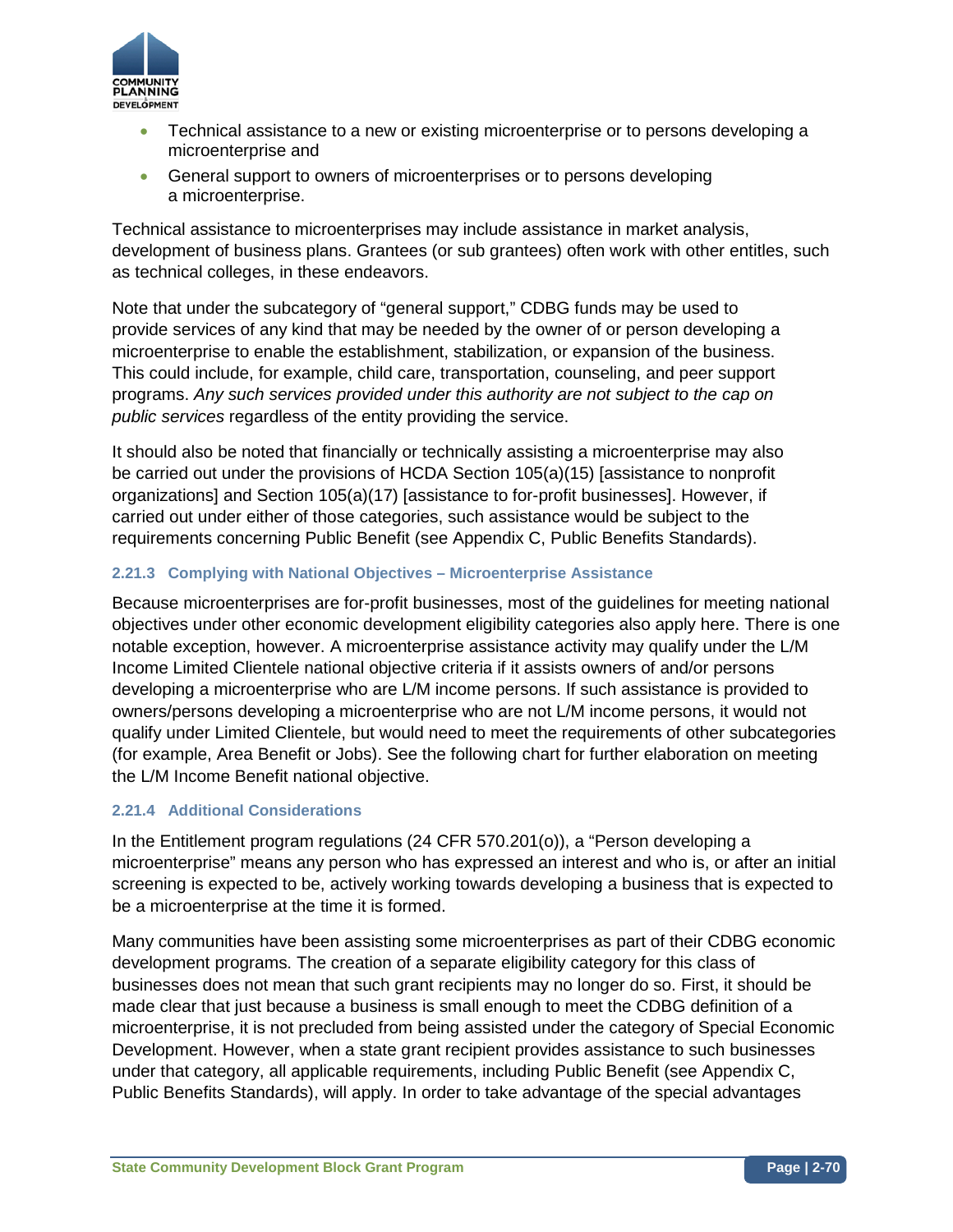

- Technical assistance to a new or existing microenterprise or to persons developing a microenterprise and
- General support to owners of microenterprises or to persons developing a microenterprise.

Technical assistance to microenterprises may include assistance in market analysis, development of business plans. Grantees (or sub grantees) often work with other entitles, such as technical colleges, in these endeavors.

Note that under the subcategory of "general support," CDBG funds may be used to provide services of any kind that may be needed by the owner of or person developing a microenterprise to enable the establishment, stabilization, or expansion of the business. This could include, for example, child care, transportation, counseling, and peer support programs. *Any such services provided under this authority are not subject to the cap on public services* regardless of the entity providing the service.

It should also be noted that financially or technically assisting a microenterprise may also be carried out under the provisions of HCDA Section 105(a)(15) [assistance to nonprofit organizations] and Section 105(a)(17) [assistance to for-profit businesses]. However, if carried out under either of those categories, such assistance would be subject to the requirements concerning Public Benefit (see Appendix C, Public Benefits Standards).

## **2.21.3 Complying with National Objectives – Microenterprise Assistance**

Because microenterprises are for-profit businesses, most of the guidelines for meeting national objectives under other economic development eligibility categories also apply here. There is one notable exception, however. A microenterprise assistance activity may qualify under the L/M Income Limited Clientele national objective criteria if it assists owners of and/or persons developing a microenterprise who are L/M income persons. If such assistance is provided to owners/persons developing a microenterprise who are not L/M income persons, it would not qualify under Limited Clientele, but would need to meet the requirements of other subcategories (for example, Area Benefit or Jobs). See the following chart for further elaboration on meeting the L/M Income Benefit national objective.

## **2.21.4 Additional Considerations**

In the Entitlement program regulations (24 CFR 570.201(o)), a "Person developing a microenterprise" means any person who has expressed an interest and who is, or after an initial screening is expected to be, actively working towards developing a business that is expected to be a microenterprise at the time it is formed.

Many communities have been assisting some microenterprises as part of their CDBG economic development programs. The creation of a separate eligibility category for this class of businesses does not mean that such grant recipients may no longer do so. First, it should be made clear that just because a business is small enough to meet the CDBG definition of a microenterprise, it is not precluded from being assisted under the category of Special Economic Development. However, when a state grant recipient provides assistance to such businesses under that category, all applicable requirements, including Public Benefit (see Appendix C, Public Benefits Standards), will apply. In order to take advantage of the special advantages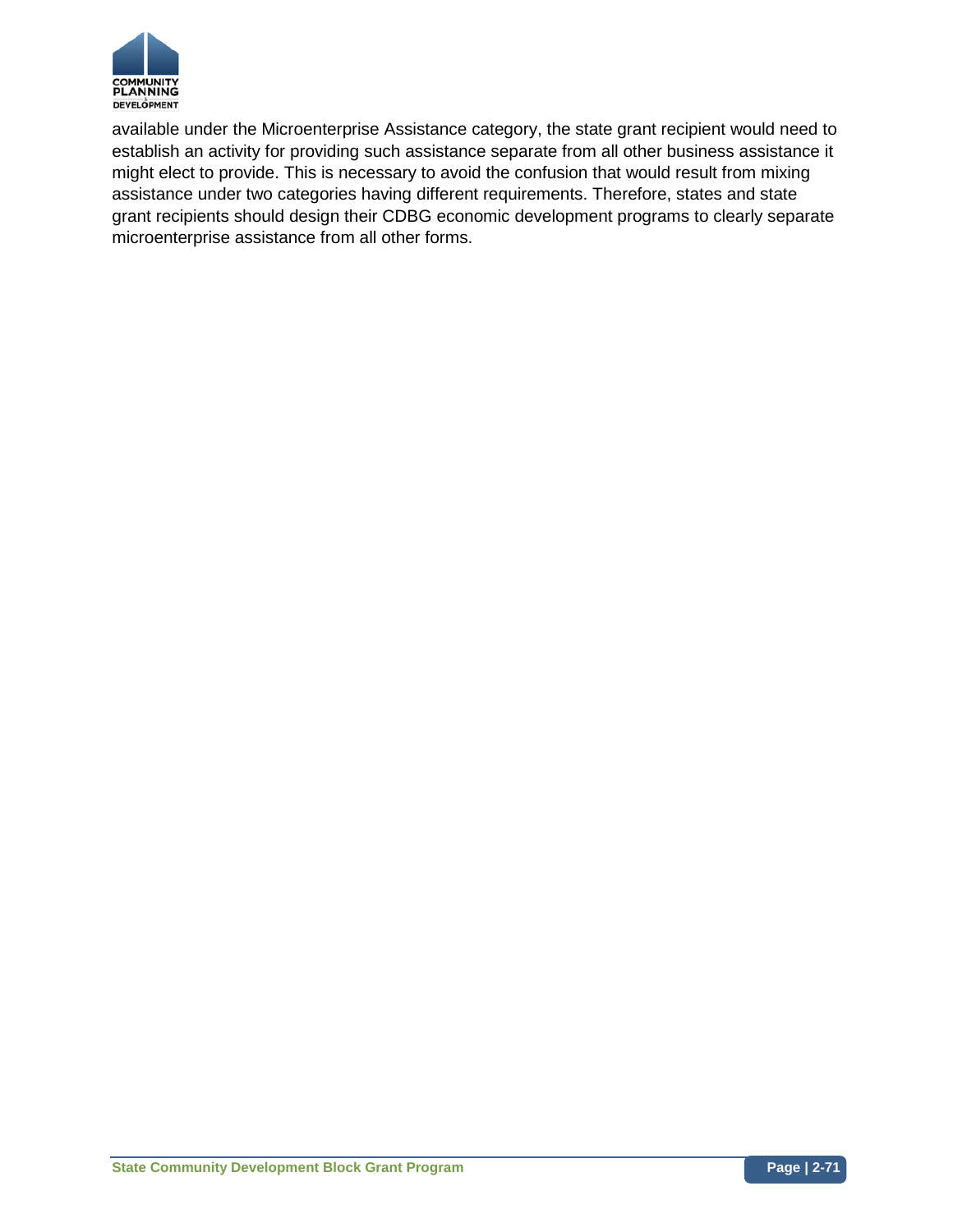

available under the Microenterprise Assistance category, the state grant recipient would need to establish an activity for providing such assistance separate from all other business assistance it might elect to provide. This is necessary to avoid the confusion that would result from mixing assistance under two categories having different requirements. Therefore, states and state grant recipients should design their CDBG economic development programs to clearly separate microenterprise assistance from all other forms.

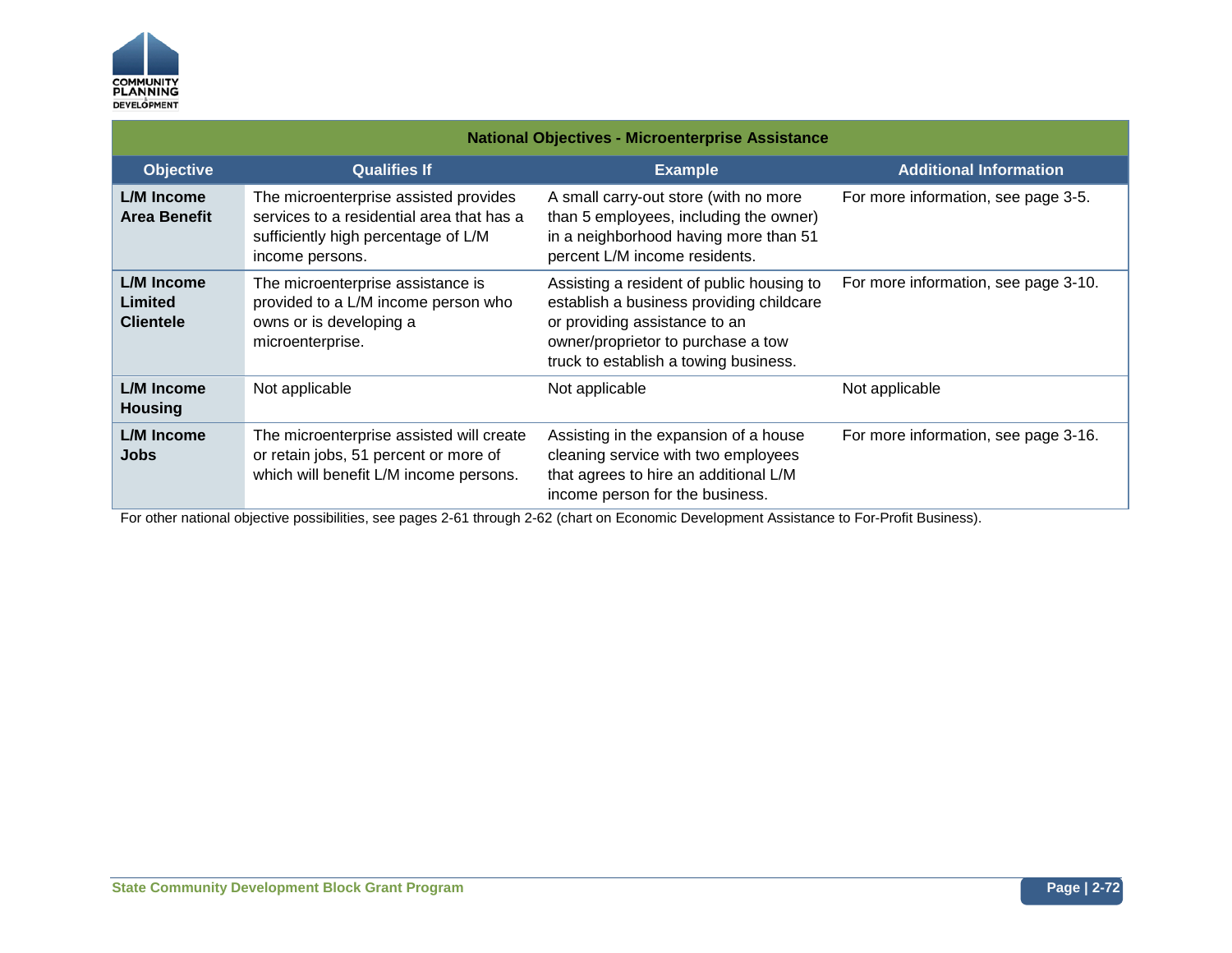

| <b>National Objectives - Microenterprise Assistance</b> |                                                                                                                                              |                                                                                                                                                                                                       |                                      |
|---------------------------------------------------------|----------------------------------------------------------------------------------------------------------------------------------------------|-------------------------------------------------------------------------------------------------------------------------------------------------------------------------------------------------------|--------------------------------------|
| <b>Objective</b>                                        | <b>Qualifies If</b>                                                                                                                          | <b>Example</b>                                                                                                                                                                                        | <b>Additional Information</b>        |
| L/M Income<br><b>Area Benefit</b>                       | The microenterprise assisted provides<br>services to a residential area that has a<br>sufficiently high percentage of L/M<br>income persons. | A small carry-out store (with no more<br>than 5 employees, including the owner)<br>in a neighborhood having more than 51<br>percent L/M income residents.                                             | For more information, see page 3-5.  |
| <b>L/M Income</b><br>Limited<br><b>Clientele</b>        | The microenterprise assistance is<br>provided to a L/M income person who<br>owns or is developing a<br>microenterprise.                      | Assisting a resident of public housing to<br>establish a business providing childcare<br>or providing assistance to an<br>owner/proprietor to purchase a tow<br>truck to establish a towing business. | For more information, see page 3-10. |
| L/M Income<br><b>Housing</b>                            | Not applicable                                                                                                                               | Not applicable                                                                                                                                                                                        | Not applicable                       |
| <b>L/M Income</b><br>Jobs                               | The microenterprise assisted will create<br>or retain jobs, 51 percent or more of<br>which will benefit L/M income persons.                  | Assisting in the expansion of a house<br>cleaning service with two employees<br>that agrees to hire an additional L/M<br>income person for the business.                                              | For more information, see page 3-16. |

For other national objective possibilities, see pages 2-61 through 2-62 (chart on Economic Development Assistance to For-Profit Business).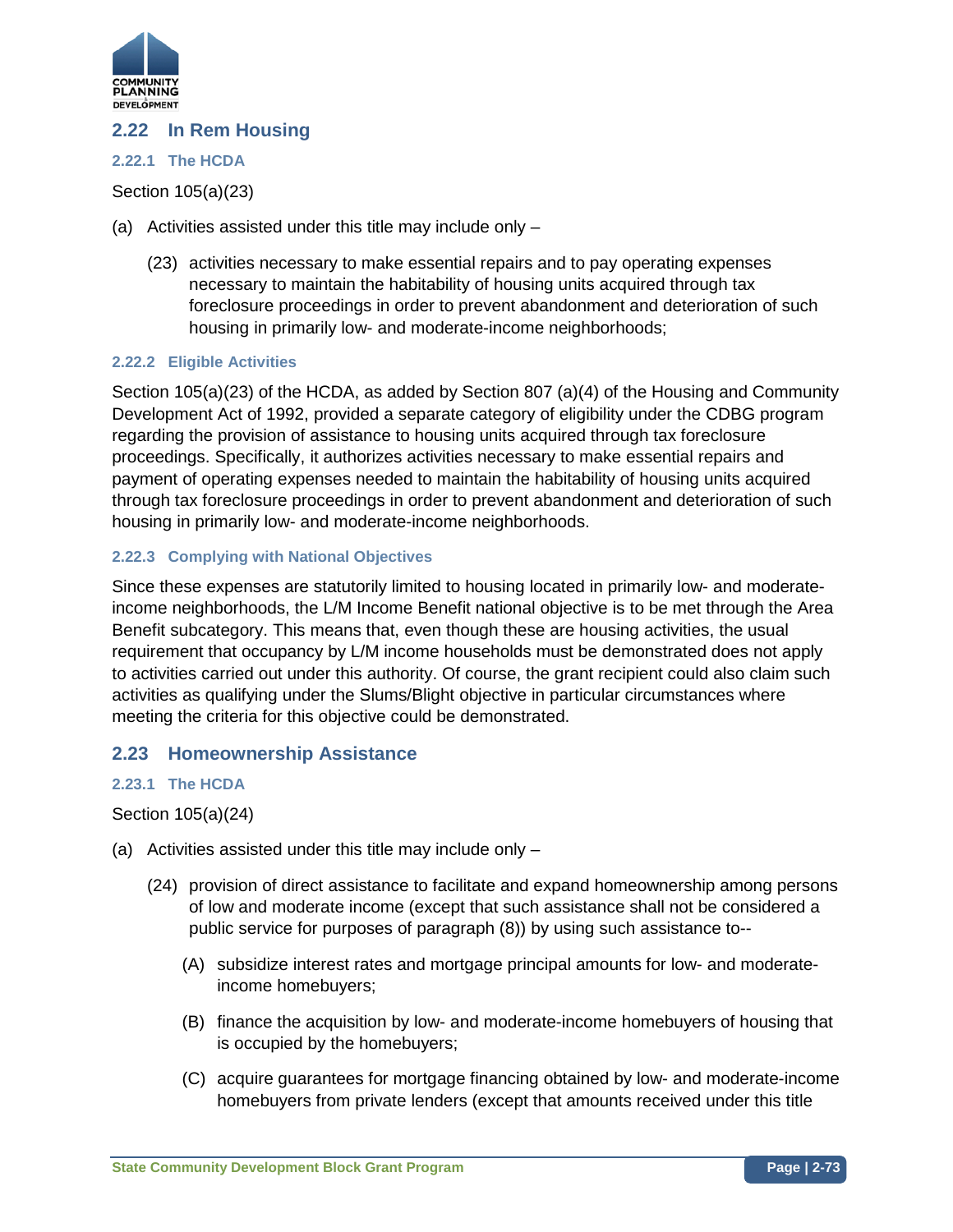

## **2.22 In Rem Housing**

### **2.22.1 The HCDA**

## Section 105(a)(23)

- (a) Activities assisted under this title may include only
	- (23) activities necessary to make essential repairs and to pay operating expenses necessary to maintain the habitability of housing units acquired through tax foreclosure proceedings in order to prevent abandonment and deterioration of such housing in primarily low- and moderate-income neighborhoods;

### **2.22.2 Eligible Activities**

Section 105(a)(23) of the HCDA, as added by Section 807 (a)(4) of the Housing and Community Development Act of 1992, provided a separate category of eligibility under the CDBG program regarding the provision of assistance to housing units acquired through tax foreclosure proceedings. Specifically, it authorizes activities necessary to make essential repairs and payment of operating expenses needed to maintain the habitability of housing units acquired through tax foreclosure proceedings in order to prevent abandonment and deterioration of such housing in primarily low- and moderate-income neighborhoods.

### **2.22.3 Complying with National Objectives**

Since these expenses are statutorily limited to housing located in primarily low- and moderateincome neighborhoods, the L/M Income Benefit national objective is to be met through the Area Benefit subcategory. This means that, even though these are housing activities, the usual requirement that occupancy by L/M income households must be demonstrated does not apply to activities carried out under this authority. Of course, the grant recipient could also claim such activities as qualifying under the Slums/Blight objective in particular circumstances where meeting the criteria for this objective could be demonstrated.

## **2.23 Homeownership Assistance**

### **2.23.1 The HCDA**

### Section 105(a)(24)

- (a) Activities assisted under this title may include only
	- (24) provision of direct assistance to facilitate and expand homeownership among persons of low and moderate income (except that such assistance shall not be considered a public service for purposes of paragraph (8)) by using such assistance to--
		- (A) subsidize interest rates and mortgage principal amounts for low- and moderateincome homebuyers;
		- (B) finance the acquisition by low- and moderate-income homebuyers of housing that is occupied by the homebuyers;
		- (C) acquire guarantees for mortgage financing obtained by low- and moderate-income homebuyers from private lenders (except that amounts received under this title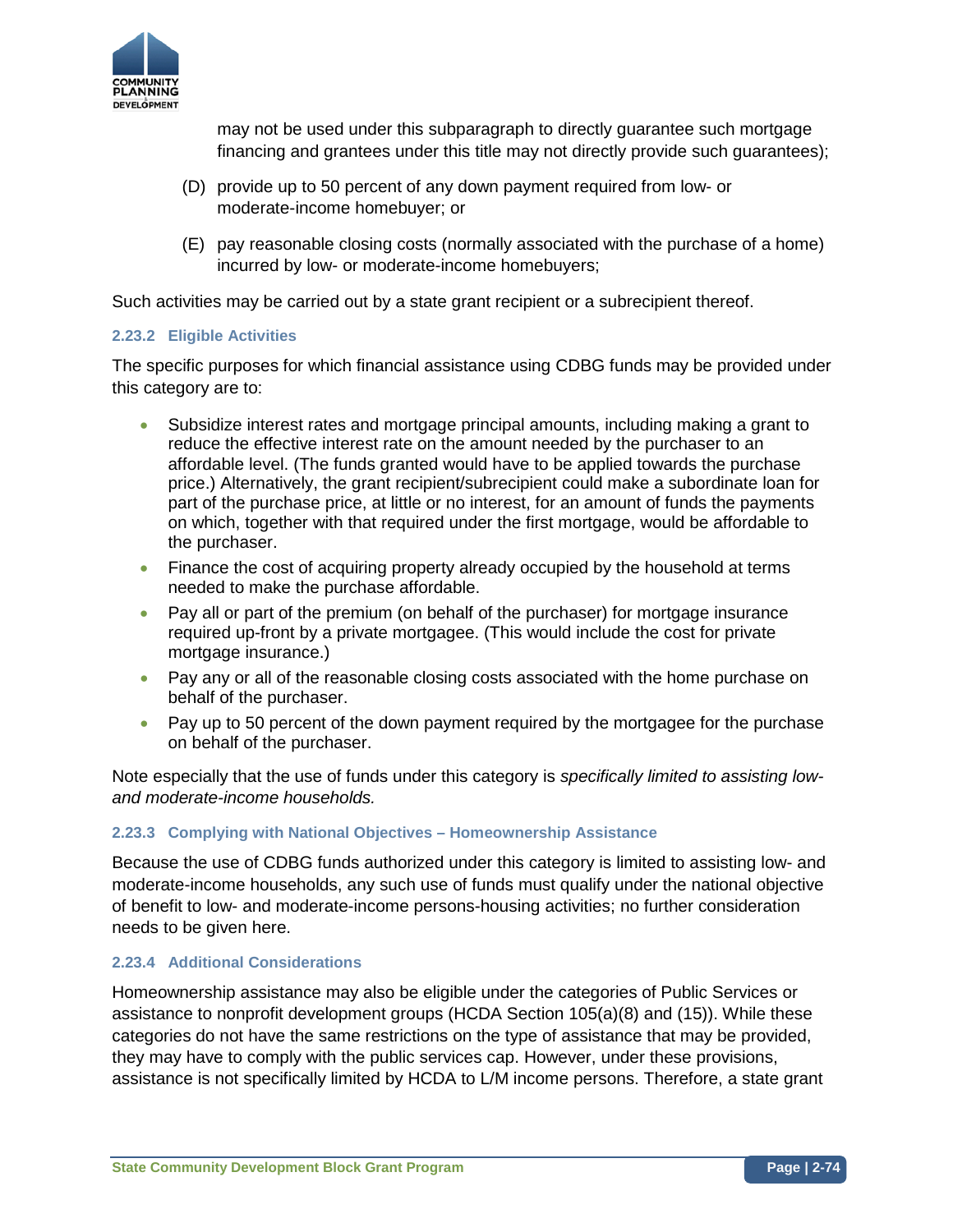

may not be used under this subparagraph to directly guarantee such mortgage financing and grantees under this title may not directly provide such guarantees);

- (D) provide up to 50 percent of any down payment required from low- or moderate-income homebuyer; or
- (E) pay reasonable closing costs (normally associated with the purchase of a home) incurred by low- or moderate-income homebuyers;

Such activities may be carried out by a state grant recipient or a subrecipient thereof.

### **2.23.2 Eligible Activities**

The specific purposes for which financial assistance using CDBG funds may be provided under this category are to:

- Subsidize interest rates and mortgage principal amounts, including making a grant to reduce the effective interest rate on the amount needed by the purchaser to an affordable level. (The funds granted would have to be applied towards the purchase price.) Alternatively, the grant recipient/subrecipient could make a subordinate loan for part of the purchase price, at little or no interest, for an amount of funds the payments on which, together with that required under the first mortgage, would be affordable to the purchaser.
- Finance the cost of acquiring property already occupied by the household at terms needed to make the purchase affordable.
- Pay all or part of the premium (on behalf of the purchaser) for mortgage insurance required up-front by a private mortgagee. (This would include the cost for private mortgage insurance.)
- Pay any or all of the reasonable closing costs associated with the home purchase on behalf of the purchaser.
- Pay up to 50 percent of the down payment required by the mortgagee for the purchase on behalf of the purchaser.

Note especially that the use of funds under this category is *specifically limited to assisting lowand moderate-income households.*

### **2.23.3 Complying with National Objectives – Homeownership Assistance**

Because the use of CDBG funds authorized under this category is limited to assisting low- and moderate-income households, any such use of funds must qualify under the national objective of benefit to low- and moderate-income persons-housing activities; no further consideration needs to be given here.

### **2.23.4 Additional Considerations**

Homeownership assistance may also be eligible under the categories of Public Services or assistance to nonprofit development groups (HCDA Section 105(a)(8) and (15)). While these categories do not have the same restrictions on the type of assistance that may be provided, they may have to comply with the public services cap. However, under these provisions, assistance is not specifically limited by HCDA to L/M income persons. Therefore, a state grant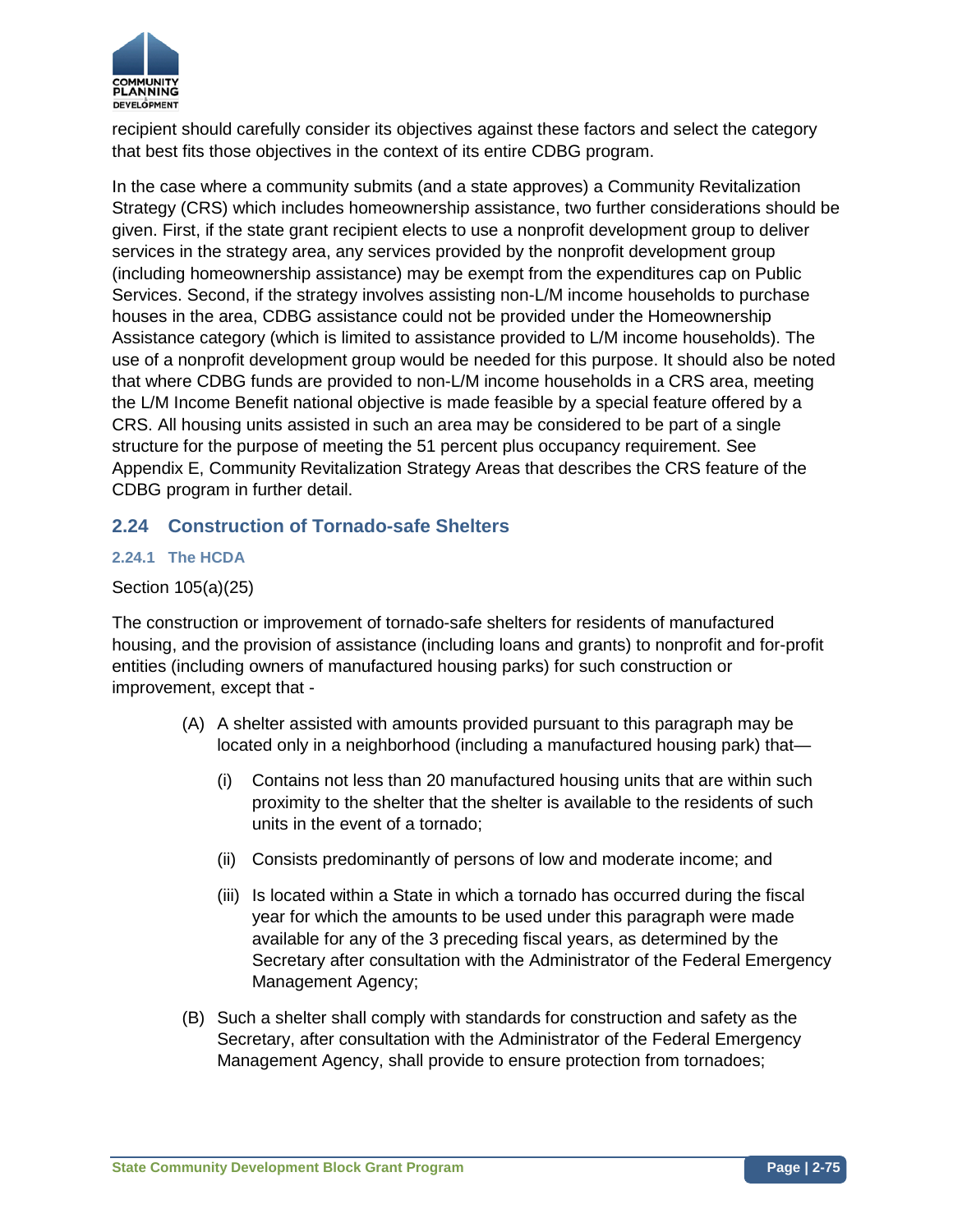

recipient should carefully consider its objectives against these factors and select the category that best fits those objectives in the context of its entire CDBG program.

In the case where a community submits (and a state approves) a Community Revitalization Strategy (CRS) which includes homeownership assistance, two further considerations should be given. First, if the state grant recipient elects to use a nonprofit development group to deliver services in the strategy area, any services provided by the nonprofit development group (including homeownership assistance) may be exempt from the expenditures cap on Public Services. Second, if the strategy involves assisting non-L/M income households to purchase houses in the area, CDBG assistance could not be provided under the Homeownership Assistance category (which is limited to assistance provided to L/M income households). The use of a nonprofit development group would be needed for this purpose. It should also be noted that where CDBG funds are provided to non-L/M income households in a CRS area, meeting the L/M Income Benefit national objective is made feasible by a special feature offered by a CRS. All housing units assisted in such an area may be considered to be part of a single structure for the purpose of meeting the 51 percent plus occupancy requirement. See Appendix E, Community Revitalization Strategy Areas that describes the CRS feature of the CDBG program in further detail.

# **2.24 Construction of Tornado-safe Shelters**

## **2.24.1 The HCDA**

## Section 105(a)(25)

The construction or improvement of tornado-safe shelters for residents of manufactured housing, and the provision of assistance (including loans and grants) to nonprofit and for-profit entities (including owners of manufactured housing parks) for such construction or improvement, except that -

- (A) A shelter assisted with amounts provided pursuant to this paragraph may be located only in a neighborhood (including a manufactured housing park) that—
	- (i) Contains not less than 20 manufactured housing units that are within such proximity to the shelter that the shelter is available to the residents of such units in the event of a tornado;
	- (ii) Consists predominantly of persons of low and moderate income; and
	- (iii) Is located within a State in which a tornado has occurred during the fiscal year for which the amounts to be used under this paragraph were made available for any of the 3 preceding fiscal years, as determined by the Secretary after consultation with the Administrator of the Federal Emergency Management Agency;
- (B) Such a shelter shall comply with standards for construction and safety as the Secretary, after consultation with the Administrator of the Federal Emergency Management Agency, shall provide to ensure protection from tornadoes;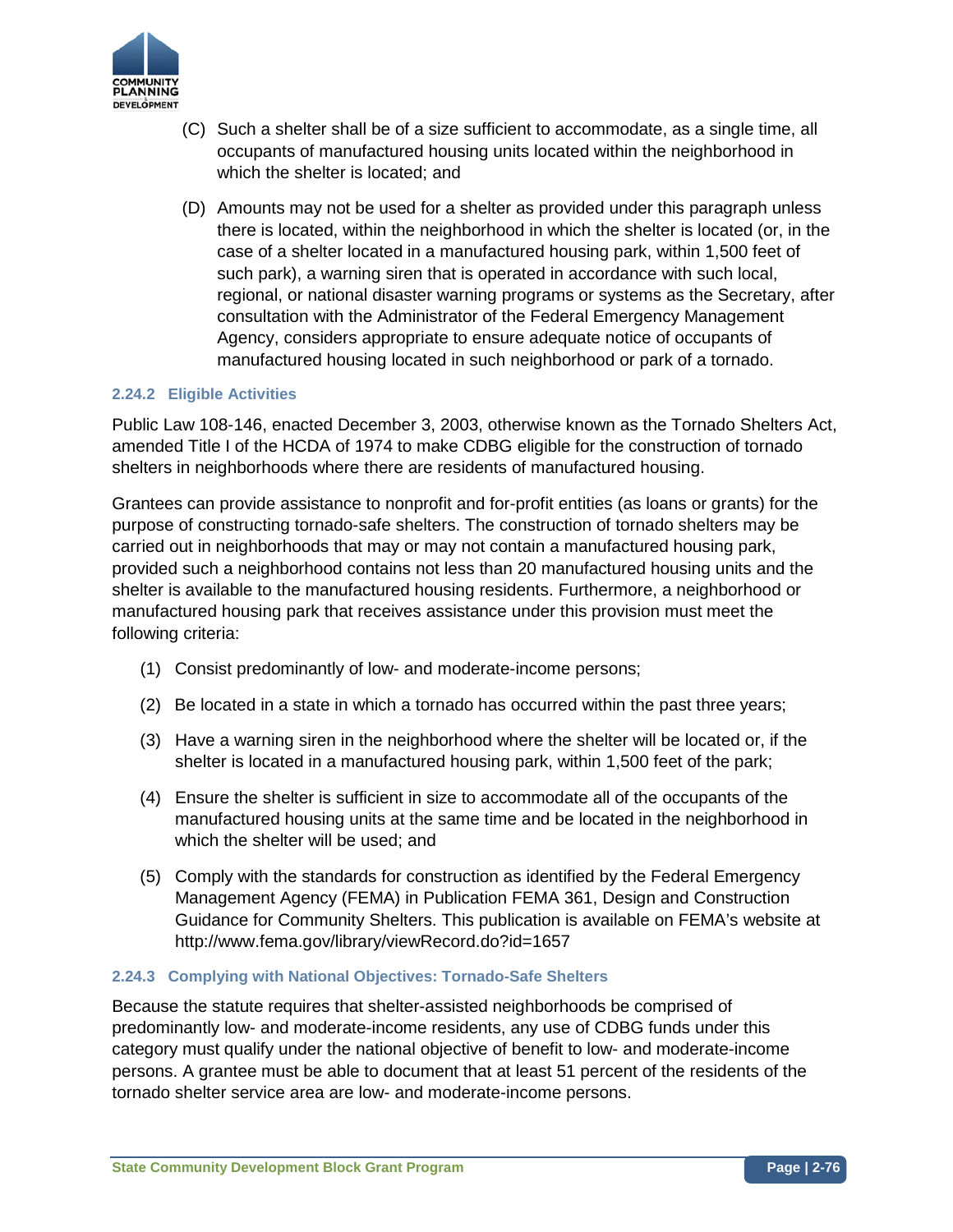

- (C) Such a shelter shall be of a size sufficient to accommodate, as a single time, all occupants of manufactured housing units located within the neighborhood in which the shelter is located; and
- (D) Amounts may not be used for a shelter as provided under this paragraph unless there is located, within the neighborhood in which the shelter is located (or, in the case of a shelter located in a manufactured housing park, within 1,500 feet of such park), a warning siren that is operated in accordance with such local, regional, or national disaster warning programs or systems as the Secretary, after consultation with the Administrator of the Federal Emergency Management Agency, considers appropriate to ensure adequate notice of occupants of manufactured housing located in such neighborhood or park of a tornado.

### **2.24.2 Eligible Activities**

Public Law 108-146, enacted December 3, 2003, otherwise known as the Tornado Shelters Act, amended Title I of the HCDA of 1974 to make CDBG eligible for the construction of tornado shelters in neighborhoods where there are residents of manufactured housing.

Grantees can provide assistance to nonprofit and for-profit entities (as loans or grants) for the purpose of constructing tornado-safe shelters. The construction of tornado shelters may be carried out in neighborhoods that may or may not contain a manufactured housing park, provided such a neighborhood contains not less than 20 manufactured housing units and the shelter is available to the manufactured housing residents. Furthermore, a neighborhood or manufactured housing park that receives assistance under this provision must meet the following criteria:

- (1) Consist predominantly of low- and moderate-income persons;
- (2) Be located in a state in which a tornado has occurred within the past three years;
- (3) Have a warning siren in the neighborhood where the shelter will be located or, if the shelter is located in a manufactured housing park, within 1,500 feet of the park;
- (4) Ensure the shelter is sufficient in size to accommodate all of the occupants of the manufactured housing units at the same time and be located in the neighborhood in which the shelter will be used; and
- (5) Comply with the standards for construction as identified by the Federal Emergency Management Agency (FEMA) in Publication FEMA 361, Design and Construction Guidance for Community Shelters. This publication is available on FEMA's website at http://www.fema.gov/library/viewRecord.do?id=1657

## **2.24.3 Complying with National Objectives: Tornado-Safe Shelters**

Because the statute requires that shelter-assisted neighborhoods be comprised of predominantly low- and moderate-income residents, any use of CDBG funds under this category must qualify under the national objective of benefit to low- and moderate-income persons. A grantee must be able to document that at least 51 percent of the residents of the tornado shelter service area are low- and moderate-income persons.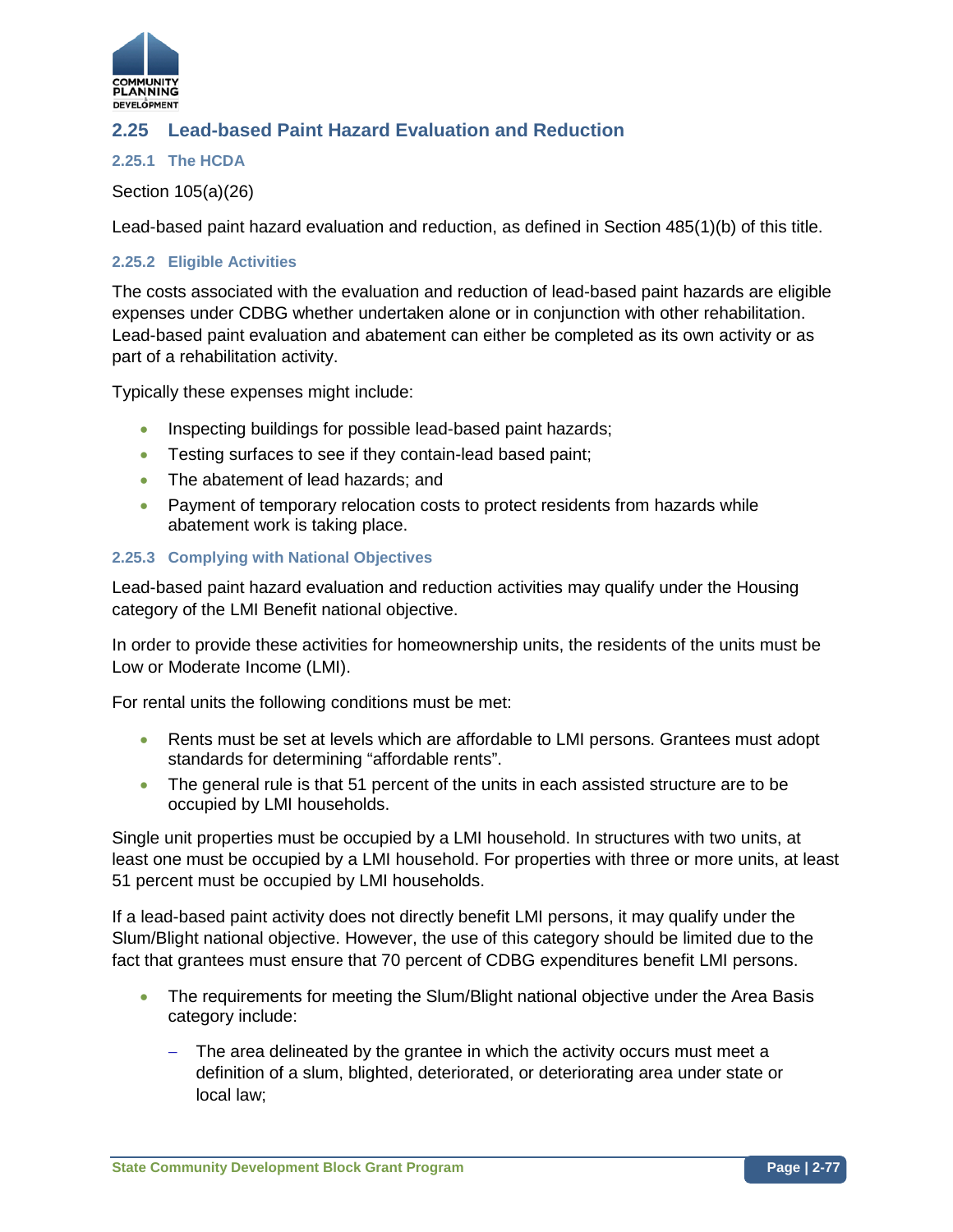

# **2.25 Lead-based Paint Hazard Evaluation and Reduction**

### **2.25.1 The HCDA**

Section 105(a)(26)

Lead-based paint hazard evaluation and reduction, as defined in Section 485(1)(b) of this title.

#### **2.25.2 Eligible Activities**

The costs associated with the evaluation and reduction of lead-based paint hazards are eligible expenses under CDBG whether undertaken alone or in conjunction with other rehabilitation. Lead-based paint evaluation and abatement can either be completed as its own activity or as part of a rehabilitation activity.

Typically these expenses might include:

- Inspecting buildings for possible lead-based paint hazards;
- Testing surfaces to see if they contain-lead based paint;
- The abatement of lead hazards; and
- Payment of temporary relocation costs to protect residents from hazards while abatement work is taking place.

#### **2.25.3 Complying with National Objectives**

Lead-based paint hazard evaluation and reduction activities may qualify under the Housing category of the LMI Benefit national objective.

In order to provide these activities for homeownership units, the residents of the units must be Low or Moderate Income (LMI).

For rental units the following conditions must be met:

- Rents must be set at levels which are affordable to LMI persons. Grantees must adopt standards for determining "affordable rents".
- The general rule is that 51 percent of the units in each assisted structure are to be occupied by LMI households.

Single unit properties must be occupied by a LMI household. In structures with two units, at least one must be occupied by a LMI household. For properties with three or more units, at least 51 percent must be occupied by LMI households.

If a lead-based paint activity does not directly benefit LMI persons, it may qualify under the Slum/Blight national objective. However, the use of this category should be limited due to the fact that grantees must ensure that 70 percent of CDBG expenditures benefit LMI persons.

- The requirements for meeting the Slum/Blight national objective under the Area Basis category include:
	- − The area delineated by the grantee in which the activity occurs must meet a definition of a slum, blighted, deteriorated, or deteriorating area under state or local law;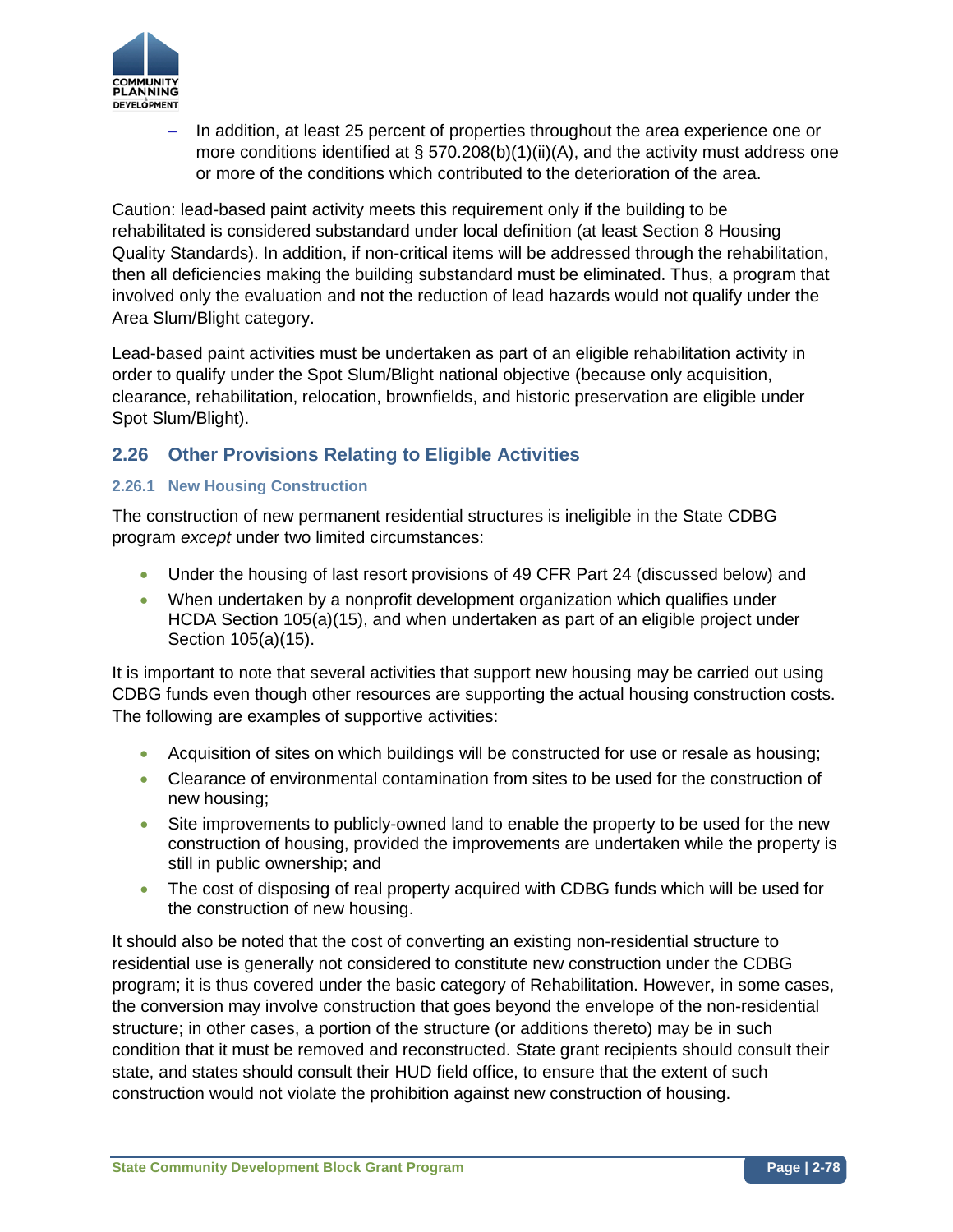

− In addition, at least 25 percent of properties throughout the area experience one or more conditions identified at § 570.208(b)(1)(ii)(A), and the activity must address one or more of the conditions which contributed to the deterioration of the area.

Caution: lead-based paint activity meets this requirement only if the building to be rehabilitated is considered substandard under local definition (at least Section 8 Housing Quality Standards). In addition, if non-critical items will be addressed through the rehabilitation, then all deficiencies making the building substandard must be eliminated. Thus, a program that involved only the evaluation and not the reduction of lead hazards would not qualify under the Area Slum/Blight category.

Lead-based paint activities must be undertaken as part of an eligible rehabilitation activity in order to qualify under the Spot Slum/Blight national objective (because only acquisition, clearance, rehabilitation, relocation, brownfields, and historic preservation are eligible under Spot Slum/Blight).

# **2.26 Other Provisions Relating to Eligible Activities**

## **2.26.1 New Housing Construction**

The construction of new permanent residential structures is ineligible in the State CDBG program *except* under two limited circumstances:

- Under the housing of last resort provisions of 49 CFR Part 24 (discussed below) and
- When undertaken by a nonprofit development organization which qualifies under HCDA Section 105(a)(15), and when undertaken as part of an eligible project under Section 105(a)(15).

It is important to note that several activities that support new housing may be carried out using CDBG funds even though other resources are supporting the actual housing construction costs. The following are examples of supportive activities:

- Acquisition of sites on which buildings will be constructed for use or resale as housing;
- Clearance of environmental contamination from sites to be used for the construction of new housing;
- Site improvements to publicly-owned land to enable the property to be used for the new construction of housing, provided the improvements are undertaken while the property is still in public ownership; and
- The cost of disposing of real property acquired with CDBG funds which will be used for the construction of new housing.

It should also be noted that the cost of converting an existing non-residential structure to residential use is generally not considered to constitute new construction under the CDBG program; it is thus covered under the basic category of Rehabilitation. However, in some cases, the conversion may involve construction that goes beyond the envelope of the non-residential structure; in other cases, a portion of the structure (or additions thereto) may be in such condition that it must be removed and reconstructed. State grant recipients should consult their state, and states should consult their HUD field office, to ensure that the extent of such construction would not violate the prohibition against new construction of housing.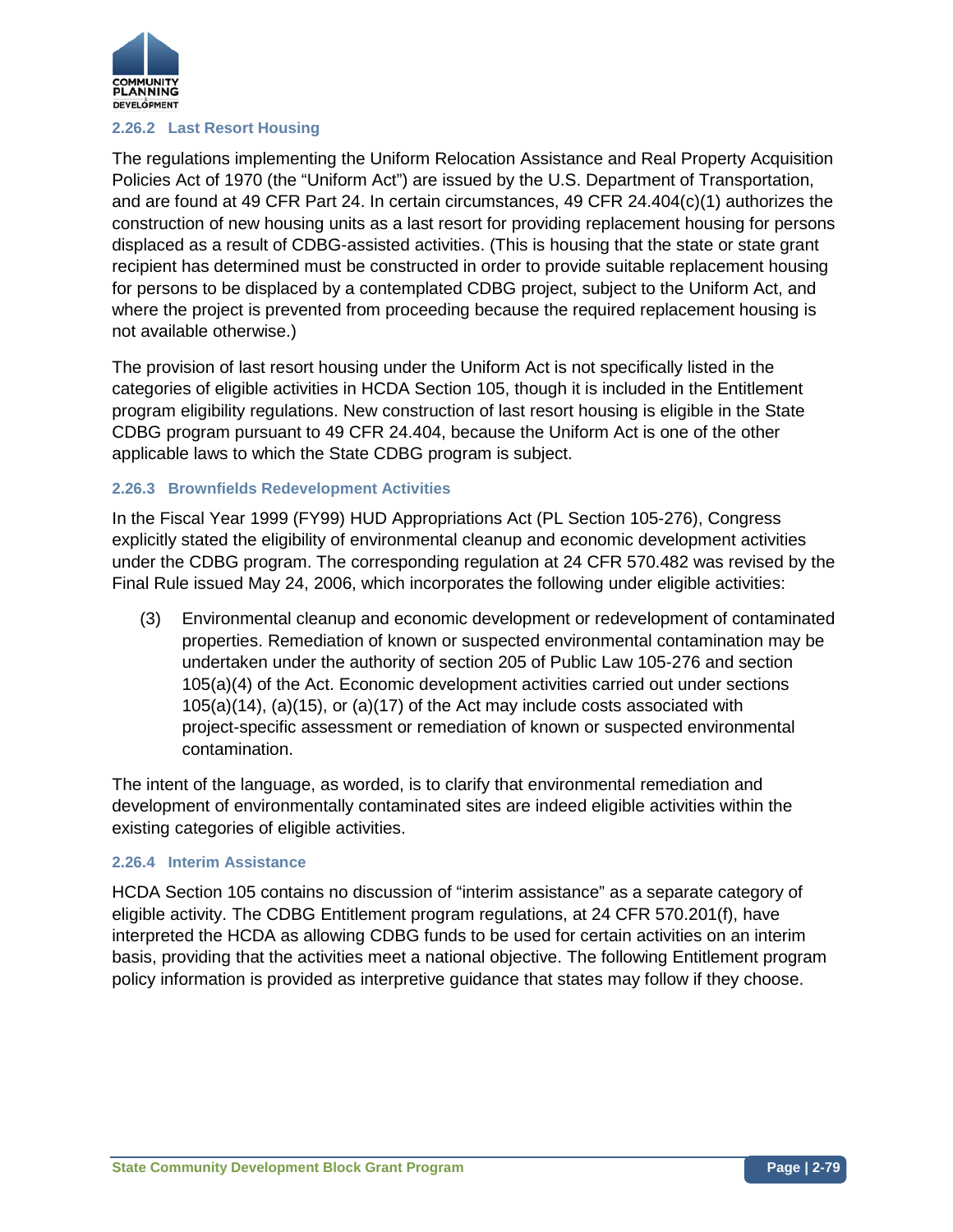

#### **2.26.2 Last Resort Housing**

The regulations implementing the Uniform Relocation Assistance and Real Property Acquisition Policies Act of 1970 (the "Uniform Act") are issued by the U.S. Department of Transportation, and are found at 49 CFR Part 24. In certain circumstances, 49 CFR 24.404(c)(1) authorizes the construction of new housing units as a last resort for providing replacement housing for persons displaced as a result of CDBG-assisted activities. (This is housing that the state or state grant recipient has determined must be constructed in order to provide suitable replacement housing for persons to be displaced by a contemplated CDBG project, subject to the Uniform Act, and where the project is prevented from proceeding because the required replacement housing is not available otherwise.)

The provision of last resort housing under the Uniform Act is not specifically listed in the categories of eligible activities in HCDA Section 105, though it is included in the Entitlement program eligibility regulations. New construction of last resort housing is eligible in the State CDBG program pursuant to 49 CFR 24.404, because the Uniform Act is one of the other applicable laws to which the State CDBG program is subject.

### **2.26.3 Brownfields Redevelopment Activities**

In the Fiscal Year 1999 (FY99) HUD Appropriations Act (PL Section 105-276), Congress explicitly stated the eligibility of environmental cleanup and economic development activities under the CDBG program. The corresponding regulation at 24 CFR 570.482 was revised by the Final Rule issued May 24, 2006, which incorporates the following under eligible activities:

(3) Environmental cleanup and economic development or redevelopment of contaminated properties. Remediation of known or suspected environmental contamination may be undertaken under the authority of section 205 of Public Law 105-276 and section 105(a)(4) of the Act. Economic development activities carried out under sections 105(a)(14), (a)(15), or (a)(17) of the Act may include costs associated with project-specific assessment or remediation of known or suspected environmental contamination.

The intent of the language, as worded, is to clarify that environmental remediation and development of environmentally contaminated sites are indeed eligible activities within the existing categories of eligible activities.

### **2.26.4 Interim Assistance**

HCDA Section 105 contains no discussion of "interim assistance" as a separate category of eligible activity. The CDBG Entitlement program regulations, at 24 CFR 570.201(f), have interpreted the HCDA as allowing CDBG funds to be used for certain activities on an interim basis, providing that the activities meet a national objective. The following Entitlement program policy information is provided as interpretive guidance that states may follow if they choose.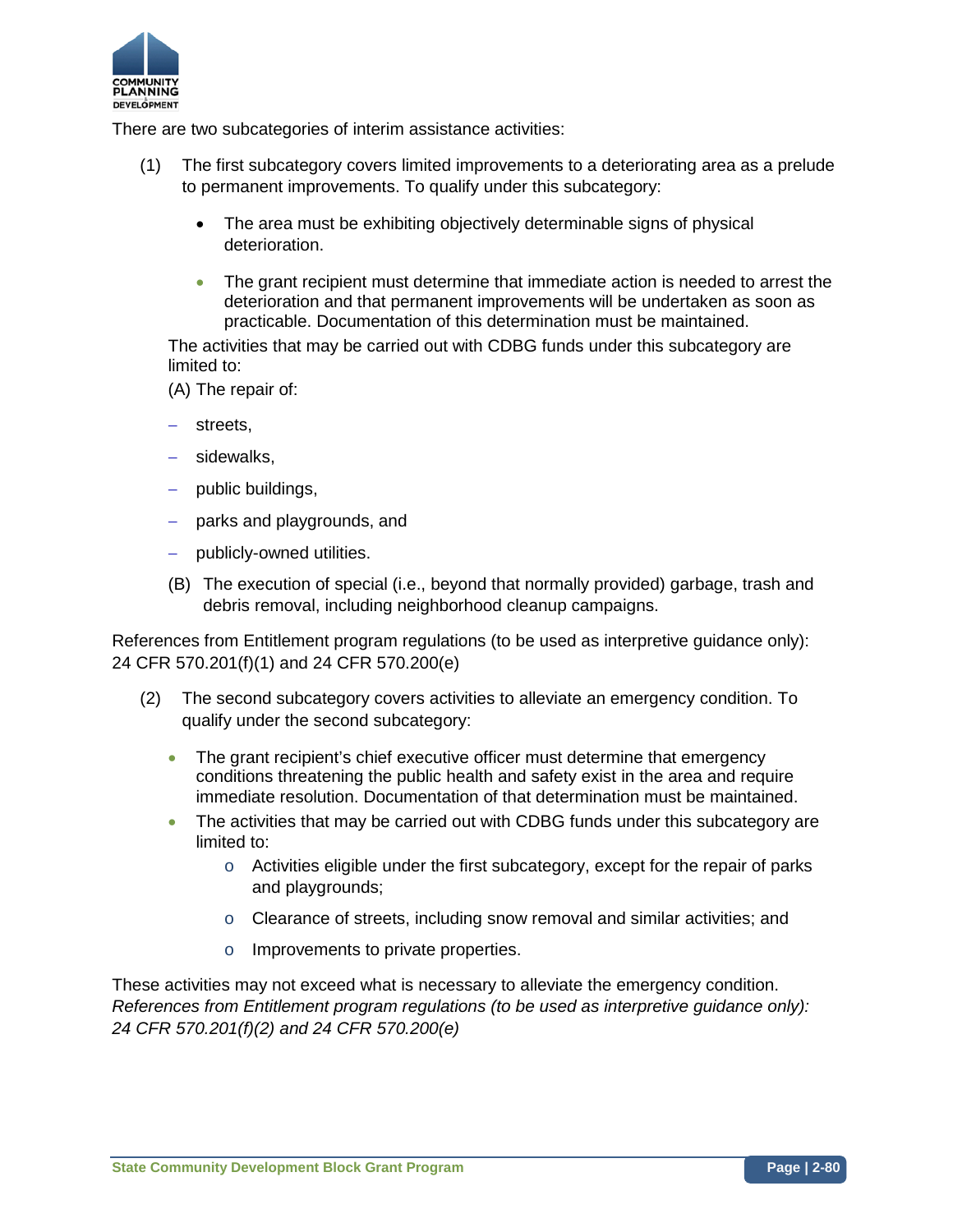

There are two subcategories of interim assistance activities:

- (1) The first subcategory covers limited improvements to a deteriorating area as a prelude to permanent improvements. To qualify under this subcategory:
	- The area must be exhibiting objectively determinable signs of physical deterioration.
	- The grant recipient must determine that immediate action is needed to arrest the deterioration and that permanent improvements will be undertaken as soon as practicable. Documentation of this determination must be maintained.

The activities that may be carried out with CDBG funds under this subcategory are limited to:

(A) The repair of:

- − streets,
- − sidewalks,
- − public buildings,
- − parks and playgrounds, and
- − publicly-owned utilities.
- (B) The execution of special (i.e., beyond that normally provided) garbage, trash and debris removal, including neighborhood cleanup campaigns.

References from Entitlement program regulations (to be used as interpretive guidance only): 24 CFR 570.201(f)(1) and 24 CFR 570.200(e)

- (2) The second subcategory covers activities to alleviate an emergency condition. To qualify under the second subcategory:
	- The grant recipient's chief executive officer must determine that emergency conditions threatening the public health and safety exist in the area and require immediate resolution. Documentation of that determination must be maintained.
	- The activities that may be carried out with CDBG funds under this subcategory are limited to:
		- $\circ$  Activities eligible under the first subcategory, except for the repair of parks and playgrounds;
		- o Clearance of streets, including snow removal and similar activities; and
		- o Improvements to private properties.

These activities may not exceed what is necessary to alleviate the emergency condition. *References from Entitlement program regulations (to be used as interpretive guidance only): 24 CFR 570.201(f)(2) and 24 CFR 570.200(e)*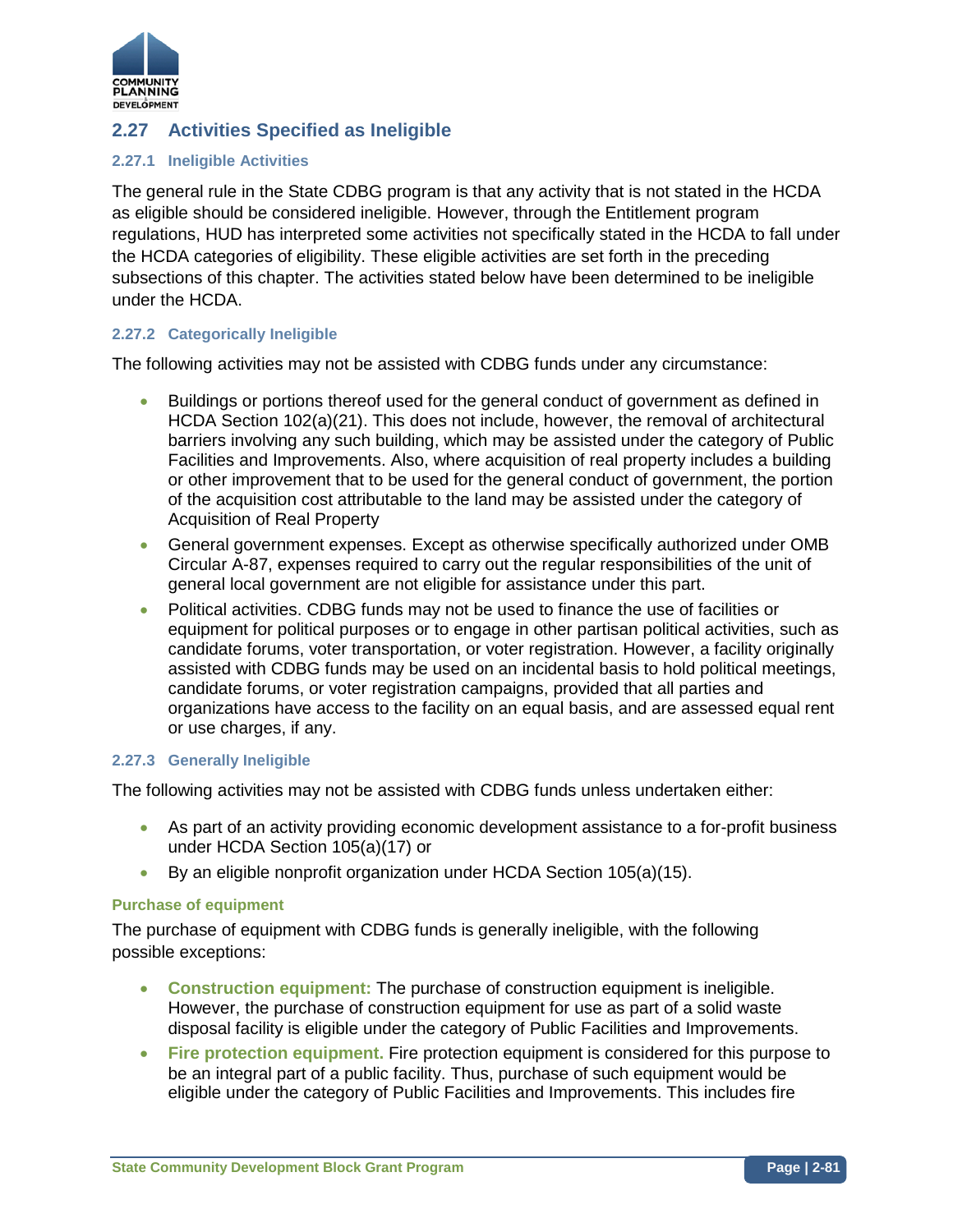

# **2.27 Activities Specified as Ineligible**

### **2.27.1 Ineligible Activities**

The general rule in the State CDBG program is that any activity that is not stated in the HCDA as eligible should be considered ineligible. However, through the Entitlement program regulations, HUD has interpreted some activities not specifically stated in the HCDA to fall under the HCDA categories of eligibility. These eligible activities are set forth in the preceding subsections of this chapter. The activities stated below have been determined to be ineligible under the HCDA.

### **2.27.2 Categorically Ineligible**

The following activities may not be assisted with CDBG funds under any circumstance:

- Buildings or portions thereof used for the general conduct of government as defined in HCDA Section 102(a)(21). This does not include, however, the removal of architectural barriers involving any such building, which may be assisted under the category of Public Facilities and Improvements. Also, where acquisition of real property includes a building or other improvement that to be used for the general conduct of government, the portion of the acquisition cost attributable to the land may be assisted under the category of Acquisition of Real Property
- General government expenses. Except as otherwise specifically authorized under OMB Circular A-87, expenses required to carry out the regular responsibilities of the unit of general local government are not eligible for assistance under this part.
- Political activities. CDBG funds may not be used to finance the use of facilities or equipment for political purposes or to engage in other partisan political activities, such as candidate forums, voter transportation, or voter registration. However, a facility originally assisted with CDBG funds may be used on an incidental basis to hold political meetings, candidate forums, or voter registration campaigns, provided that all parties and organizations have access to the facility on an equal basis, and are assessed equal rent or use charges, if any.

### **2.27.3 Generally Ineligible**

The following activities may not be assisted with CDBG funds unless undertaken either:

- As part of an activity providing economic development assistance to a for-profit business under HCDA Section 105(a)(17) or
- By an eligible nonprofit organization under HCDA Section 105(a)(15).

### **Purchase of equipment**

The purchase of equipment with CDBG funds is generally ineligible, with the following possible exceptions:

- **Construction equipment:** The purchase of construction equipment is ineligible. However, the purchase of construction equipment for use as part of a solid waste disposal facility is eligible under the category of Public Facilities and Improvements.
- **Fire protection equipment.** Fire protection equipment is considered for this purpose to be an integral part of a public facility. Thus, purchase of such equipment would be eligible under the category of Public Facilities and Improvements. This includes fire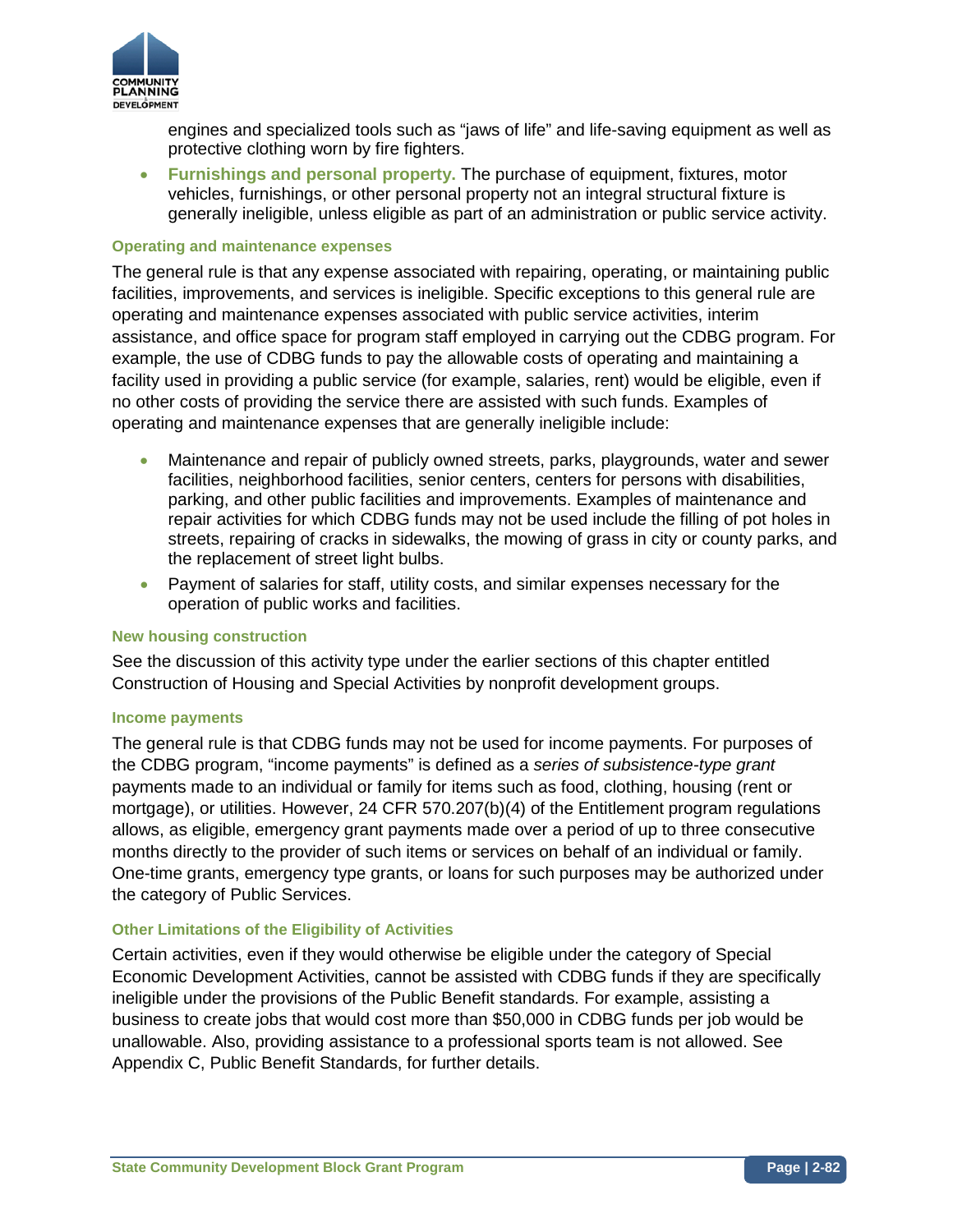

engines and specialized tools such as "jaws of life" and life-saving equipment as well as protective clothing worn by fire fighters.

• **Furnishings and personal property.** The purchase of equipment, fixtures, motor vehicles, furnishings, or other personal property not an integral structural fixture is generally ineligible, unless eligible as part of an administration or public service activity.

#### **Operating and maintenance expenses**

The general rule is that any expense associated with repairing, operating, or maintaining public facilities, improvements, and services is ineligible. Specific exceptions to this general rule are operating and maintenance expenses associated with public service activities, interim assistance, and office space for program staff employed in carrying out the CDBG program. For example, the use of CDBG funds to pay the allowable costs of operating and maintaining a facility used in providing a public service (for example, salaries, rent) would be eligible, even if no other costs of providing the service there are assisted with such funds. Examples of operating and maintenance expenses that are generally ineligible include:

- Maintenance and repair of publicly owned streets, parks, playgrounds, water and sewer facilities, neighborhood facilities, senior centers, centers for persons with disabilities, parking, and other public facilities and improvements. Examples of maintenance and repair activities for which CDBG funds may not be used include the filling of pot holes in streets, repairing of cracks in sidewalks, the mowing of grass in city or county parks, and the replacement of street light bulbs.
- Payment of salaries for staff, utility costs, and similar expenses necessary for the operation of public works and facilities.

### **New housing construction**

See the discussion of this activity type under the earlier sections of this chapter entitled Construction of Housing and Special Activities by nonprofit development groups.

#### **Income payments**

The general rule is that CDBG funds may not be used for income payments. For purposes of the CDBG program, "income payments" is defined as a *series of subsistence-type grant*  payments made to an individual or family for items such as food, clothing, housing (rent or mortgage), or utilities. However, 24 CFR 570.207(b)(4) of the Entitlement program regulations allows, as eligible, emergency grant payments made over a period of up to three consecutive months directly to the provider of such items or services on behalf of an individual or family. One-time grants, emergency type grants, or loans for such purposes may be authorized under the category of Public Services.

### **Other Limitations of the Eligibility of Activities**

Certain activities, even if they would otherwise be eligible under the category of Special Economic Development Activities, cannot be assisted with CDBG funds if they are specifically ineligible under the provisions of the Public Benefit standards. For example, assisting a business to create jobs that would cost more than \$50,000 in CDBG funds per job would be unallowable. Also, providing assistance to a professional sports team is not allowed. See Appendix C, Public Benefit Standards, for further details.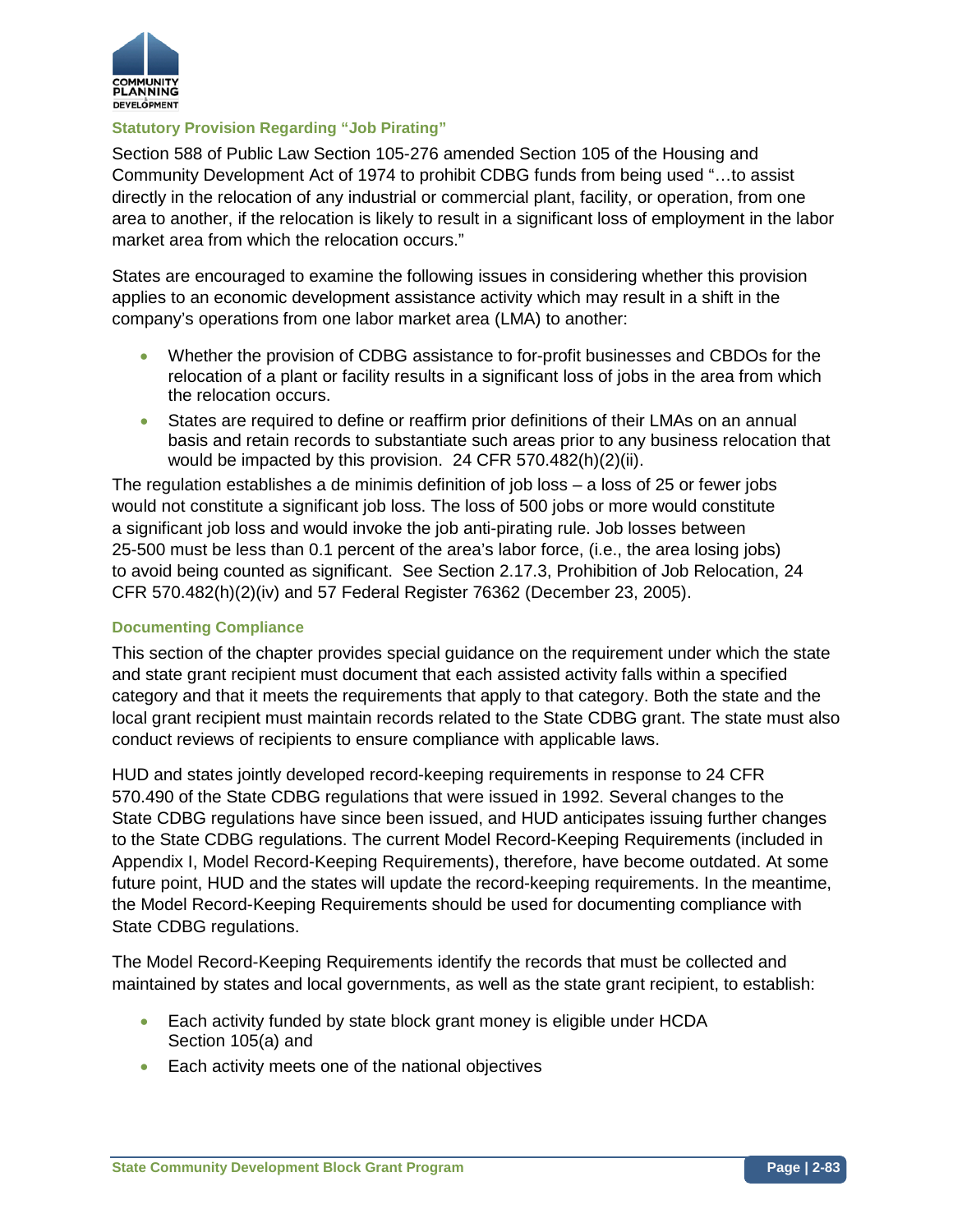

## **Statutory Provision Regarding "Job Pirating"**

Section 588 of Public Law Section 105-276 amended Section 105 of the Housing and Community Development Act of 1974 to prohibit CDBG funds from being used "…to assist directly in the relocation of any industrial or commercial plant, facility, or operation, from one area to another, if the relocation is likely to result in a significant loss of employment in the labor market area from which the relocation occurs."

States are encouraged to examine the following issues in considering whether this provision applies to an economic development assistance activity which may result in a shift in the company's operations from one labor market area (LMA) to another:

- Whether the provision of CDBG assistance to for-profit businesses and CBDOs for the relocation of a plant or facility results in a significant loss of jobs in the area from which the relocation occurs.
- States are required to define or reaffirm prior definitions of their LMAs on an annual basis and retain records to substantiate such areas prior to any business relocation that would be impacted by this provision. 24 CFR 570.482(h)(2)(ii).

The regulation establishes a de minimis definition of job loss – a loss of 25 or fewer jobs would not constitute a significant job loss. The loss of 500 jobs or more would constitute a significant job loss and would invoke the job anti-pirating rule. Job losses between 25-500 must be less than 0.1 percent of the area's labor force, (i.e., the area losing jobs) to avoid being counted as significant. See Section 2.17.3, Prohibition of Job Relocation, 24 CFR 570.482(h)(2)(iv) and 57 Federal Register 76362 (December 23, 2005).

### **Documenting Compliance**

This section of the chapter provides special guidance on the requirement under which the state and state grant recipient must document that each assisted activity falls within a specified category and that it meets the requirements that apply to that category. Both the state and the local grant recipient must maintain records related to the State CDBG grant. The state must also conduct reviews of recipients to ensure compliance with applicable laws.

HUD and states jointly developed record-keeping requirements in response to 24 CFR 570.490 of the State CDBG regulations that were issued in 1992. Several changes to the State CDBG regulations have since been issued, and HUD anticipates issuing further changes to the State CDBG regulations. The current Model Record-Keeping Requirements (included in Appendix I, Model Record-Keeping Requirements), therefore, have become outdated. At some future point, HUD and the states will update the record-keeping requirements. In the meantime, the Model Record-Keeping Requirements should be used for documenting compliance with State CDBG regulations.

The Model Record-Keeping Requirements identify the records that must be collected and maintained by states and local governments, as well as the state grant recipient, to establish:

- Each activity funded by state block grant money is eligible under HCDA Section 105(a) and
- Each activity meets one of the national objectives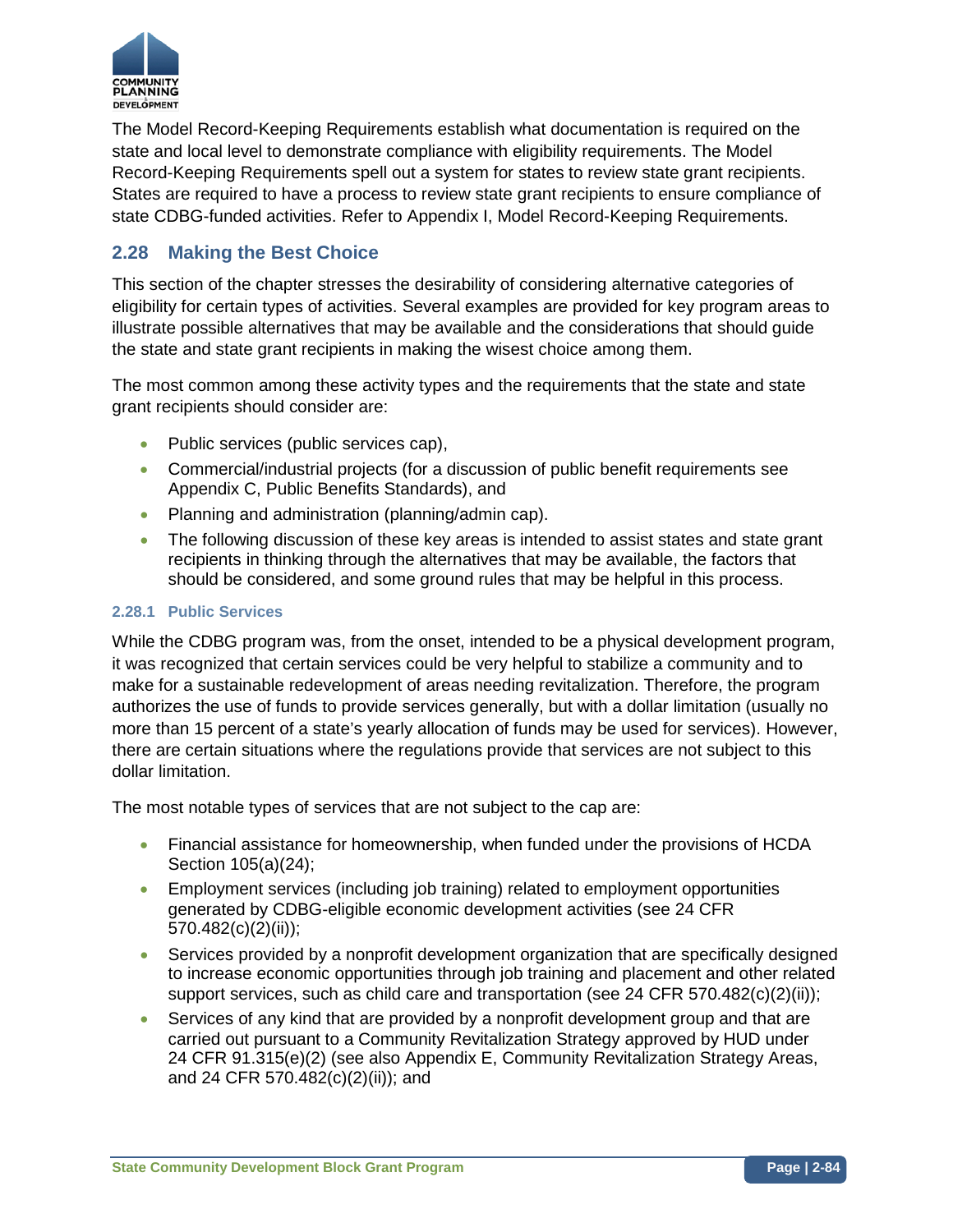

The Model Record-Keeping Requirements establish what documentation is required on the state and local level to demonstrate compliance with eligibility requirements. The Model Record-Keeping Requirements spell out a system for states to review state grant recipients. States are required to have a process to review state grant recipients to ensure compliance of state CDBG-funded activities. Refer to Appendix I, Model Record-Keeping Requirements.

# **2.28 Making the Best Choice**

This section of the chapter stresses the desirability of considering alternative categories of eligibility for certain types of activities. Several examples are provided for key program areas to illustrate possible alternatives that may be available and the considerations that should guide the state and state grant recipients in making the wisest choice among them.

The most common among these activity types and the requirements that the state and state grant recipients should consider are:

- Public services (public services cap),
- Commercial/industrial projects (for a discussion of public benefit requirements see Appendix C, Public Benefits Standards), and
- Planning and administration (planning/admin cap).
- The following discussion of these key areas is intended to assist states and state grant recipients in thinking through the alternatives that may be available, the factors that should be considered, and some ground rules that may be helpful in this process.

### **2.28.1 Public Services**

While the CDBG program was, from the onset, intended to be a physical development program, it was recognized that certain services could be very helpful to stabilize a community and to make for a sustainable redevelopment of areas needing revitalization. Therefore, the program authorizes the use of funds to provide services generally, but with a dollar limitation (usually no more than 15 percent of a state's yearly allocation of funds may be used for services). However, there are certain situations where the regulations provide that services are not subject to this dollar limitation.

The most notable types of services that are not subject to the cap are:

- Financial assistance for homeownership, when funded under the provisions of HCDA Section 105(a)(24);
- Employment services (including job training) related to employment opportunities generated by CDBG-eligible economic development activities (see 24 CFR 570.482(c)(2)(ii));
- Services provided by a nonprofit development organization that are specifically designed to increase economic opportunities through job training and placement and other related support services, such as child care and transportation (see 24 CFR 570.482 $(c)(2)(ii))$ ;
- Services of any kind that are provided by a nonprofit development group and that are carried out pursuant to a Community Revitalization Strategy approved by HUD under 24 CFR 91.315(e)(2) (see also Appendix E, Community Revitalization Strategy Areas, and 24 CFR 570.482(c)(2)(ii)); and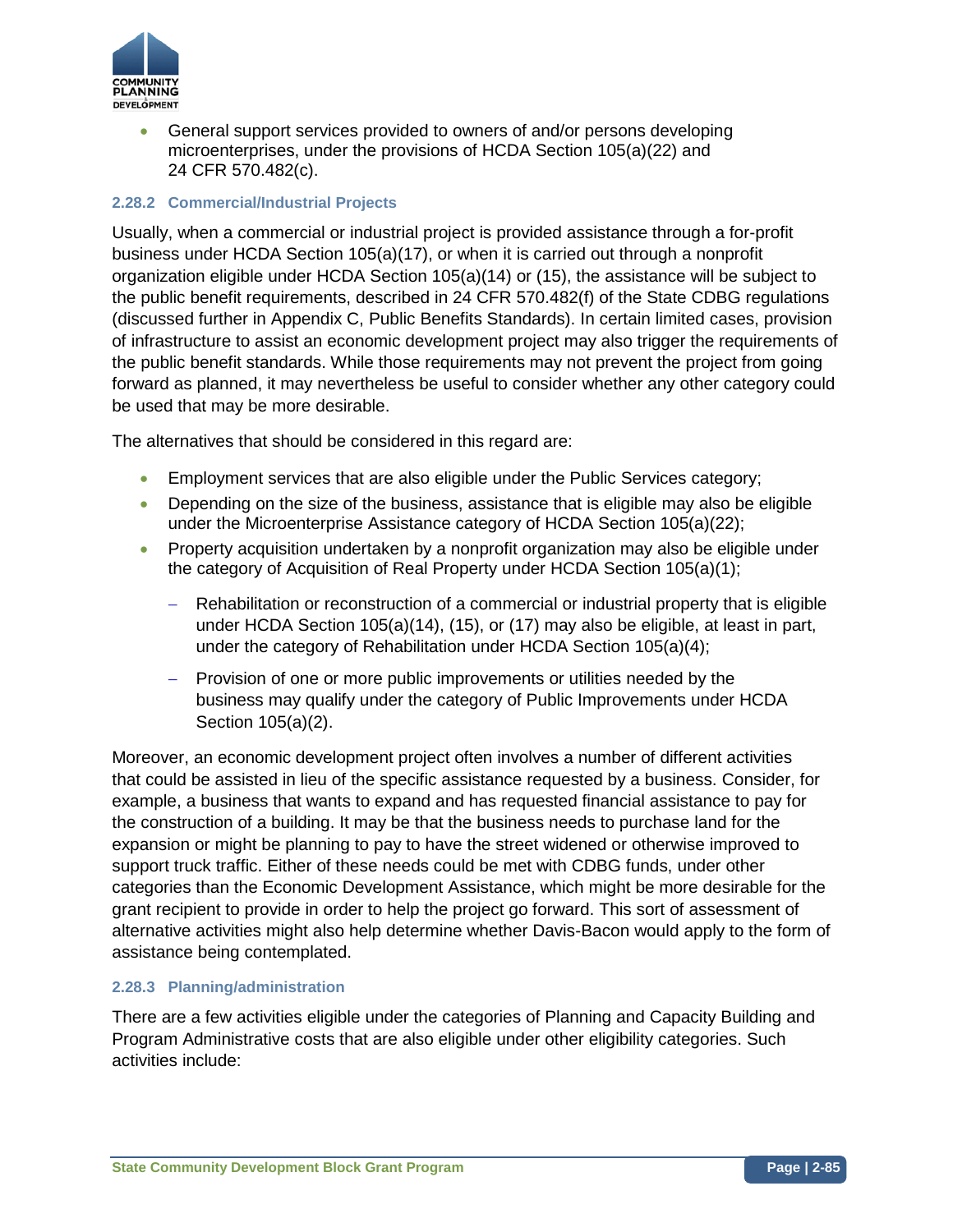

• General support services provided to owners of and/or persons developing microenterprises, under the provisions of HCDA Section 105(a)(22) and 24 CFR 570.482(c).

## **2.28.2 Commercial/Industrial Projects**

Usually, when a commercial or industrial project is provided assistance through a for-profit business under HCDA Section 105(a)(17), or when it is carried out through a nonprofit organization eligible under HCDA Section 105(a)(14) or (15), the assistance will be subject to the public benefit requirements, described in 24 CFR 570.482(f) of the State CDBG regulations (discussed further in Appendix C, Public Benefits Standards). In certain limited cases, provision of infrastructure to assist an economic development project may also trigger the requirements of the public benefit standards. While those requirements may not prevent the project from going forward as planned, it may nevertheless be useful to consider whether any other category could be used that may be more desirable.

The alternatives that should be considered in this regard are:

- Employment services that are also eligible under the Public Services category;
- Depending on the size of the business, assistance that is eligible may also be eligible under the Microenterprise Assistance category of HCDA Section 105(a)(22);
- Property acquisition undertaken by a nonprofit organization may also be eligible under the category of Acquisition of Real Property under HCDA Section 105(a)(1);
	- − Rehabilitation or reconstruction of a commercial or industrial property that is eligible under HCDA Section 105(a)(14), (15), or (17) may also be eligible, at least in part, under the category of Rehabilitation under HCDA Section 105(a)(4);
	- − Provision of one or more public improvements or utilities needed by the business may qualify under the category of Public Improvements under HCDA Section 105(a)(2).

Moreover, an economic development project often involves a number of different activities that could be assisted in lieu of the specific assistance requested by a business. Consider, for example, a business that wants to expand and has requested financial assistance to pay for the construction of a building. It may be that the business needs to purchase land for the expansion or might be planning to pay to have the street widened or otherwise improved to support truck traffic. Either of these needs could be met with CDBG funds, under other categories than the Economic Development Assistance, which might be more desirable for the grant recipient to provide in order to help the project go forward. This sort of assessment of alternative activities might also help determine whether Davis-Bacon would apply to the form of assistance being contemplated.

### **2.28.3 Planning/administration**

There are a few activities eligible under the categories of Planning and Capacity Building and Program Administrative costs that are also eligible under other eligibility categories. Such activities include: